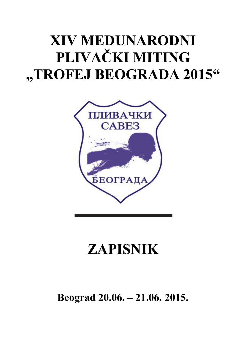## **XIV MEĐUNARODNI PLIVAČKI MITING "TROFEJ BEOGRADA 2015"**



## **ZAPISNIK**

**Beograd 20.06. – 21.06. 2015.**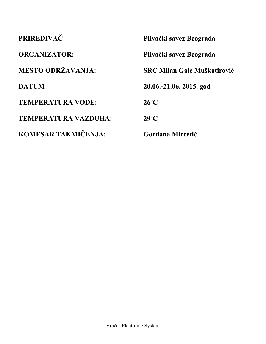| PRIREĐIVAČ:                 | Plivački savez Beograda            |
|-----------------------------|------------------------------------|
| <b>ORGANIZATOR:</b>         | Plivački savez Beograda            |
| <b>MESTO ODRŽAVANJA:</b>    | <b>SRC Milan Gale Muškatirović</b> |
| <b>DATUM</b>                | 20.06.-21.06. 2015. god            |
| <b>TEMPERATURA VODE:</b>    | $26^{\circ}$ C                     |
| <b>TEMPERATURA VAZDUHA:</b> | $29^{\circ}C$                      |
| KOMESAR TAKMIČENJA:         | Gordana Mircetić                   |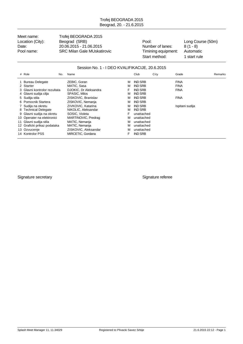Meet name: Trofej BEOGRADA 2015 Location (City): Beograd (SRB) Boogram Pool: Long Course (50m) Date: 20.06.2015 - 21.06.2015 - 21.06.2015 - 21.06.2015 - 21.06.2015 - 21.06.2015 - 21.06.2015 - 21.06.2015 - 2<br>Pool name: SRC Milan Gale MUskatirovic - Timining equipment: Automatic Pool name: SRC Milan Gale MUskatirovic Timining equipment:

Start method: 1 start rule

#### Session No. 1 - I DEO KVALIFIKACIJE, 20.6.2015

| # Role<br>No.                | Name                  |   | Club           | City | Grade           | Remarks |
|------------------------------|-----------------------|---|----------------|------|-----------------|---------|
| <b>Bureau Delegate</b>       | ZEBIC, Goran          | M | <b>IND SRB</b> |      | <b>FINA</b>     |         |
| 2 Starter                    | MATIC, Sasa           | м | <b>IND SRB</b> |      | <b>FINA</b>     |         |
| 3 Glavni kontrolor rezultata | DJOKIC. Dr Aleksandra |   | <b>IND SRB</b> |      | <b>FINA</b>     |         |
| 4 Glavni sudija cilja        | <b>SPASIC, Milos</b>  | м | <b>IND SRB</b> |      |                 |         |
| 5 Sudija stila               | ZISKOVIC, Branislav   | M | <b>IND SRB</b> |      | <b>FINA</b>     |         |
| 6 Pomocnik Startera          | ZISKOVIC, Nemanja     | м | <b>IND SRB</b> |      |                 |         |
| 7 Sudija na okretu           | ZIVKOVIC, Katarina    | м | <b>IND SRB</b> |      | Ispitani sudija |         |
| 8 Technical Delegate         | NIKOLIC, Aleksandar   | м | <b>IND SRB</b> |      |                 |         |
| 9 Glavni sudija na okretu    | SOSIC, Violeta        | F | unattached     |      |                 |         |
| 10 Operater na elektronici   | MARTINOVIC, Predrag   | м | unattached     |      |                 |         |
| 11 Glavni sudija stila       | MATIC, Nemanja        | м | unattached     |      |                 |         |
| 12 Graficki prikaz podataka  | MATIC, Nemanja        | м | unattached     |      |                 |         |
| 13 Ozvucenje                 | ZISKOVIC, Aleksandar  | м | unattached     |      |                 |         |
| 14 Kontrolor PSS             | MIRCETIC, Gordana     | F | <b>IND SRB</b> |      |                 |         |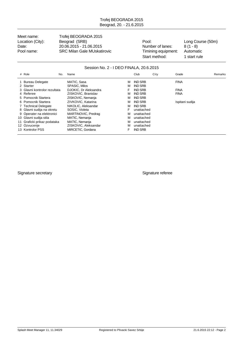Meet name: Trofej BEOGRADA 2015 Location (City): Beograd (SRB) Pool: Long Course (50m) Date: 20.06.2015 - 21.06.2015 - 21.06.2015 - Number of lanes: 8 (1 - 8)<br>Pool name: SRC Milan Gale MUskatirovic Timining equipment: Automatic Pool name: SRC Milan Gale MUskatirovic Timining equipment:

Start method: 1 start rule

#### Session No. 2 - I DEO FINALA, 20.6.2015

| # Role                       | No. | Name                  |   | Club           | City | Grade           | <b>Remarks</b> |
|------------------------------|-----|-----------------------|---|----------------|------|-----------------|----------------|
| 1 Bureau Delegate            |     | MATIC, Sasa           | м | <b>IND SRB</b> |      | <b>FINA</b>     |                |
| 2 Starter                    |     | <b>SPASIC, Milos</b>  | м | <b>IND SRB</b> |      |                 |                |
| 3 Glavni kontrolor rezultata |     | DJOKIC. Dr Aleksandra | F | <b>IND SRB</b> |      | <b>FINA</b>     |                |
| 4 Referee                    |     | ZISKOVIC, Branislav   | M | <b>IND SRB</b> |      | <b>FINA</b>     |                |
| 5 Pomocnik Startera          |     | ZISKOVIC, Nemanja     | м | <b>IND SRB</b> |      |                 |                |
| 6 Pomocnik Startera          |     | ZIVKOVIC, Katarina    | м | <b>IND SRB</b> |      | Ispitani sudija |                |
| 7 Technical Delegate         |     | NIKOLIC, Aleksandar   | м | <b>IND SRB</b> |      |                 |                |
| 8 Glavni sudija na okretu    |     | SOSIC, Violeta        | F | unattached     |      |                 |                |
| 9 Operater na elektronici    |     | MARTINOVIC, Predrag   | м | unattached     |      |                 |                |
| 10 Glavni sudija stila       |     | MATIC, Nemanja        | M | unattached     |      |                 |                |
| 11 Graficki prikaz podataka  |     | MATIC, Nemanja        | M | unattached     |      |                 |                |
| 12 Ozvucenje                 |     | ZISKOVIC, Aleksandar  | м | unattached     |      |                 |                |
| 13 Kontrolor PSS             |     | MIRCETIC, Gordana     | F | <b>IND SRB</b> |      |                 |                |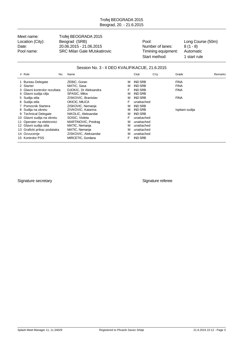Meet name: Trofej BEOGRADA 2015 Location (City): Beograd (SRB) Boogram Pool: Long Course (50m) Date: 20.06.2015 - 21.06.2015 - 21.06.2015 - Number of lanes: 8 (1 - 8)<br>Pool name: SRC Milan Gale MUskatirovic Timining equipment: Automatic Pool name: SRC Milan Gale MUskatirovic Timining equipment:

Start method: 1 start rule

#### Session No. 3 - II DEO KVALIFIKACIJE, 21.6.2015

| # Role<br>No.                | Name                  |   | Club           | City | Grade           | Remarks |
|------------------------------|-----------------------|---|----------------|------|-----------------|---------|
| 1 Bureau Delegate            | ZEBIC, Goran          | м | <b>IND SRB</b> |      | <b>FINA</b>     |         |
| 2 Starter                    | MATIC, Sasa           | М | <b>IND SRB</b> |      | <b>FINA</b>     |         |
| 3 Glavni kontrolor rezultata | DJOKIC. Dr Aleksandra | F | <b>IND SRB</b> |      | <b>FINA</b>     |         |
| 4 Glavni sudija cilja        | SPASIC, Milos         | м | <b>IND SRB</b> |      |                 |         |
| 5 Sudija stila               | ZISKOVIC, Branislav   | М | <b>IND SRB</b> |      | <b>FINA</b>     |         |
| 6 Sudija stila               | OKICIC, MILICA        | F | unattached     |      |                 |         |
| 7 Pomocnik Startera          | ZISKOVIC, Nemanja     | М | <b>IND SRB</b> |      |                 |         |
| 8 Sudija na okretu           | ZIVKOVIC, Katarina    | м | <b>IND SRB</b> |      | Ispitani sudija |         |
| 9 Technical Delegate         | NIKOLIC, Aleksandar   | м | <b>IND SRB</b> |      |                 |         |
| 10 Glavni sudija na okretu   | SOSIC, Violeta        | F | unattached     |      |                 |         |
| 11 Operater na elektronici   | MARTINOVIC, Predrag   | М | unattached     |      |                 |         |
| 12 Glavni sudija stila       | MATIC, Nemanja        | М | unattached     |      |                 |         |
| 13 Graficki prikaz podataka  | MATIC, Nemanja        | М | unattached     |      |                 |         |
| 14 Ozvucenje                 | ZISKOVIC, Aleksandar  | М | unattached     |      |                 |         |
| 15 Kontrolor PSS             | MIRCETIC, Gordana     | F | <b>IND SRB</b> |      |                 |         |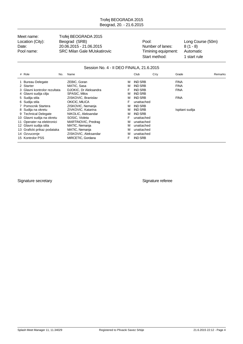Meet name: Trofej BEOGRADA 2015 Location (City): Beograd (SRB) Boogram Pool: Long Course (50m) Date: 20.06.2015 - 21.06.2015 - 21.06.2015 - Number of lanes: 8 (1 - 8)<br>Pool name: SRC Milan Gale MUskatirovic Timining equipment: Automatic Pool name: SRC Milan Gale MUskatirovic Timining equipment:

Start method: 1 start rule

#### Session No. 4 - II DEO FINALA, 21.6.2015

| # Role                       | No. | Name                  |   | Club           | City | Grade           | Remarks |
|------------------------------|-----|-----------------------|---|----------------|------|-----------------|---------|
| 1 Bureau Delegate            |     | ZEBIC, Goran          | м | <b>IND SRB</b> |      | <b>FINA</b>     |         |
| 2 Starter                    |     | MATIC, Sasa           | м | <b>IND SRB</b> |      | <b>FINA</b>     |         |
| 3 Glavni kontrolor rezultata |     | DJOKIC, Dr Aleksandra |   | <b>IND SRB</b> |      | <b>FINA</b>     |         |
| 4 Glavni sudija cilja        |     | <b>SPASIC, Milos</b>  | M | <b>IND SRB</b> |      |                 |         |
| 5 Sudija stila               |     | ZISKOVIC, Branislav   | м | <b>IND SRB</b> |      | <b>FINA</b>     |         |
| 6 Sudija stila               |     | OKICIC, MILICA        | F | unattached     |      |                 |         |
| 7 Pomocnik Startera          |     | ZISKOVIC, Nemanja     | м | <b>IND SRB</b> |      |                 |         |
| 8 Sudija na okretu           |     | ZIVKOVIC, Katarina    | м | <b>IND SRB</b> |      | Ispitani sudija |         |
| 9 Technical Delegate         |     | NIKOLIC, Aleksandar   | м | <b>IND SRB</b> |      |                 |         |
| 10 Glavni sudija na okretu   |     | SOSIC, Violeta        | F | unattached     |      |                 |         |
| 11 Operater na elektronici   |     | MARTINOVIC, Predrag   | м | unattached     |      |                 |         |
| 12 Glavni sudija stila       |     | MATIC, Nemanja        | м | unattached     |      |                 |         |
| 13 Graficki prikaz podataka  |     | MATIC, Nemanja        | м | unattached     |      |                 |         |
| 14 Ozvucenje                 |     | ZISKOVIC, Aleksandar  | м | unattached     |      |                 |         |
| 15 Kontrolor PSS             |     | MIRCETIC, Gordana     | F | <b>IND SRB</b> |      |                 |         |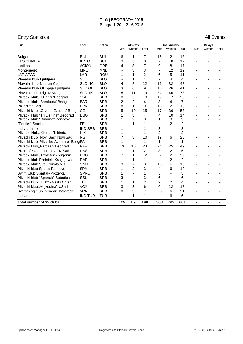| <b>Entry Statistics</b>                   |                |            |                |                 |                |                          |                              |                |                | <b>All Events</b> |       |
|-------------------------------------------|----------------|------------|----------------|-----------------|----------------|--------------------------|------------------------------|----------------|----------------|-------------------|-------|
| Club                                      | Code           | Nation     |                | <b>Athletes</b> |                |                          | <b>Individuals</b>           |                |                | Relays            |       |
|                                           |                |            | Men            | Women           | Total          | Men                      | Women                        | Total          | Men            | Women             | Total |
| <b>Bulgaria</b>                           | <b>BUL</b>     | <b>BUL</b> | 6              | 1               | 7              | 16                       | $\overline{2}$               | 18             |                |                   |       |
| <b>KPS OLIMPIA</b>                        | <b>KPSO</b>    | <b>BUL</b> | 3              | 5               | 8              | 7                        | 10                           | 17             |                |                   |       |
| Ionikos                                   | <b>AOION</b>   | <b>GRE</b> | 4              | 3               | $\overline{7}$ | 9                        | 8                            | 17             |                |                   |       |
| Montenegro                                | <b>MNE</b>     | <b>MNE</b> | $\blacksquare$ | 3               | 3              | ä,                       | 12                           | 12             |                |                   |       |
| <b>LAR ARAD</b>                           | LAR            | <b>ROU</b> | 1              | 1               | $\overline{2}$ | 6                        | 5                            | 11             |                |                   |       |
| Plavalni klub Ljubljana                   | SLO.LL         | <b>SLO</b> | $\blacksquare$ | 1               | 1              | $\overline{\phantom{a}}$ | 4                            | 4              |                |                   |       |
| Plavalni klub Neptun Celje                | SLO.NC         | <b>SLO</b> | 4              | 8               | 12             | 16                       | 32                           | 48             |                |                   |       |
| Plavalni klub Olimpija Ljubljana          | SLO.OL         | <b>SLO</b> | 3              | 6               | 9              | 15                       | 26                           | 41             |                |                   |       |
| Plavalni klub Triglav Kranj               | SLO.TK         | <b>SLO</b> | 8              | 11              | 19             | 32                       | 46                           | 78             |                |                   |       |
| Plivacki klub,, 11.april"Beograd          | <b>11A</b>     | <b>SRB</b> | 8              | 5               | 13             | 19                       | 17                           | 36             |                |                   |       |
| Plivacki klub,, Barakuda "Beograd         | <b>BAR</b>     | <b>SRB</b> | 2              | 2               | 4              | 3                        | 4                            | $\overline{7}$ |                |                   |       |
| PK "BPK" Bgd                              | <b>BPK</b>     | <b>SRB</b> | 8              | 1               | 9              | 16                       | $\overline{2}$               | 18             |                |                   |       |
| Plivacki klub "Crvena Zvezda" BeograCZ    |                | <b>SRB</b> | 5              | 10              | 15             | 17                       | 36                           | 53             |                |                   |       |
| Plivacki klub "Tri Delfina" Beograd       | <b>DBG</b>     | <b>SRB</b> | 1              | 3               | 4              | 4                        | 10                           | 14             |                |                   |       |
| Plivacki klub "Dinamo" Pancevo            | DP             | <b>SRB</b> | 1              | $\overline{c}$  | 3              | 1                        | 8                            | 9              |                |                   |       |
| "Feniks", Sombor                          | <b>FE</b>      | <b>SRB</b> |                | 1               | 1              | $\overline{\phantom{a}}$ | $\overline{2}$               | $\overline{2}$ |                |                   |       |
| Individualno                              | <b>IND SRB</b> | <b>SRB</b> | 1              | $\blacksquare$  | 1              | 3                        | $\overline{\phantom{0}}$     | 3              |                |                   |       |
| Plivacki klub,, Kikinda "Kikinda          | <b>KIK</b>     | <b>SRB</b> | 1              | ÷,              | 1              | $\overline{2}$           | ä,                           | $\overline{2}$ |                |                   |       |
| Plivacki klub "Novi Sad" Novi Sad         | <b>NS</b>      | <b>SRB</b> | 7              | 3               | 10             | 19                       | 6                            | 25             |                |                   |       |
| Plivacki klub 'Plivacke Avanture" BeogPAI |                | <b>SRB</b> | 1              | $\blacksquare$  | 1              | $\mathbf{1}$             | $\blacksquare$               | 1              |                |                   |       |
| Plivacki klub,, Partizan" Beograd         | <b>PAR</b>     | <b>SRB</b> | 13             | 10              | 23             | 24                       | 25                           | 49             |                |                   |       |
| PK"Profesional-Proakva"N.Sad              | <b>PNS</b>     | <b>SRB</b> | 1              | $\mathbf{1}$    | $\overline{2}$ | 3                        | $\overline{2}$               | 5              |                |                   |       |
| Plivacki klub "Proleter"Zrenjanin         | <b>PRO</b>     | <b>SRB</b> | 11             | 1               | 12             | 37                       | $\overline{2}$               | 39             |                |                   |       |
| Plivacki klub Radnicki Kragujevac         | <b>RAD</b>     | <b>SRB</b> | $\blacksquare$ | 1               | 1              | $\overline{\phantom{a}}$ | $\overline{2}$               | $\overline{2}$ |                |                   |       |
| Plivacki klub Sveti Nikola Nis            | <b>SNN</b>     | <b>SRB</b> | 3              | $\overline{a}$  | 3              | 10                       | $\overline{a}$               | 10             |                |                   |       |
| Plivacki klub Sparta Pancevo              | <b>SPA</b>     | <b>SRB</b> | 1              | 2               | 3              | 4                        | 6                            | 10             |                |                   |       |
| Swim Club Spartak-Prozivka                | <b>SPRO</b>    | <b>SRB</b> | 1              | $\blacksquare$  | 1              | 5                        | ä,                           | 5              |                |                   |       |
| Plivacki klub "Spartak" Subotica          | SSU            | <b>SRB</b> | 3              | $\blacksquare$  | 3              | 6                        | $\qquad \qquad \blacksquare$ | 6              |                |                   |       |
| Plivacki klub "TEK" - Veliki Crljeni      | <b>TEK</b>     | <b>SRB</b> | 1              | 1               | $\overline{2}$ | $\overline{2}$           | $\overline{c}$               | 4              |                |                   |       |
| Plivacki klub,, Vojvodina"N.Sad           | VOJ            | <b>SRB</b> | 3              | 3               | 6              | 6                        | 12                           | 18             |                |                   |       |
| Swimming club "Vracar" Belgrade           | <b>VRA</b>     | <b>SRB</b> | 8              | 3               | 11             | 25                       | 6                            | 31             |                |                   |       |
| Individual                                | <b>IND TUR</b> | <b>TUR</b> |                | 1               | 1              | $\overline{a}$           | 6                            | 6              |                |                   |       |
| Total number of 32 clubs                  |                |            | 109            | 89              | 198            | 308                      | 293                          | 601            | $\blacksquare$ | ٠                 |       |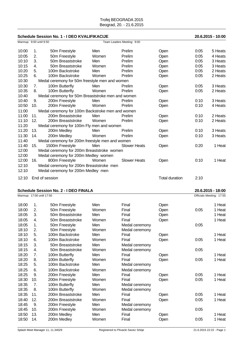#### **Schedule Session No. 1 - I DEO KVALIFIKACIJE 20.6.2015 - 10:00**

|       | Warmup: 9:00 until 9:50 |                                                   |       | Team Leaders Meeting: 9:00 |                       |      |         |
|-------|-------------------------|---------------------------------------------------|-------|----------------------------|-----------------------|------|---------|
| 10:00 | 1.                      | 50m Freestyle                                     | Men   | Prelim                     | Open                  | 0:05 | 5 Heats |
| 10:05 | 2.                      | 50m Freestyle                                     | Women | Prelim                     | Open                  | 0:05 | 4 Heats |
| 10:10 | 3.                      | 50m Breaststroke                                  | Men   | Prelim                     | Open                  | 0:05 | 3 Heats |
| 10:15 | 4.                      | 50m Breaststroke                                  | Women | Prelim                     | Open                  | 0:05 | 3 Heats |
| 10:20 | 5.                      | 100m Backstroke                                   | Men   | Prelim                     | Open                  | 0:05 | 2 Heats |
| 10:25 | 6.                      | 100m Backstroke                                   | Women | Prelim                     | Open                  | 0:05 | 2 Heats |
| 10:30 |                         | Medal ceremony for 50m freestyle men and women    |       |                            |                       |      |         |
| 10:30 | 7 <sub>1</sub>          | 100m Butterfly                                    | Men   | Prelim                     | Open                  | 0:05 | 3 Heats |
| 10:35 | 8.                      | 100m Butterfly                                    | Women | Prelim                     | Open                  | 0:05 | 2 Heats |
| 10:40 |                         | Medal ceremony for 50m Breaststroke men and women |       |                            |                       |      |         |
| 10:40 | 9.                      | 200m Freestyle                                    | Men   | Prelim                     | Open                  | 0:10 | 3 Heats |
| 10:50 | 10.                     | 200m Freestyle                                    | Women | Prelim                     | Open                  | 0:10 | 4 Heats |
| 11:00 |                         | Medal ceremony for 100m Backstroke men and women  |       |                            |                       |      |         |
| 11:00 | 11.                     | 200m Breaststroke                                 | Men   | Prelim                     | Open                  | 0:10 | 2 Heats |
| 11:10 | 12.                     | 200m Breaststroke                                 | Women | Prelim                     | Open                  | 0:10 | 2 Heats |
| 11:20 |                         | Medal ceremony for 100m Fly men and women         |       |                            |                       |      |         |
| 11:20 | 13.                     | 200m Medley                                       | Men   | Prelim                     | Open                  | 0:10 | 3 Heats |
| 11:30 | 14.                     | 200m Medley                                       | Women | Prelim                     | Open                  | 0:10 | 3 Heats |
| 11:40 |                         | Medal ceremony for 200m freestyle men and women   |       |                            |                       |      |         |
| 11:40 | 15.                     | 1500m Freestyle                                   | Men   | <b>Slower Heats</b>        | Open                  | 0:20 | 1 Heat  |
| 12:00 |                         | Medal ceremony for 200m Breaststroke women        |       |                            |                       |      |         |
| 12:00 |                         | Medal ceremony for 200m Medley women              |       |                            |                       |      |         |
| 12:00 | 16.                     | 800m Freestyle                                    | Women | <b>Slower Heats</b>        | Open                  | 0:10 | 1 Heat  |
| 12:10 |                         | Medal ceremony for 200m Breaststroke men          |       |                            |                       |      |         |
| 12:10 |                         | Medal ceremony for 200m Medley men                |       |                            |                       |      |         |
| 12:10 |                         | End of session                                    |       |                            | <b>Total duration</b> | 2:10 |         |

#### **Schedule Session No. 2 - I DEO FINALA 20.6.2015 - 18:00**

|       | Warmup: 17:00 until 17:50 |                   |       |                |      | Officials Meeting: 17:55 |        |
|-------|---------------------------|-------------------|-------|----------------|------|--------------------------|--------|
| 18:00 | 1.                        | 50m Freestyle     | Men   | Final          | Open |                          | 1 Heat |
| 18:00 | 2.                        | 50m Freestyle     | Women | Final          | Open | 0:05                     | 1 Heat |
| 18:05 | 3.                        | 50m Breaststroke  | Men   | Final          | Open |                          | 1 Heat |
| 18:05 | 4.                        | 50m Breaststroke  | Women | Final          | Open |                          | 1 Heat |
| 18:05 | 1.                        | 50m Freestyle     | Men   | Medal ceremony |      | 0:05                     |        |
| 18:10 | 2.                        | 50m Freestyle     | Women | Medal ceremony |      |                          |        |
| 18:10 | 5.                        | 100m Backstroke   | Men   | Final          | Open |                          | 1 Heat |
| 18:10 | 6.                        | 100m Backstroke   | Women | Final          | Open | 0:05                     | 1 Heat |
| 18:15 | 3.                        | 50m Breaststroke  | Men   | Medal ceremony |      |                          |        |
| 18:15 | 4.                        | 50m Breaststroke  | Women | Medal ceremony |      | 0:05                     |        |
| 18:20 | 7.                        | 100m Butterfly    | Men   | Final          | Open |                          | 1 Heat |
| 18:20 | 8.                        | 100m Butterfly    | Women | Final          | Open | 0:05                     | 1 Heat |
| 18:25 | 5.                        | 100m Backstroke   | Men   | Medal ceremony |      |                          |        |
| 18:25 | 6.                        | 100m Backstroke   | Women | Medal ceremony |      |                          |        |
| 18:25 | 9.                        | 200m Freestyle    | Men   | Final          | Open | 0:05                     | 1 Heat |
| 18:30 | 10.                       | 200m Freestyle    | Women | Final          | Open | 0:05                     | 1 Heat |
| 18:35 | 7.                        | 100m Butterfly    | Men   | Medal ceremony |      |                          |        |
| 18:35 | 8.                        | 100m Butterfly    | Women | Medal ceremony |      |                          |        |
| 18:35 | 11.                       | 200m Breaststroke | Men   | Final          | Open | 0:05                     | 1 Heat |
| 18:40 | 12.                       | 200m Breaststroke | Women | Final          | Open | 0:05                     | 1 Heat |
| 18:45 | 9.                        | 200m Freestyle    | Men   | Medal ceremony |      |                          |        |
| 18:45 | 10.                       | 200m Freestyle    | Women | Medal ceremony |      | 0:05                     |        |
| 18:50 | 13.                       | 200m Medley       | Men   | Final          | Open |                          | 1 Heat |
| 18:50 | 14.                       | 200m Medley       | Women | Final          | Open | 0:05                     | 1 Heat |
|       |                           |                   |       |                |      |                          |        |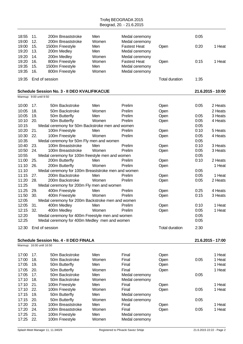| 18:55<br>19:00          | 11.<br>12. | 200m Breaststroke<br>200m Breaststroke             | Men<br>Women | Medal ceremony<br>Medal ceremony      |                       | 0:05 |                   |
|-------------------------|------------|----------------------------------------------------|--------------|---------------------------------------|-----------------------|------|-------------------|
| 19:00<br>19:20          | 15.<br>13. | 1500m Freestyle<br>200m Medley                     | Men<br>Men   | <b>Fastest Heat</b><br>Medal ceremony | Open                  | 0:20 | 1 Heat            |
| 19:20                   | 14.        | 200m Medley                                        | Women        | Medal ceremony                        |                       |      |                   |
| 19:20                   | 16.        | 800m Freestyle                                     | Women        | <b>Fastest Heat</b>                   | Open                  | 0:15 | 1 Heat            |
| 19:35                   | 15.        | 1500m Freestyle                                    | Men          | Medal ceremony                        |                       |      |                   |
| 19:35                   | 16.        | 800m Freestyle                                     | Women        | Medal ceremony                        |                       |      |                   |
| 19:35                   |            | End of session                                     |              |                                       | <b>Total duration</b> | 1:35 |                   |
|                         |            | Schedule Session No. 3 - Il DEO KVALIFIKACIJE      |              |                                       |                       |      | 21.6.2015 - 10:00 |
| Warmup: 9:00 until 9:50 |            |                                                    |              |                                       |                       |      |                   |
| 10:00                   | 17.        | 50m Backstroke                                     | Men          | Prelim                                | Open                  | 0:05 | 2 Heats           |
| 10:05                   | 18.        | 50m Backstroke                                     | Women        | Prelim                                | Open                  |      | 2 Heats           |
| 10:05                   | 19.        | 50m Butterfly                                      | Men          | Prelim                                | Open                  | 0:05 | 3 Heats           |
| 10:10                   | 20.        | 50m Butterfly                                      | Women        | Prelim                                | Open                  | 0:05 | 4 Heats           |
| 10:15                   |            | Medal ceremony for 50m Backstroke men and women    |              |                                       |                       | 0:05 |                   |
| 10:20                   | 21.        | 100m Freestyle                                     | Men          | Prelim                                | Open                  | 0:10 | 5 Heats           |
| 10:30                   | 22.        | 100m Freestyle                                     | Women        | Prelim                                | Open                  | 0:05 | 4 Heats           |
| 10:35                   |            | Medal ceremony for 50m Fly men and women           |              |                                       |                       | 0:05 |                   |
| 10:40                   | 23.        | 100m Breaststroke                                  | Men          | Prelim                                | Open                  | 0:10 | 3 Heats           |
| 10:50                   | 24.        | 100m Breaststroke                                  | Women        | Prelim                                | Open                  | 0:05 | 3 Heats           |
| 10:55                   |            | Medal ceremony for 100m freestyle men and women    |              |                                       |                       | 0:05 |                   |
| 11:00                   | 25.        | 200m Butterfly                                     | Men          | Prelim                                | Open                  | 0:10 | 2 Heats           |
| 11:10                   | 26.        | 200m Butterfly                                     | Women        | Prelim                                | Open                  |      | 1 Heat            |
| 11:10                   |            | Medal ceremony for 100m Breaststroke men and women |              |                                       |                       | 0:05 |                   |
| 11:15                   | 27.        | 200m Backstroke                                    | Men          | Prelim                                | Open                  | 0:05 | 1 Heat            |
| 11:20                   | 28.        | 200m Backstroke                                    | Women        | Prelim                                | Open                  | 0:05 | 2 Heats           |
| 11:25                   |            | Medal ceremony for 200m Fly men and women          |              |                                       |                       |      |                   |
| 11:25                   | 29.        | 400m Freestyle                                     | Men          | Prelim                                | Open                  | 0:25 | 4 Heats           |
| 11:50                   | 30.        | 400m Freestyle                                     | Women        | Prelim                                | Open                  | 0:15 | 3 Heats           |
| 12:05                   |            | Medal ceremony for 200m Backstroke men and women   |              |                                       |                       |      |                   |
| 12:05                   | 31.        | 400m Medley                                        | Men          | Prelim                                | Open                  | 0:10 | 1 Heat            |
| 12:15                   | 32.        | 400m Medley                                        | Women        | Prelim                                | Open                  | 0:05 | 1 Heat            |
| 12:20                   |            | Medal ceremony for 400m Freestyle men and women    |              |                                       |                       | 0:05 |                   |
| 12:25                   |            | Medal ceremony for 400m Medley men and women       |              |                                       |                       | 0:05 |                   |
| 12:30                   |            | End of session                                     |              |                                       | <b>Total duration</b> | 2:30 |                   |
|                         |            |                                                    |              |                                       |                       |      |                   |
|                         |            | <b>Schedule Session No. 4 - Il DEO FINALA</b>      |              |                                       |                       |      | 21.6.2015 - 17:00 |
|                         |            | Warmup: 16:00 until 16:50                          |              |                                       |                       |      |                   |
| 17:00                   | 17.        | 50m Backstroke                                     | Men          | Final                                 | Open                  |      | 1 Heat            |
| 17:00                   | 18.        | 50m Backstroke                                     | Women        | Final                                 | Open                  | 0:05 | 1 Heat            |
| 17:05                   | 19.        | 50m Butterfly                                      | Men          | Final                                 | Open                  |      | 1 Heat            |
| 17:05                   | 20.        | 50m Butterfly                                      | Women        | Final                                 | Open                  |      | 1 Heat            |
| 17:05                   | 17.        | 50m Backstroke                                     | Men          | Medal ceremony                        |                       | 0:05 |                   |
| 17:10                   | 18.        | 50m Backstroke                                     | Women        | Medal ceremony                        |                       |      |                   |
| 17:10                   | 21.        | 100m Freestyle                                     | Men          | Final                                 | Open                  |      | 1 Heat            |
| 17:10                   | 22.        | 100m Freestyle                                     | Women        | Final                                 | Open                  | 0:05 | 1 Heat            |
| 17:15                   | 19.        | 50m Butterfly                                      | Men          | Medal ceremony                        |                       |      |                   |
| 17:15                   | 20.        | 50m Butterfly                                      | Women        | Medal ceremony                        |                       | 0:05 |                   |
| 17:20                   | 23.        | 100m Breaststroke                                  | Men          | Final                                 | Open                  |      | 1 Heat            |
| 17:20                   | 24.        | 100m Breaststroke                                  | Women        | Final                                 | Open                  | 0:05 | 1 Heat            |
| 17:25                   | 21.        | 100m Freestyle                                     | Men          | Medal ceremony                        |                       |      |                   |
| 17:25                   | 22.        | 100m Freestyle                                     | Women        | Medal ceremony                        |                       |      |                   |
|                         |            |                                                    |              |                                       |                       |      |                   |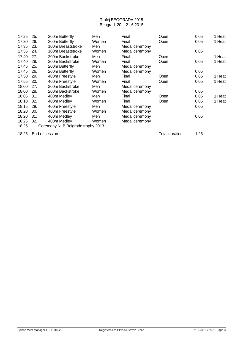| 17:25 | 25. | 200m Butterfly                    | Men   | Final          | Open | 0:05 | 1 Heat |
|-------|-----|-----------------------------------|-------|----------------|------|------|--------|
| 17:30 | 26. | 200m Butterfly                    | Women | Final          | Open | 0:05 | 1 Heat |
| 17:35 | 23. | 100m Breaststroke                 | Men   | Medal ceremony |      |      |        |
| 17:35 | 24. | 100m Breaststroke                 | Women | Medal ceremony |      | 0:05 |        |
| 17:40 | 27. | 200m Backstroke                   | Men   | Final          | Open |      | 1 Heat |
| 17:40 | 28. | 200m Backstroke                   | Women | Final          | Open | 0:05 | 1 Heat |
| 17:45 | 25. | 200m Butterfly                    | Men   | Medal ceremony |      |      |        |
| 17:45 | 26. | 200m Butterfly                    | Women | Medal ceremony |      | 0:05 |        |
| 17:50 | 29. | 400m Freestyle                    | Men   | Final          | Open | 0:05 | 1 Heat |
| 17:55 | 30. | 400m Freestyle                    | Women | Final          | Open | 0:05 | 1 Heat |
| 18:00 | 27. | 200m Backstroke                   | Men   | Medal ceremony |      |      |        |
| 18:00 | 28. | 200m Backstroke                   | Women | Medal ceremony |      | 0:05 |        |
| 18:05 | 31. | 400m Medley                       | Men   | Final          | Open | 0:05 | 1 Heat |
| 18:10 | 32. | 400m Medley                       | Women | Final          | Open | 0:05 | 1 Heat |
| 18:15 | 29. | 400m Freestyle                    | Men   | Medal ceremony |      | 0:05 |        |
| 18:20 | 30. | 400m Freestyle                    | Women | Medal ceremony |      |      |        |
| 18:20 | 31. | 400m Medley                       | Men   | Medal ceremony |      | 0:05 |        |
| 18:25 | 32. | 400m Medley                       | Women | Medal ceremony |      |      |        |
| 18:25 |     | Ceremony NLB Belgrade trophy 2013 |       |                |      |      |        |
|       |     |                                   |       |                |      |      |        |

18:25 End of session 1:25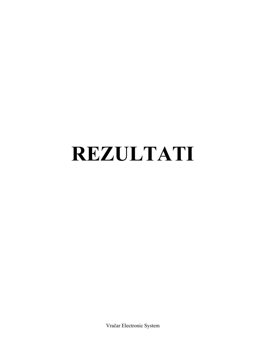# **REZULTATI**

Vračar Electronic System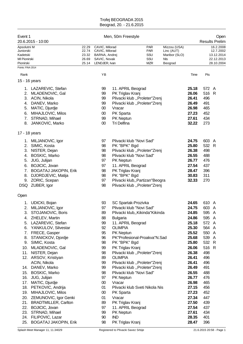| Event 1                                                                                | 20.6.2015 - 10:00                                                                                                                                                                                                                                                                                                                                                                                                                                                                            |                                           |                                                                                                                                                | Men, 50m Freestyle                                                                                                                                                                                                                                                                                           |                                                                                                                                                                                                       |                                                               |                                                                                                                                                                                                             |                                                                                                                                                                                   | Open<br><b>Results Prelim</b>                                    |
|----------------------------------------------------------------------------------------|----------------------------------------------------------------------------------------------------------------------------------------------------------------------------------------------------------------------------------------------------------------------------------------------------------------------------------------------------------------------------------------------------------------------------------------------------------------------------------------------|-------------------------------------------|------------------------------------------------------------------------------------------------------------------------------------------------|--------------------------------------------------------------------------------------------------------------------------------------------------------------------------------------------------------------------------------------------------------------------------------------------------------------|-------------------------------------------------------------------------------------------------------------------------------------------------------------------------------------------------------|---------------------------------------------------------------|-------------------------------------------------------------------------------------------------------------------------------------------------------------------------------------------------------------|-----------------------------------------------------------------------------------------------------------------------------------------------------------------------------------|------------------------------------------------------------------|
| Apsolutni M<br>Juniorski<br>Kadetski<br>MI Pionirski<br>Pionirski<br>Points: FINA 2014 |                                                                                                                                                                                                                                                                                                                                                                                                                                                                                              | 22.29<br>22.74<br>23.32<br>26.69<br>25.14 | CAVIC, Milorad<br>CAVIC, Milorad<br>BARNA, Andrej<br>SAVIC, Novak<br>LENDJER, Ivan                                                             |                                                                                                                                                                                                                                                                                                              | <b>PAR</b><br><b>PAR</b><br>SSU<br>SSU<br><b>MZR</b>                                                                                                                                                  | Mizzou (USA)<br>Linc (AUT)<br>Maribor (SLO)<br>Nls<br>Beograd |                                                                                                                                                                                                             |                                                                                                                                                                                   | 16.2.2008<br>12.7.2002<br>13.12.2014<br>22.12.2013<br>28.10.2004 |
|                                                                                        |                                                                                                                                                                                                                                                                                                                                                                                                                                                                                              |                                           |                                                                                                                                                |                                                                                                                                                                                                                                                                                                              |                                                                                                                                                                                                       |                                                               |                                                                                                                                                                                                             |                                                                                                                                                                                   |                                                                  |
| Rank                                                                                   |                                                                                                                                                                                                                                                                                                                                                                                                                                                                                              |                                           | ΥB                                                                                                                                             |                                                                                                                                                                                                                                                                                                              |                                                                                                                                                                                                       |                                                               | Time                                                                                                                                                                                                        | Pts                                                                                                                                                                               |                                                                  |
|                                                                                        | 15 - 16 years                                                                                                                                                                                                                                                                                                                                                                                                                                                                                |                                           |                                                                                                                                                |                                                                                                                                                                                                                                                                                                              |                                                                                                                                                                                                       |                                                               |                                                                                                                                                                                                             |                                                                                                                                                                                   |                                                                  |
| 2.<br>3.<br>5.<br>6.<br>7.<br>8.                                                       | 1. LAZAREVIC, Stefan<br>MLADENOVIC, Gal<br>ACIN, Nikola<br>4. DANEV, Marko<br>MATIC, Djurdje<br>MIHAJLOVIC, Milos<br>STRNAD, Mihael<br>JANKOVIC, Marko                                                                                                                                                                                                                                                                                                                                       |                                           | 99<br>99<br>99<br>99<br>$00\,$<br>$00\,$<br>99<br>$00\,$                                                                                       | 11. APRIL Beograd<br>PK Triglav Kranj<br>Vracar<br>PK Sparta<br>PK Neptun<br><b>Tri Delfina</b>                                                                                                                                                                                                              | Plivacki klub "Proleter"Zrenj<br>Plivacki klub "Proleter"Zrenj                                                                                                                                        |                                                               | 25.18<br>26.06<br>26.41<br>26.49<br>26.98<br>27.23<br>27.61<br>32.22                                                                                                                                        | 572 A<br>516 R<br>496<br>491<br>465<br>452<br>434<br>273                                                                                                                          |                                                                  |
| 17 - 18 years                                                                          |                                                                                                                                                                                                                                                                                                                                                                                                                                                                                              |                                           |                                                                                                                                                |                                                                                                                                                                                                                                                                                                              |                                                                                                                                                                                                       |                                                               |                                                                                                                                                                                                             |                                                                                                                                                                                   |                                                                  |
|                                                                                        | 1. MILJANOVIC, Igor<br>2. SIMIC, Kosta<br>3. NISTER, Dejan<br>4. BOSKIC, Marko<br>5. JUG, Julijan<br>6. BOJICIC, Jovan<br>7. BOGATAJ JAKOPIN, Erik<br>8. DJORDJEVIC, Matija<br>9. ZORIC, Scepan<br>DSQ ZUBER, Igor                                                                                                                                                                                                                                                                           |                                           | 97<br>98<br>98<br>98<br>97<br>97<br>98<br>98<br>97<br>98                                                                                       | Plivacki klub "Novi Sad"<br>PK "BPK" Bgd<br>Plivacki klub "Novi Sad"<br>PK Neptun<br>11. APRIL Beograd<br>PK Triglav Kranj<br>PK "BPK" Bgd                                                                                                                                                                   | Plivacki klub "Proleter"Zrenj<br>Plivacki klub,, Partizan"Beogra<br>Plivacki klub "Proleter"Zrenj                                                                                                     |                                                               | 24.75<br>25.80<br>26.38<br>26.55<br>26.77<br>27.54<br>28.47<br>30.83<br>32.33                                                                                                                               | 603 A<br>532 R<br>498<br>488<br>476<br>437<br>396<br>311<br>270                                                                                                                   |                                                                  |
| Open                                                                                   |                                                                                                                                                                                                                                                                                                                                                                                                                                                                                              |                                           |                                                                                                                                                |                                                                                                                                                                                                                                                                                                              |                                                                                                                                                                                                       |                                                               |                                                                                                                                                                                                             |                                                                                                                                                                                   |                                                                  |
| 3.<br>6.<br>7.<br>8.<br>9.<br>10.<br>11.<br>15.<br>16.<br>17.<br>18.<br>19.<br>20.     | 1. UDICKI, Bojan<br>2. MILJANOVIC, Igor<br>STOJANOVIC, Boris<br>4. ZHELEV, Martin<br>5. LAZAREVIC, Stefan<br>YANKULOV, Silvestar<br>FRECE, Gasper<br>STANICKOV, Djordje<br>SIMIC, Kosta<br>MLADENOVIC, Gal<br>NISTER, Dejan<br>12. ARSOV, Kristiyan<br>ACIN, Nikola<br>14. DANEV, Marko<br><b>BOSKIC, Marko</b><br>JUG, Julijan<br>MATIC, Djurdje<br>PETKOVIC, Andrija<br>MIHAJLOVIC, Milos<br>ZEMUNOVIC, Igor Genki<br>21. BRADTMILLER, Carlton<br>22. BOJICIC, Jovan<br>23. STRNAD, Mihael |                                           | 93<br>97<br>89<br>88<br>99<br>92<br>95<br>96<br>98<br>99<br>98<br>89<br>99<br>99<br>98<br>97<br>$00\,$<br>01<br>$00\,$<br>01<br>89<br>97<br>99 | SC Spartak-Prozivka<br>Plivacki klub "Novi Sad"<br><b>Bulgaria</b><br>11. APRIL Beograd<br><b>OLIMPIA</b><br>PK Neptun<br>PK "BPK" Bgd<br>PK Triglav Kranj<br><b>OLIMPIA</b><br>Plivacki klub "Novi Sad"<br>PK Neptun<br>Vracar<br>PK Sparta<br>Vracar<br>PK Triglav Kranj<br>11. APRIL Beograd<br>PK Neptun | Plivacki klub,, Kikinda "Kikinda<br>PK"Profesional-Proakva"N.Sad<br>Plivacki klub "Proleter"Zrenj<br>Plivacki klub "Proleter"Zrenj<br>Plivacki klub "Proleter"Zrenj<br>Plivacki klub Sveti Nikola Nis |                                                               | 24.65<br>24.75<br>24.85<br>24.86<br>25.18<br>25.30<br>25.52<br>25.68<br>25.80<br>26.06<br>26.38<br>26.41<br>26.41<br>26.49<br>26.55<br>26.77<br>26.98<br>27.15<br>27.23<br>27.34<br>27.50<br>27.54<br>27.61 | 610 A<br>603 A<br>595 A<br>595 A<br>572 A<br>564 A<br>550 A<br>539 A<br>532 R<br>516 R<br>498<br>496<br>496<br>491<br>488<br>476<br>465<br>456<br>452<br>447<br>439<br>437<br>434 |                                                                  |
| 24.<br>25.                                                                             | FILIPOVIC, Lazar<br><b>BOGATAJ JAKOPIN, Erik</b>                                                                                                                                                                                                                                                                                                                                                                                                                                             |                                           | 90<br>98                                                                                                                                       | <b>IND</b><br>PK Triglav Kranj                                                                                                                                                                                                                                                                               |                                                                                                                                                                                                       |                                                               | 28.35<br>28.47                                                                                                                                                                                              | 401<br>396                                                                                                                                                                        |                                                                  |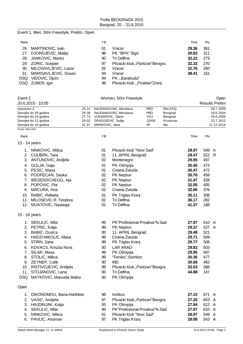#### Event 1, Men, 50m Freestyle, Prelim, Open

| Rank |                          | YΒ |                                  | Time  | Pts |
|------|--------------------------|----|----------------------------------|-------|-----|
| 26.  | MARTINOVIC, Ivan         | 01 | Vracar                           | 29.36 | 361 |
|      | 27. DJORDJEVIC, Matija   | 98 | PK "BPK" Bgd                     | 30.83 | 311 |
|      | 28. JANKOVIC, Marko      | 00 | Tri Delfina                      | 32.22 | 273 |
|      | 29. ZORIC, Scepan        | 97 | Plivacki klub,, Partizan "Beogra | 32.33 | 270 |
|      | 30. MILOSAVLJEVIC, Lazar | 02 | Vracar                           | 32.76 | 260 |
|      | 31. MARISAVLJEVIC, Dusan | 94 | Vracar                           | 38.41 | 161 |
|      | DSQ VIDOVIC, Djuro       | 94 | PK "Barakuda"                    |       |     |
|      | DSQ ZUBER, Igor          | 98 | Plivacki klub "Proleter"Zrenj    |       |     |

| Event 2                                      |                                                                                                                                                                                                                                                                          |                                           |                                                                                      | Women, 50m Freestyle                                                                                                                                                                                                                      |                                               |                                                    |                                                                                                          |                                                                                      | Open                                                           |
|----------------------------------------------|--------------------------------------------------------------------------------------------------------------------------------------------------------------------------------------------------------------------------------------------------------------------------|-------------------------------------------|--------------------------------------------------------------------------------------|-------------------------------------------------------------------------------------------------------------------------------------------------------------------------------------------------------------------------------------------|-----------------------------------------------|----------------------------------------------------|----------------------------------------------------------------------------------------------------------|--------------------------------------------------------------------------------------|----------------------------------------------------------------|
|                                              | 20.6.2015 - 10:05                                                                                                                                                                                                                                                        |                                           |                                                                                      |                                                                                                                                                                                                                                           |                                               |                                                    |                                                                                                          |                                                                                      | <b>Results Prelim</b>                                          |
| Apsolutni Z                                  | Devojke do 16 godina<br>Devojke do 14 godina<br>Devojke do 12 godina<br>Devojke do 10 godina                                                                                                                                                                             | 25.21<br>26.38<br>27.73<br>29.03<br>31.37 | VUKANOVIC, Tijana<br>SPASOJEVIC, Sofija<br>MARKOVIC, Jana                            | NAJDANOVSKI, Miroslava<br>NAJDANOVSKI, Miroslava                                                                                                                                                                                          | <b>PRO</b><br><b>PRO</b><br>VOJ<br>J2000<br>œ | Rim (ITA)<br>Beograd<br>Beograd<br>Krusevac<br>Nis |                                                                                                          |                                                                                      | 28.7.2009<br>19.6.2004<br>24.6.2006<br>22.7.2012<br>21.12.2014 |
| Points: FINA 2014                            |                                                                                                                                                                                                                                                                          |                                           |                                                                                      |                                                                                                                                                                                                                                           |                                               |                                                    |                                                                                                          |                                                                                      |                                                                |
| Rank                                         |                                                                                                                                                                                                                                                                          |                                           | YB                                                                                   |                                                                                                                                                                                                                                           |                                               |                                                    | Time                                                                                                     | Pts                                                                                  |                                                                |
|                                              | 13 - 14 years                                                                                                                                                                                                                                                            |                                           |                                                                                      |                                                                                                                                                                                                                                           |                                               |                                                    |                                                                                                          |                                                                                      |                                                                |
| 2.<br>3.<br>4.<br>5.<br>6.<br>7.<br>8.<br>9. | 1. NINKOVIC, Milica<br>CULIBRK, Tara<br>ANTUNOVIC, Andjela<br>GOLJA, Gaja<br>PESIC, Masa<br>PODPECAN, Saska<br>WESENSCHEGG, Aja<br>POPOVIC, Pia<br>MACURA, Ana<br>10. RABIC, Rafaela<br>11. MILOSEVIC R, Teodora<br>12. MIJATOVIC, Nastasja                              |                                           | 01<br>01<br>02<br>01<br>01<br>02<br>02<br>02<br>02<br>01<br>02<br>01                 | Plivacki klub "Novi Sad"<br>11. APRIL Beograd<br>Montenegro<br>PK Olimpija<br>Crvena Zvezda<br>PK Neptun<br>PK Neptun<br>PK Neptun<br>Crvena Zvezda<br>PK Triglav Kranj<br>Tri Delfina<br><b>Tri Delfina</b>                              |                                               |                                                    | 28.97<br>29.47<br>29.95<br>30.45<br>30.47<br>30.76<br>31.47<br>32.05<br>32.85<br>35.11<br>36.17<br>41.37 | 549 A<br>522 R<br>497<br>473<br>472<br>459<br>428<br>405<br>376<br>308<br>282<br>188 |                                                                |
|                                              | 15 - 16 years                                                                                                                                                                                                                                                            |                                           |                                                                                      |                                                                                                                                                                                                                                           |                                               |                                                    |                                                                                                          |                                                                                      |                                                                |
| 5.<br>6.<br>Open                             | 1. SEKULIC, Mila<br>2. PETRIC, Katja<br>3. BABIC, Dusica<br>4. HADZI-NIKOLIC, Masa<br>STIRN, Zana<br>KOVACS, Kriszta Nora<br>7. SILAR, Masa<br>8. STOLIC, Milica<br>9. ZEYNEP, Calik<br>10. RISTIVOJEVIC, Andjela<br>11. STOJANOVIC, Lana<br>DSQ MATKOVIC, Manuela Maksi |                                           | 99<br>99<br>00<br>99<br>99<br>$00\,$<br>99<br>99<br>$00\,$<br>99<br>$00\,$<br>$00\,$ | PK"Profesional-Proakva"N.Sad<br>PK Neptun<br>11. APRIL Beograd<br>Crvena Zvezda<br>PK Triglav Kranj<br><b>LAR ARAD</b><br>PK Olimpija<br>"Feniks", Sombor<br><b>IND</b><br>Plivacki klub,, Partizan "Beogra<br>Tri Delfina<br>PK Olimpija |                                               |                                                    | 27.97<br>29.37<br>29.48<br>29.71<br>29.77<br>29.83<br>29.95<br>30.36<br>30.68<br>32.53<br>44.88          | 610 A<br>527 A<br>521<br>509<br>506<br>503<br>497<br>477<br>462<br>388<br>147        |                                                                |
| 1.                                           | OIKONOMOU, Iliana-Harikleia                                                                                                                                                                                                                                              |                                           | 98                                                                                   | Ionikos                                                                                                                                                                                                                                   |                                               |                                                    | 27.10                                                                                                    | 671 A                                                                                |                                                                |
| 3.<br>4.                                     | 2. VASIC, Andjela<br>HAJDINJAK, Katja<br>SEKULIC, Mila                                                                                                                                                                                                                   |                                           | 97<br>93<br>99                                                                       | Plivacki klub,, Partizan"Beogra<br>PK Olimpija<br>PK"Profesional-Proakva"N.Sad                                                                                                                                                            |                                               |                                                    | 27.35<br>27.94<br>27.97                                                                                  | 653 A<br>612 A<br>610 A                                                              |                                                                |

5. NINKOVIC, Milica 01 Plivacki klub "Novi Sad" **28.97** 549 A 6. PAVLIC, Anamari 97 PK Triglav Kranj **29.08** 543 A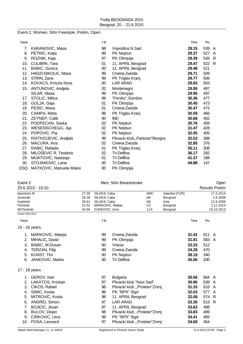#### Event 2, Women, 50m Freestyle, Prelim, Open

| Rank |                         | YB     |                                  | Time  | Pts |    |
|------|-------------------------|--------|----------------------------------|-------|-----|----|
| 7.   | KARANOVIC, Masa         | 98     | Vojvodina N.Sad                  | 29.15 | 539 | A  |
| 8.   | PETRIC, Katja           | 99     | PK Neptun                        | 29.37 | 527 | A  |
| 9.   | ROZNIK, Kaja            | 97     | PK Olimpija                      | 29.39 | 526 | -R |
| 10.  | CULIBRK, Tara           | 01     | 11. APRIL Beograd                | 29.47 | 522 | R  |
| 11.  | <b>BABIC, Dusica</b>    | $00\,$ | 11. APRIL Beograd                | 29.48 | 521 |    |
| 12.  | HADZI-NIKOLIC, Masa     | 99     | Crvena Zvezda                    | 29.71 | 509 |    |
| 13.  | STIRN, Zana             | 99     | PK Triglav Kranj                 | 29.77 | 506 |    |
| 14.  | KOVACS, Kriszta Nora    | $00\,$ | LAR ARAD                         | 29.83 | 503 |    |
| 15.  | ANTUNOVIC, Andjela      | 02     | Montenegro                       | 29.95 | 497 |    |
|      | SILAR, Masa             | 99     | PK Olimpija                      | 29.95 | 497 |    |
| 17.  | STOLIC, Milica          | 99     | "Feniks", Sombor                 | 30.36 | 477 |    |
| 18.  | GOLJA, Gaja             | 01     | PK Olimpija                      | 30.45 | 473 |    |
| 19.  | PESIC, Masa             | 01     | Crvena Zvezda                    | 30.47 | 472 |    |
| 20.  | CAMPA, Meta             | 98     | PK Triglav Kranj                 | 30.59 | 466 |    |
| 21.  | ZEYNEP, Calik           | $00\,$ | <b>IND</b>                       | 30.68 | 462 |    |
| 22.  | PODPECAN, Saska         | 02     | <b>PK Neptun</b>                 | 30.76 | 459 |    |
| 23.  | WESENSCHEGG, Aja        | 02     | <b>PK Neptun</b>                 | 31.47 | 428 |    |
| 24.  | POPOVIC, Pia            | $02\,$ | PK Neptun                        | 32.05 | 405 |    |
| 25.  | RISTIVOJEVIC, Andjela   | 99     | Plivacki klub,, Partizan "Beogra | 32.53 | 388 |    |
| 26.  | MACURA, Ana             | 02     | Crvena Zvezda                    | 32.85 | 376 |    |
| 27.  | RABIC, Rafaela          | 01     | PK Triglav Kranj                 | 35.11 | 308 |    |
| 28.  | MILOSEVIC R, Teodora    | 02     | Tri Delfina                      | 36.17 | 282 |    |
| 29.  | MIJATOVIC, Nastasja     | 01     | Tri Delfina                      | 41.37 | 188 |    |
| 30.  | STOJANOVIC, Lana        | $00\,$ | Tri Delfina                      | 44.88 | 147 |    |
| DSQ  | MATKOVIC, Manuela Maksi | $00\,$ | PK Olimpija                      |       |     |    |

| Event 3                                                                                |                                                                                                                                                                                   |                                           | Men, 50m Breaststroke                                                                 |                                                                                                                                                                                                                                             |                                                   |                                                        |                                                                                        | Open                                                                     |                                                               |  |  |
|----------------------------------------------------------------------------------------|-----------------------------------------------------------------------------------------------------------------------------------------------------------------------------------|-------------------------------------------|---------------------------------------------------------------------------------------|---------------------------------------------------------------------------------------------------------------------------------------------------------------------------------------------------------------------------------------------|---------------------------------------------------|--------------------------------------------------------|----------------------------------------------------------------------------------------|--------------------------------------------------------------------------|---------------------------------------------------------------|--|--|
|                                                                                        | 20.6.2015 - 10:10                                                                                                                                                                 |                                           |                                                                                       |                                                                                                                                                                                                                                             |                                                   |                                                        |                                                                                        |                                                                          | <b>Results Prelim</b>                                         |  |  |
| Apsolutni M<br>Juniorski<br>Kadetski<br>Pionirski<br>MI Pionirski<br>Points: FINA 2014 |                                                                                                                                                                                   | 27.09<br>28.28<br>28.91<br>31.52<br>34.56 | SILADJI, Caba<br>SILADJI, Caba<br>SILADJI, Caba<br>MARKOVIC, Mateja<br>DJOKOVIC, Uros |                                                                                                                                                                                                                                             | <b>AMC</b><br><b>NS</b><br><b>NS</b><br>CZ<br>11A | Istambul (TUR)<br>Beograd<br>Ada<br>Beograd<br>Beograd |                                                                                        |                                                                          | 17.4.2014<br>1.8.2008<br>12.8.2006<br>2.11.2013<br>19.10.2013 |  |  |
| Rank                                                                                   |                                                                                                                                                                                   |                                           | YB                                                                                    |                                                                                                                                                                                                                                             |                                                   |                                                        | Time                                                                                   | Pts                                                                      |                                                               |  |  |
|                                                                                        | 15 - 16 years                                                                                                                                                                     |                                           |                                                                                       |                                                                                                                                                                                                                                             |                                                   |                                                        |                                                                                        |                                                                          |                                                               |  |  |
| 2.<br>3.<br>4.<br>5.<br>6.                                                             | 1. MARKOVIC, Mateja<br>MIHALIC, David<br>BABIC, M.Dusan<br>TERZAN, Filip<br>KUNST, Tim<br>JANKOVIC, Marko                                                                         |                                           | 99<br>99<br>$00\,$<br>99<br>$00\,$<br>$00\,$                                          | Crvena Zvezda<br>PK Olimpija<br>Vracar<br>Crvena Zvezda<br>PK Neptun<br><b>Tri Delfina</b>                                                                                                                                                  |                                                   |                                                        | 31.42<br>31.91<br>33.33<br>34.28<br>38.19<br>45.56                                     | 611 A<br>583 A<br>512<br>470<br>340<br>200                               |                                                               |  |  |
|                                                                                        | 17 - 18 years                                                                                                                                                                     |                                           |                                                                                       |                                                                                                                                                                                                                                             |                                                   |                                                        |                                                                                        |                                                                          |                                                               |  |  |
| 1.<br>2.<br>3.<br>4.<br>5.<br>6.<br>7.<br>8.<br>9.<br>10.                              | GEROV, Ivan<br>LAKATOS, Kristian<br>CIKOS, Rafael<br>SIMIC, Kosta<br>MITROVIC, Kosta<br>ANDREI, Simon<br><b>BOJICIC, Jovan</b><br>BULOV, Dejan<br>CIRKOVIC, Uros<br>POSA, Leonard |                                           | 97<br>97<br>98<br>98<br>98<br>97<br>97<br>98<br>98<br>97                              | <b>Bulgaria</b><br>Plivacki klub "Novi Sad"<br>Plivacki klub "Proleter"Zrenj<br>PK "BPK" Bgd<br>11. APRIL Beograd<br><b>LAR ARAD</b><br>11. APRIL Beograd<br>Plivacki klub "Proleter"Zrenj<br>PK "BPK" Bgd<br>Plivacki klub "Proleter"Zrenj |                                                   |                                                        | 30.56<br>30.96<br>31.33<br>32.03<br>32.08<br>33.30<br>33.63<br>33.83<br>34.41<br>34.68 | 664 A<br>639<br>616<br>577 A<br>574 R<br>513<br>498<br>489<br>465<br>454 | A<br>A<br>R                                                   |  |  |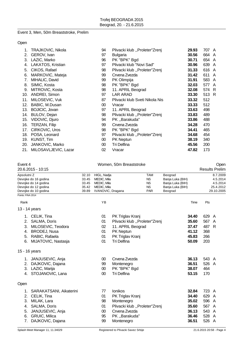#### Event 3, Men, 50m Breaststroke, Prelim

Open

| 1.  | TRAJKOVIC, Nikola     | 94     | Plivacki klub "Proleter"Zrenj  | 29.93 | 707 A |   |
|-----|-----------------------|--------|--------------------------------|-------|-------|---|
| 2.  | GEROV, Ivan           | 97     | Bulgaria                       | 30.56 | 664 A |   |
| 3.  | LAZIC, Marko          | 96     | PK "BPK" Bgd                   | 30.71 | 654   | A |
| 4.  | LAKATOS, Kristian     | 97     | Plivacki klub "Novi Sad"       | 30.96 | 639   | A |
| 5.  | CIKOS, Rafael         | 98     | Plivacki klub "Proleter"Zrenj  | 31.33 | 616 A |   |
| 6.  | MARKOVIC, Mateja      | 99     | Crvena Zvezda                  | 31.42 | 611   | A |
| 7.  | MIHALIC, David        | 99     | PK Olimpija                    | 31.91 | 583 A |   |
| 8.  | SIMIC, Kosta          | 98     | PK "BPK" Bgd                   | 32.03 | 577   | A |
| 9.  | MITROVIC, Kosta       | 98     | 11. APRIL Beograd              | 32.08 | 574 R |   |
| 10. | ANDREI, Simon         | 97     | <b>LAR ARAD</b>                | 33.30 | 513 R |   |
| 11. | MILOSEVIC, Vuk        | 87     | Plivacki klub Sveti Nikola Nis | 33.32 | 512   |   |
| 12. | BABIC, M.Dusan        | $00\,$ | Vracar                         | 33.33 | 512   |   |
| 13. | <b>BOJICIC, Jovan</b> | 97     | 11. APRIL Beograd              | 33.63 | 498   |   |
| 14. | BULOV, Dejan          | 98     | Plivacki klub "Proleter"Zrenj  | 33.83 | 489   |   |
| 15. | VIDOVIC, Djuro        | 94     | PK, Barakuda"                  | 33.86 | 488   |   |
| 16. | TERZAN, Filip         | 99     | Crvena Zvezda                  | 34.28 | 470   |   |
| 17. | CIRKOVIC, Uros        | 98     | PK "BPK" Bgd                   | 34.41 | 465   |   |
| 18. | POSA, Leonard         | 97     | Plivacki klub "Proleter"Zrenj  | 34.68 | 454   |   |
| 19. | KUNST, Tim            | 00     | <b>PK Neptun</b>               | 38.19 | 340   |   |
| 20. | JANKOVIC, Marko       | 00     | Tri Delfina                    | 45.56 | 200   |   |
| 21. | MILOSAVLJEVIC, Lazar  | 02     | Vracar                         | 47.82 | 173   |   |

| Event 4           | 20.6.2015 - 10:15                            |                | Women, 50m Breaststroke    |                               |                        |                                      |       |                       |
|-------------------|----------------------------------------------|----------------|----------------------------|-------------------------------|------------------------|--------------------------------------|-------|-----------------------|
|                   |                                              |                |                            |                               |                        |                                      |       | <b>Results Prelim</b> |
| Apsolutni Z       |                                              | 32.10          | HIGL, Nadja                |                               | <b>TAM</b>             | Beograd                              |       | 8.7.2009              |
|                   | Devojke do 16 godina                         | 33.45          | MEDIC, Mila                |                               | <b>NS</b>              | Banja Luka (BIH)                     |       | 4.5.2014              |
|                   | Devojke do 14 godina<br>Devojke do 12 godina | 33.45<br>35.42 | MEDIC, Mila<br>MEDIC, Mila |                               | <b>NS</b><br><b>NS</b> | Banja Luka (BIH)<br>Banja Luka (BIH) |       | 4.5.2014<br>25.4.2012 |
|                   | Devojke do 10 godina                         | 39.89          | IVANOVIC, Dragana          |                               | <b>PAR</b>             | Beograd                              |       | 29.10.2005            |
| Points: FINA 2014 |                                              |                |                            |                               |                        |                                      |       |                       |
| Rank              |                                              |                | YB                         |                               |                        | Time                                 | Pts   |                       |
|                   | 13 - 14 years                                |                |                            |                               |                        |                                      |       |                       |
|                   | 1. CELIK, Tina                               |                | 01                         | PK Triglav Kranj              |                        | 34.40                                | 629 A |                       |
| 2.                | SALMA, Doris                                 |                | 01                         | Plivacki klub "Proleter"Zrenj |                        | 35.60                                | 567 A |                       |
| 3.                | MILOSEVIC, Teodora                           |                | 02                         | 11. APRIL Beograd             |                        | 37.47                                | 487 R |                       |
| 4.                | <b>BRODEJ, Nusa</b>                          |                | 01                         | PK Neptun                     |                        | 41.12                                | 368   |                       |
| 5.                | RABIC, Rafaela                               |                | 01                         | PK Triglav Kranj              |                        | 45.83                                | 266   |                       |
| 6.                | MIJATOVIC, Nastasja                          |                | 01                         | Tri Delfina                   |                        | 50.09                                | 203   |                       |
|                   | 15 - 16 years                                |                |                            |                               |                        |                                      |       |                       |
|                   | 1. JANJUSEVIC, Anja                          |                | 00                         | Crvena Zvezda                 |                        | 36.13                                | 543 A |                       |
| 2.                | DAJKOVIC, Dajana                             |                | 99                         | Montenegro                    |                        | 36.51                                | 526 A |                       |
|                   | 3. LAZIC, Marija                             |                | 00                         | PK "BPK" Bgd                  |                        | 38.07                                | 464   |                       |
|                   | 4. STOJANOVIC, Lana                          |                | $00\,$                     | <b>Tri Delfina</b>            |                        | 53.15                                | 170   |                       |
| Open              |                                              |                |                            |                               |                        |                                      |       |                       |
| 1.                | SARAKATSANI, Aikaterini                      |                | 77                         | Ionikos                       |                        | 32.84                                | 723 A |                       |
| 2.                | CELIK, Tina                                  |                | 01                         | PK Triglav Kranj              |                        | 34.40                                | 629 A |                       |
| 3.                | MILAK, Lara                                  |                | 98                         | Montenegro                    |                        | 35.02                                | 596   | A                     |
| 4.                | SALMA, Doris                                 |                | 01                         | Plivacki klub "Proleter"Zrenj |                        | 35.60                                | 567 A |                       |
| 5.                | JANJUSEVIC, Anja                             |                | $00\,$                     | Crvena Zvezda                 |                        | 36.13                                | 543 A |                       |
| 6.                | <b>GRUIC, Milica</b>                         |                | 95                         | PK "Barakuda"                 |                        | 36.46                                | 528 A |                       |
| 7.                | DAJKOVIC, Dajana                             |                | 99                         | Montenegro                    |                        | 36.51                                | 526 A |                       |
|                   |                                              |                |                            |                               |                        |                                      |       |                       |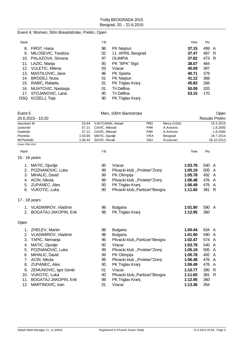#### Event 4, Women, 50m Breaststroke, Prelim, Open

| Rank |                      | ΥB |                   | Time  | Pts   |   |
|------|----------------------|----|-------------------|-------|-------|---|
| 8.   | FIRST, Hana          | 98 | <b>PK Neptun</b>  | 37.15 | 499 A |   |
| 9.   | MILOSEVIC, Teodora   | 02 | 11. APRIL Beograd | 37.47 | 487   | R |
|      | 10. PALAZOVA, Simona | 97 | <b>OLIMPIA</b>    | 37.82 | 473 R |   |
|      | 11. LAZIC, Marija    | 00 | PK "BPK" Bgd      | 38.07 | 464   |   |
| 12.  | VULETIC, Milena      | 03 | Vracar            | 40.09 | 397   |   |
| 13.  | MASTILOVIC, Jana     | 96 | PK Sparta         | 40.71 | 379   |   |
| 14.  | BRODEJ, Nusa         | 01 | <b>PK Neptun</b>  | 41.12 | 368   |   |
| 15.  | RABIC, Rafaela       | 01 | PK Triglav Kranj  | 45.83 | 266   |   |
| 16.  | MIJATOVIC, Nastasja  | 01 | Tri Delfina       | 50.09 | 203   |   |
| 17.  | STOJANOVIC, Lana     | 00 | Tri Delfina       | 53.15 | 170   |   |
| DSQ. | KOZELJ, Teja         | 90 | PK Triglav Kranj  |       |       |   |

| Event 5             |                           | Men, 100m Backstroke |                   |                                  |            |            |         |       | Open                  |
|---------------------|---------------------------|----------------------|-------------------|----------------------------------|------------|------------|---------|-------|-----------------------|
|                     | 20.6.2015 - 10:20         |                      |                   |                                  |            |            |         |       | <b>Results Prelim</b> |
| Apsolutni M         |                           | 53.84                | VJATCANIN, Arkadi |                                  | <b>PRO</b> | Mesa (USA) |         |       | 15.4.2015             |
| Juniorski           |                           | 57.21                | CAVIC, Milorad    |                                  | <b>PAR</b> | A.Antonio  |         |       | 1.8.2000              |
| Kadetski            |                           | 57.21                | CAVIC, Milorad    |                                  | <b>PAR</b> | A.Antonio  |         |       | 1.8.2000              |
| Pionirski           |                           | 1:03.85              | MATIC, Djurdje    |                                  | <b>VRA</b> | Beograd    |         |       | 19.7.2014             |
| <b>MI Pionirski</b> |                           | 1:08.44              | SAVIC, Novak      |                                  | SSU        | Krusevac   |         |       | 26.10.2013            |
| Points: FINA 2014   |                           |                      |                   |                                  |            |            |         |       |                       |
| Rank                |                           |                      | YB                |                                  |            |            | Time    | Pts   |                       |
|                     | 15 - 16 years             |                      |                   |                                  |            |            |         |       |                       |
|                     | 1. MATIC, Djurdje         |                      | $00\,$            | Vracar                           |            |            | 1:03.78 | 540 A |                       |
|                     | 2. POZNANOVIC, Luka       |                      | 99                | Plivacki klub "Proleter"Zrenj    |            |            | 1:05.19 | 505 A |                       |
|                     | 3. MIHALIC, David         |                      | 99                | PK Olimpija                      |            |            | 1:05.78 | 492 A |                       |
|                     | 4. ACIN, Nikola           |                      | 99                | Plivacki klub "Proleter"Zrenj    |            |            | 1:06.48 | 476   | A                     |
|                     | 5. ZUPANEC, Ales          |                      | $00\,$            | PK Triglav Kranj                 |            |            | 1:06.49 | 476 A |                       |
|                     | 6. VUKOTIC, Luka          |                      | $00\,$            | Plivacki klub,, Partizan"Beogra  |            |            | 1:11.60 | 381 R |                       |
|                     |                           |                      |                   |                                  |            |            |         |       |                       |
|                     | 17 - 18 years             |                      |                   |                                  |            |            |         |       |                       |
|                     | 1. VLADIMIROV, Vladimir   |                      | 98                | <b>Bulgaria</b>                  |            |            | 1:01.90 | 590 A |                       |
|                     | 2. BOGATAJ JAKOPIN, Erik  |                      | 98                | PK Triglav Kranj                 |            |            | 1:12.95 | 360   |                       |
| Open                |                           |                      |                   |                                  |            |            |         |       |                       |
|                     | 1. ZHELEV, Martin         |                      | 88                | <b>Bulgaria</b>                  |            |            | 1:00.44 | 634 A |                       |
|                     | 2. VLADIMIROV, Vladimir   |                      | 98                | <b>Bulgaria</b>                  |            |            | 1:01.90 | 590 A |                       |
| 3.                  | TAPIC, Nemanja            |                      | 96                | Plivacki klub,, Partizan" Beogra |            |            | 1:02.47 | 574 A |                       |
| 4.                  | MATIC, Djurdje            |                      | $00\,$            | Vracar                           |            |            | 1:03.78 | 540 A |                       |
|                     | 5. POZNANOVIC, Luka       |                      | 99                | Plivacki klub "Proleter"Zrenj    |            |            | 1:05.19 | 505 A |                       |
|                     | 6. MIHALIC, David         |                      | 99                | PK Olimpija                      |            |            | 1:05.78 | 492 A |                       |
|                     | 7. ACIN, Nikola           |                      | 99                | Plivacki klub "Proleter"Zrenj    |            |            | 1:06.48 | 476 A |                       |
|                     | 8. ZUPANEC, Ales          |                      | $00\,$            | PK Triglav Kranj                 |            |            | 1:06.49 | 476 A |                       |
|                     | 9. ZEMUNOVIC, Igor Genki  |                      | 01                | Vracar                           |            |            | 1:10.77 | 395   | R                     |
|                     | 10. VUKOTIC, Luka         |                      | $00\,$            |                                  |            |            | 1:11.60 | 381   | R                     |
|                     |                           |                      |                   | Plivacki klub,, Partizan"Beogra  |            |            |         |       |                       |
|                     | 11. BOGATAJ JAKOPIN, Erik |                      | 98                | PK Triglav Kranj                 |            |            | 1:12.95 | 360   |                       |
|                     | 12. MARTINOVIC, Ivan      |                      | 01                | Vracar                           |            |            | 1:13.36 | 354   |                       |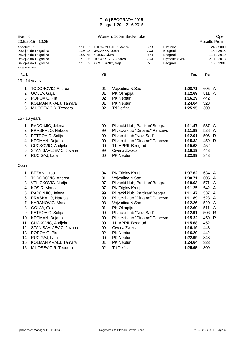| Women, 100m Backstroke                              |                                                                                                     |                                                                                                                                                   |                                                                                                                |                                                                                                |                                                                                                                                                                                                                                                 |                                                             | Open<br><b>Results Prelim</b>                                                        |
|-----------------------------------------------------|-----------------------------------------------------------------------------------------------------|---------------------------------------------------------------------------------------------------------------------------------------------------|----------------------------------------------------------------------------------------------------------------|------------------------------------------------------------------------------------------------|-------------------------------------------------------------------------------------------------------------------------------------------------------------------------------------------------------------------------------------------------|-------------------------------------------------------------|--------------------------------------------------------------------------------------|
| 1:01.67<br>1:05.93<br>1:07.75<br>1:10.35<br>1:15.82 |                                                                                                     |                                                                                                                                                   | <b>SRB</b><br>VOJ<br><b>PRO</b><br>VOJ<br>CZ                                                                   | L.Palmas<br>Beograd<br>Beograd<br>Beograd                                                      |                                                                                                                                                                                                                                                 |                                                             | 24.7.2009<br>18.4.2015<br>11.12.2010<br>21.12.2013<br>15.6.1991                      |
|                                                     | ΥB                                                                                                  |                                                                                                                                                   |                                                                                                                |                                                                                                | Time                                                                                                                                                                                                                                            | Pts                                                         |                                                                                      |
|                                                     |                                                                                                     |                                                                                                                                                   |                                                                                                                |                                                                                                |                                                                                                                                                                                                                                                 |                                                             |                                                                                      |
|                                                     | 01<br>01<br>02<br>01<br>02                                                                          | Vojvodina N.Sad<br>PK Olimpija<br>PK Neptun<br>PK Neptun<br>Tri Delfina                                                                           |                                                                                                                |                                                                                                | 1:08.71<br>1:12.69<br>1:16.29<br>1:24.64<br>1:25.95                                                                                                                                                                                             | 442<br>323<br>309                                           |                                                                                      |
|                                                     |                                                                                                     |                                                                                                                                                   |                                                                                                                |                                                                                                |                                                                                                                                                                                                                                                 |                                                             |                                                                                      |
|                                                     | 99<br>99<br>99<br>$00\,$<br>$00\,$<br>99<br>$00\,$                                                  | Crvena Zvezda<br>PK Neptun                                                                                                                        |                                                                                                                |                                                                                                | 1:11.47<br>1:11.89<br>1:12.91<br>1:15.32<br>1:15.68<br>1:16.19<br>1:22.99                                                                                                                                                                       | 528<br>506<br>459<br>452<br>443<br>343                      | A<br>$\mathsf{R}$<br>R                                                               |
|                                                     |                                                                                                     |                                                                                                                                                   |                                                                                                                |                                                                                                |                                                                                                                                                                                                                                                 |                                                             |                                                                                      |
|                                                     | 94<br>01<br>97<br>97<br>99<br>99<br>98<br>01<br>99<br>$00\,$<br>$00\,$<br>99<br>02<br>$00\,$<br>01  | PK Triglav Kranj<br>Vojvodina N.Sad<br>PK Triglav Kranj<br>Vojvodina N.Sad<br>PK Olimpija<br>Crvena Zvezda<br>PK Neptun<br>PK Neptun<br>PK Neptun |                                                                                                                |                                                                                                | 1:07.62<br>1:08.71<br>1:10.03<br>1:11.25<br>1:11.47<br>1:11.89<br>1:12.26<br>1:12.69<br>1:12.91<br>1:15.32<br>1:15.68<br>1:16.19<br>1:16.29<br>1:22.99<br>1:24.64                                                                               | 571<br>528<br>511<br>506<br>452<br>443<br>442<br>343<br>323 | $\mathsf{A}$<br>$\overline{A}$<br>$\overline{A}$<br>$\mathsf{R}$                     |
|                                                     | 4. KOLMAN KRALJ, Tamara<br>STANISAVLJEVIC, Jovana<br>STANISAVLJEVIC, Jovana<br>KOLMAN KRALJ, Tamara | 02                                                                                                                                                | STRAZMESTER, Marica<br>JECANSKI, Jelena<br>COSIC, Divna<br>TODOROVIC, Andrea<br>GROZDANIC, Maja<br>Tri Delfina | Plivacki klub "Novi Sad"<br>11. APRIL Beograd<br>Plivacki klub "Novi Sad"<br>11. APRIL Beograd | Plivacki klub,, Partizan" Beogra<br>Plivacki klub "Dinamo" Pancevo<br>Plivacki klub "Dinamo" Pancevo<br>Plivacki klub,, Partizan"Beogra<br>Plivacki klub,, Partizan "Beogra<br>Plivacki klub "Dinamo" Pancevo<br>Plivacki klub "Dinamo" Pancevo | Plymouth (GBR)<br>1:25.95                                   | 605 A<br>511 A<br>537 A<br>634 A<br>605 A<br>542 A<br>537 A<br>520 A<br>459 R<br>309 |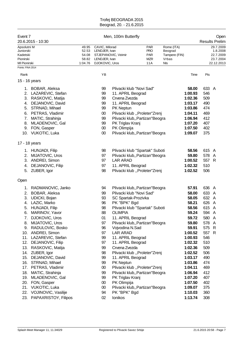| 49.95<br>52.53<br>54.08<br>58.82<br>1:04.76 | CAVIC, Milorad<br>LENDJER, Ivan<br>LENDJER, Ivan<br>DJOKOVIC, Uros<br>YB                                                               | STJEPANOVIC, Veimir                                           | <b>PAR</b><br><b>PRO</b><br><b>PAR</b><br>MZR<br>11A | Rome (ITA)<br>Beograd<br>Tampere (FIN)<br>Vrbas<br>NIs                                                                                                                                                                                                                                                                                                      |                                                                                                                                                                                                                                                                                                                                                                                                                                                               |                                                                                  | 29.7.2009<br>1.8.2008<br>22.7.2009<br>23.7.2004                                                                                 |
|---------------------------------------------|----------------------------------------------------------------------------------------------------------------------------------------|---------------------------------------------------------------|------------------------------------------------------|-------------------------------------------------------------------------------------------------------------------------------------------------------------------------------------------------------------------------------------------------------------------------------------------------------------------------------------------------------------|---------------------------------------------------------------------------------------------------------------------------------------------------------------------------------------------------------------------------------------------------------------------------------------------------------------------------------------------------------------------------------------------------------------------------------------------------------------|----------------------------------------------------------------------------------|---------------------------------------------------------------------------------------------------------------------------------|
|                                             |                                                                                                                                        |                                                               |                                                      |                                                                                                                                                                                                                                                                                                                                                             |                                                                                                                                                                                                                                                                                                                                                                                                                                                               |                                                                                  | 22.12.2013                                                                                                                      |
|                                             |                                                                                                                                        |                                                               |                                                      |                                                                                                                                                                                                                                                                                                                                                             |                                                                                                                                                                                                                                                                                                                                                                                                                                                               |                                                                                  |                                                                                                                                 |
|                                             |                                                                                                                                        |                                                               |                                                      |                                                                                                                                                                                                                                                                                                                                                             | Time                                                                                                                                                                                                                                                                                                                                                                                                                                                          | Pts                                                                              |                                                                                                                                 |
|                                             |                                                                                                                                        |                                                               |                                                      |                                                                                                                                                                                                                                                                                                                                                             |                                                                                                                                                                                                                                                                                                                                                                                                                                                               |                                                                                  |                                                                                                                                 |
|                                             | 99<br>99<br>99<br>99<br>99<br>$00\,$<br>99<br>99<br>$00\,$<br>00                                                                       | PK Neptun<br>PK Olimpija                                      |                                                      |                                                                                                                                                                                                                                                                                                                                                             | 58.00<br>1:00.93<br>1:02.36<br>1:03.17<br>1:03.86<br>1:04.11<br>1:06.94<br>1:07.20<br>1:07.50<br>1:09.07                                                                                                                                                                                                                                                                                                                                                      | 546<br>509<br>490<br>474<br>469<br>412<br>407<br>402<br>375                      |                                                                                                                                 |
|                                             |                                                                                                                                        |                                                               |                                                      |                                                                                                                                                                                                                                                                                                                                                             |                                                                                                                                                                                                                                                                                                                                                                                                                                                               |                                                                                  |                                                                                                                                 |
|                                             | 98<br>97<br>97<br>97<br>98                                                                                                             | <b>LAR ARAD</b>                                               |                                                      |                                                                                                                                                                                                                                                                                                                                                             | 58.56<br>59.80<br>1:00.52<br>1:02.32<br>1:02.52                                                                                                                                                                                                                                                                                                                                                                                                               | 510<br>506                                                                       |                                                                                                                                 |
|                                             |                                                                                                                                        |                                                               |                                                      |                                                                                                                                                                                                                                                                                                                                                             |                                                                                                                                                                                                                                                                                                                                                                                                                                                               |                                                                                  |                                                                                                                                 |
|                                             | 94<br>99<br>93<br>96<br>98<br>88<br>01<br>97<br>96<br>97<br>99<br>97<br>99<br>98<br>99<br>99<br>$00\,$<br>99<br>99<br>$00\,$<br>$00\,$ | <b>OLIMPIA</b><br><b>LAR ARAD</b><br>PK Neptun<br>PK Olimpija |                                                      |                                                                                                                                                                                                                                                                                                                                                             | 57.91<br>58.00<br>58.05<br>58.21<br>58.56<br>59.24<br>59.72<br>59.80<br>59.91<br>1:00.52<br>1:00.93<br>1:02.32<br>1:02.36<br>1:02.52<br>1:03.17<br>1:03.86<br>1:04.11<br>1:06.94<br>1:07.20<br>1:07.50<br>1:09.07                                                                                                                                                                                                                                             | 575<br>546<br>510<br>509<br>506<br>490<br>474<br>469<br>412<br>407<br>402<br>375 | $\mathsf{R}$                                                                                                                    |
|                                             |                                                                                                                                        | 94<br>02                                                      | Ionikos                                              | Plivacki klub "Novi Sad"<br>11. APRIL Beograd<br>Crvena Zvezda<br>11. APRIL Beograd<br>PK Triglav Kranj<br>11. APRIL Beograd<br>Plivacki klub "Novi Sad"<br>SC Spartak-Prozivka<br>PK "BPK" Bgd<br>11. APRIL Beograd<br>Vojvodina N.Sad<br>11. APRIL Beograd<br>11. APRIL Beograd<br>Crvena Zvezda<br>11. APRIL Beograd<br>PK Triglav Kranj<br>PK "BPK" Bgd | Plivacki klub "Proleter"Zrenj<br>Plivacki klub,, Partizan"Beogra<br>Plivacki klub,, Partizan "Beogra<br>Plivacki klub "Spartak" Suboti<br>Plivacki klub,, Partizan"Beogra<br>Plivacki klub "Proleter"Zrenj<br>Plivacki klub,, Partizan "Beogra<br>Plivacki klub "Spartak" Suboti<br>Plivacki klub,, Partizan" Beogra<br>Plivacki klub "Proleter"Zrenj<br>Plivacki klub "Proleter"Zrenj<br>Plivacki klub,, Partizan "Beogra<br>Plivacki klub,, Partizan"Beogra | 1:10.03<br>1:13.74                                                               | 633 A<br>615 A<br>578 A<br>557 R<br>636 A<br>633 A<br>632 A<br>626 A<br>615 A<br>594 A<br>580 A<br>578 A<br>557 R<br>360<br>308 |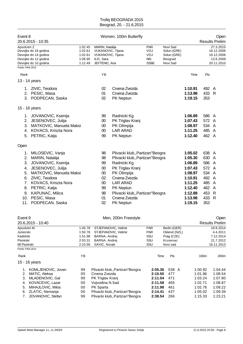| Event 8                          | 20.6.2015 - 10:35                                                                            |                                                     |                                                                                                 | Women, 100m Butterfly            |                                                       |                                                               |         |       | Open<br><b>Results Prelim</b>                                    |
|----------------------------------|----------------------------------------------------------------------------------------------|-----------------------------------------------------|-------------------------------------------------------------------------------------------------|----------------------------------|-------------------------------------------------------|---------------------------------------------------------------|---------|-------|------------------------------------------------------------------|
| Apsolutni Z<br>Points: FINA 2014 | Devojke do 16 godina<br>Devojke do 14 godina<br>Devojke do 12 godina<br>Devojke do 10 godina | 1:02.45<br>1:02.61<br>1:02.61<br>1:06.95<br>1:12.49 | <b>MARIN, Natalija</b><br>VUKANOVIC, Tijana<br>VUKANOVIC, Tijana<br>ILIC, Sara<br>JEFTENIC, Ana |                                  | <b>PAR</b><br>VOJ<br>VOJ<br><b>NIS</b><br><b>SSBE</b> | Novi Sad<br>Solun (GRE)<br>Solun (GRE)<br>Beograd<br>Novi Sad |         |       | 27.3.2015<br>16.12.2006<br>16.12.2006<br>13.6.2009<br>20.11.2010 |
| Rank                             |                                                                                              |                                                     | <b>YB</b>                                                                                       |                                  |                                                       |                                                               | Time    | Pts   |                                                                  |
|                                  | 13 - 14 years                                                                                |                                                     |                                                                                                 |                                  |                                                       |                                                               |         |       |                                                                  |
|                                  |                                                                                              |                                                     |                                                                                                 |                                  |                                                       |                                                               |         |       |                                                                  |
|                                  | 1. ZIVIC, Teodora                                                                            |                                                     | 02                                                                                              | Crvena Zvezda                    |                                                       |                                                               | 1:10.91 | 492 A |                                                                  |
|                                  | 2. PESIC, Masa                                                                               |                                                     | 01                                                                                              | Crvena Zvezda                    |                                                       |                                                               | 1:13.98 | 433 R |                                                                  |
|                                  | 3. PODPECAN, Saska                                                                           |                                                     | 02                                                                                              | PK Neptun                        |                                                       |                                                               | 1:19.15 | 353   |                                                                  |
| 15 - 16 years                    |                                                                                              |                                                     |                                                                                                 |                                  |                                                       |                                                               |         |       |                                                                  |
|                                  | 1. JOVANOVIC, Ksenija                                                                        |                                                     | 99                                                                                              | Radnicki Kg                      |                                                       |                                                               | 1:06.89 | 586 A |                                                                  |
|                                  | 2. JESENOVEC, Julija                                                                         |                                                     | $00\,$                                                                                          | PK Triglav Kranj                 |                                                       |                                                               | 1:07.43 | 572 A |                                                                  |
|                                  | 3. MATKOVIC, Manuela Maksi                                                                   |                                                     | 00                                                                                              | PK Olimpija                      |                                                       |                                                               | 1:08.97 | 534 A |                                                                  |
|                                  | 4. KOVACS, Kriszta Nora                                                                      |                                                     | 00                                                                                              | <b>LAR ARAD</b>                  |                                                       |                                                               | 1:11.25 | 485 A |                                                                  |
|                                  | 5. PETRIC, Katja                                                                             |                                                     | 99                                                                                              | PK Neptun                        |                                                       |                                                               | 1:12.40 | 462 A |                                                                  |
| Open                             |                                                                                              |                                                     |                                                                                                 |                                  |                                                       |                                                               |         |       |                                                                  |
| 1.                               | MILOSEVIC, Vanja                                                                             |                                                     | 98                                                                                              | Plivacki klub,, Partizan"Beogra  |                                                       |                                                               | 1:05.02 | 638 A |                                                                  |
|                                  | 2. MARIN, Natalija                                                                           |                                                     | 98                                                                                              | Plivacki klub,, Partizan"Beogra  |                                                       |                                                               | 1:05.30 | 630   | - A                                                              |
| 3.                               | JOVANOVIC, Ksenija                                                                           |                                                     | 99                                                                                              | Radnicki Kg                      |                                                       |                                                               | 1:06.89 | 586 A |                                                                  |
|                                  | 4. JESENOVEC, Julija                                                                         |                                                     | 00                                                                                              | PK Triglav Kranj                 |                                                       |                                                               | 1:07.43 | 572 A |                                                                  |
| 5.                               | MATKOVIC, Manuela Maksi                                                                      |                                                     | $00\,$                                                                                          | PK Olimpija                      |                                                       |                                                               | 1:08.97 | 534 A |                                                                  |
|                                  | 6. ZIVIC, Teodora                                                                            |                                                     | 02                                                                                              | Crvena Zvezda                    |                                                       |                                                               | 1:10.91 | 492 A |                                                                  |
|                                  | 7. KOVACS, Kriszta Nora                                                                      |                                                     | 00                                                                                              | <b>LAR ARAD</b>                  |                                                       |                                                               | 1:11.25 | 485 A |                                                                  |
| 8.                               | PETRIC, Katja                                                                                |                                                     | 99                                                                                              | PK Neptun                        |                                                       |                                                               | 1:12.40 | 462 A |                                                                  |
| 9.                               | <b>KAPUNAC, Milica</b>                                                                       |                                                     | 98                                                                                              | Plivacki klub,, Partizan" Beogra |                                                       |                                                               | 1:12.88 | 453   | $\mathsf{R}$                                                     |
|                                  | 10. PESIC, Masa                                                                              |                                                     | 01                                                                                              | Crvena Zvezda                    |                                                       |                                                               | 1:13.98 | 433   | $\mathsf{R}$                                                     |
|                                  | 11. PODPECAN, Saska                                                                          |                                                     | 02                                                                                              | PK Neptun                        |                                                       |                                                               | 1:19.15 | 353   |                                                                  |
| $E$ <sub>Vont</sub> $\Omega$     |                                                                                              |                                                     |                                                                                                 | Man 200m Ergestyle               |                                                       |                                                               |         |       | Onon                                                             |

| Event 9      |                         |         | Men, 200m Freestyle              | Open       |              |                  |                       |  |
|--------------|-------------------------|---------|----------------------------------|------------|--------------|------------------|-----------------------|--|
|              | 20.6.2015 - 10:40       |         |                                  |            |              |                  | <b>Results Prelim</b> |  |
| Apsolutni M  |                         | 1:45.78 | STJEPANOVIC, Velimir             | <b>PAR</b> | Berlin (GER) |                  | 18.8.2014             |  |
| Juniorski    |                         | 1:50.78 | STJEPANOVIC, Velimir             | <b>PAR</b> | Oklend (NZL) |                  | 4.4.2011              |  |
| Kadetski     |                         | 1:51.98 | BARNA, Andrei                    | SSU        | Prag (CZE)   |                  | 7.12.2014             |  |
| Pionirski    |                         | 2:03.31 | BARNA, Andrei                    | SSU        | Krusevac     |                  | 21.7.2012             |  |
| MI Pionirski |                         | 2:10.56 | SAVIC, Novak                     | SSU        | Novi sad     |                  | 16.11.2013            |  |
|              | Points: FINA 2014       |         |                                  |            |              |                  |                       |  |
| Rank         |                         | YB      |                                  |            | Pts<br>Time  | 100 <sub>m</sub> | 200 <sub>m</sub>      |  |
|              | 15 - 16 years           |         |                                  |            |              |                  |                       |  |
|              | KOMLJENOVIC, Jovan      | 99      | Plivacki klub., Partizan "Beogra | 2:05.36    | 538 A        | 1:00.92          | 1:04.44               |  |
| 2.           | MATIC, Aleksa           | 00      | Crvena Zvezda                    | 2:10.50    | 477          | 1:01.96          | 1:08.54               |  |
| 3.           | MLADENOVIC, Gal         | 99      | PK Triglav Kranj                 | 2:11.04    | 471          | 1:03.24          | 1:07.80               |  |
| 4.           | KOVACEVIC, Lazar        | 00      | Voivodina N.Sad                  | 2:11.58    | 465          | 1:02.71          | 1:08.87               |  |
| 5.           | MIHAJLOVIC, Milos       | 00      | PK Sparta                        | 2:11.98    | 461          | 1:02.76          | 1:09.22               |  |
| 6.           | ZLATIC, Nemanja         | 00      | Plivacki klub,, Partizan" Beogra | 2:14.41    | 437          | 1:05.02          | 1:09.39               |  |
|              | JOVANOVIC, Stefan<br>7. |         | Plivacki klub., Partizan "Beogra | 2:38.54    | 266          | 1:15.33          | 1:23.21               |  |
|              |                         |         |                                  |            |              |                  |                       |  |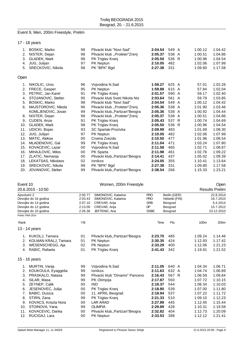#### Event 9, Men, 200m Freestyle, Prelim

17 - 18 years

| 1.   | <b>BOSKIC, Marko</b> | 98 | Plivacki klub "Novi Sad"         | 2:04.54 | 549 A | 1:00.12 | 1:04.42 |
|------|----------------------|----|----------------------------------|---------|-------|---------|---------|
| 2.   | NISTER, Dejan        | 98 | Plivacki klub "Proleter"Zrenj    | 2:05.37 | 538 A | 1:00.51 | 1:04.86 |
| 3.   | GLADEK, Mark         | 98 | PK Triglav Kranj                 | 2:05.50 | 536 R | 1:00.96 | 1:04.54 |
| 4.   | JUG, Julijan         | 97 | PK Neptun                        | 2:10.05 | 482   | 1:02.06 | 1:07.99 |
| 5.   | SRECKOVIC, Nikola    | 98 | PK "BPK" Bgd                     | 2:27.38 | 331   | 1:09.80 | 1:17.58 |
| Open |                      |    |                                  |         |       |         |         |
| 1.   | NIKOLIC, Uros        | 96 | Vojvodina N.Sad                  | 1:59.27 | 625 A | 57.01   | 1:02.26 |
| 2.   | FRECE, Gasper        | 95 | <b>PK Neptun</b>                 | 1:59.88 | 615 A | 57.84   | 1:02.04 |
| 3.   | PETRIC, Jan Karel    | 91 | PK Triglav Kranj                 | 2:01.57 | 590 A | 59.17   | 1:02.40 |
| 4.   | STOJANOVIC, Stefan   | 95 | Plivacki klub Sveti Nikola Nis   | 2:03.64 | 561 A | 59.79   | 1:03.85 |
| 5.   | BOSKIC, Marko        | 98 | Plivacki klub "Novi Sad"         | 2:04.54 | 549 A | 1:00.12 | 1:04.42 |
| 6.   | MAJSTOROVIC, Nikola  | 96 | Plivacki klub "Proleter"Zrenj    | 2:05.36 | 538 A | 1:01.90 | 1:03.46 |
|      | KOMLJENOVIC, Jovan   | 99 | Plivacki klub,, Partizan" Beogra | 2:05.36 | 538 A | 1:00.92 | 1:04.44 |
| 8.   | NISTER, Dejan        | 98 | Plivacki klub "Proleter"Zrenj    | 2:05.37 | 538 A | 1:00.51 | 1:04.86 |
| 9.   | CUDEN, Anze          | 91 | PK Triglav Kranj                 | 2:05.43 | 537 R | 1:00.74 | 1:04.69 |
| 10.  | GLADEK, Mark         | 98 | PK Triglav Kranj                 | 2:05.50 | 536 R | 1:00.96 | 1:04.54 |
| 11.  | UDICKI, Bojan        | 93 | SC Spartak-Prozivka              | 2:09.99 | 483   | 1:01.69 | 1:08.30 |
| 12.  | JUG, Julijan         | 97 | <b>PK Neptun</b>                 | 2:10.05 | 482   | 1:02.06 | 1:07.99 |
| 13.  | MATIC, Aleksa        | 00 | Crvena Zvezda                    | 2:10.50 | 477   | 1:01.96 | 1:08.54 |
| 14.  | MLADENOVIC, Gal      | 99 | PK Triglav Kranj                 | 2:11.04 | 471   | 1:03.24 | 1:07.80 |
| 15.  | KOVACEVIC, Lazar     | 00 | Vojvodina N.Sad                  | 2:11.58 | 465   | 1:02.71 | 1:08.87 |
| 16.  | MIHAJLOVIC, Milos    | 00 | PK Sparta                        | 2:11.98 | 461   | 1:02.76 | 1:09.22 |
| 17.  | ZLATIC, Nemanja      | 00 | Plivacki klub,, Partizan"Beogra  | 2:14.41 | 437   | 1:05.02 | 1:09.39 |
| 18.  | LEKATSAS, Nikolaos   | 02 | <b>lonikos</b>                   | 2:24.05 | 355   | 1:10.41 | 1:13.64 |
| 19.  | SRECKOVIC, Nikola    | 98 | PK "BPK" Bgd                     | 2:27.38 | 331   | 1:09.80 | 1:17.58 |
| 20.  | JOVANOVIC, Stefan    | 99 | Plivacki klub,, Partizan" Beogra | 2:38.54 | 266   | 1:15.33 | 1:23.21 |

### Event 10 Communication of the UV Women, 200m Freestyle Communication of the Communication of the Communication Open

|             | 20.6.2015 - 10:50           |         |                                  |             |                |         | <b>Results Prelim</b> |
|-------------|-----------------------------|---------|----------------------------------|-------------|----------------|---------|-----------------------|
| Apsolutni Z |                             | 2:00.77 | SIMONOVIC, Katarina              | <b>PRO</b>  | Berlin (GER)   |         | 22.8.2014             |
|             | Devojke do 16 godina        | 2:03.43 | SIMONOVIC, Katarina              | <b>PRO</b>  | Helsinki (FIN) |         | 16.7.2010             |
|             | Devojke do 14 godina        | 2:07.10 | CREVAR, Anja                     | <b>SRB</b>  | Beograd        |         | 5.4.2014              |
|             | Devojke do 12 godina        | 2:13.00 | CREVAR, Anja                     | DP          | Beograd        |         | 15.7.2012             |
|             | Devojke do 10 godina        | 2:26.36 | JEFTENIC, Ana                    | <b>SSBE</b> | Beograd        |         | 23.12.2010            |
|             | Points: FINA 2014           |         |                                  |             |                |         |                       |
| Rank        |                             | YB      |                                  | Time        | Pts            | 100m    | 200m                  |
|             | 13 - 14 years               |         |                                  |             |                |         |                       |
| 1.          | KUKOLJ, Tamara              | 01      | Plivacki klub,, Partizan "Beogra | 2:23.70     | 485            | 1:09.24 | 1:14.46               |
| 2.          | KOLMAN KRALJ, Tamara        | 01      | PK Neptun                        | 2:30.35     | 424            | 1:12.93 | 1:17.42               |
| 3.          | WESENSCHEGG, Aja            | 02      | <b>PK Neptun</b>                 | 2:33.29     | 400            | 1:12.06 | 1:21.23               |
| 4.          | RABIC, Rafaela              | 01      | PK Triglav Kranj                 | 2:41.43     | 342            | 1:19.91 | 1:21.52               |
|             | 15 - 16 years               |         |                                  |             |                |         |                       |
| 1.          | MURTIN, Vanja               | 99      | Voivodina N.Sad                  | 2:11.05     | 640 A          | 1:04.34 | 1:06.71               |
| 2.          | KOUKOULA, Eyaggelia         | 99      | <b>lonikos</b>                   | 2:11.63     | 632 A          | 1:04.74 | 1:06.89               |
| 3.          | PRASKALO, Natasa            | 99      | Plivacki klub "Dinamo" Pancevo   | 2:16.43     | 567 R          | 1:06.59 | 1:09.84               |
| 4.          | SILAR, Masa                 | 99      | <b>PK Olimpija</b>               | 2:17.87     | 550            | 1:07.72 | 1:10.15               |
| 5.          | <b>ZEYNEP, Calik</b>        | 00      | <b>IND</b>                       | 2:18.37     | 544            | 1:08.34 | 1:10.03               |
| 6.          | JESENOVEC, Julija           | 00      | PK Triglav Kranj                 | 2:18.80     | 539            | 1:07.00 | 1:11.80               |
| 7.          | <b>BABIC, Dusica</b>        | 00      | 11. APRIL Beograd                | 2:18.94     | 537            | 1:07.22 | 1:11.72               |
| 8.          | STIRN, Zana                 | 99      | PK Triglav Kranj                 | 2:21.33     | 510            | 1:09.10 | 1:12.23               |
| 9.          | <b>KOVACS, Kriszta Nora</b> | 00      | <b>LAR ARAD</b>                  | 2:27.89     | 445            | 1:12.45 | 1:15.44               |
| 10.         | STOINOVA, Yana              | 99      | <b>OLIMPIA</b>                   | 2:29.89     | 428            | 1:10.31 | 1:19.58               |
| 11.         | KOVACEVIC, Danka            | 00      | Plivacki klub,, Partizan "Beogra | 2:32.82     | 404            | 1:12.73 | 1:20.09               |
| 12.         | RUCIGAJ, Lara               | 00      | PK Neptun                        | 2:33.53     | 398            | 1:12.12 | 1:21.41               |
|             |                             |         |                                  |             |                |         |                       |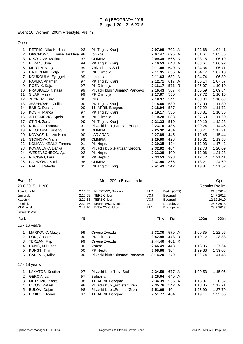#### Event 10, Women, 200m Freestyle, Prelim

Open

|     | 1. PETRIC, Nika Karlina        | 92 | PK Triglav Kranj                 | 2:07.09 | 702 A |    | 1:02.68 | 1:04.41 |
|-----|--------------------------------|----|----------------------------------|---------|-------|----|---------|---------|
| 2.  | OIKONOMOU, Iliana-Harikleia 98 |    | <b>lonikos</b>                   | 2:07.47 | 696 A |    | 1:01.61 | 1:05.86 |
| 3.  | NIKOLOVA, Marina               | 97 | <b>OLIMPIA</b>                   | 2:09.34 | 666 A |    | 1:03.15 | 1:06.19 |
| 4.  | BEZAN, Ursa                    | 94 | PK Triglav Kranj                 | 2:10.53 | 648 A |    | 1:03.61 | 1:06.92 |
| 5.  | MURTIN, Vanja                  | 99 | Vojvodina N.Sad                  | 2:11.05 | 640 A |    | 1:04.34 | 1:06.71 |
| 6.  | HAJDINJAK, Katja               | 93 | PK Olimpija                      | 2:11.35 | 636 A |    | 1:04.17 | 1:07.18 |
| 7.  | KOUKOULA, Eyaggelia            | 99 | Ionikos                          | 2:11.63 | 632 A |    | 1:04.74 | 1:06.89 |
| 8.  | PAVLIC, Anamari                | 97 | PK Triglav Kranj                 | 2:12.71 | 617 A |    | 1:05.14 | 1:07.57 |
| 9.  | ROZNIK, Kaja                   | 97 | PK Olimpija                      | 2:16.17 | 571   | -R | 1:06.07 | 1:10.10 |
| 10. | PRASKALO, Natasa               | 99 | Plivacki klub "Dinamo" Pancevo   | 2:16.43 | 567 R |    | 1:06.59 | 1:09.84 |
| 11. | SILAR, Masa                    | 99 | PK Olimpija                      | 2:17.87 | 550   |    | 1:07.72 | 1:10.15 |
| 12. | ZEYNEP, Calik                  | 00 | <b>IND</b>                       | 2:18.37 | 544   |    | 1:08.34 | 1:10.03 |
| 13. | JESENOVEC, Julija              | 00 | PK Triglav Kranj                 | 2:18.80 | 539   |    | 1:07.00 | 1:11.80 |
| 14. | BABIC, Dusica                  | 00 | 11. APRIL Beograd                | 2:18.94 | 537   |    | 1:07.22 | 1:11.72 |
| 15. | KOSIR, Manca                   | 97 | PK Triglav Kranj                 | 2:19.17 | 535   |    | 1:08.81 | 1:10.36 |
| 16. | JELESIJEVIC, Spela             | 98 | PK Olimpija                      | 2:19.28 | 533   |    | 1:07.68 | 1:11.60 |
| 17. | STIRN, Zana                    | 99 | PK Triglav Kranj                 | 2:21.33 | 510   |    | 1:09.10 | 1:12.23 |
| 18. | KUKOLJ, Tamara                 | 01 | Plivacki klub,, Partizan "Beogra | 2:23.70 | 485   |    | 1:09.24 | 1:14.46 |
| 19. | NIKOLOVA, Kristina             | 98 | <b>OLIMPIA</b>                   | 2:25.92 | 464   |    | 1:08.71 | 1:17.21 |
| 20. | KOVACS, Kriszta Nora           | 00 | <b>LAR ARAD</b>                  | 2:27.89 | 445   |    | 1:12.45 | 1:15.44 |
| 21. | STOINOVA, Yana                 | 99 | <b>OLIMPIA</b>                   | 2:29.89 | 428   |    | 1:10.31 | 1:19.58 |
| 22. | KOLMAN KRALJ, Tamara           | 01 | PK Neptun                        | 2:30.35 | 424   |    | 1:12.93 | 1:17.42 |
| 23. | KOVACEVIC, Danka               | 00 | Plivacki klub,, Partizan "Beogra | 2:32.82 | 404   |    | 1:12.73 | 1:20.09 |
| 24. | WESENSCHEGG, Aja               | 02 | PK Neptun                        | 2:33.29 | 400   |    | 1:12.06 | 1:21.23 |
| 25. | RUCIGAJ, Lara                  | 00 | PK Neptun                        | 2:33.53 | 398   |    | 1:12.12 | 1:21.41 |
| 26. | PALAZOVA, Katrin               | 98 | <b>OLIMPIA</b>                   | 2:37.90 | 366   |    | 1:13.21 | 1:24.69 |
| 27. | RABIC, Rafaela                 | 01 | PK Triglav Kranj                 | 2:41.43 | 342   |    | 1:19.91 | 1:21.52 |

| Event 11                                                        |                               |                                |            |              | Open    |                       |            |  |
|-----------------------------------------------------------------|-------------------------------|--------------------------------|------------|--------------|---------|-----------------------|------------|--|
| 20.6.2015 - 11:00                                               |                               |                                |            |              |         | <b>Results Prelim</b> |            |  |
| Apsolutni M                                                     | 2:16.03                       | KNEZEVIC, Bogdan               | <b>PAR</b> | Berlin (GER) |         | 21.8.2014             |            |  |
| Juniorski                                                       | 2:17.08                       | TERZIC, Igor                   | VOJ        | Beograd      |         | 14.7.2012             |            |  |
| Kadetski                                                        | 2:21.38                       | TERZIC, Igor                   | VOJ        | Beograd      |         |                       | 12.12.2010 |  |
| Pionirski                                                       | 2:31.46                       | MARKOVIC, Mateja               | CZ         | Kragujevac   |         |                       | 26.7.2013  |  |
| <b>MI Pionirski</b>                                             | 2:43.10                       | DJOKOVIC, Uros                 | 11A        | Kragujevac   |         |                       | 28.7.2013  |  |
| Points: FINA 2014                                               |                               |                                |            |              |         |                       |            |  |
| Rank                                                            | <b>YB</b>                     |                                | Time       | Pts          |         | 100m                  | 200m       |  |
| 15 - 16 years                                                   |                               |                                |            |              |         |                       |            |  |
| MARKOVIC, Mateja<br>1.                                          | 99                            | Crvena Zvezda                  | 2:32.30    | 579 A        |         | 1:09.35               | 1:22.95    |  |
| FON, Gasper<br>2.                                               | 00                            | PK Olimpija                    | 2:42.95    | 473 R        |         | 1:19.12               | 1:23.83    |  |
| 3.<br>TERZAN, Filip                                             | 99                            | Crvena Zvezda                  | 2:44.40    | 461 R        |         |                       |            |  |
| BABIC, M.Dusan<br>4.                                            | 00                            | Vracar                         | 2:46.49    | 443          |         | 1:18.85               | 1:27.64    |  |
| 5.<br>KUNST, Tim                                                | 00                            | PK Neptun                      | 3:08.86    | 304          |         | 1:29.83               | 1:39.03    |  |
| <b>CAREVIC, Milos</b><br>6.                                     | 00                            | Plivacki klub "Dinamo" Pancevo | 3:14.20    | 279          |         | 1:32.74               | 1:41.46    |  |
| 17 - 18 years                                                   |                               |                                |            |              |         |                       |            |  |
| LAKATOS, Kristian<br>1.                                         | 97                            | Plivacki klub "Novi Sad"       | 2:24.59    | 677 A        |         | 1:09.53               | 1:15.06    |  |
| GEROV, Ivan<br>2.                                               | 97                            | <b>Bulgaria</b>                | 2:26.64    | 649 A        |         |                       |            |  |
| 3.<br>MITROVIC, Kosta                                           | 98                            | 11. APRIL Beograd              | 2:34.39    | 556 A        |         | 1:13.87               | 1:20.52    |  |
| CIKOS, Rafael<br>4.                                             | Plivacki klub "Proleter"Zrenj | 2:35.76<br>542 A               |            |              | 1:18.05 | 1:17.71               |            |  |
| 98<br>5.<br>BULOV, Dejan<br>98<br>Plivacki klub "Proleter"Zrenj |                               |                                | 2:51.69    | 404          |         | 1:23.90               | 1:27.79    |  |
| 6.<br>BOJICIC, Jovan                                            | 97                            | 11. APRIL Beograd              | 2:51.77    | 404          |         | 1:19.11               | 1:32.66    |  |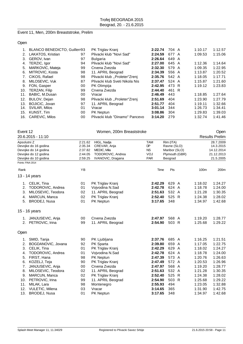Event 11, Men, 200m Breaststroke, Prelim

Open

|     | 1. BLANCO BENEDICTO, Guillerr93 |    | PK Triglav Kranj               | 2:22.74 | 704 A | 1:10.17 | 1:12.57 |
|-----|---------------------------------|----|--------------------------------|---------|-------|---------|---------|
|     | 2. LAKATOS, Kristian            | 97 | Plivacki klub "Novi Sad"       | 2:24.59 | 677 A | 1:09.53 | 1:15.06 |
| 3.  | GEROV, Ivan                     | 97 | <b>Bulgaria</b>                | 2:26.64 | 649 A |         |         |
| 4.  | TERZIC, Igor                    | 94 | Plivacki klub "Novi Sad"       | 2:27.00 | 645 A | 1:12.36 | 1:14.64 |
| 5.  | MARKOVIC, Mateja                | 99 | Crvena Zvezda                  | 2:32.30 | 579 A | 1:09.35 | 1:22.95 |
| 6.  | MITROVIC, Kosta                 | 98 | 11. APRIL Beograd              | 2:34.39 | 556 A | 1:13.87 | 1:20.52 |
| 7.  | CIKOS, Rafael                   | 98 | Plivacki klub "Proleter"Zrenj  | 2:35.76 | 542 A | 1:18.05 | 1:17.71 |
| 8.  | MILOSEVIC, Vuk                  | 87 | Plivacki klub Sveti Nikola Nis | 2:37.47 | 524 A | 1:15.87 | 1:21.60 |
| 9.  | FON, Gasper                     | 00 | PK Olimpija                    | 2:42.95 | 473 R | 1:19.12 | 1:23.83 |
| 10. | TERZAN, Filip                   | 99 | Crvena Zvezda                  | 2:44.40 | 461 R |         |         |
| 11. | BABIC, M.Dusan                  | 00 | Vracar                         | 2:46.49 | 443   | 1:18.85 | 1:27.64 |
| 12. | BULOV, Dejan                    | 98 | Plivacki klub "Proleter"Zreni  | 2:51.69 | 404   | 1:23.90 | 1:27.79 |
| 13. | <b>BOJICIC, Jovan</b>           | 97 | 11. APRIL Beograd              | 2:51.77 | 404   | 1:19.11 | 1:32.66 |
| 14. | SVILAR, Milos                   | 01 | Vracar                         | 3:01.14 | 344   | 1:26.73 | 1:34.41 |
|     | 15. KUNST, Tim                  | 00 | PK Neptun                      | 3:08.86 | 304   | 1:29.83 | 1:39.03 |
| 16. | <b>CAREVIC, Milos</b>           | 00 | Plivacki klub "Dinamo" Pancevo | 3:14.20 | 279   | 1:32.74 | 1:41.46 |

| Event 12                                                   |                                                                                                                                                                                                      |                                                                | Women, 200m Breaststroke                                                                                                                                                                       |                                                                                                                       |                                                                                             |   |                                                                                                                       | Open                                                                                                                  |  |  |
|------------------------------------------------------------|------------------------------------------------------------------------------------------------------------------------------------------------------------------------------------------------------|----------------------------------------------------------------|------------------------------------------------------------------------------------------------------------------------------------------------------------------------------------------------|-----------------------------------------------------------------------------------------------------------------------|---------------------------------------------------------------------------------------------|---|-----------------------------------------------------------------------------------------------------------------------|-----------------------------------------------------------------------------------------------------------------------|--|--|
|                                                            | 20.6.2015 - 11:10                                                                                                                                                                                    |                                                                |                                                                                                                                                                                                |                                                                                                                       |                                                                                             |   |                                                                                                                       | <b>Results Prelim</b>                                                                                                 |  |  |
| Apsolutni Z                                                | Devojke do 16 godina<br>Devojke do 14 godina<br>Devojke do 12 godina<br>Devojke do 10 godina<br>Points: FINA 2014                                                                                    | 2:21.62<br>2:35.34<br>2:37.82<br>2:44.05<br>2:59.25            | HIGL, Nadja<br>CREVAR, Anja<br>MEDIC, Mila<br>TODOROVIC, Andrea<br>IVANOVIC, Dragana                                                                                                           | <b>TAM</b><br><b>DP</b><br><b>NS</b><br>VOJ<br><b>PAR</b>                                                             | Rim (ITA)<br>Ravne (SLO)<br>Maribor (SLO)<br>Plymouth (GBR)<br>Beograd                      |   | 28.7.2009<br>14.3.2015<br>14.12.2014<br>21.12.2013<br>21.5.2005                                                       |                                                                                                                       |  |  |
| Rank                                                       |                                                                                                                                                                                                      | YB                                                             |                                                                                                                                                                                                | Time                                                                                                                  | Pts                                                                                         |   | 100m                                                                                                                  | 200m                                                                                                                  |  |  |
|                                                            |                                                                                                                                                                                                      |                                                                |                                                                                                                                                                                                |                                                                                                                       |                                                                                             |   |                                                                                                                       |                                                                                                                       |  |  |
|                                                            | 13 - 14 years                                                                                                                                                                                        |                                                                |                                                                                                                                                                                                |                                                                                                                       |                                                                                             |   |                                                                                                                       |                                                                                                                       |  |  |
| 1.<br>2.<br>3.<br>4.<br>5.                                 | CELIK, Tina<br>TODOROVIC, Andrea<br>MILOSEVIC, Teodora<br>MARCUN, Manca<br><b>BRODEJ, Nusa</b>                                                                                                       | 01<br>01<br>02<br>02<br>01                                     | PK Triglav Kranj<br>Vojvodina N.Sad<br>11. APRIL Beograd<br>PK Triglav Kranj<br>PK Neptun                                                                                                      | 2:42.29<br>2:42.78<br>2:51.63<br>2:52.40<br>3:17.65                                                                   | 629 A<br>624 A<br>532 A<br>525 R<br>348                                                     |   | 1:18.02<br>1:18.78<br>1:21.28<br>1:24.38<br>1:34.97                                                                   | 1:24.27<br>1:24.00<br>1:30.35<br>1:28.02<br>1:42.68                                                                   |  |  |
|                                                            | 15 - 16 years                                                                                                                                                                                        |                                                                |                                                                                                                                                                                                |                                                                                                                       |                                                                                             |   |                                                                                                                       |                                                                                                                       |  |  |
|                                                            | 1. JANJUSEVIC, Anja<br>2. PETROVIC, Irina                                                                                                                                                            | 00<br>99                                                       | Crvena Zvezda<br>11. APRIL Beograd                                                                                                                                                             | 2:47.97<br>2:54.90                                                                                                    | 568 A<br>503 R                                                                              |   | 1:19.20<br>1:25.68                                                                                                    | 1:28.77<br>1:29.22                                                                                                    |  |  |
| Open                                                       |                                                                                                                                                                                                      |                                                                |                                                                                                                                                                                                |                                                                                                                       |                                                                                             |   |                                                                                                                       |                                                                                                                       |  |  |
| 2.<br>3.<br>4.<br>5.<br>6.<br>7.<br>8.<br>9.<br>10.<br>11. | 1. SMID, Tanja<br>BOGDANOVIC, Jovana<br>CELIK, Tina<br>TODOROVIC, Andrea<br>FIRST, Hana<br>KOZELJ, Teja<br>JANJUSEVIC, Anja<br>MILOSEVIC, Teodora<br>MARCUN, Manca<br>PETROVIC, Irina<br>MILAK, Lara | 90<br>92<br>01<br>01<br>98<br>90<br>00<br>02<br>02<br>99<br>98 | PK Ljubljana<br>PK Sparta<br>PK Triglav Kranj<br>Vojvodina N.Sad<br>PK Neptun<br>PK Triglav Kranj<br>Crvena Zvezda<br>11. APRIL Beograd<br>PK Triglav Kranj<br>11. APRIL Beograd<br>Montenegro | 2:37.76<br>2:39.80<br>2:42.29<br>2:42.78<br>2:47.39<br>2:47.49<br>2:47.97<br>2:51.63<br>2:52.40<br>2:54.90<br>2:55.93 | 685 A<br>659 A<br>629<br>624 A<br>573 A<br>572 A<br>568 A<br>532 A<br>525 R<br>503 R<br>494 | A | 1:16.25<br>1:17.05<br>1:18.02<br>1:18.78<br>1:20.76<br>1:20.53<br>1:19.20<br>1:21.28<br>1:24.38<br>1:25.68<br>1:23.05 | 1:21.51<br>1:22.75<br>1:24.27<br>1:24.00<br>1:26.63<br>1:26.96<br>1:28.77<br>1:30.35<br>1:28.02<br>1:29.22<br>1:32.88 |  |  |
| 12.<br>13.                                                 | VULETIC, Milena<br>BRODEJ, Nusa                                                                                                                                                                      | 03<br>01                                                       | Vracar<br><b>PK Neptun</b>                                                                                                                                                                     | 3:14.65<br>3:17.65                                                                                                    | 365<br>348                                                                                  |   | 1:31.90<br>1:34.97                                                                                                    | 1:42.75<br>1:42.68                                                                                                    |  |  |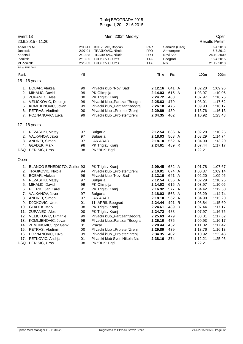| Event 13                                                                               | 20.6.2015 - 11:20                                                                                                                                                                                                                                                                                                                                                                          | Men, 200m Medley                                                                                   |                                                                                                                                                                                                                                                                                                                                                                                                                                              |                                                                                                                                                                                         |                                                                                                                                         |  |                                                                                                                                                                                                    | Open<br><b>Results Prelim</b>                                                                                                                                                           |  |  |
|----------------------------------------------------------------------------------------|--------------------------------------------------------------------------------------------------------------------------------------------------------------------------------------------------------------------------------------------------------------------------------------------------------------------------------------------------------------------------------------------|----------------------------------------------------------------------------------------------------|----------------------------------------------------------------------------------------------------------------------------------------------------------------------------------------------------------------------------------------------------------------------------------------------------------------------------------------------------------------------------------------------------------------------------------------------|-----------------------------------------------------------------------------------------------------------------------------------------------------------------------------------------|-----------------------------------------------------------------------------------------------------------------------------------------|--|----------------------------------------------------------------------------------------------------------------------------------------------------------------------------------------------------|-----------------------------------------------------------------------------------------------------------------------------------------------------------------------------------------|--|--|
| Apsolutni M<br>Juniorski<br>Kadetski<br>Pionirski<br>MI Pionirski<br>Points: FINA 2014 |                                                                                                                                                                                                                                                                                                                                                                                            | 2:03.41<br>2:07.01<br>2:10.88<br>2:18.35<br>2:25.83                                                | KNEZEVIC, Bogdan<br>TRAJKOVIC, Nikola<br><b>TRAJKOVIC, Nikola</b><br>DJOKOVIC, Uros<br>DJOKOVIC, Uros                                                                                                                                                                                                                                                                                                                                        | <b>PAR</b><br><b>PRO</b><br><b>PRO</b><br>11A<br>11A                                                                                                                                    | Sannich (CAN)<br>Antwerpen<br>Novi Sad<br>Beograd<br>Nls                                                                                |  |                                                                                                                                                                                                    | 6.4.2013<br>5.7.2012<br>24.10.2009<br>18.4.2015<br>21.12.2013                                                                                                                           |  |  |
|                                                                                        |                                                                                                                                                                                                                                                                                                                                                                                            | YB                                                                                                 |                                                                                                                                                                                                                                                                                                                                                                                                                                              |                                                                                                                                                                                         | Time<br>Pts                                                                                                                             |  |                                                                                                                                                                                                    | 200m                                                                                                                                                                                    |  |  |
| Rank                                                                                   | 15 - 16 years                                                                                                                                                                                                                                                                                                                                                                              |                                                                                                    |                                                                                                                                                                                                                                                                                                                                                                                                                                              |                                                                                                                                                                                         |                                                                                                                                         |  | 100m                                                                                                                                                                                               |                                                                                                                                                                                         |  |  |
|                                                                                        |                                                                                                                                                                                                                                                                                                                                                                                            |                                                                                                    |                                                                                                                                                                                                                                                                                                                                                                                                                                              |                                                                                                                                                                                         |                                                                                                                                         |  |                                                                                                                                                                                                    |                                                                                                                                                                                         |  |  |
|                                                                                        | 1. BOBAR, Aleksa<br>2. MIHALIC, David<br>3. ZUPANEC, Ales<br>4. VELICKOVIC, Dimitrije<br>5. KOMLJENOVIC, Jovan<br>6. PETRAS, Vladimir<br>7. POZNANOVIC, Luka                                                                                                                                                                                                                               | 99<br>99<br>00<br>99<br>99<br>00<br>99                                                             | Plivacki klub "Novi Sad"<br>PK Olimpija<br>PK Triglav Kranj<br>Plivacki klub,, Partizan" Beogra<br>Plivacki klub,, Partizan" Beogra<br>Plivacki klub "Proleter"Zrenj<br>Plivacki klub "Proleter"Zrenj                                                                                                                                                                                                                                        | 2:12.16<br>2:14.03<br>2:24.72<br>2:25.63<br>2:26.10<br>2:29.89<br>2:34.35                                                                                                               | 641 A<br>615 A<br>488<br>479<br>475<br>439<br>402                                                                                       |  | 1:02.20<br>1:03.97<br>1:07.97<br>1:08.01<br>1:09.93<br>1:13.76<br>1:10.92                                                                                                                          | 1:09.96<br>1:10.06<br>1:16.75<br>1:17.62<br>1:16.17<br>1:16.13<br>1:23.43                                                                                                               |  |  |
|                                                                                        | 17 - 18 years                                                                                                                                                                                                                                                                                                                                                                              |                                                                                                    |                                                                                                                                                                                                                                                                                                                                                                                                                                              |                                                                                                                                                                                         |                                                                                                                                         |  |                                                                                                                                                                                                    |                                                                                                                                                                                         |  |  |
|                                                                                        | 1. REZASHKI, Matey<br>2. VALKANOV, Javor<br>3. ANDREI, Simon<br>4. GLADEK, Mark<br>DSQ PERISIC, Uros                                                                                                                                                                                                                                                                                       | 97<br>97<br>97<br>98<br>98                                                                         | <b>Bulgaria</b><br><b>Bulgaria</b><br><b>LAR ARAD</b><br>PK Triglav Kranj<br>PK "BPK" Bgd                                                                                                                                                                                                                                                                                                                                                    | 2:12.54<br>2:18.03<br>2:18.10<br>2:24.61                                                                                                                                                | 636 A<br>563 A<br>562 A<br>489 R                                                                                                        |  | 1:02.29<br>1:03.29<br>1:04.90<br>1:07.44<br>1:22.21                                                                                                                                                | 1:10.25<br>1:14.74<br>1:13.20<br>1:17.17                                                                                                                                                |  |  |
| Open                                                                                   |                                                                                                                                                                                                                                                                                                                                                                                            |                                                                                                    |                                                                                                                                                                                                                                                                                                                                                                                                                                              |                                                                                                                                                                                         |                                                                                                                                         |  |                                                                                                                                                                                                    |                                                                                                                                                                                         |  |  |
| 1.<br>2.<br>3.<br>4.<br>5.<br>9.<br>12.<br>13.<br>14.<br>15.<br>16.<br>17.<br>DSQ      | BLANCO BENEDICTO, Guillerr93<br>TRAJKOVIC, Nikola<br>BOBAR, Aleksa<br>REZASHKI, Matey<br>MIHALIC, David<br>6. PETRIC, Jan Karel<br>7. VALKANOV, Javor<br>8. ANDREI, Simon<br>DJOKOVIC, Uros<br>10. GLADEK, Mark<br>11. ZUPANEC, Ales<br>VELICKOVIC, Dimitrije<br>KOMLJENOVIC, Jovan<br>ZEMUNOVIC, Igor Genki<br>PETRAS, Vladimir<br>POZNANOVIC, Luka<br>PETKOVIC, Andrija<br>PERISIC, Uros | 94<br>99<br>97<br>99<br>91<br>97<br>97<br>01<br>98<br>00<br>99<br>99<br>01<br>00<br>99<br>01<br>98 | PK Triglav Kranj<br>Plivacki klub "Proleter"Zrenj<br>Plivacki klub "Novi Sad"<br><b>Bulgaria</b><br>PK Olimpija<br>PK Triglav Kranj<br><b>Bulgaria</b><br><b>LAR ARAD</b><br>11. APRIL Beograd<br>PK Triglav Kranj<br>PK Triglav Kranj<br>Plivacki klub,, Partizan" Beogra<br>Plivacki klub,, Partizan" Beogra<br>Vracar<br>Plivacki klub "Proleter"Zrenj<br>Plivacki klub "Proleter"Zrenj<br>Plivacki klub Sveti Nikola Nis<br>PK "BPK" Bgd | 2:09.45<br>2:10.01<br>2:12.16<br>2:12.54<br>2:14.03<br>2:16.92<br>2:18.03<br>2:18.10<br>2:24.44<br>2:24.61<br>2:24.72<br>2:25.63<br>2:26.10<br>2:28.44<br>2:29.89<br>2:34.35<br>2:38.16 | 682 A<br>674 A<br>641 A<br>636 A<br>615 A<br>577 A<br>563 A<br>562 A<br>491 R<br>489 R<br>488<br>479<br>475<br>452<br>439<br>402<br>374 |  | 1:01.78<br>1:00.87<br>1:02.20<br>1:02.29<br>1:03.97<br>1:04.42<br>1:03.29<br>1:04.90<br>1:08.84<br>1:07.44<br>1:07.97<br>1:08.01<br>1:09.93<br>1:11.02<br>1:13.76<br>1:10.92<br>1:12.21<br>1:22.21 | 1:07.67<br>1:09.14<br>1:09.96<br>1:10.25<br>1:10.06<br>1:12.50<br>1:14.74<br>1:13.20<br>1:15.60<br>1:17.17<br>1:16.75<br>1:17.62<br>1:16.17<br>1:17.42<br>1:16.13<br>1:23.43<br>1:25.95 |  |  |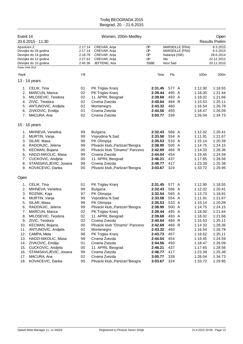| Event 14                                                                                      | 20.6.2015 - 11:30                                                                                                                                                                                                                                                                                                  | Women, 200m Medley                                                                           |                                                                                                                                                                                                                                                                                                                                |                                                                                                                                                                              |                                                                                                                                  |                                           |                                                                                                                                                                              | Open<br><b>Results Prelim</b>                                                                                                                                                |  |  |
|-----------------------------------------------------------------------------------------------|--------------------------------------------------------------------------------------------------------------------------------------------------------------------------------------------------------------------------------------------------------------------------------------------------------------------|----------------------------------------------------------------------------------------------|--------------------------------------------------------------------------------------------------------------------------------------------------------------------------------------------------------------------------------------------------------------------------------------------------------------------------------|------------------------------------------------------------------------------------------------------------------------------------------------------------------------------|----------------------------------------------------------------------------------------------------------------------------------|-------------------------------------------|------------------------------------------------------------------------------------------------------------------------------------------------------------------------------|------------------------------------------------------------------------------------------------------------------------------------------------------------------------------|--|--|
| Apsolutni Z<br>Points: FINA 2014                                                              | Devojke do 16 godina<br>Devojke do 14 godina<br>Devojke do 12 godina<br>Devojke do 10 godina                                                                                                                                                                                                                       | 2:17.14<br>2:17.14<br>2:18.76<br>2:27.62<br>2:45.36                                          | CREVAR, Anja<br>CREVAR, Anja<br>CREVAR, Anja<br>CREVAR, Anja<br>JEFTENIC, Ana                                                                                                                                                                                                                                                  | DP<br>DP<br>DP<br>DP<br><b>SSBE</b>                                                                                                                                          | Natanya (ISR)<br><b>NIs</b><br>Novi Sad                                                                                          | <b>MARSEILLE (FRA)</b><br>MARSEILLE (FRA) |                                                                                                                                                                              | 8.3.2015<br>8.3.2015<br>28.6.2014<br>22.12.2012<br>20.11.2010                                                                                                                |  |  |
| Rank                                                                                          |                                                                                                                                                                                                                                                                                                                    | YB                                                                                           |                                                                                                                                                                                                                                                                                                                                | Time                                                                                                                                                                         | Pts                                                                                                                              |                                           | 100m                                                                                                                                                                         | 200m                                                                                                                                                                         |  |  |
|                                                                                               | 13 - 14 years                                                                                                                                                                                                                                                                                                      |                                                                                              |                                                                                                                                                                                                                                                                                                                                |                                                                                                                                                                              |                                                                                                                                  |                                           |                                                                                                                                                                              |                                                                                                                                                                              |  |  |
| 2.<br>3.<br>4.<br>6.                                                                          | 1. CELIK, Tina<br>MARCUN, Manca<br>MILOSEVIC, Teodora<br>ZIVIC, Teodora<br>5. ANTUNOVIC, Andjela<br>ZIVKOVIC, Emilija<br>7. MACURA, Ana                                                                                                                                                                            | 01<br>02<br>02<br>02<br>02<br>01<br>02                                                       | PK Triglav Kranj<br>PK Triglav Kranj<br>11. APRIL Beograd<br>Crvena Zvezda<br>Montenegro<br>Crvena Zvezda<br>Crvena Zvezda                                                                                                                                                                                                     | 2:31.45<br>2:39.44<br>2:39.68<br>2:40.64<br>2:43.32<br>2:44.56<br>3:00.77                                                                                                    | 577 A<br>495 A<br>493 A<br>484 R<br>460<br>450<br>339                                                                            |                                           | 1:12.90<br>1:18.00<br>1:18.02<br>1:15.53<br>1:16.54<br>1:18.47<br>1:26.04                                                                                                    | 1:18.55<br>1:21.44<br>1:21.66<br>1:25.11<br>1:26.78<br>1:26.09<br>1:34.73                                                                                                    |  |  |
|                                                                                               | 15 - 16 years                                                                                                                                                                                                                                                                                                      |                                                                                              |                                                                                                                                                                                                                                                                                                                                |                                                                                                                                                                              |                                                                                                                                  |                                           |                                                                                                                                                                              |                                                                                                                                                                              |  |  |
| 1.<br>2.<br>3.<br>4.<br>5.<br>7.<br>8.                                                        | MIHNEVA, Venelina<br>MURTIN, Vanja<br>SILAR, Masa<br>RADONJIC, Jelena<br>KECMAN, Bojana<br>6. HADZI-NIKOLIC, Masa<br>CUCKOVIC, Andjela<br>STANISAVLJEVIC, Jovana<br>9. KOVACEVIC, Danka                                                                                                                            | 99<br>99<br>99<br>99<br>00<br>99<br>00<br>99<br>00                                           | <b>Bulgaria</b><br>Vojvodina N.Sad<br>PK Olimpija<br>Plivacki klub,, Partizan" Beogra<br>Plivacki klub "Dinamo" Pancevo<br>Crvena Zvezda<br>11. APRIL Beograd<br>Crvena Zvezda<br>Plivacki klub,, Partizan" Beogra                                                                                                             | 2:32.43<br>2:33.58<br>2:35.53<br>2:38.90<br>2:42.69<br>2:44.04<br>2:46.21<br>2:48.77<br>3:03.67                                                                              | 566 A<br>554 A<br>533 A<br>500 A<br>466 R<br>454<br>437<br>417<br>324                                                            |                                           | 1:12.02<br>1:11.91<br>1:15.14<br>1:14.75<br>1:14.33<br>1:19.45<br>1:17.65<br>1:23.39<br>1:33.72                                                                              | 1:20.41<br>1:21.67<br>1:20.39<br>1:24.15<br>1:28.36<br>1:24.59<br>1:28.56<br>1:25.38<br>1:29.95                                                                              |  |  |
| Open                                                                                          |                                                                                                                                                                                                                                                                                                                    |                                                                                              |                                                                                                                                                                                                                                                                                                                                |                                                                                                                                                                              |                                                                                                                                  |                                           |                                                                                                                                                                              |                                                                                                                                                                              |  |  |
| 1.<br>2.<br>3.<br>4.<br>5.<br>6.<br>7.<br>8.<br>10.<br>11.<br>12.<br>13.<br>14.<br>15.<br>16. | CELIK, Tina<br>MIHNEVA, Venelina<br>ROZNIK, Kaja<br>MURTIN, Vanja<br>SILAR, Masa<br>RADONJIC, Jelena<br>MARCUN, Manca<br>MILOSEVIC, Teodora<br>9. ZIVIC, Teodora<br>KECMAN, Bojana<br>ANTUNOVIC, Andjela<br>CAMPA, Meta<br>HADZI-NIKOLIC, Masa<br>ZIVKOVIC, Emilija<br>CUCKOVIC, Andjela<br>STANISAVLJEVIC, Jovana | 01<br>99<br>97<br>99<br>99<br>99<br>02<br>02<br>02<br>00<br>02<br>98<br>99<br>01<br>00<br>99 | PK Triglav Kranj<br><b>Bulgaria</b><br>PK Olimpija<br>Vojvodina N.Sad<br>PK Olimpija<br>Plivacki klub,, Partizan" Beogra<br>PK Triglav Kranj<br>11. APRIL Beograd<br>Crvena Zvezda<br>Plivacki klub "Dinamo" Pancevo<br>Montenegro<br>PK Triglav Kranj<br>Crvena Zvezda<br>Crvena Zvezda<br>11. APRIL Beograd<br>Crvena Zvezda | 2:31.45<br>2:32.43<br>2:32.54<br>2:33.58<br>2:35.53<br>2:38.90<br>2:39.44<br>2:39.68<br>2:40.64<br>2:42.69<br>2:43.32<br>2:43.73<br>2:44.04<br>2:44.56<br>2:46.21<br>2:48.77 | 577 A<br>566 A<br>565 A<br>554 A<br>533 A<br>500 A<br>495 A<br>493 A<br>484 R<br>466 R<br>460<br>457<br>454<br>450<br>437<br>417 |                                           | 1:12.90<br>1:12.02<br>1:13.73<br>1:11.91<br>1:15.14<br>1:14.75<br>1:18.00<br>1:18.02<br>1:15.53<br>1:14.33<br>1:16.54<br>1:18.62<br>1:19.45<br>1:18.47<br>1:17.65<br>1:23.39 | 1:18.55<br>1:20.41<br>1:18.81<br>1:21.67<br>1:20.39<br>1:24.15<br>1:21.44<br>1:21.66<br>1:25.11<br>1:28.36<br>1:26.78<br>1:25.11<br>1:24.59<br>1:26.09<br>1:28.56<br>1:25.38 |  |  |
| 17.<br>18.                                                                                    | MACURA, Ana<br>KOVACEVIC, Danka                                                                                                                                                                                                                                                                                    | 02<br>00                                                                                     | Crvena Zvezda<br>Plivacki klub,, Partizan" Beogra                                                                                                                                                                                                                                                                              | 3:00.77<br>3:03.67                                                                                                                                                           | 339<br>324                                                                                                                       |                                           | 1:26.04<br>1:33.72                                                                                                                                                           | 1:34.73<br>1:29.95                                                                                                                                                           |  |  |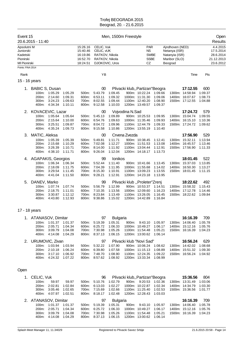| Event 15                                                                                      | 20.6.2015 - 11:40                       |                                                      |                                          | Men, 1500m Freestyle                                     |                                                                                                                                                                                                                          |                                          |                                 |                                                                         |                                          |                                                               |                                                                   |                                      | Open<br>Results |
|-----------------------------------------------------------------------------------------------|-----------------------------------------|------------------------------------------------------|------------------------------------------|----------------------------------------------------------|--------------------------------------------------------------------------------------------------------------------------------------------------------------------------------------------------------------------------|------------------------------------------|---------------------------------|-------------------------------------------------------------------------|------------------------------------------|---------------------------------------------------------------|-------------------------------------------------------------------|--------------------------------------|-----------------|
| Apsolutni M<br>Juniorski<br>Kadetski<br>Pionirski<br><b>MI Pionirski</b><br>Points: FINA 2014 |                                         |                                                      |                                          | 15:26.16<br>15:40.46<br>16:19.86<br>16:52.70<br>18:24.51 | CELIC, Vuk<br>PAR<br>Ajndhoven (NED)<br><b>NS</b><br>CELIC, VUK<br>Netanya (ISR)<br><b>SWBE</b><br>RATKOV, Nikola<br>Natanyia (ISR)<br><b>SSBE</b><br>RATKOV, Nikola<br>Maribor (SLO)<br>DJOKOVIC, Uros<br>CZ<br>Beograd |                                          |                                 |                                                                         |                                          | 4.4.2015<br>17.5.2014<br>28.6.2014<br>21.12.2013<br>23.6.2012 |                                                                   |                                      |                 |
| Rank                                                                                          |                                         |                                                      |                                          |                                                          | YB                                                                                                                                                                                                                       |                                          |                                 |                                                                         |                                          |                                                               | Time                                                              | Pts                                  |                 |
| 15 - 16 years                                                                                 |                                         |                                                      |                                          |                                                          |                                                                                                                                                                                                                          |                                          |                                 |                                                                         |                                          |                                                               |                                                                   |                                      |                 |
|                                                                                               |                                         |                                                      |                                          |                                                          |                                                                                                                                                                                                                          |                                          |                                 |                                                                         |                                          |                                                               |                                                                   |                                      |                 |
| 1.                                                                                            | <b>BABIC S, Dusan</b><br>200m:<br>300m: | 100m: 1:05.29<br>2:14.60<br>3:24.23<br>400m: 4:34.34 | 1:05.29<br>1:09.31<br>1:09.63<br>1:10.11 | 500m.<br>600m:<br>700m:<br>800m:                         | 00<br>5:43.79<br>6:53.11<br>8:02.55<br>9:12.58                                                                                                                                                                           | 1:09.45<br>1:09.32<br>1:09.44<br>1:10.03 | Plivacki klub,, Partizan"Beogra | 900m: 10:22.24<br>1000m: 11:31.30<br>1100m: 12:40.20<br>1200m: 13:49.57 | 1:09.66<br>1:09.06<br>1:08.90<br>1:09.37 |                                                               | 17:12.55<br>1300m: 14:58.94<br>1400m: 16:07.67<br>1500m: 17:12.55 | 600<br>1:09.37<br>1:08.73<br>1:04.88 |                 |
| 2.                                                                                            | KOVACEVIC, Lazar                        |                                                      |                                          |                                                          | 00                                                                                                                                                                                                                       |                                          | Vojvodina N.Sad                 |                                                                         |                                          |                                                               | 17:24.72                                                          | 579                                  |                 |
|                                                                                               | 100m:                                   | 1:05.64                                              | 1:05.64                                  | 500m:                                                    | 5:45.13                                                                                                                                                                                                                  | 1:09.89                                  |                                 | 900m: 10:25.53                                                          | 1:09.95                                  |                                                               | 1300m: 15:04.74                                                   | 1:09.55                              |                 |
|                                                                                               | 200m:                                   | 2:15.64                                              | 1:10.00                                  | 600m:                                                    | 6:54.76                                                                                                                                                                                                                  | 1:09.63                                  |                                 | 1000m: 11:35.46                                                         | 1:09.93                                  |                                                               | 1400m: 16:15.10                                                   | 1:10.36                              |                 |
|                                                                                               | 300m:<br>400m:                          | 3:25.51<br>4:35.24                                   | 1:09.87<br>1:09.73                       | 700m:<br>800m:                                           | 8:04.72<br>9:15.58                                                                                                                                                                                                       | 1:09.96<br>1:10.86                       |                                 | 1100m: 12:44.79<br>1200m: 13:55.19                                      | 1:09.33<br>1:10.40                       |                                                               | 1500m: 17:24.72                                                   | 1:09.62                              |                 |
| 3.                                                                                            | MATIC, Aleksa                           |                                                      |                                          |                                                          | 00                                                                                                                                                                                                                       |                                          | Crvena Zvezda                   |                                                                         |                                          |                                                               | 17:56.90                                                          | 529                                  |                 |
|                                                                                               | 200m:<br>300m:<br>400m:                 | 100m: 1:05.39<br>2:15.68<br>3:26.39<br>4:38.10       | 1:05.39<br>1:10.29<br>1:10.71<br>1:11.71 | 500m:<br>600m:<br>700m:<br>800m:                         | 5:49.81<br>7:02.08<br>8:14.00<br>9:26.04                                                                                                                                                                                 | 1:11.71<br>1:12.27<br>1:11.92<br>1:12.04 |                                 | 900m: 10:38.45<br>1000m: 11:51.53<br>1100m: 13:04.44<br>1200m: 14:18.17 | 1.12.41<br>1:13.08<br>1:12.91<br>1:13.73 |                                                               | 1300m: 15:32.11<br>1400m: 16:45.57<br>1500m: 17:56.90             | 1:13.94<br>1:13.46<br>1:11.33        |                 |
|                                                                                               | 4. AGAPAKIS, Georgios                   |                                                      |                                          |                                                          | 99                                                                                                                                                                                                                       | Ionikos                                  |                                 |                                                                         |                                          |                                                               | 18:01.45                                                          | 522                                  |                 |
|                                                                                               | 100m:                                   | 1:06.34                                              | 1:06.34                                  | 500m.                                                    | 5:52.44                                                                                                                                                                                                                  | 1:11.40                                  |                                 | 900m: 10:41.66                                                          | 1:13.45                                  |                                                               | 1300m: 15:37.03                                                   | 1:13.85                              |                 |
|                                                                                               | 200m:                                   | 2:18.09                                              | 1:11.75                                  | 600m:                                                    | 7:04.39                                                                                                                                                                                                                  | 1:11.95                                  |                                 | 1000m: 11:55.68                                                         | 1:14.02                                  |                                                               | 1400m: 16:50.30                                                   | 1:13.27                              |                 |
|                                                                                               | 300m:<br>400m:                          | 3:29.54<br>4:41.04                                   | 1:11.45<br>1:11.50                       | 700m:<br>800m:                                           | 8:15.30<br>9:28.21                                                                                                                                                                                                       | 1:10.91<br>1:12.91                       |                                 | 1100m: 13:09.23<br>1200m: 14:23.18                                      | 1:13.55<br>1:13.95                       |                                                               | 1500m: 18:01.45                                                   | 1:11.15                              |                 |
| 5.                                                                                            | DANEV, Marko                            |                                                      |                                          |                                                          | 99                                                                                                                                                                                                                       |                                          | Plivacki klub "Proleter"Zrenj   |                                                                         |                                          |                                                               | 18:22.62                                                          | 492                                  |                 |
|                                                                                               | 100m:                                   | 1:07.74                                              | 1:07.74                                  | 500m:                                                    | 5:56.79                                                                                                                                                                                                                  | 1:12.99                                  |                                 | 900m: 10:53.37                                                          | 1:14.51                                  |                                                               | 1300m: 15:58.32                                                   | 1:15.43                              |                 |
|                                                                                               | 200m:                                   | 2:18.75                                              | 1:11.01                                  | 600m:                                                    | 7:10.35                                                                                                                                                                                                                  | 1:13.56                                  |                                 | 1000m: 12:09.60                                                         | 1:16.23                                  |                                                               | 1400m: 17:12.78                                                   | 1:14.46                              |                 |
|                                                                                               | 300m:<br>400m:                          | 3:30.87<br>4:43.80                                   | 1:12.12<br>1:12.93                       | 700m:<br>800m:                                           | 8:23.84<br>9:38.86                                                                                                                                                                                                       | 1:13.49<br>1:15.02                       |                                 | 1100m: 13:26.05<br>1200m: 14:42.89                                      | 1:16.45<br>1:16.84                       |                                                               | 1500m: 18:22.62                                                   | 1:09.84                              |                 |

#### 17 - 18 years

| 1. ATANASOV, Dimitar |         |         |          | 97      | <b>Bulgaria</b> |       |                                    |         | 16:16.39        | 709     |
|----------------------|---------|---------|----------|---------|-----------------|-------|------------------------------------|---------|-----------------|---------|
| $100m$ :             | 1:01.37 | 1:01.37 | $500m$ : | 5:19.39 | 1:05.31         | 900m: | 9:43.10                            | 1:05.97 | 1300m: 14:06.40 | 1:05.78 |
| 200 <sub>m</sub> :   | 2:05.71 | 1:04.34 | 600m:    | 6:25.72 | 1:06.33         |       | 1000m: 10:49.27                    | 1:06.17 | 1400m: 15:12.16 | 1:05.76 |
| $300m$ :             | 3:09.79 | 1:04.08 | 700m:    | 7:30.98 | 1:05.26         |       | 1100m: 11:54.48                    | 1:05.21 | 1500m: 16:16.39 | 1:04.23 |
| 400m:                | 4:14.08 | 1:04.29 | 800m:    | 8:37.13 | 1:06.15         |       | 1200m: 13:00.62                    | 1:06.14 |                 |         |
|                      |         |         |          |         |                 |       |                                    |         |                 |         |
| 2. URUMOVIC, Zivan   |         |         |          | .97     |                 |       | Plivacki klub "Novi Sad"           |         | 16:56.24        | 629     |
| 100m                 | 1:03.94 | 1:03.94 | 500m.    | 5:32.22 | 1:07.90         |       | 900m: 10:06.24                     | 1:08.62 | 1300m: 14:42.02 | 1:08.68 |
| 200 <sub>m</sub> :   | 2:10.18 | 1:06.24 | 600m:    | 6:39.80 | 1:07.58         |       | 1000m: 11:15.13                    | 1:08.89 | 1400m: 15:51.32 | 1:09.30 |
| $300m$ :             | 3:17.10 | 1:06.92 | 700m:    | 7:48.70 | 1:08.90         |       | 1100m: 12:24.35<br>1200m: 13:33.34 | 1:09.22 | 1500m: 16:56.24 | 1:04.92 |

#### Open

| 1. CELIC, Vuk        |         |         |       | 96      |                 |       | Plivacki klub,, Partizan "Beogra |         | 15:36.56        | 804     |
|----------------------|---------|---------|-------|---------|-----------------|-------|----------------------------------|---------|-----------------|---------|
| 100m:                | 59.97   | 59.97   | 500m: | 5:10.76 | 1:02.79         |       | 900m: 9:20.53                    | 1:02.36 | 1300m: 13:31.49 | 1:03.06 |
| 200m:                | 2:02.81 | 1:02.84 | 600m: | 6:13.03 | 1:02.27         |       | 1000m: 10:22.87                  | 1:02.34 | 1400m: 14:34.79 | 1:03.30 |
| 300m:                | 3:05.46 | 1:02.65 | 700m: | 7:15.69 | 1:02.66         |       | 1100m: 11:25.40                  | 1:02.53 | 1500m: 15:36.56 | 1:01.77 |
| 400m:                | 4:07.97 | 1:02.51 | 800m: | 8:18.17 | 1:02.48         |       | 1200m: 12:28.43                  | 1:03.03 |                 |         |
|                      |         |         |       |         |                 |       |                                  |         |                 |         |
| 2. ATANASOV, Dimitar |         |         |       | 97      | <b>Bulgaria</b> |       |                                  |         | 16:16.39        | 709     |
| $100m$ :             | 1:01.37 | 1:01.37 | 500m: | 5:19.39 | 1:05.31         | 900m: | 9:43.10                          | 1:05.97 | 1300m: 14:06.40 | 1:05.78 |
| 200 <sub>m</sub> :   | 2:05.71 | 1:04.34 | 600m: | 6:25.72 | 1:06.33         |       | 1000m: 10:49.27                  | 1:06.17 | 1400m: 15:12.16 | 1:05.76 |
| $300m$ :             | 3:09.79 | 1:04.08 | 700m: | 7:30.98 | 1:05.26         |       | 1100m: 11:54.48                  | 1:05.21 | 1500m: 16:16.39 | 1:04.23 |
| 400m:                | 4:14.08 | 1:04.29 | 800m. | 8:37.13 | 1:06.15         |       | 1200m: 13:00.62                  | 1:06.14 |                 |         |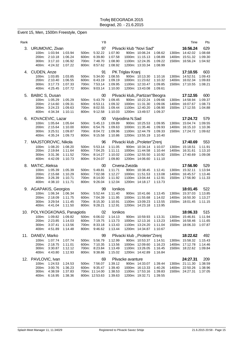#### Event 15, Men, 1500m Freestyle, Open

| Rank |                                                                                                       |                                          |                                  | ΥB                                                           |                                                     |                                  |                                                                         |                                          | Time                                                              | Pts                                  |
|------|-------------------------------------------------------------------------------------------------------|------------------------------------------|----------------------------------|--------------------------------------------------------------|-----------------------------------------------------|----------------------------------|-------------------------------------------------------------------------|------------------------------------------|-------------------------------------------------------------------|--------------------------------------|
| 3.   | URUMOVIC, Zivan<br>1:03.94<br>100m:<br>200m:<br>2:10.18<br>3:17.10<br>300m:<br>400m:<br>4:24.32       | 1:03.94<br>1:06.24<br>1:06.92<br>1:07.22 | 500m:<br>600m:<br>700m:<br>800m: | 97<br>5:32.22<br>6:39.80<br>7:48.70<br>8:57.62               | 1:07.90<br>1:07.58<br>1:08.90<br>1:08.92            | Plivacki klub "Novi Sad"         | 900m: 10:06.24<br>1000m: 11:15.13<br>1100m: 12:24.35<br>1200m: 13:33.34 | 1:08.62<br>1:08.89<br>1:09.22<br>1:08.99 | 16:56.24<br>1300m: 14:42.02<br>1400m: 15:51.32<br>1500m: 16:56.24 | 629<br>1:08.68<br>1:09.30<br>1:04.92 |
|      | 4. CUDEN, Anze<br>1:03.85<br>100m:<br>200m:<br>2:10.40<br>3:17.73<br>300m:<br>400m:<br>4.25.45        | 1:03.85<br>1:06.55<br>1:07.33<br>1:07.72 | 500m:<br>600m:<br>700m:<br>800m: | 91<br>5:34.00<br>6:43.19<br>7:53.14<br>9:03.14               | 1:08.55<br>1:09.19<br>1:09.95<br>1:10.00            | PK Triglav Kranj                 | 900m: 10:13.30<br>1000m: 11:23.62<br>1100m: 12:33.47<br>1200m: 13:43.08 | 1:10.16<br>1:10.32<br>1:09.85<br>1:09.61 | 17:10.55<br>1300m: 14:52.51<br>1400m: 16:02.34<br>1500m: 17:10.55 | 603<br>1:09.43<br>1:09.83<br>1:08.21 |
| 5.   | <b>BABIC S, Dusan</b><br>100m: 1:05.29<br>200m:<br>2:14.60<br>300m:<br>3:24.23<br>400m.<br>4.34.34    | 1:05.29<br>1:09.31<br>1:09.63<br>1:10.11 | 500m:<br>600m:<br>700m:<br>800m: | 00<br>5.43.79<br>6:53.11<br>8:02.55<br>9:12.58               | 1:09.45<br>1:09.32<br>1:09.44<br>1:10.03            | Plivacki klub,, Partizan "Beogra | 900m: 10:22.24<br>1000m: 11:31.30<br>1100m: 12:40.20<br>1200m: 13:49.57 | 1:09.66<br>1:09.06<br>1:08.90<br>1:09.37 | 17:12.55<br>1300m: 14:58.94<br>1400m: 16:07.67<br>1500m: 17:12.55 | 600<br>1:09.37<br>1:08.73<br>1:04.88 |
| 6.   | KOVACEVIC, Lazar<br>1:05.64<br>100m:<br>200m:<br>2:15.64<br>300m:<br>3:25.51<br>400m:<br>4.35.24      | 1:05.64<br>1:10.00<br>1:09.87<br>1:09.73 | 500m:<br>600m:<br>700m:<br>800m: | 00<br>5:45.13<br>6:54.76<br>8:04.72<br>9:15.58               | 1:09.89<br>1:09.63<br>1:09.96<br>1:10.86            | Vojvodina N.Sad                  | 900m: 10:25.53<br>1000m: 11:35.46<br>1100m: 12:44.79<br>1200m: 13:55.19 | 1:09.95<br>1:09.93<br>1:09.33<br>1:10.40 | 17:24.72<br>1300m: 15:04.74<br>1400m: 16:15.10<br>1500m: 17:24.72 | 579<br>1:09.55<br>1:10.36<br>1:09.62 |
| 7.   | MAJSTOROVIC, Nikola<br>1:08.20<br>100m:<br>2:19.84<br>200m:<br>300m:<br>3:31.36<br>400m:<br>4:42.09   | 1:08.20<br>1:11.64<br>1:11.52<br>1:10.73 | 500m:<br>600m:<br>700m:<br>800m: | 96<br>5:53.14<br>7:04.25<br>8:14.27<br>9:24.07               | 1:11.05<br>1:11.11<br>1:10.02<br>1:09.80            | Plivacki klub "Proleter"Zrenj    | 900m: 10:34.14<br>1000m: 11:44.58<br>1100m: 12:55.50<br>1200m: 14:06.60 | 1:10.07<br>1:10.44<br>1:10.92<br>1:11.10 | 17:40.69<br>1300m: 15:18.51<br>1400m: 16:31.61<br>1500m: 17:40.69 | 553<br>1:11.91<br>1:13.10<br>1:09.08 |
| 8.   | MATIC, Aleksa<br>1:05.39<br>100m:<br>200m:<br>2:15.68<br>3:26.39<br>300m:<br>400m:<br>4:38.10         | 1:05.39<br>1:10.29<br>1:10.71<br>1:11.71 | 500m:<br>600m:<br>700m:<br>800m: | 00<br>5:49.81<br>7:02.08<br>8:14.00<br>9:26.04               | 1:11.71<br>1:12.27<br>1:11.92<br>1:12.04            | Crvena Zvezda                    | 900m: 10:38.45<br>1000m: 11:51.53<br>1100m: 13:04.44<br>1200m: 14:18.17 | 1:12.41<br>1:13.08<br>1:12.91<br>1:13.73 | 17:56.90<br>1300m: 15:32.11<br>1400m: 16:45.57<br>1500m: 17:56.90 | 529<br>1:13.94<br>1:13.46<br>1:11.33 |
|      | 9. AGAPAKIS, Georgios<br>1:06.34<br>100m:<br>200m:<br>2:18.09<br>3:29.54<br>300m:<br>4:41.04<br>400m: | 1:06.34<br>1:11.75<br>1:11.45<br>1:11.50 | 500m:<br>600m:<br>700m:<br>800m: | 99<br>5:52.44<br>7:04.39<br>8:15.30<br>9:28.21               | Ionikos<br>1:11.40<br>1:11.95<br>1:10.91<br>1:12.91 |                                  | 900m: 10:41.66<br>1000m: 11:55.68<br>1100m: 13:09.23<br>1200m: 14:23.18 | 1:13.45<br>1:14.02<br>1:13.55<br>1:13.95 | 18:01.45<br>1300m: 15:37.03<br>1400m: 16:50.30<br>1500m: 18:01.45 | 522<br>1:13.85<br>1:13.27<br>1:11.15 |
| 10.  | POLYKOGKONAS, Panagiotis<br>1:09.82<br>100m:<br>200m: 2:23.85<br>3:37.41<br>300m:<br>400m:<br>4:51.89 | 1:09.82<br>1:14.03<br>1:13.56<br>1:14.48 | 500m:<br>600m:<br>700m:<br>800m: | 02<br>6:06.02<br>7:19.75<br>8:33.18<br>9:46.62               | Ionikos<br>1:14.13<br>1:13.73<br>1:13.43<br>1:13.44 |                                  | 900m: 10:59.93<br>1000m: 12:13.16<br>1100m: 13:24.20<br>1200m: 14:34.87 | 1:13.31<br>1:13.23<br>1:11.04<br>1:10.67 | 18:06.33<br>1300m: 15:46.81<br>1400m: 16:58.46<br>1500m: 18:06.33 | 515<br>1:11.94<br>1:11.65<br>1:07.87 |
|      | 11. DANEV, Marko<br>100m:<br>1:07.74<br>2:18.75<br>200m:<br>300m:<br>3:30.87<br>400m:<br>4:43.80      | 1:07.74<br>1:11.01<br>1:12.12<br>1:12.93 | 500m:<br>600m:<br>700m:<br>800m: | 99<br>5:56.79<br>7:10.35<br>8:23.84<br>9:38.86               | 1:12.99<br>1:13.56<br>1:13.49<br>1:15.02            | Plivacki klub "Proleter"Zrenj    | 900m: 10:53.37<br>1000m: 12:09.60<br>1100m: 13:26.05<br>1200m: 14:42.89 | 1:14.51<br>1:16.23<br>1:16.45<br>1:16.84 | 18:22.62<br>1300m: 15:58.32<br>1400m: 17:12.78<br>1500m: 18:22.62 | 492<br>1:15.43<br>1:14.46<br>1:09.84 |
| 12.  | PAVLOVIC, Ivan<br>100m:<br>1:24.53<br>3:00.76<br>200m:<br>300m:<br>4:38.59<br>400m:<br>6:16.95        | 1:24.53<br>1:36.23<br>1:37.83<br>1:38.36 | 500m:<br>600m:                   | 69<br>7:56.07<br>9:35.47<br>700m: 11:14.00<br>800m: 12:53.63 | 1:39.12<br>1:39.40<br>1:38.53<br>1:39.63            | Plivacke avanture                | 900m: 14:33.07<br>1000m: 16:13.33<br>1100m: 17:53.16<br>1200m: 19:32.71 | 1:39.44<br>1:40.26<br>1:39.83<br>1:39.55 | 24:27.31<br>1300m: 21:11.30<br>1400m: 22:50.26<br>1500m: 24:27.31 | 209<br>1:38.59<br>1:38.96<br>1:37.05 |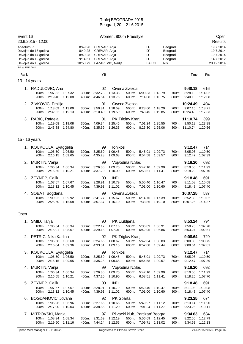| Event 16<br>20.6.2015 - 12:00                                                                                                    |                                                                           |                    |                                                      |                                                              | Women, 800m Freestyle              |                                    |                                                                                    |                    |                                          |                                               |                           | Open<br>Results                                                |
|----------------------------------------------------------------------------------------------------------------------------------|---------------------------------------------------------------------------|--------------------|------------------------------------------------------|--------------------------------------------------------------|------------------------------------|------------------------------------|------------------------------------------------------------------------------------|--------------------|------------------------------------------|-----------------------------------------------|---------------------------|----------------------------------------------------------------|
| Apsolutni Z<br>Devojke do 16 godina<br>Devojke do 14 godina<br>Devojke do 12 godina<br>Devojke do 10 godina<br>Points: FINA 2014 |                                                                           |                    | 8:49.28<br>8:49.28<br>8:49.28<br>9:14.61<br>10:50.79 | CREVAR, Anja<br>CREVAR, Anja<br>CREVAR, Anja<br>CREVAR, Anja | LAZAREVIC, Nadja                   |                                    | DP<br>DP<br><b>DP</b><br>DP<br>LAKOL                                               | Nis                | Beograd<br>Beograd<br>Beograd<br>Beograd |                                               |                           | 19.7.2014<br>19.7.2014<br>19.7.2014<br>14.7.2012<br>20.12.2014 |
|                                                                                                                                  |                                                                           |                    |                                                      |                                                              |                                    |                                    |                                                                                    |                    |                                          |                                               |                           |                                                                |
| Rank                                                                                                                             |                                                                           |                    |                                                      | YB                                                           |                                    |                                    |                                                                                    |                    |                                          | Time                                          | Pts                       |                                                                |
| 13 - 14 years                                                                                                                    |                                                                           |                    |                                                      |                                                              |                                    |                                    |                                                                                    |                    |                                          |                                               |                           |                                                                |
|                                                                                                                                  | 1. RADULOVIC, Ana<br>100m: 1:07.32 1:07.32<br>200m: 2:19.40               | 1:12.08            | 300m:<br>400m:                                       | 02<br>3:32.78<br>4:46.54                                     | 1:13.38<br>1:13.76                 | Crvena Zvezda<br>500m:<br>600m:    | 6:00.33<br>7:14.08                                                                 | 1:13.79<br>1:13.75 | 700m:<br>800m:                           | 9:40.18<br>8:28.10<br>9:40.18                 | 616<br>1:14.02<br>1:12.08 |                                                                |
| 2.<br>200m:                                                                                                                      | ZIVKOVIC, Emilija<br>100m: 1:13.09<br>2:32.22                             | 1:13.09<br>1:19.13 | 300m:<br>400m:                                       | 01<br>3.50.81<br>5:10.40                                     | 1:18.59<br>1:19.59                 | Crvena Zvezda<br>500m:<br>600m:    | 6.28.60<br>7:48.45                                                                 | 1:18.20<br>1:19.85 | 700m:                                    | 10:24.49<br>9:07.16<br>800m: 10:24.49         | 494<br>1:18.71<br>1:17.33 |                                                                |
| 3.                                                                                                                               | RABIC, Rafaela<br>100m:<br>1:19.08<br>200m: 2:43.88                       | 1:19.08<br>1:24.80 | 300m:<br>400m:                                       | 01<br>4:09.34<br>5:35.69                                     | 1:25.46<br>1:26.35                 | PK Triglav Kranj<br>500m:<br>600m: | 7:01.24<br>8:26.30                                                                 | 1:25.55<br>1:25.06 |                                          | 11:10.74<br>700m: 9:50.18<br>800m: 11:10.74   | 399<br>1:23.88<br>1:20.56 |                                                                |
| 15 - 16 years                                                                                                                    |                                                                           |                    |                                                      |                                                              |                                    |                                    |                                                                                    |                    |                                          |                                               |                           |                                                                |
| 100m:                                                                                                                            | 1. KOUKOULA, Eyaggelia<br>1:06.50<br>200m: 2:16.15                        | 1:06.50<br>1:09.65 | 300m:<br>400m:                                       | 99<br>3:25.60<br>4:35.28                                     | Ionikos<br>1:09.45<br>1:09.68      | 500m:<br>600m:                     | 5:45.01<br>6.54.58                                                                 | 1:09.73<br>1:09.57 | 700m:<br>800m:                           | 9:12.47<br>8:05.08<br>9:12.47                 | 714<br>1:10.50<br>1:07.39 |                                                                |
| 2.<br>100m:<br>200m:                                                                                                             | MURTIN, Vanja<br>1:06.34<br>2:16.55                                       | 1:06.34<br>1:10.21 | 300m:<br>400m:                                       | 99<br>3.26.30<br>4:37.20                                     | 1:09.75<br>1:10.90                 | Vojvodina N.Sad<br>500m:<br>600m:  | 5:47.10<br>6:58.51                                                                 | 1:09.90<br>1:11.41 | 700m:<br>800m:                           | 9:18.20<br>8:10.50<br>9:18.20                 | 692<br>1:11.99<br>1:07.70 |                                                                |
| 3.<br>200m:                                                                                                                      | ZEYNEP, Calik<br>100m:<br>1:07.67<br>2:18.12                              | 1:07.67<br>1:10.45 | 300m:<br>400m:                                       | 00<br>3:28.91<br>4:39.93                                     | <b>IND</b><br>1:10.79<br>1:11.02   | 500m:<br>600m:                     | 5:50.40<br>7:01.00                                                                 | 1:10.47<br>1:10.60 | 700m:<br>800m:                           | 9:18.48<br>8:11.08<br>9:18.48                 | 691<br>1:10.08<br>1:07.40 |                                                                |
| 100m:<br>200m:                                                                                                                   | 4. SOBAT, Bogdana<br>1:09.92<br>2:25.60                                   | 1:09.92<br>1:15.68 | 300m:<br>400m:                                       | 99<br>3:41.27<br>4:57.37                                     | 1:15.67<br>1:16.10                 | Crvena Zvezda<br>500m:<br>600m:    | 6:14.76<br>7:33.86                                                                 | 1:17.39<br>1:19.10 | 700m:                                    | 10:07.25<br>8:52.88<br>800m: 10:07.25         | 537<br>1:19.02<br>1:14.37 |                                                                |
| Open                                                                                                                             |                                                                           |                    |                                                      |                                                              |                                    |                                    |                                                                                    |                    |                                          |                                               |                           |                                                                |
| 1. SMID, Tanja                                                                                                                   | 100m: 1:06.34 1:06.34<br>200m: 2:15.01 1:08.67                            |                    |                                                      | 90<br>300m: 3:22.17<br>400m: 4:29.18                         | PK Ljubljana<br>1:07.16<br>1:07.01 | 500m:<br>600m:                     | 5:36.09 1:06.91<br>6:42.95                                                         | 1:06.86            | 700m:<br>800m:                           | 8:53.24<br>7:50.73 1:07.78<br>8:53.24 1:02.51 | 794                       |                                                                |
|                                                                                                                                  | 2. PETRIC, Nika Karlina<br>100m: 1:06.68 1:06.68<br>200m: 2:16.04 1:09.36 |                    | 300m:                                                | 92<br>3:24.66<br>400m: 4:33.81                               | 1:08.62<br>1:09.15                 | PK Triglav Kranj                   | 500m: 5:42.64<br>600m: 6:52.08                                                     | 1:08.83<br>1:09.44 | 700m:<br>800m:                           | 9:08.64<br>8:00.83 1:08.75<br>9:08.64         | 729<br>1:07.81            |                                                                |
|                                                                                                                                  | 3. KOUKOULA, Eyaggelia<br>100m: 1:06.50 1:06.50<br>200m: 2:16.15          | 1:09.65            | 300m:                                                | 99<br>3:25.60<br>400m: 4:35.28                               | Ionikos<br>1:09.45<br>1:09.68      | 500m:<br>600m:                     | 5:45.01<br>6:54.58                                                                 | 1:09.73<br>1:09.57 | 700m:<br>800m:                           | 9:12.47<br>8:05.08 1:10.50<br>9:12.47         | 714<br>1:07.39            |                                                                |
|                                                                                                                                  | 4. MURTIN, Vanja<br>100m: 1:06.34<br>200m: 2:16.55                        | 1:06.34<br>1:10.21 | 300m:<br>400m:                                       | 99<br>3:26.30<br>4:37.20                                     | 1:09.75<br>1:10.90                 | Vojvodina N.Sad<br>500m:<br>600m:  | 5:47.10<br>6:58.51                                                                 | 1:09.90<br>1:11.41 | 700m:<br>800m:                           | 9:18.20<br>8:10.50 1:11.99<br>9:18.20         | 692<br>1:07.70            |                                                                |
| 5.<br>200m:                                                                                                                      | ZEYNEP, Calik<br>100m: 1:07.67<br>2:18.12                                 | 1:07.67<br>1:10.45 |                                                      | 00<br>300m: 3:28.91<br>400m: 4:39.93                         | <b>IND</b><br>1:10.79<br>1:11.02   | 500m:<br>600m:                     | 5:50.40<br>7:01.00                                                                 | 1:10.47<br>1:10.60 | 700m:<br>800m:                           | 9:18.48<br>8:11.08<br>9:18.48                 | 691<br>1:10.08<br>1:07.40 |                                                                |
| 6.                                                                                                                               | BOGDANOVIC, Jovana<br>100m: 1:06.96 1:06.96<br>200m: 2:17.00 1:10.04      |                    |                                                      | 92<br>300m: 3:27.65<br>400m: 4:38.85                         | PK Sparta<br>1:10.65<br>1:11.20    | 500m:<br>600m:                     | 5:49.97 1:11.12<br>7:01.24 1:11.27                                                 |                    | 700m:<br>800m:                           | 9:23.25<br>8:13.14 1:11.90<br>9:23.25         | 674<br>1:10.11            |                                                                |
| $\mathcal{L}$ .                                                                                                                  | MITROVSKI, Marija<br>1:08.34 1:08.34<br>100m:<br>200m: 2:19.50 1:11.16    |                    |                                                      | 97<br>300m: 3:31.69<br>400m: 4:44.24                         | 1:12.19<br>1:12.55                 |                                    | Plivacki klub,, Partizan" Beogra<br>500m: 5:56.69 1:12.45<br>600m: 7:09.71 1:13.02 |                    | 700m:<br>800m:                           | 9:34.63<br>8:22.50 1:12.79<br>9:34.63 1:12.13 | 634                       |                                                                |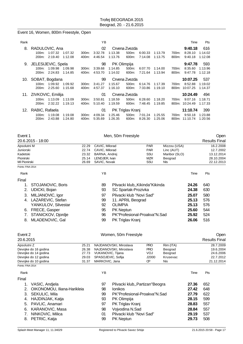#### Event 16, Women, 800m Freestyle, Open

| Rank |                                                                                                  |                   | ΥB                       |                    |                                    |                    |                    |                | Time                                  | Pts                       |
|------|--------------------------------------------------------------------------------------------------|-------------------|--------------------------|--------------------|------------------------------------|--------------------|--------------------|----------------|---------------------------------------|---------------------------|
| 8.   | RADULOVIC, Ana<br>1:07.32<br>$100m$ :<br>1:07.32<br>2:19.40<br>1:12.08<br>200m:                  | $300m$ :<br>400m: | 02<br>3:32.78<br>4:46.54 | 1:13.38<br>1:13.76 | Crvena Zvezda<br>500m:<br>600m:    | 6:00.33<br>7:14.08 | 1:13.79<br>1:13.75 | 700m:<br>800m: | 9:40.18<br>8:28.10<br>9:40.18         | 616<br>1:14.02<br>1:12.08 |
|      | 9. JELESIJEVIC, Spela<br>1:09.98<br>$100m$ :<br>1:09.98<br>2:24.83<br>1:14.85<br>200m:           | 300m.<br>400m:    | 98<br>3.39.68<br>4:53.70 | 1:14.85<br>1:14.02 | PK Olimpija<br>500m:<br>600m:      | 6:07.70<br>7:21.64 | 1:14.00<br>1:13.94 | 700m:<br>800m: | 9:47.78<br>8:35.60<br>9:47.78         | 593<br>1:13.96<br>1:12.18 |
|      | 10. SOBAT, Bogdana<br>1:09.92<br>1:09.92<br>100m:<br>2:25.60<br>1:15.68<br>200 <sub>m</sub> :    | 300m:<br>400m:    | 99<br>3:41.27<br>4:57.37 | 1:15.67<br>1:16.10 | Crvena Zvezda<br>500m:<br>600m:    | 6.14.76<br>7:33.86 | 1:17.39<br>1:19.10 | 700m:<br>800m: | 10:07.25<br>8:52.88<br>10:07.25       | 537<br>1:19.02<br>1:14.37 |
|      | 11. ZIVKOVIC, Emilija<br>1:13.09<br>1:13.09<br>$100m$ :<br>2:32.22<br>1:19.13<br>200m:           | 300m:<br>400m:    | 01<br>3:50.81<br>5:10.40 | 1:18.59<br>1:19.59 | Crvena Zvezda<br>500m:<br>600m:    | 6:28.60<br>7:48.45 | 1:18.20<br>1:19.85 | 700m:          | 10:24.49<br>9:07.16<br>800m: 10:24.49 | 494<br>1:18.71<br>1:17.33 |
|      | 12. RABIC, Rafaela<br>1:19.08<br>1:19.08<br>$100m$ :<br>200 <sub>m</sub> :<br>2:43.88<br>1:24.80 | 300m:<br>400m:    | 01<br>4:09.34<br>5:35.69 | 1:25.46<br>1:26.35 | PK Triglav Kranj<br>500m:<br>600m: | 7:01.24<br>8:26.30 | 1:25.55<br>1:25.06 | 700m:<br>800m: | 11:10.74<br>9:50.18<br>11:10.74       | 399<br>1:23.88<br>1.20.56 |

| Event 1                    |       | Men, 50m Freestyle          | Open                           |            |               |       |                      |            |
|----------------------------|-------|-----------------------------|--------------------------------|------------|---------------|-------|----------------------|------------|
| 20.6.2015 - 18:00          |       |                             |                                |            |               |       | <b>Results Final</b> |            |
| Apsolutni M                | 22.29 | CAVIC, Milorad              |                                | <b>PAR</b> | Mizzou (USA)  |       |                      | 16.2.2008  |
| Juniorski                  | 22.74 | CAVIC, Milorad              |                                | <b>PAR</b> | Linc (AUT)    |       | 12.7.2002            |            |
| Kadetski                   | 23.32 | BARNA, Andrej               |                                | SSU        | Maribor (SLO) |       |                      | 13.12.2014 |
| Pionirski                  | 25.14 | LENDJER, Ivan<br><b>MZR</b> |                                | Beograd    |               |       | 28.10.2004           |            |
| MI Pionirski               | 26.69 | SAVIC, Novak                |                                | SSU        | Nls           |       |                      | 22.12.2013 |
| Points: FINA 2014          |       |                             |                                |            |               |       |                      |            |
| Rank                       |       | ΥB                          |                                |            |               | Time  | Pts                  |            |
| Final                      |       |                             |                                |            |               |       |                      |            |
| STOJANOVIC, Boris          |       | 89                          | Plivacki klub,,Kikinda"Kikinda |            |               | 24.26 | 640                  |            |
| <b>UDICKI, Bojan</b><br>2. |       | 93                          | SC Spartak-Prozivka            |            |               | 24.38 | 630                  |            |
| MILJANOVIC, Igor<br>3.     |       | 97                          | Plivacki klub "Novi Sad"       |            |               | 25.07 | 580                  |            |
| LAZAREVIC, Stefan<br>4.    |       | 99                          | 11. APRIL Beograd              |            |               | 25.13 | 576                  |            |
| YANKULOV, Silvestar        |       | 92                          | <b>OLIMPIA</b>                 |            |               | 25.13 | 576                  |            |
| FRECE, Gasper<br>6.        |       | 95                          | <b>PK Neptun</b>               |            |               | 25.60 | 544                  |            |
| STANICKOV, Djordje<br>7.   |       | 96                          | PK"Profesional-Proakva"N.Sad   |            |               | 25.92 | 524                  |            |
| MLADENOVIC, Gal<br>8.      |       | 99                          | PK Triglav Kranj               |            |               | 26.06 | 516                  |            |
|                            |       |                             |                                |            |               |       |                      |            |
| Event 2                    |       |                             | Women, 50m Freestyle           |            |               |       |                      | Open       |

| 20.6.2015            |       |                          |            |           | <b>Results Final</b> |
|----------------------|-------|--------------------------|------------|-----------|----------------------|
| Apsolutni Z          | 25.21 | NAJDANOVSKI, Miroslava   | <b>PRO</b> | Rim (ITA) | 28.7.2009            |
| Devojke do 16 godina | 26.38 | NAJDANOVSKI, Miroslava   | <b>PRO</b> | Beograd   | 19.6.2004            |
| Devojke do 14 godina |       | 27.73 VUKANOVIC, Tijana  | <b>VOJ</b> | Beograd   | 24.6.2006            |
| Devojke do 12 godina |       | 29.03 SPASOJEVIC, Sofija | J2000      | Krusevac  | 22.7.2012            |
| Devojke do 10 godina | 31.37 | MARKOVIC, Jana           | Œ          | Nis       | 21.12.2014           |
| Points: FINA 2014    |       |                          |            |           |                      |

| Rank  |                             | YΒ |                                  | Time  | Pts |  |
|-------|-----------------------------|----|----------------------------------|-------|-----|--|
| Final |                             |    |                                  |       |     |  |
| 1.    | VASIC, Andjela              | 97 | Plivacki klub,, Partizan "Beogra | 27.36 | 652 |  |
|       | OIKONOMOU, Iliana-Harikleia | 98 | <b>Ionikos</b>                   | 27.42 | 648 |  |
|       | 3. SEKULIC, Mila            | 99 | PK"Profesional-Proakva"N.Sad     | 27.79 | 622 |  |
|       | 4. HAJDINJAK, Katja         | 93 | PK Olimpija                      | 28.15 | 599 |  |
|       | 5. PAVLIC, Anamari          | 97 | PK Triglav Kranj                 | 28.83 | 557 |  |
| 6.    | KARANOVIC, Masa             | 98 | Vojvodina N.Sad                  | 28.84 | 557 |  |
|       | NINKOVIC, Milica            | 01 | Plivacki klub "Novi Sad"         | 29.19 | 537 |  |
| 8.    | PETRIC, Katja               | 99 | <b>PK Neptun</b>                 | 29.73 | 508 |  |
|       |                             |    |                                  |       |     |  |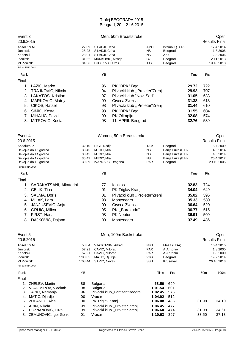| Event 3<br>20.6.2015                                                                                                                                                                                          |                                               |                                                                                         | Men, 50m Breaststroke                                                                                                                                                           |                                                             |                                                                                |                                                                      |                                                      | Open<br><b>Results Final</b>                                  |
|---------------------------------------------------------------------------------------------------------------------------------------------------------------------------------------------------------------|-----------------------------------------------|-----------------------------------------------------------------------------------------|---------------------------------------------------------------------------------------------------------------------------------------------------------------------------------|-------------------------------------------------------------|--------------------------------------------------------------------------------|----------------------------------------------------------------------|------------------------------------------------------|---------------------------------------------------------------|
| Apsolutni M<br>Juniorski<br>Kadetski<br>Pionirski<br>MI Pionirski<br>Points: FINA 2014                                                                                                                        | 27.09<br>28.28<br>28.91<br>31.52<br>34.56     | SILADJI, Caba<br>SILADJI, Caba<br>SILADJI, Caba<br>MARKOVIC, Mateja<br>DJOKOVIC, Uros   |                                                                                                                                                                                 | <b>AMC</b><br><b>NS</b><br><b>NS</b><br>CZ<br>11A           | Istambul (TUR)<br>Beograd<br>Ada<br>Beograd<br>Beograd                         |                                                                      |                                                      | 17.4.2014<br>1.8.2008<br>12.8.2006<br>2.11.2013<br>19.10.2013 |
| Rank                                                                                                                                                                                                          |                                               | YB                                                                                      |                                                                                                                                                                                 |                                                             |                                                                                | Time                                                                 | Pts                                                  |                                                               |
| Final<br>LAZIC, Marko<br>1.<br>2.<br><b>TRAJKOVIC, Nikola</b><br>3. LAKATOS, Kristian<br>MARKOVIC, Mateja<br>4.<br>CIKOS, Rafael<br>5.<br>SIMIC, Kosta<br>6.<br>MIHALIC, David<br>7.<br>MITROVIC, Kosta<br>8. |                                               | 96<br>94<br>97<br>99<br>98<br>98<br>99<br>98                                            | PK "BPK" Bgd<br>Plivacki klub "Proleter"Zrenj<br>Plivacki klub "Novi Sad"<br>Crvena Zvezda<br>Plivacki klub "Proleter"Zrenj<br>PK "BPK" Bgd<br>PK Olimpija<br>11. APRIL Beograd |                                                             |                                                                                | 29.72<br>29.93<br>31.05<br>31.38<br>31.44<br>31.55<br>32.08<br>32.76 | 722<br>707<br>633<br>613<br>610<br>604<br>574<br>539 |                                                               |
| Event 4<br>20.6.2015                                                                                                                                                                                          |                                               |                                                                                         | Women, 50m Breaststroke                                                                                                                                                         |                                                             |                                                                                |                                                                      |                                                      | Open<br><b>Results Final</b>                                  |
| Apsolutni Z<br>Devojke do 16 godina<br>Devojke do 14 godina<br>Devojke do 12 godina<br>Devojke do 10 godina                                                                                                   | 32.10<br>33.45<br>33.45<br>35.42<br>39.89     | HIGL, Nadja<br>MEDIC, Mila<br>MEDIC, Mila<br>MEDIC, Mila<br>IVANOVIC, Dragana           |                                                                                                                                                                                 | TAM<br><b>NS</b><br><b>NS</b><br><b>NS</b><br><b>PAR</b>    | Beograd<br>Banja Luka (BIH)<br>Banja Luka (BIH)<br>Banja Luka (BIH)<br>Beograd |                                                                      |                                                      | 8.7.2009<br>4.5.2014<br>4.5.2014<br>25.4.2012<br>29.10.2005   |
| Points: FINA 2014                                                                                                                                                                                             |                                               |                                                                                         |                                                                                                                                                                                 |                                                             |                                                                                |                                                                      |                                                      |                                                               |
| Rank                                                                                                                                                                                                          |                                               | ΥB                                                                                      |                                                                                                                                                                                 |                                                             |                                                                                | Time                                                                 | Pts                                                  |                                                               |
| Final<br>SARAKATSANI, Aikaterini<br>1.<br>2.<br>CELIK, Tina<br>SALMA, Doris<br>3.<br>MILAK, Lara<br>4.<br>JANJUSEVIC, Anja<br>5.<br><b>GRUIC, Milica</b><br>6.<br>FIRST, Hana<br>DAJKOVIC, Dajana<br>8.       |                                               | 77<br>01<br>01<br>98<br>00<br>95<br>98<br>99                                            | Ionikos<br>PK Triglav Kranj<br>Plivacki klub "Proleter"Zrenj<br>Montenegro<br>Crvena Zvezda<br>PK,,Barakuda"<br>PK Neptun<br>Montenegro                                         |                                                             |                                                                                | 32.83<br>34.04<br>35.02<br>35.33<br>36.64<br>36.77<br>36.91<br>37.49 | 724<br>649<br>596<br>580<br>520<br>515<br>509<br>486 |                                                               |
| Event 5<br>20.6.2015                                                                                                                                                                                          |                                               |                                                                                         | Men, 100m Backstroke                                                                                                                                                            |                                                             |                                                                                |                                                                      |                                                      | Open<br><b>Results Final</b>                                  |
| Apsolutni M<br>Juniorski<br>Kadetski<br>Pionirski<br>MI Pionirski<br>Points: FINA 2014                                                                                                                        | 53.84<br>57.21<br>57.21<br>1:03.85<br>1:08.44 | VJATCANIN, Arkadi<br>CAVIC, Milorad<br>CAVIC, Milorad<br>MATIC, Djurdje<br>SAVIC, Novak |                                                                                                                                                                                 | <b>PRO</b><br><b>PAR</b><br><b>PAR</b><br><b>VRA</b><br>SSU | Mesa (USA)<br>A.Antonio<br>A.Antonio<br>Beograd<br>Krusevac                    |                                                                      |                                                      | 15.4.2015<br>1.8.2000<br>1.8.2000<br>19.7.2014<br>26.10.2013  |
| Rank                                                                                                                                                                                                          | ΥB                                            |                                                                                         |                                                                                                                                                                                 | Time                                                        | Pts                                                                            |                                                                      | 50 <sub>m</sub>                                      | 100m                                                          |
| Final<br>1.<br>ZHELEV, Martin<br>2.<br>VLADIMIROV, Vladimir<br>3.<br>TAPIC, Nemanja<br>MATIC, Djurdje<br>4.<br>ZUPANEC, Ales<br>5.                                                                            | 88<br>98<br>96<br>00<br>00                    | <b>Bulgaria</b><br><b>Bulgaria</b><br>Vracar<br>PK Triglav Kranj                        | Plivacki klub,, Partizan" Beogra                                                                                                                                                | 58.50<br>1:01.54<br>1:02.45<br>1:04.92<br>1:06.08           | 699<br>601<br>575<br>512<br>485                                                |                                                                      | 31.98                                                | 34.10                                                         |
| ACIN, Nikola<br>6.<br>POZNANOVIC, Luka<br>7.<br>ZEMUNOVIC, Igor Genki<br>8.                                                                                                                                   | 99<br>99<br>01                                | Vracar                                                                                  | Plivacki klub "Proleter"Zrenj<br>Plivacki klub "Proleter"Zrenj                                                                                                                  | 1:06.45<br>1:06.60<br>1:10.63                               | 477<br>474<br>397                                                              |                                                                      | 31.99<br>33.50                                       | 34.61<br>37.13                                                |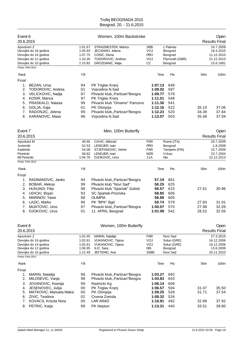| Event 6<br>20.6.2015                                                                                                             |                                                     | Open<br><b>Results Final</b>                                                                                                            |                                                       |                                                               |                 |                                                                  |
|----------------------------------------------------------------------------------------------------------------------------------|-----------------------------------------------------|-----------------------------------------------------------------------------------------------------------------------------------------|-------------------------------------------------------|---------------------------------------------------------------|-----------------|------------------------------------------------------------------|
| Apsolutni Z<br>Devojke do 16 godina<br>Devojke do 14 godina<br>Devojke do 12 godina<br>Devojke do 10 godina<br>Points: FINA 2014 | 1:01.67<br>1:05.93<br>1:07.75<br>1:10.35<br>1:15.82 | STRAZMESTER, Marica<br>JECANSKI, Jelena<br>COSIC, Divna<br>TODOROVIC, Andrea<br>GROZDANIC, Maja                                         | <b>SRB</b><br>VOJ<br><b>PRO</b><br>VOJ<br>CZ          | L.Palmas<br>Beograd<br>Beograd<br>Plymouth (GBR)<br>Beograd   |                 | 24.7.2009<br>18.4.2015<br>11.12.2010<br>21.12.2013<br>15.6.1991  |
| Rank                                                                                                                             | YB                                                  |                                                                                                                                         | Time                                                  | Pts                                                           | 50 <sub>m</sub> | 100m                                                             |
| Final                                                                                                                            |                                                     |                                                                                                                                         |                                                       |                                                               |                 |                                                                  |
| 1.<br>BEZAN, Ursa<br>2.<br>TODOROVIC, Andrea<br>3.<br>VELICKOVIC, Nadja<br>KOSIR, Manca<br>4.<br>PRASKALO, Natasa<br>5.          | 94<br>01<br>97<br>97<br>99                          | PK Triglav Kranj<br>Vojvodina N.Sad<br>Plivacki klub,, Partizan" Beogra<br>PK Triglav Kranj<br>Plivacki klub "Dinamo" Pancevo           | 1:07.13<br>1:09.02<br>1:09.77<br>1:11.01<br>1:11.30   | 648<br>597<br>578<br>548<br>541                               |                 |                                                                  |
| GOLJA, Gaja<br>6.<br>7.<br>RADONJIC, Jelena                                                                                      | 01<br>99                                            | PK Olimpija<br>Plivacki klub,, Partizan" Beogra                                                                                         | 1:12.16<br>1:12.23                                    | 522<br>520                                                    | 35.10<br>34.39  | 37.06<br>37.84                                                   |
| 8.<br>KARANOVIC, Masa                                                                                                            | 98                                                  | Vojvodina N.Sad                                                                                                                         | 1:13.07                                               | 503                                                           | 35.48           | 37.59                                                            |
| Event 7<br>20.6.2015                                                                                                             |                                                     | Men, 100m Butterfly                                                                                                                     |                                                       |                                                               |                 | Open<br><b>Results Final</b>                                     |
| Apsolutni M                                                                                                                      | 49.95                                               | CAVIC, Milorad                                                                                                                          | <b>PAR</b>                                            | Rome (ITA)                                                    |                 | 29.7.2009                                                        |
| Juniorski<br>Kadetski<br>Pionirski<br>MI Pionirski                                                                               | 52.53<br>54.08<br>58.82<br>1:04.76                  | LENDJER, Ivan<br>STJEPANOVIC, Veimir<br>LENDJER, Ivan<br>DJOKOVIC, Uros                                                                 | <b>PRO</b><br><b>PAR</b><br><b>MZR</b><br>11A         | Beograd<br>Tampere (FIN)<br>Vrbas<br><b>NIs</b>               |                 | 1.8.2008<br>22.7.2009<br>23.7.2004<br>22.12.2013                 |
| Points: FINA 2014                                                                                                                |                                                     |                                                                                                                                         |                                                       |                                                               |                 |                                                                  |
| Rank                                                                                                                             | YB                                                  |                                                                                                                                         | Time                                                  | Pts                                                           | 50 <sub>m</sub> | 100m                                                             |
| Final<br>RADMANOVIC, Janko<br>1.<br>2.<br>BOBAR, Aleksa<br>3.<br>HUNJADI, Filip<br>UDICKI, Bojan<br>4.<br>5.<br>MARINOV, Yavor   | 94<br>99<br>98<br>93<br>88                          | Plivacki klub,, Partizan" Beogra<br>Plivacki klub "Novi Sad"<br>Plivacki klub "Spartak" Suboti<br>SC Spartak-Prozivka<br><b>OLIMPIA</b> | 57.19<br>58.25<br>58.57<br>58.85<br>58.88             | 661<br>625<br>615<br>606<br>605                               | 27.61           | 30.96                                                            |
| LAZIC, Marko<br>6.                                                                                                               | 96                                                  | PK "BPK" Bgd                                                                                                                            | 59.74                                                 | 579                                                           | 27.83           | 31.91                                                            |
| 7.<br>MIJATOVIC, Uros<br>DJOKOVIC, Uros<br>8.                                                                                    | 97<br>01                                            | Plivacki klub,, Partizan" Beogra<br>11. APRIL Beograd                                                                                   | 1:00.07<br>1:01.08                                    | 570<br>542                                                    | 27.98<br>28.52  | 32.09<br>32.56                                                   |
| Event 8<br>20.6.2015                                                                                                             |                                                     | Women, 100m Butterfly                                                                                                                   |                                                       |                                                               |                 | Open<br><b>Results Final</b>                                     |
| Apsolutni Z<br>Devojke do 16 godina<br>Devojke do 14 godina<br>Devojke do 12 godina<br>Devojke do 10 godina<br>Points: FINA 2014 | 1:02.45<br>1:02.61<br>1:02.61<br>1:06.95<br>1:12.49 | <b>MARIN, Natalija</b><br>VUKANOVIC, Tijana<br><b>VUKANOVIC, Tijana</b><br>ILIC, Sara<br>JEFTENIC, Ana                                  | <b>PAR</b><br>VOJ<br>VOJ<br><b>NIS</b><br><b>SSBE</b> | Novi Sad<br>Solun (GRE)<br>Solun (GRE)<br>Beograd<br>Novi Sad |                 | 27.3.2015<br>16.12.2006<br>16.12.2006<br>13.6.2009<br>20.11.2010 |
|                                                                                                                                  |                                                     |                                                                                                                                         |                                                       |                                                               |                 |                                                                  |
| Rank                                                                                                                             | YB                                                  |                                                                                                                                         | Time                                                  | Pts                                                           | 50m             | 100m                                                             |
| Final<br>MARIN, Natalija<br>1.<br>2.<br>MILOSEVIC, Vanja<br>3.<br>JOVANOVIC, Ksenija                                             | 98<br>98<br>99                                      | Plivacki klub,, Partizan" Beogra<br>Plivacki klub,, Partizan" Beogra<br>Radnicki Kg                                                     | 1:03.27<br>1:04.83<br>1:06.14                         | 692<br>643<br>606                                             |                 |                                                                  |
| JESENOVEC, Julija<br>4.<br>MATKOVIC, Manuela Maksi<br>5.<br>ZIVIC, Teodora<br>6.                                                 | 00<br>00<br>02                                      | PK Triglav Kranj<br>PK Olimpija<br>Crvena Zvezda                                                                                        | 1:06.57<br>1:09.25<br>1:09.32                         | 594<br>528<br>526                                             | 31.07<br>31.71  | 35.50<br>37.54                                                   |
| KOVACS, Kriszta Nora<br>7.                                                                                                       | 00                                                  | <b>LAR ARAD</b>                                                                                                                         | 1:10.91                                               | 492                                                           | 32.99           | 37.92                                                            |
| PETRIC, Katja<br>8.                                                                                                              | 99                                                  | PK Neptun                                                                                                                               | 1:13.31                                               | 445                                                           | 33.51           | 39.80                                                            |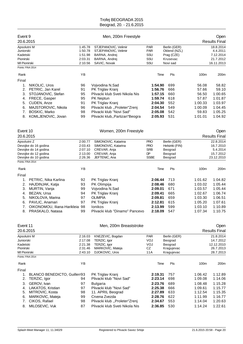| Event 9               |                                            |                    | Men, 200m Freestyle                          |                    |      |                            |                    | Open                  |
|-----------------------|--------------------------------------------|--------------------|----------------------------------------------|--------------------|------|----------------------------|--------------------|-----------------------|
| 20.6.2015             |                                            |                    |                                              |                    |      |                            |                    | <b>Results Final</b>  |
| Apsolutni M           |                                            | 1:45.78            | STJEPANOVIC, Velimir                         | <b>PAR</b>         |      | Berlin (GER)               |                    | 18.8.2014             |
| Juniorski<br>Kadetski |                                            | 1:50.78<br>1:51.98 | STJEPANOVIC, Velimir<br>BARNA, Andrej        | <b>PAR</b><br>SSU  |      | Oklend (NZL)<br>Prag (CZE) |                    | 4.4.2011<br>7.12.2014 |
| Pionirski             |                                            | 2:03.31            | BARNA, Andrej                                | SSU                |      | Krusevac                   |                    | 21.7.2012             |
| MI Pionirski          |                                            | 2:10.56            | SAVIC, Novak                                 | SSU                |      | Novi sad                   |                    | 16.11.2013            |
| Points: FINA 2014     |                                            |                    |                                              |                    |      |                            |                    |                       |
| Rank                  |                                            | YB                 |                                              |                    | Time | Pts                        | 100m               | 200m                  |
| Final                 |                                            |                    |                                              |                    |      |                            |                    |                       |
| 1.                    | NIKOLIC, Uros                              | 96                 | Vojvodina N.Sad                              | 1:54.90            |      | 699                        | 56.08              | 58.82                 |
| 2.                    | PETRIC, Jan Karel                          | 91                 | PK Triglav Kranj                             | 1:56.76            |      | 666                        | 57.66              | 59.10                 |
| 3.                    | STOJANOVIC, Stefan                         | 95                 | Plivacki klub Sveti Nikola Nis               | 1:57.15            |      | 660                        | 56.50              | 1:00.65               |
| 4.                    | FRECE, Gasper                              | 95                 | PK Neptun                                    | 1:59.74            |      | 618                        | 57.87              | 1:01.87               |
| 5.                    | CUDEN, Anze                                | 91                 | PK Triglav Kranj                             | 2:04.30            |      | 552                        | 1:00.33            | 1:03.97               |
| 6.                    | MAJSTOROVIC, Nikola                        | 96                 | Plivacki klub "Proleter"Zrenj                | 2:04.54            |      | 549                        | 1:00.09            | 1:04.45               |
| 7.<br>8.              | <b>BOSKIC, Marko</b><br>KOMLJENOVIC, Jovan | 98<br>99           | Plivacki klub "Novi Sad"                     | 2:05.08<br>2:05.93 |      | 542<br>531                 | 59.83<br>1:01.01   | 1:05.25<br>1:04.92    |
|                       |                                            |                    | Plivacki klub,, Partizan" Beogra             |                    |      |                            |                    |                       |
| Event 10              |                                            |                    | Women, 200m Freestyle                        |                    |      |                            |                    | Open                  |
| 20.6.2015             |                                            |                    |                                              |                    |      |                            |                    | <b>Results Final</b>  |
| Apsolutni Z           |                                            | 2:00.77            | SIMONOVIC, Katarina                          | <b>PRO</b>         |      | Berlin (GER)               |                    | 22.8.2014             |
|                       | Devojke do 16 godina                       | 2:03.43            | SIMONOVIC, Katarina                          | <b>PRO</b>         |      | Helsinki (FIN)             |                    | 16.7.2010             |
|                       | Devojke do 14 godina                       | 2:07.10            | CREVAR, Anja                                 | <b>SRB</b>         |      | Beograd                    |                    | 5.4.2014              |
|                       | Devojke do 12 godina                       | 2:13.00            | CREVAR, Anja                                 | DP                 |      | Beograd                    |                    | 15.7.2012             |
|                       | Devojke do 10 godina                       | 2:26.36            | JEFTENIC, Ana                                | <b>SSBE</b>        |      | Beograd                    |                    | 23.12.2010            |
| Points: FINA 2014     |                                            |                    |                                              |                    |      |                            |                    |                       |
| Rank                  |                                            | YB                 |                                              |                    | Time | Pts                        | 100m               | 200m                  |
| Final                 |                                            |                    |                                              |                    |      |                            |                    |                       |
| 1.                    | PETRIC, Nika Karlina                       | 92                 | PK Triglav Kranj                             | 2:06.44            |      | 713                        | 1:01.62            | 1:04.82               |
| 2.                    | HAJDINJAK, Katja                           | 93                 | PK Olimpija                                  | 2:08.46            |      | 680                        | 1:03.02            | 1:05.44               |
| 3.                    | MURTIN, Vanja                              | 99                 | Vojvodina N.Sad                              | 2:09.01            |      | 671                        | 1:03.57            | 1:05.44               |
| 4.                    | BEZAN, Ursa                                | 94                 | PK Triglav Kranj                             | 2:09.41            |      | 665                        | 1:02.67            | 1:06.74               |
| 5.                    | NIKOLOVA, Marina                           | 97                 | <b>OLIMPIA</b>                               | 2:09.81            |      | 659                        | 1:03.30            | 1:06.51               |
| 6.                    | PAVLIC, Anamari                            | 97                 | PK Triglav Kranj                             | 2:12.81            |      | 615                        | 1:05.20            | 1:07.61               |
| 7.                    | OIKONOMOU, Iliana-Harikleia 98             |                    | <b>Ionikos</b>                               | 2:13.99            |      | 599                        | 1:03.10            | 1:10.89               |
| 8.                    | PRASKALO, Natasa                           | 99                 | Plivacki klub "Dinamo" Pancevo               | 2:18.09            |      | 547                        | 1:07.34            | 1:10.75               |
| Event 11              |                                            |                    | Men, 200m Breaststroke                       |                    |      |                            |                    | Open                  |
| 20.6.2015             |                                            |                    |                                              |                    |      |                            |                    | <b>Results Final</b>  |
| Apsolutni M           |                                            | 2:16.03            | KNEZEVIC, Bogdan                             | <b>PAR</b>         |      | Berlin (GER)               |                    | 21.8.2014             |
| Juniorski             |                                            | 2:17.08            | TERZIC, Igor                                 | VOJ                |      | Beograd                    |                    | 14.7.2012             |
| Kadetski              |                                            | 2:21.38            | TERZIC, Igor                                 | VOJ                |      | Beograd                    |                    | 12.12.2010            |
| Pionirski             |                                            | 2:31.46            | MARKOVIC, Mateja                             | CZ                 |      | Kragujevac                 |                    | 26.7.2013             |
| <b>MI Pionirski</b>   |                                            | 2:43.10            | DJOKOVIC, Uros                               | 11A                |      | Kragujevac                 |                    | 28.7.2013             |
| Points: FINA 2014     |                                            |                    |                                              |                    |      |                            |                    |                       |
| Rank                  |                                            | ΥB                 |                                              |                    | Time | Pts                        | 100m               | 200m                  |
| Final                 |                                            |                    |                                              |                    |      |                            |                    |                       |
| 1.<br>2.              | BLANCO BENEDICTO, Guillerr93               | 94                 | PK Triglav Kranj<br>Plivacki klub "Novi Sad" | 2:19.31<br>2:23.14 |      | 757<br>698                 | 1:06.42<br>1:09.08 | 1:12.89               |
|                       | TERZIC, Igor                               |                    |                                              |                    |      |                            |                    | 1:14.06               |
| 3.                    | GEROV, Ivan<br>LAKATOS, Kristian           | 97<br>97           | <b>Bulgaria</b><br>Plivacki klub "Novi Sad"  | 2:23.76<br>2:25.38 |      | 689<br>666                 | 1:08.48<br>1:09.61 | 1:15.28<br>1:15.77    |
| 4.<br>5.              | MITROVIC, Kosta                            | 98                 | 11. APRIL Beograd                            | 2:27.89            |      | 633                        | 1:12.54            | 1:15.35               |
| 6.                    | MARKOVIC, Mateja                           | 99                 | Crvena Zvezda                                | 2:28.76            |      | 622                        | 1:11.99            | 1:16.77               |
| 7.                    | CIKOS, Rafael                              | 98                 | Plivacki klub "Proleter"Zrenj                | 2:34.67            |      | 553                        | 1:14.04            | 1:20.63               |
|                       | 8. MILOSEVIC, Vuk                          | 87                 | Plivacki klub Sveti Nikola Nis               | 2:36.85            |      | 530                        | 1:14.24            | 1:22.61               |
|                       |                                            |                    |                                              |                    |      |                            |                    |                       |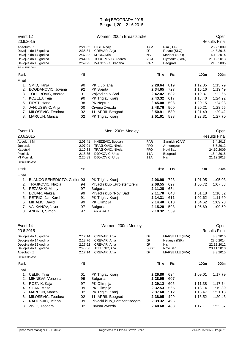| Event 12<br>20.6.2015                                             |                                                                                                                                                                     |                                                     | Open<br><b>Results Final</b>                                                                                                                                              |                                                                                      |                                                                               |                                                                                      |                                                                                      |  |
|-------------------------------------------------------------------|---------------------------------------------------------------------------------------------------------------------------------------------------------------------|-----------------------------------------------------|---------------------------------------------------------------------------------------------------------------------------------------------------------------------------|--------------------------------------------------------------------------------------|-------------------------------------------------------------------------------|--------------------------------------------------------------------------------------|--------------------------------------------------------------------------------------|--|
| Apsolutni Z<br>Points: FINA 2014                                  | Devojke do 16 godina<br>Devojke do 14 godina<br>Devojke do 12 godina<br>Devojke do 10 godina                                                                        | 2:21.62<br>2:35.34<br>2:37.82<br>2:44.05<br>2:59.25 | HIGL, Nadja<br>CREVAR, Anja<br>MEDIC, Mila<br>TODOROVIC, Andrea<br>IVANOVIC, Dragana                                                                                      | <b>TAM</b><br>DP<br><b>NS</b><br>VOJ<br><b>PAR</b>                                   | Rim (ITA)<br>Ravne (SLO)<br>Maribor (SLO)<br>Plymouth (GBR)<br>Beograd        |                                                                                      | 28.7.2009<br>14.3.2015<br>14.12.2014<br>21.12.2013<br>21.5.2005                      |  |
| Rank                                                              |                                                                                                                                                                     | YB                                                  |                                                                                                                                                                           | Time                                                                                 | Pts                                                                           | 100m                                                                                 | 200m                                                                                 |  |
| Final                                                             |                                                                                                                                                                     |                                                     |                                                                                                                                                                           |                                                                                      |                                                                               |                                                                                      |                                                                                      |  |
| 1.<br>2.<br>3.<br>4.<br>5.<br>6.<br>7.<br>8.                      | SMID, Tanja<br>BOGDANOVIC, Jovana<br>TODOROVIC, Andrea<br>KOZELJ, Teja<br>FIRST, Hana<br>JANJUSEVIC, Anja<br>MILOSEVIC, Teodora<br>MARCUN, Manca                    | 90<br>92<br>01<br>90<br>98<br>00<br>02<br>02        | PK Ljubljana<br>PK Sparta<br>Vojvodina N.Sad<br>PK Triglav Kranj<br>PK Neptun<br>Crvena Zvezda<br>11. APRIL Beograd<br>PK Triglav Kranj                                   | 2:28.64<br>2:34.65<br>2:42.02<br>2:43.32<br>2:45.08<br>2:48.76<br>2:50.91<br>2:51.01 | 819<br>727<br>632<br>617<br>598<br>560<br>539<br>538                          | 1:12.85<br>1:15.16<br>1:19.37<br>1:18.40<br>1:20.15<br>1:20.21<br>1:21.49<br>1:23.31 | 1:15.79<br>1:19.49<br>1:22.65<br>1:24.92<br>1:24.93<br>1:28.55<br>1:29.42<br>1:27.70 |  |
| Event 13<br>20.6.2015                                             |                                                                                                                                                                     |                                                     | Men, 200m Medley                                                                                                                                                          |                                                                                      |                                                                               |                                                                                      | Open<br><b>Results Final</b>                                                         |  |
| Apsolutni M<br>Juniorski<br>Kadetski<br>Pionirski<br>MI Pionirski |                                                                                                                                                                     | 2:03.41<br>2:07.01<br>2:10.88<br>2:18.35<br>2:25.83 | KNEZEVIC, Bogdan<br>TRAJKOVIC, Nikola<br>TRAJKOVIC, Nikola<br>DJOKOVIC, Uros<br>DJOKOVIC, Uros                                                                            | <b>PAR</b><br><b>PRO</b><br><b>PRO</b><br>11A<br>11A                                 | Sannich (CAN)<br>Antwerpen<br>Novi Sad<br>Beograd<br>Nls                      |                                                                                      | 6.4.2013<br>5.7.2012<br>24.10.2009<br>18.4.2015<br>21.12.2013                        |  |
| Points: FINA 2014                                                 |                                                                                                                                                                     |                                                     |                                                                                                                                                                           |                                                                                      |                                                                               |                                                                                      |                                                                                      |  |
| Rank                                                              |                                                                                                                                                                     | YB                                                  |                                                                                                                                                                           | Time                                                                                 | Pts                                                                           | 100m                                                                                 | 200m                                                                                 |  |
| Final<br>1.<br>2.<br>3.<br>4.<br>5.<br>6.<br>7.                   | BLANCO BENEDICTO, Guillerr93<br>TRAJKOVIC, Nikola<br>REZASHKI, Matey<br>BOBAR, Aleksa<br>PETRIC, Jan Karel<br>MIHALIC, David<br>VALKANOV, Javor<br>8. ANDREI, Simon | 94<br>97<br>99<br>91<br>99<br>97<br>97              | PK Triglav Kranj<br>Plivacki klub "Proleter"Zrenj<br><b>Bulgaria</b><br>Plivacki klub "Novi Sad"<br>PK Triglav Kranj<br>PK Olimpija<br><b>Bulgaria</b><br><b>LAR ARAD</b> | 2:06.98<br>2:08.55<br>2:11.28<br>2:11.70<br>2:14.31<br>2:14.40<br>2:15.28<br>2:18.32 | 723<br>697<br>654<br>648<br>611<br>610<br>598<br>559                          | 1:01.95<br>1:00.72<br>1:01.18<br>1:02.62<br>1:04.62<br>1:05.69                       | 1:05.03<br>1:07.83<br>1:10.52<br>1:11.69<br>1:09.78<br>1:09.59                       |  |
| Event 14<br>20.6.2015                                             |                                                                                                                                                                     |                                                     | Women, 200m Medley                                                                                                                                                        |                                                                                      |                                                                               |                                                                                      | Open<br><b>Results Final</b>                                                         |  |
| Apsolutni Z                                                       | Devojke do 16 godina<br>Devojke do 14 godina<br>Devojke do 12 godina<br>Devojke do 10 godina                                                                        | 2:17.14<br>2:18.76<br>2:27.62<br>2:45.36<br>2:17.14 | CREVAR, Anja<br>CREVAR, Anja<br>CREVAR, Anja<br>JEFTENIC, Ana<br>CREVAR, Anja                                                                                             | DP<br><b>DP</b><br>DP<br><b>SSBE</b><br>DP                                           | <b>MARSEILLE (FRA)</b><br>Natanya (ISR)<br>Nls<br>Novi Sad<br>MARSEILLE (FRA) |                                                                                      | 8.3.2015<br>28.6.2014<br>22.12.2012<br>20.11.2010<br>8.3.2015                        |  |
| Points: FINA 2014                                                 |                                                                                                                                                                     |                                                     |                                                                                                                                                                           |                                                                                      |                                                                               |                                                                                      |                                                                                      |  |
| Rank                                                              |                                                                                                                                                                     | YB                                                  |                                                                                                                                                                           | Time                                                                                 | Pts                                                                           | 100m                                                                                 | 200m                                                                                 |  |
| Final<br>1.<br>2.<br>3.                                           | CELIK, Tina<br>MIHNEVA, Venelina<br>ROZNIK, Kaja                                                                                                                    | 01<br>99<br>97                                      | PK Triglav Kranj<br><b>Bulgaria</b><br>PK Olimpija                                                                                                                        | 2:26.80<br>2:28.95<br>2:29.12                                                        | 634<br>607<br>605                                                             | 1:09.01<br>1:11.38                                                                   | 1:17.79<br>1:17.74                                                                   |  |
| 4.<br>5.<br>6.                                                    | SILAR, Masa<br>MARCUN, Manca<br>MILOSEVIC, Teodora                                                                                                                  | 99<br>02<br>02                                      | PK Olimpija<br>PK Triglav Kranj<br>11. APRIL Beograd                                                                                                                      | 2:32.53<br>2:37.60<br>2:38.95                                                        | 565<br>512<br>499                                                             | 1:13.14<br>1:16.47<br>1:18.52                                                        | 1:19.39<br>1:21.13<br>1:20.43                                                        |  |
| 7.<br>8.                                                          | RADONJIC, Jelena<br>ZIVIC, Teodora                                                                                                                                  | 99<br>02                                            | Plivacki klub,, Partizan" Beogra<br>Crvena Zvezda                                                                                                                         | 2:39.32<br>2:40.68                                                                   | 496<br>483                                                                    | 1:17.11                                                                              | 1:23.57                                                                              |  |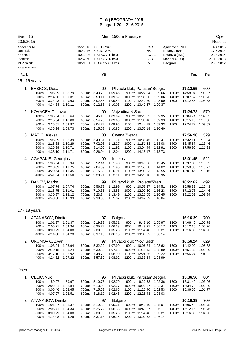| Event 15<br>20.6.2015            |                           |               |         | Men, 1500m Freestyle |                                  |         |                 |                                 |         |                          |                 |         | Open<br>Results         |
|----------------------------------|---------------------------|---------------|---------|----------------------|----------------------------------|---------|-----------------|---------------------------------|---------|--------------------------|-----------------|---------|-------------------------|
| Apsolutni M                      |                           |               |         | 15:26.16             | CELIC, Vuk                       |         |                 | <b>PAR</b>                      |         | Ajndhoven (NED)          |                 |         | 4.4.2015                |
| Juniorski                        |                           |               |         | 15:40.46             | CELIC, vUK                       |         |                 | <b>NS</b>                       |         | Netanya (ISR)            |                 |         | 17.5.2014               |
| Kadetski                         |                           |               |         | 16:19.86             | RATKOV, Nikola                   |         |                 | <b>SWBE</b>                     |         | Natanyia (ISR)           |                 |         | 28.6.2014               |
| Pionirski<br><b>MI Pionirski</b> |                           |               |         | 16:52.70<br>18:24.51 | RATKOV, Nikola<br>DJOKOVIC, Uros |         |                 | <b>SSBE</b><br>CZ               |         | Maribor (SLO)<br>Beograd |                 |         | 21.12.2013<br>23.6.2012 |
| Points: FINA 2014                |                           |               |         |                      |                                  |         |                 |                                 |         |                          |                 |         |                         |
| Rank                             |                           |               |         |                      | YB                               |         |                 |                                 |         |                          | Time            | Pts     |                         |
|                                  | 15 - 16 years             |               |         |                      |                                  |         |                 |                                 |         |                          |                 |         |                         |
| 1.                               | <b>BABIC S, Dusan</b>     |               |         |                      | $00\,$                           |         |                 | Plivacki klub,, Partizan"Beogra |         |                          | 17:12.55        | 600     |                         |
|                                  |                           | 100m: 1:05.29 | 1:05.29 | 500m:                | 5:43.79                          | 1:09.45 |                 | 900m: 10:22.24                  | 1:09.66 |                          | 1300m: 14:58.94 | 1:09.37 |                         |
|                                  | 200m:                     | 2:14.60       | 1:09.31 | 600m:                | 6:53.11                          | 1:09.32 |                 | 1000m: 11:31.30                 | 1:09.06 |                          | 1400m: 16:07.67 | 1:08.73 |                         |
|                                  | 300m:                     | 3:24.23       | 1:09.63 |                      | 700m: 8:02.55                    | 1:09.44 |                 | 1100m: 12:40.20                 | 1:08.90 |                          | 1500m: 17:12.55 | 1:04.88 |                         |
|                                  | 400m:                     | 4:34.34       | 1:10.11 |                      | 800m: 9:12.58                    | 1:10.03 |                 | 1200m: 13:49.57                 | 1:09.37 |                          |                 |         |                         |
|                                  | 2. KOVACEVIC, Lazar       |               |         |                      | 00                               |         | Vojvodina N.Sad |                                 |         |                          | 17:24.72        | 579     |                         |
|                                  |                           | 100m: 1:05.64 | 1:05.64 | 500m:                | 5:45.13                          | 1:09.89 |                 | 900m: 10:25.53                  | 1:09.95 |                          | 1300m: 15:04.74 | 1:09.55 |                         |
|                                  | 200m:                     | 2:15.64       | 1:10.00 | 600m:                | 6:54.76                          | 1:09.63 |                 | 1000m: 11:35.46                 | 1:09.93 |                          | 1400m: 16:15.10 | 1:10.36 |                         |
|                                  | 300m:                     | 3:25.51       | 1:09.87 | 700m:                | 8:04.72                          | 1:09.96 |                 | 1100m: 12:44.79                 | 1:09.33 |                          | 1500m: 17:24.72 | 1:09.62 |                         |
|                                  |                           | 400m: 4:35.24 | 1:09.73 |                      | 800m: 9:15.58                    | 1:10.86 |                 | 1200m: 13:55.19                 | 1:10.40 |                          |                 |         |                         |
| 3.                               | MATIC, Aleksa             |               |         |                      | 00                               |         | Crvena Zvezda   |                                 |         |                          | 17:56.90        | 529     |                         |
|                                  |                           | 100m: 1:05.39 | 1:05.39 | 500m:                | 5:49.81                          | 1:11.71 |                 | 900m: 10:38.45                  | 1:12.41 |                          | 1300m: 15:32.11 | 1:13.94 |                         |
|                                  | 200m:                     | 2:15.68       | 1:10.29 | 600m:                | 7:02.08                          | 1:12.27 |                 | 1000m: 11:51.53                 | 1:13.08 |                          | 1400m: 16:45.57 | 1:13.46 |                         |
|                                  | 300m:                     | 3:26.39       | 1:10.71 | 700m:                | 8:14.00                          | 1:11.92 |                 | 1100m: 13:04.44                 | 1:12.91 |                          | 1500m: 17:56.90 | 1:11.33 |                         |
|                                  |                           | 400m: 4:38.10 | 1:11.71 |                      | 800m: 9:26.04                    | 1:12.04 |                 | 1200m: 14:18.17                 | 1:13.73 |                          |                 |         |                         |
| 4.                               | <b>AGAPAKIS, Georgios</b> |               |         |                      | 99                               | lonikos |                 |                                 |         |                          | 18:01.45        | 522     |                         |
|                                  |                           | 100m: 1:06.34 | 1:06.34 | 500m:                | 5:52.44                          | 1:11.40 |                 | 900m: 10:41.66                  | 1:13.45 |                          | 1300m: 15:37.03 | 1:13.85 |                         |
|                                  | 200m:                     | 2:18.09       | 1:11.75 | 600m:                | 7:04.39                          | 1:11.95 |                 | 1000m: 11:55.68                 | 1:14.02 |                          | 1400m: 16:50.30 | 1:13.27 |                         |
|                                  | 300m:                     | 3:29.54       | 1:11.45 | 700m:                | 8:15.30                          | 1:10.91 |                 | 1100m: 13:09.23                 | 1:13.55 |                          | 1500m: 18:01.45 | 1:11.15 |                         |
|                                  |                           | 400m: 4:41.04 | 1:11.50 |                      | 800m: 9:28.21                    | 1:12.91 |                 | 1200m: 14:23.18                 | 1:13.95 |                          |                 |         |                         |
| 5.                               | DANEV, Marko              |               |         |                      | 99                               |         |                 | Plivacki klub "Proleter"Zrenj   |         |                          | 18:22.62        | 492     |                         |
|                                  |                           | 100m: 1:07.74 | 1:07.74 | 500m:                | 5:56.79                          | 1:12.99 |                 | 900m: 10:53.37                  | 1:14.51 |                          | 1300m: 15:58.32 | 1:15.43 |                         |
|                                  | 200m:                     | 2:18.75       | 1:11.01 | 600m:                | 7:10.35                          | 1:13.56 |                 | 1000m: 12:09.60                 | 1:16.23 |                          | 1400m: 17:12.78 | 1:14.46 |                         |
|                                  | 300m:                     | 3:30.87       | 1:12.12 | 700m:                | 8:23.84                          | 1:13.49 |                 | 1100m: 13:26.05                 | 1:16.45 |                          | 1500m: 18:22.62 | 1:09.84 |                         |
|                                  | 400m:                     | 4:43.80       | 1:12.93 | 800m:                | 9:38.86                          | 1:15.02 |                 | 1200m: 14:42.89                 | 1:16.84 |                          |                 |         |                         |
|                                  |                           |               |         |                      |                                  |         |                 |                                 |         |                          |                 |         |                         |

#### 17 - 18 years

| 1. ATANASOV, Dimitar |         |         |          | 97      | <b>Bulgaria</b> |       |                          |         | 16:16.39        | 709     |
|----------------------|---------|---------|----------|---------|-----------------|-------|--------------------------|---------|-----------------|---------|
| 100m:                | 1:01.37 | 1:01.37 | $500m$ : | 5:19.39 | 1:05.31         | 900m: | 9:43.10                  | 1:05.97 | 1300m: 14:06.40 | 1:05.78 |
| 200 <sub>m</sub> :   | 2:05.71 | 1:04.34 | 600m:    | 6:25.72 | 1:06.33         |       | 1000m: 10:49.27          | 1:06.17 | 1400m: 15:12.16 | 1:05.76 |
| $300m$ :             | 3:09.79 | 1:04.08 | 700m:    | 7:30.98 | 1:05.26         |       | 1100m: 11:54.48          | 1:05.21 | 1500m: 16:16.39 | 1:04.23 |
| 400m:                | 4:14.08 | 1:04.29 | 800m:    | 8:37.13 | 1:06.15         |       | 1200m: 13:00.62          | 1:06.14 |                 |         |
|                      |         |         |          |         |                 |       |                          |         |                 |         |
| 2. URUMOVIC, Zivan   |         |         |          | 97      |                 |       | Plivacki klub "Novi Sad" |         | 16:56.24        | 629     |
| 100m:                | 1:03.94 | 1:03.94 | $500m$ : | 5:32.22 | 1:07.90         |       | 900m: 10:06.24           | 1:08.62 | 1300m: 14:42.02 | 1:08.68 |
| 200m:                | 2:10.18 | 1:06.24 | 600m:    | 6:39.80 | 1:07.58         |       | 1000m: 11:15.13          | 1:08.89 | 1400m: 15:51.32 | 1:09.30 |
| $300m$ :             | 3:17.10 | 1:06.92 | 700m:    | 7:48.70 | 1:08.90         |       | 1100m: 12:24.35          | 1:09.22 | 1500m: 16:56.24 | 1:04.92 |

#### Open

| 1. CELIC, Vuk        |         |         |       | 96      |                 |       | Plivacki klub,, Partizan "Beogra |         | 15:36.56        | 804     |
|----------------------|---------|---------|-------|---------|-----------------|-------|----------------------------------|---------|-----------------|---------|
| 100m:                | 59.97   | 59.97   | 500m: | 5:10.76 | 1:02.79         |       | 900m: 9:20.53                    | 1:02.36 | 1300m: 13:31.49 | 1:03.06 |
| 200 <sub>m</sub> :   | 2:02.81 | 1:02.84 | 600m: | 6:13.03 | 1:02.27         |       | 1000m: 10:22.87                  | 1:02.34 | 1400m: 14:34.79 | 1:03.30 |
| 300m:                | 3:05.46 | 1:02.65 | 700m: | 7:15.69 | 1:02.66         |       | 1100m: 11:25.40                  | 1:02.53 | 1500m: 15:36.56 | 1:01.77 |
| 400m:                | 4:07.97 | 1:02.51 | 800m: | 8:18.17 | 1:02.48         |       | 1200m: 12:28.43                  | 1:03.03 |                 |         |
|                      |         |         |       |         |                 |       |                                  |         |                 |         |
| 2. ATANASOV, Dimitar |         |         |       | 97      | <b>Bulgaria</b> |       |                                  |         | 16:16.39        | 709     |
| $100m$ :             | 1:01.37 | 1:01.37 | 500m: | 5:19.39 | 1:05.31         | 900m: | 9:43.10                          | 1:05.97 | 1300m: 14:06.40 | 1:05.78 |
| 200 <sub>m</sub> :   | 2:05.71 | 1:04.34 | 600m: | 6:25.72 | 1:06.33         |       | 1000m: 10:49.27                  | 1:06.17 | 1400m: 15:12.16 | 1:05.76 |
| $300m$ :             | 3:09.79 | 1:04.08 | 700m: | 7:30.98 | 1:05.26         |       | 1100m: 11:54.48                  | 1:05.21 | 1500m: 16:16.39 | 1:04.23 |
| 400m:                | 4:14.08 | 1:04.29 | 800m. | 8:37.13 | 1:06.15         |       | 1200m: 13:00.62                  | 1:06.14 |                 |         |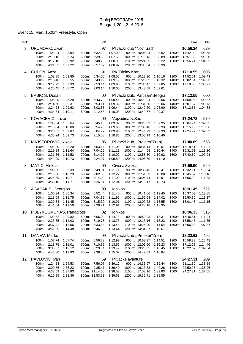#### Event 15, Men, 1500m Freestyle, Open

| Rank |                                                                                                       |                                                                              | ΥB                                                           |                                                            |                                                                                                             |                                          | Time                                                                      | Pts                                  |
|------|-------------------------------------------------------------------------------------------------------|------------------------------------------------------------------------------|--------------------------------------------------------------|------------------------------------------------------------|-------------------------------------------------------------------------------------------------------------|------------------------------------------|---------------------------------------------------------------------------|--------------------------------------|
| 3.   | URUMOVIC, Zivan<br>1:03.94<br>100m:<br>2:10.18<br>200m:<br>3:17.10<br>300m:<br>400m:<br>4.24.32       | 1:03.94<br>500m:<br>1:06.24<br>600m:<br>1:06.92<br>700m:<br>1:07.22<br>800m: | 97<br>5:32.22<br>6:39.80<br>7:48.70<br>8:57.62               | 1:07.90<br>1:07.58<br>1:08.90<br>1:08.92                   | Plivacki klub "Novi Sad"<br>900m: 10:06.24<br>1000m: 11:15.13<br>1100m: 12:24.35<br>1200m: 13:33.34         | 1:08.62<br>1:08.89<br>1:09.22<br>1:08.99 | 16:56.24<br>1300m: 14:42.02<br>1400m: 15:51.32<br>1500m: 16:56.24         | 629<br>1:08.68<br>1:09.30<br>1:04.92 |
|      | 4. CUDEN, Anze<br>1:03.85<br>100m:<br>200m:<br>2:10.40<br>3:17.73<br>300m:<br>400m:<br>4:25.45        | 1:03.85<br>500m:<br>1:06.55<br>600m:<br>1:07.33<br>700m:<br>1:07.72<br>800m: | 91<br>5:34.00<br>6:43.19<br>7:53.14<br>9:03.14               | 1:08.55<br>1:09.19<br>1:09.95<br>1:10.00                   | PK Triglav Kranj<br>900m: 10:13.30<br>1000m: 11:23.62<br>1100m: 12:33.47<br>1200m: 13:43.08                 | 1:10.16<br>1:10.32<br>1:09.85<br>1:09.61 | 17:10.55<br>1300m: 14:52.51<br>1400m: 16:02.34<br>1500m: 17:10.55         | 603<br>1:09.43<br>1:09.83<br>1:08.21 |
| 5.   | <b>BABIC S, Dusan</b><br>100m:<br>1:05.29<br>200m:<br>2:14.60<br>300m:<br>3:24.23<br>4:34.34<br>400m: | 1:05.29<br>500m:<br>1:09.31<br>600m:<br>1:09.63<br>700m:<br>1:10.11<br>800m: | 00<br>5:43.79<br>6:53.11<br>8:02.55<br>9:12.58               | 1:09.45<br>1:09.32<br>1:09.44<br>1:10.03                   | Plivacki klub,, Partizan "Beogra<br>900m: 10:22.24<br>1000m: 11:31.30<br>1100m: 12:40.20<br>1200m: 13:49.57 | 1:09.66<br>1:09.06<br>1:08.90<br>1:09.37 | 17:12.55<br>1300m: 14:58.94<br>1400m: 16:07.67<br>1500m: 17:12.55         | 600<br>1:09.37<br>1:08.73<br>1:04.88 |
| 6.   | KOVACEVIC, Lazar<br>100m:<br>1:05.64<br>200m:<br>2:15.64<br>3:25.51<br>300m:<br>400m:<br>4:35.24      | 1:05.64<br>500m:<br>1:10.00<br>600m:<br>1:09.87<br>700m:<br>1:09.73<br>800m: | 00<br>5:45.13<br>6:54.76<br>8:04.72<br>9:15.58               | 1:09.89<br>1:09.63<br>1:09.96<br>1:10.86                   | Vojvodina N.Sad<br>900m: 10:25.53<br>1000m: 11:35.46<br>1100m: 12:44.79<br>1200m: 13:55.19                  | 1:09.95<br>1:09.93<br>1:09.33<br>1:10.40 | 17:24.72<br>1300m: 15:04.74<br>1400m: 16:15.10<br>1500m: 17:24.72         | 579<br>1:09.55<br>1:10.36<br>1:09.62 |
| 7.   | MAJSTOROVIC, Nikola<br>1:08.20<br>100m:<br>2:19.84<br>200m:<br>300m:<br>3.31.36<br>400m:<br>4:42.09   | 1:08.20<br>500m:<br>1:11.64<br>600m:<br>1:11.52<br>700m:<br>1:10.73<br>800m: | 96<br>5:53.14<br>7:04.25<br>8:14.27<br>9:24.07               | 1:11.05<br>1:11.11<br>1:10.02<br>1:09.80                   | Plivacki klub "Proleter"Zrenj<br>900m: 10:34.14<br>1000m: 11:44.58<br>1100m: 12:55.50<br>1200m: 14:06.60    | 1:10.07<br>1:10.44<br>1:10.92<br>1:11.10 | 17:40.69<br>1300m: 15:18.51<br>1400m: 16:31.61<br>1500m: 17:40.69         | 553<br>1:11.91<br>1:13.10<br>1:09.08 |
| 8.   | MATIC, Aleksa<br>100m:<br>1:05.39<br>200m:<br>2:15.68<br>3:26.39<br>300m:<br>400m:<br>4:38.10         | 1:05.39<br>500m:<br>1:10.29<br>600m:<br>1:10.71<br>700m:<br>1:11.71<br>800m: | 00<br>5:49.81<br>7:02.08<br>8:14.00<br>9:26.04               | 1:11.71<br>1:12.27<br>1:11.92<br>1:12.04                   | Crvena Zvezda<br>900m: 10:38.45<br>1000m: 11:51.53<br>1100m: 13:04.44<br>1200m: 14:18.17                    | 1:12.41<br>1:13.08<br>1:12.91<br>1:13.73 | 17:56.90<br>1300m: 15:32.11<br>1400m: 16:45.57<br>1500m: 17:56.90         | 529<br>1:13.94<br>1:13.46<br>1:11.33 |
|      | 9. AGAPAKIS, Georgios<br>1:06.34<br>100m:<br>200m:<br>2:18.09<br>300m:<br>3:29.54<br>400m:<br>4:41.04 | 1:06.34<br>500m:<br>1:11.75<br>600m:<br>1:11.45<br>700m:<br>1:11.50<br>800m: | 99<br>5:52.44<br>7:04.39<br>8:15.30<br>9:28.21               | lonikos<br>1:11.40<br>1:11.95<br>1:10.91<br>1:12.91        | 900m: 10:41.66<br>1000m: 11:55.68<br>1100m: 13:09.23<br>1200m: 14:23.18                                     | 1:13.45<br>1:14.02<br>1:13.55<br>1:13.95 | 18:01.45<br>1300m: 15:37.03<br>1400m: 16:50.30<br>1500m: 18:01.45         | 522<br>1:13.85<br>1:13.27<br>1:11.15 |
| 10.  | POLYKOGKONAS, Panagiotis<br>100m: 1:09.82<br>200m: 2:23.85<br>3:37.41<br>300m:<br>400m:<br>4:51.89    | 1:09.82<br>500m:<br>1:14.03<br>600m:<br>1:13.56<br>1:14.48<br>800m:          | 02<br>6:06.02<br>7:19.75<br>700m: 8:33.18<br>9:46.62         | <b>Ionikos</b><br>1:14.13<br>1:13.73<br>1:13.43<br>1:13.44 | 900m: 10:59.93<br>1000m: 12:13.16<br>1100m: 13:24.20<br>1200m: 14:34.87                                     | 1:13.31<br>1:13.23<br>1:11.04<br>1:10.67 | 18:06.33<br>1300m: 15:46.81<br>1400m: 16:58.46<br>1500m: 18:06.33 1:07.87 | 515<br>1:11.94<br>1:11.65            |
|      | 11. DANEV, Marko<br>100m:<br>1:07.74<br>200m:<br>2:18.75<br>3:30.87<br>300m:<br>400m:<br>4:43.80      | 1:07.74<br>500m:<br>1:11.01<br>600m:<br>1:12.12<br>700m:<br>1:12.93<br>800m: | 99<br>5:56.79<br>7:10.35<br>8:23.84<br>9:38.86               | 1:12.99<br>1:13.56<br>1:13.49<br>1:15.02                   | Plivacki klub "Proleter"Zrenj<br>900m: 10:53.37<br>1000m: 12:09.60<br>1100m: 13:26.05<br>1200m: 14:42.89    | 1:14.51<br>1:16.23<br>1:16.45<br>1:16.84 | 18:22.62<br>1300m: 15:58.32<br>1400m: 17:12.78<br>1500m: 18:22.62         | 492<br>1:15.43<br>1:14.46<br>1:09.84 |
| 12.  | PAVLOVIC, Ivan<br>100m:<br>1:24.53<br>200m:<br>3:00.76<br>300m:<br>4:38.59<br>400m:<br>6.16.95        | 1:24.53<br>500m:<br>1:36.23<br>600m:<br>1:37.83<br>1:38.36                   | 69<br>7:56.07<br>9:35.47<br>700m: 11:14.00<br>800m: 12:53.63 | 1:39.12<br>1:39.40<br>1:38.53<br>1:39.63                   | Plivacke avanture<br>900m: 14:33.07<br>1000m: 16:13.33<br>1100m: 17:53.16<br>1200m: 19:32.71                | 1:39.44<br>1:40.26<br>1:39.83<br>1:39.55 | 24:27.31<br>1300m: 21:11.30<br>1400m: 22:50.26<br>1500m: 24:27.31         | 209<br>1:38.59<br>1:38.96<br>1:37.05 |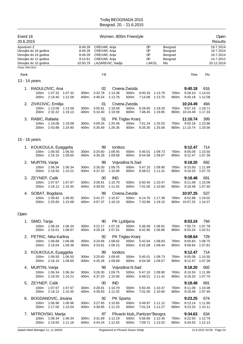| Event 16<br>20.6.2015            |                                                                                              | Women, 800m Freestyle                                |                                                              |                                        |                                    |                                                                                   |                    |                                          | Open<br>Results                                           |                           |                                                                |
|----------------------------------|----------------------------------------------------------------------------------------------|------------------------------------------------------|--------------------------------------------------------------|----------------------------------------|------------------------------------|-----------------------------------------------------------------------------------|--------------------|------------------------------------------|-----------------------------------------------------------|---------------------------|----------------------------------------------------------------|
| Apsolutni Z<br>Points: FINA 2014 | Devojke do 16 godina<br>Devojke do 14 godina<br>Devojke do 12 godina<br>Devojke do 10 godina | 8:49.28<br>8:49.28<br>8:49.28<br>9:14.61<br>10:50.79 | CREVAR, Anja<br>CREVAR, Anja<br>CREVAR, Anja<br>CREVAR, Anja | LAZAREVIC, Nadja                       |                                    | DP<br>DP<br>DP<br>DP<br>LAKOL                                                     | Nis                | Beograd<br>Beograd<br>Beograd<br>Beograd |                                                           |                           | 19.7.2014<br>19.7.2014<br>19.7.2014<br>14.7.2012<br>20.12.2014 |
| Rank                             |                                                                                              |                                                      | ΥB                                                           |                                        |                                    |                                                                                   |                    |                                          | Time                                                      | Pts                       |                                                                |
| 13 - 14 years                    |                                                                                              |                                                      |                                                              |                                        |                                    |                                                                                   |                    |                                          |                                                           |                           |                                                                |
|                                  | 1. RADULOVIC, Ana<br>100m: 1:07.32<br>1:07.32<br>200m: 2:19.40<br>1:12.08                    | 300m:<br>400m:                                       | 02<br>3:32.78<br>4.46.54                                     | 1:13.38<br>1:13.76                     | Crvena Zvezda<br>500m:<br>600m:    | 6:00.33<br>7:14.08                                                                | 1:13.79<br>1:13.75 | 700m:<br>800m:                           | 9:40.18<br>8:28.10<br>9:40.18                             | 616<br>1:14.02<br>1:12.08 |                                                                |
|                                  | 2. ZIVKOVIC, Emilija<br>100m: 1:13.09<br>1:13.09<br>2:32.22<br>200m:<br>1:19.13              | 300m:<br>400m:                                       | 01<br>3:50.81<br>5:10.40                                     | Crvena Zvezda<br>1:18.59<br>1:19.59    | 500m:<br>600m:                     | 6:28.60<br>7:48.45                                                                | 1:18.20<br>1:19.85 | 700m:                                    | 10:24.49<br>9:07.16<br>800m: 10:24.49                     | 494<br>1:18.71<br>1:17.33 |                                                                |
|                                  | 3. RABIC, Rafaela<br>100m: 1:19.08<br>1:19.08<br>200m: 2:43.88<br>1:24.80                    | 300m:<br>400m:                                       | 01<br>4:09.34<br>5.35.69                                     | 1:25.46<br>1:26.35                     | PK Triglav Kranj<br>500m:<br>600m: | 7:01.24<br>8:26.30                                                                | 1:25.55<br>1:25.06 |                                          | 11:10.74<br>700m: 9:50.18<br>800m: 11:10.74               | 399<br>1:23.88<br>1:20.56 |                                                                |
| 15 - 16 years                    |                                                                                              |                                                      |                                                              |                                        |                                    |                                                                                   |                    |                                          |                                                           |                           |                                                                |
|                                  | 1. KOUKOULA, Eyaggelia<br>1:06.50<br>1:06.50<br>100m:<br>200m: 2:16.15<br>1:09.65            | 300m:<br>400m:                                       | 99<br>3:25.60<br>4:35.28                                     | Ionikos<br>1:09.45<br>1:09.68          | 500m:<br>600m:                     | 5:45.01<br>6:54.58                                                                | 1:09.73<br>1:09.57 | 700m:<br>800m:                           | 9:12.47<br>8:05.08<br>9:12.47                             | 714<br>1:10.50<br>1:07.39 |                                                                |
| 2.                               | MURTIN, Vanja<br>100m: 1:06.34<br>1:06.34<br>200m: 2:16.55<br>1:10.21                        | 300m.<br>400m:                                       | 99<br>3:26.30<br>4:37.20                                     | 1:09.75<br>1:10.90                     | Vojvodina N.Sad<br>500m:<br>600m:  | 5:47.10<br>6:58.51                                                                | 1:09.90<br>1.11.41 | 700m:<br>800m:                           | 9:18.20<br>8:10.50<br>9:18.20                             | 692<br>1:11.99<br>1:07.70 |                                                                |
| 3.                               | ZEYNEP, Calik<br>100m: 1:07.67<br>1:07.67<br>200m: 2:18.12<br>1:10.45                        | 300m:<br>400m:                                       | 00<br>3:28.91<br>4:39.93                                     | <b>IND</b><br>1:10.79<br>1:11.02       | 500m:<br>600m:                     | 5:50.40<br>7:01.00                                                                | 1.10.47<br>1:10.60 | 700m:<br>800m:                           | 9:18.48<br>8:11.08<br>9:18.48                             | 691<br>1:10.08<br>1:07.40 |                                                                |
|                                  | 4. SOBAT, Bogdana<br>100m: 1:09.92<br>1:09.92<br>200m: 2:25.60<br>1:15.68                    | 300m:<br>400m:                                       | 99<br>3:41.27<br>4:57.37                                     | 1:15.67<br>1:16.10                     | Crvena Zvezda<br>500m:<br>600m:    | 6:14.76<br>7:33.86                                                                | 1:17.39<br>1:19.10 |                                          | 10:07.25<br>700m: 8:52.88<br>800m: 10:07.25               | 537<br>1:19.02<br>1:14.37 |                                                                |
| Open                             |                                                                                              |                                                      |                                                              |                                        |                                    |                                                                                   |                    |                                          |                                                           |                           |                                                                |
|                                  | 1. SMID, Tanja<br>100m: 1:06.34 1:06.34<br>200m: 2:15.01 1:08.67                             |                                                      | 90<br>300m: 3:22.17<br>400m: 4:29.18                         | PK Ljubljana<br>1:07.16<br>1:07.01     |                                    | 500m: 5:36.09 1:06.91<br>600m: 6:42.95 1:06.86                                    |                    | 700m:<br>800m:                           | 8:53.24<br>7:50.73 1:07.78<br>8:53.24                     | 794<br>1:02.51            |                                                                |
|                                  | 2. PETRIC, Nika Karlina<br>100m: 1:06.68 1:06.68<br>200m: 2:16.04 1:09.36                    | 300m:                                                | 92<br>3:24.66<br>400m: 4:33.81                               | PK Triglav Kranj<br>1:08.62<br>1:09.15 |                                    | 500m: 5:42.64 1:08.83<br>600m: 6:52.08                                            | 1:09.44            | 700m:<br>800m:                           | 9:08.64<br>8:00.83 1:08.75<br>9:08.64                     | 729<br>1:07.81            |                                                                |
|                                  | 3. KOUKOULA, Eyaggelia<br>100m: 1:06.50 1:06.50<br>200m: 2:16.15 1:09.65                     | 300m:                                                | 99<br>3:25.60<br>400m: 4:35.28                               | Ionikos<br>1:09.45<br>1:09.68          |                                    | 500m: 5:45.01<br>600m: 6:54.58                                                    | 1:09.73<br>1:09.57 | 700m:<br>800m:                           | 9:12.47<br>8:05.08<br>9:12.47                             | 714<br>1:10.50<br>1:07.39 |                                                                |
|                                  | 4. MURTIN, Vanja<br>100m: 1:06.34<br>1:06.34<br>200m: 2:16.55<br>1:10.21                     | 300m:                                                | 99<br>3:26.30<br>400m: 4:37.20                               | Vojvodina N.Sad<br>1:09.75<br>1:10.90  |                                    | 500m: 5:47.10<br>600m: 6:58.51                                                    | 1:09.90<br>1:11.41 | 700m:<br>800m:                           | 9:18.20<br>8:10.50<br>9:18.20                             | 692<br>1:11.99<br>1:07.70 |                                                                |
|                                  | 5. ZEYNEP, Calik<br>100m: 1:07.67<br>1:07.67<br>200m: 2:18.12<br>1:10.45                     | 300m:<br>400m:                                       | 00<br>3:28.91<br>4:39.93                                     | <b>IND</b><br>1:10.79<br>1:11.02       | 500m:<br>600m:                     | 5:50.40<br>7:01.00                                                                | 1:10.47<br>1:10.60 | 700m:<br>800m:                           | 9:18.48<br>8:11.08<br>9:18.48                             | 691<br>1:10.08<br>1:07.40 |                                                                |
| 6.                               | BOGDANOVIC, Jovana<br>100m: 1:06.96 1:06.96<br>200m: 2:17.00 1:10.04                         |                                                      | 92<br>300m: 3:27.65<br>400m: 4:38.85                         | PK Sparta<br>1:10.65<br>1:11.20        |                                    | 500m: 5:49.97 1:11.12<br>600m: 7:01.24 1:11.27                                    |                    | 800m:                                    | 9:23.25<br>700m: 8:13.14 1:11.90<br>9:23.25               | 674<br>1:10.11            |                                                                |
|                                  | 7. MITROVSKI, Marija<br>100m: 1:08.34 1:08.34<br>200m: 2:19.50 1:11.16                       | 300m:                                                | 97<br>3:31.69<br>400m: 4:44.24                               | 1:12.19<br>1:12.55                     |                                    | Plivacki klub,, Partizan"Beogra<br>500m: 5:56.69 1:12.45<br>600m: 7:09.71 1:13.02 |                    |                                          | 9:34.63<br>700m: 8:22.50 1:12.79<br>800m: 9:34.63 1:12.13 | 634                       |                                                                |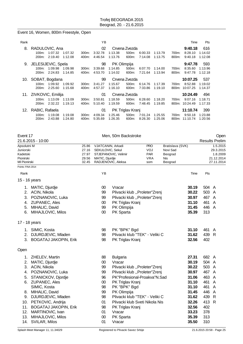#### Event 16, Women, 800m Freestyle, Open

| Rank |                                                                                                  |                | YB                       |                    |                                    |                    |                    |                | Time                                  | <b>Pts</b>                |
|------|--------------------------------------------------------------------------------------------------|----------------|--------------------------|--------------------|------------------------------------|--------------------|--------------------|----------------|---------------------------------------|---------------------------|
| 8.   | RADULOVIC, Ana<br>1:07.32<br>$100m$ :<br>1:07.32<br>2:19.40<br>1:12.08<br>200 <sub>m</sub> :     | 300m:<br>400m: | 02<br>3:32.78<br>4:46.54 | 1:13.38<br>1:13.76 | Crvena Zvezda<br>500m:<br>600m:    | 6:00.33<br>7:14.08 | 1:13.79<br>1:13.75 | 700m:<br>800m: | 9:40.18<br>8:28.10<br>9:40.18         | 616<br>1:14.02<br>1:12.08 |
|      | 9. JELESIJEVIC, Spela<br>1:09.98<br>$100m$ :<br>1:09.98<br>2:24.83<br>1:14.85<br>$200m$ :        | 300m:<br>400m: | 98<br>3:39.68<br>4:53.70 | 1:14.85<br>1:14.02 | PK Olimpija<br>500m:<br>600m:      | 6:07.70<br>7:21.64 | 1:14.00<br>1:13.94 | 700m:<br>800m: | 9:47.78<br>8:35.60<br>9:47.78         | 593<br>1:13.96<br>1:12.18 |
|      | 10. SOBAT, Bogdana<br>1:09.92<br>1:09.92<br>100m:<br>2:25.60<br>1:15.68<br>200 <sub>m</sub> :    | 300m:<br>400m: | 99<br>3:41.27<br>4:57.37 | 1:15.67<br>1:16.10 | Crvena Zvezda<br>500m:<br>600m:    | 6:14.76<br>7:33.86 | 1:17.39<br>1:19.10 | 700m:<br>800m: | 10:07.25<br>8:52.88<br>10:07.25       | 537<br>1:19.02<br>1:14.37 |
|      | 11. ZIVKOVIC, Emilija<br>1:13.09<br>1:13.09<br>100m:<br>2:32.22<br>1:19.13<br>200m:              | 300m:<br>400m: | 01<br>3:50.81<br>5:10.40 | 1:18.59<br>1:19.59 | Crvena Zvezda<br>500m:<br>600m:    | 6:28.60<br>7:48.45 | 1:18.20<br>1:19.85 | 700m:          | 10:24.49<br>9:07.16<br>800m: 10:24.49 | 494<br>1:18.71<br>1:17.33 |
|      | 12. RABIC, Rafaela<br>1:19.08<br>$100m$ :<br>1:19.08<br>2:43.88<br>200 <sub>m</sub> :<br>1.24.80 | 300m:<br>400m: | 01<br>4:09.34<br>5:35.69 | 1:25.46<br>1:26.35 | PK Triglav Kranj<br>500m:<br>600m: | 7:01.24<br>8:26.30 | 1:25.55<br>1:25.06 | 700m:          | 11:10.74<br>9:50.18<br>800m: 11:10.74 | 399<br>1:23.88<br>1:20.56 |

| Event 17              |                           |                |                         | Men, 50m Backstroke                                                                  |            |                  |                       |            | Open                  |  |
|-----------------------|---------------------------|----------------|-------------------------|--------------------------------------------------------------------------------------|------------|------------------|-----------------------|------------|-----------------------|--|
|                       | 21.6.2015 - 10:00         |                |                         |                                                                                      |            |                  |                       |            | <b>Results Prelim</b> |  |
| Apsolutni M           |                           | 25.86          | VJATCANIN, Arkadi       |                                                                                      | <b>PRO</b> | Bratislava (SVK) |                       |            | 1.5.2015              |  |
| Juniorski<br>Kadetski |                           | 27.16<br>27.97 | SEKULOVIC, Sekul<br>VOJ |                                                                                      |            | Novi Sad         | 29.3.2015<br>1.8.2009 |            |                       |  |
| Pionirski             |                           | 29.56          |                         | STJEPANOVIC, Velimir<br><b>PAR</b><br>Beograd<br><b>VRA</b><br>MATIC, Djurdje<br>Nis |            |                  |                       | 21.12.2014 |                       |  |
| MI Pionirski          |                           | 32.45          |                         | RADJENOVIC, Aleksa                                                                   | som        | Beograd          |                       | 27.11.2014 |                       |  |
| Points: FINA 2014     |                           |                |                         |                                                                                      |            |                  |                       |            |                       |  |
| Rank                  |                           |                | YB                      |                                                                                      |            |                  | Time                  | Pts        |                       |  |
|                       | 15 - 16 years             |                |                         |                                                                                      |            |                  |                       |            |                       |  |
|                       | 1. MATIC, Djurdje         |                | $00\,$                  | Vracar                                                                               |            | 30.19            |                       | 504 A      |                       |  |
| 2.                    | ACIN, Nikola              |                | 99                      | Plivacki klub "Proleter"Zrenj                                                        |            | 30.22            |                       | 503 A      |                       |  |
| 3.                    | POZNANOVIC, Luka          |                | 99                      | Plivacki klub "Proleter"Zrenj                                                        |            | 30.97            |                       | 467 A      |                       |  |
| 4.                    | ZUPANEC, Ales             |                | 00                      | PK Triglav Kranj                                                                     |            | 31.10            |                       | 461        | A                     |  |
| 5.                    | MIHALIC, David            |                | 99                      | PK Olimpija                                                                          |            | 31.45            |                       | 446 A      |                       |  |
| 6.                    | MIHAJLOVIC, Milos         |                | $00\,$                  | PK Sparta                                                                            |            | 35.39            |                       | 313        |                       |  |
|                       | 17 - 18 years             |                |                         |                                                                                      |            |                  |                       |            |                       |  |
|                       | 1. SIMIC, Kosta           |                | 98                      | PK "BPK" Bgd                                                                         |            | 31.10            |                       | 461        | A                     |  |
|                       | 2. DJURDJEVIC, Mladen     |                | 98                      | Plivacki klub "TEK" - Veliki C                                                       |            | 31.62            |                       | 439        | $\mathsf{R}$          |  |
|                       | 3. BOGATAJ JAKOPIN, Erik  |                | 98                      | PK Triglav Kranj                                                                     |            | 32.56            |                       | 402        |                       |  |
| Open                  |                           |                |                         |                                                                                      |            |                  |                       |            |                       |  |
|                       | 1. ZHELEV, Martin         |                | 88                      | <b>Bulgaria</b>                                                                      |            | 27.31            |                       | 682 A      |                       |  |
|                       | 2. MATIC, Djurdje         |                | $00\,$                  | Vracar                                                                               |            | 30.19            |                       | 504 A      |                       |  |
|                       | 3. ACIN, Nikola           |                | 99                      | Plivacki klub "Proleter"Zrenj                                                        |            | 30.22            |                       | 503 A      |                       |  |
|                       | 4. POZNANOVIC, Luka       |                | 99                      | Plivacki klub "Proleter"Zrenj                                                        |            | 30.97            |                       | 467        | A                     |  |
| 5.                    | STANICKOV, Djordje        |                | 96                      | PK"Profesional-Proakva"N.Sad                                                         |            | 31.06            |                       | 463        | $\mathsf{A}$          |  |
|                       | 6. ZUPANEC, Ales          |                | 00                      | PK Triglav Kranj                                                                     |            | 31.10            |                       | 461        | $\overline{A}$        |  |
|                       | SIMIC, Kosta              |                | 98                      | PK "BPK" Bgd                                                                         |            | 31.10            |                       | 461        | A                     |  |
|                       | 8. MIHALIC, David         |                | 99                      | PK Olimpija                                                                          |            | 31.45            |                       | 446        | A                     |  |
|                       | 9. DJURDJEVIC, Mladen     |                | 98                      | Plivacki klub "TEK" - Veliki C                                                       |            | 31.62            |                       | 439        | - R                   |  |
|                       | 10. PETKOVIC, Andrija     |                | 01                      | Plivacki klub Sveti Nikola Nis                                                       |            | 32.26            |                       | 413 R      |                       |  |
|                       | 11. BOGATAJ JAKOPIN, Erik |                | 98                      | PK Triglav Kranj                                                                     |            | 32.56            |                       | 402        |                       |  |
| 12.                   | MARTINOVIC, Ivan          |                | 01                      | Vracar                                                                               |            | 33.23            |                       | 378        |                       |  |
| 13.                   | MIHAJLOVIC, Milos         |                | 00                      | PK Sparta                                                                            |            | 35.39            |                       | 313        |                       |  |
| 14.                   | SVILAR, Milos             |                | 01                      | Vracar                                                                               |            | 35.50            |                       | 310        |                       |  |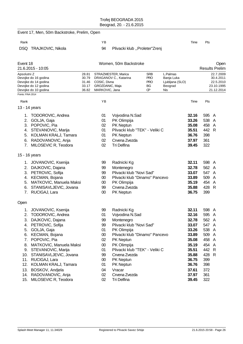|                                                                                 |                                                                                                                                                                                                                                                                                                                                                                                                                                                                                                                                                                                                                      | YB                                                                                           |                                                                                                                                                |                                                                                                                  |                                                                                                                | Time                                                                                                                                                                                                | Pts                                                                                                                |                                                                 |
|---------------------------------------------------------------------------------|----------------------------------------------------------------------------------------------------------------------------------------------------------------------------------------------------------------------------------------------------------------------------------------------------------------------------------------------------------------------------------------------------------------------------------------------------------------------------------------------------------------------------------------------------------------------------------------------------------------------|----------------------------------------------------------------------------------------------|------------------------------------------------------------------------------------------------------------------------------------------------|------------------------------------------------------------------------------------------------------------------|----------------------------------------------------------------------------------------------------------------|-----------------------------------------------------------------------------------------------------------------------------------------------------------------------------------------------------|--------------------------------------------------------------------------------------------------------------------|-----------------------------------------------------------------|
| <b>TRAJKOVIC, Nikola</b>                                                        |                                                                                                                                                                                                                                                                                                                                                                                                                                                                                                                                                                                                                      | 94                                                                                           |                                                                                                                                                |                                                                                                                  |                                                                                                                |                                                                                                                                                                                                     |                                                                                                                    |                                                                 |
|                                                                                 |                                                                                                                                                                                                                                                                                                                                                                                                                                                                                                                                                                                                                      |                                                                                              |                                                                                                                                                |                                                                                                                  |                                                                                                                |                                                                                                                                                                                                     |                                                                                                                    | Open<br><b>Results Prelim</b>                                   |
|                                                                                 | 28.81<br>30.79<br>31.46<br>33.17<br>36.82                                                                                                                                                                                                                                                                                                                                                                                                                                                                                                                                                                            |                                                                                              |                                                                                                                                                | <b>SRB</b><br><b>PRO</b><br><b>PRO</b><br>ВG<br>ŒР                                                               |                                                                                                                |                                                                                                                                                                                                     |                                                                                                                    | 22.7.2009<br>30.4.2011<br>22.5.2010<br>23.10.1995<br>21.12.2014 |
|                                                                                 |                                                                                                                                                                                                                                                                                                                                                                                                                                                                                                                                                                                                                      | YB                                                                                           |                                                                                                                                                |                                                                                                                  |                                                                                                                | Time                                                                                                                                                                                                | Pts                                                                                                                |                                                                 |
|                                                                                 |                                                                                                                                                                                                                                                                                                                                                                                                                                                                                                                                                                                                                      |                                                                                              |                                                                                                                                                |                                                                                                                  |                                                                                                                |                                                                                                                                                                                                     |                                                                                                                    |                                                                 |
| TODOROVIC, Andrea<br>RADOVANOVIC, Anja                                          |                                                                                                                                                                                                                                                                                                                                                                                                                                                                                                                                                                                                                      | 01<br>01<br>02<br>01<br>01<br>02<br>02                                                       | Vojvodina N.Sad<br>PK Olimpija<br>PK Neptun<br>PK Neptun<br>Crvena Zvezda<br><b>Tri Delfina</b>                                                |                                                                                                                  |                                                                                                                | 32.16<br>33.26<br>35.08<br>35.51<br>36.76<br>37.97<br>39.45                                                                                                                                         | 595 A<br>538 A<br>458 A<br>442 R<br>398<br>361<br>322                                                              |                                                                 |
|                                                                                 |                                                                                                                                                                                                                                                                                                                                                                                                                                                                                                                                                                                                                      |                                                                                              |                                                                                                                                                |                                                                                                                  |                                                                                                                |                                                                                                                                                                                                     |                                                                                                                    |                                                                 |
| DAJKOVIC, Dajana<br>STANISAVLJEVIC, Jovana<br>RUCIGAJ, Lara                     |                                                                                                                                                                                                                                                                                                                                                                                                                                                                                                                                                                                                                      | 99<br>99<br>99<br>$00\,$<br>$00\,$<br>99<br>$00\,$                                           | Radnicki Kg<br>Montenegro<br>PK Olimpija<br>Crvena Zvezda<br>PK Neptun                                                                         |                                                                                                                  |                                                                                                                | 32.11<br>32.78<br>33.07<br>33.89<br>35.19<br>35.88<br>36.75                                                                                                                                         | 598 A<br>562 A<br>547 A<br>509<br>454 A<br>428 R<br>399                                                            | A                                                               |
|                                                                                 |                                                                                                                                                                                                                                                                                                                                                                                                                                                                                                                                                                                                                      |                                                                                              |                                                                                                                                                |                                                                                                                  |                                                                                                                |                                                                                                                                                                                                     |                                                                                                                    |                                                                 |
| JOVANOVIC, Ksenija<br>DAJKOVIC, Dajana<br>POPOVIC, Pia<br>14. RADOVANOVIC, Anja |                                                                                                                                                                                                                                                                                                                                                                                                                                                                                                                                                                                                                      | 99<br>01<br>99<br>99<br>01<br>$00\,$<br>02<br>$00\,$<br>01<br>99<br>$00\,$<br>01<br>04<br>02 | Vojvodina N.Sad<br>Montenegro<br>PK Olimpija<br>PK Neptun<br>PK Olimpija<br>Crvena Zvezda<br>PK Neptun<br>PK Neptun<br>Vracar<br>Crvena Zvezda |                                                                                                                  |                                                                                                                | 32.11<br>32.16<br>32.78<br>33.07<br>33.26<br>33.89<br>35.08<br>35.19<br>35.51<br>35.88<br>36.75<br>36.76<br>37.61<br>37.97                                                                          | 598 A<br>595 A<br>562 A<br>547 A<br>538 A<br>509 A<br>458 A<br>454 A<br>442 R<br>428 R<br>399<br>398<br>372<br>361 |                                                                 |
| 1.<br>4.                                                                        | Event 18<br>21.6.2015 - 10:05<br>Apsolutni Z<br>Devojke do 16 godina<br>Devojke do 14 godina<br>Devojke do 12 godina<br>Devojke do 10 godina<br>Points: FINA 2014<br>13 - 14 years<br>GOLJA, Gaja<br>3. POPOVIC, Pia<br>4. STEVANOVIC, Marija<br>5. KOLMAN KRALJ, Tamara<br>7. MILOSEVIC R, Teodora<br>15 - 16 years<br>1. JOVANOVIC, Ksenija<br>3. PETROVIC, Sofija<br>4. KECMAN, Bojana<br>6.<br>7.<br>TODOROVIC, Andrea<br>PETROVIC, Sofija<br>5. GOLJA, Gaja<br>6. KECMAN, Bojana<br>9. STEVANOVIC, Marija<br>10. STANISAVLJEVIC, Jovana<br>11. RUCIGAJ, Lara<br>12. KOLMAN KRALJ, Tamara<br>13. BOSKOV, Andjela | MATKOVIC, Manuela Maksi<br>8. MATKOVIC, Manuela Maksi                                        | Event 17, Men, 50m Backstroke, Prelim, Open                                                                                                    | STRAZMESTER, Marica<br>DRAGANOV C., Katarina<br>COSIC, Divna<br>GROZDANIC, Maja<br>MARKOVIC, Jana<br>Radnicki Kg | Plivacki klub "Proleter"Zrenj<br>Women, 50m Backstroke<br>Plivacki klub "Novi Sad"<br>Plivacki klub "Novi Sad" | L.Palmas<br>Banja Luka<br>Ljubljana (SLO)<br>Beograd<br>Nis<br>Plivacki klub "TEK" - Veliki C<br>Plivacki klub "Dinamo" Pancevo<br>Plivacki klub "Dinamo" Pancevo<br>Plivacki klub "TEK" - Veliki C |                                                                                                                    |                                                                 |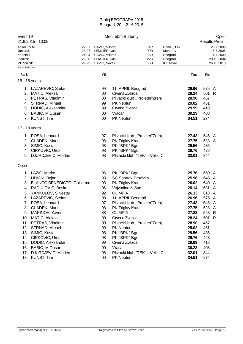| CAVIC, Milorad<br>22.67<br>23.97<br>LENDJER, Ivan<br>24.94<br>CAVIC, Milorad<br>26.60<br>LENDJER, Ivan<br>29.23<br>SAVIC, Novak<br>ΥB<br>99 |                                                                                                                                                                                                      | <b>PAR</b><br><b>PRO</b><br><b>PAR</b><br><b>MZR</b><br>SSU | Rome (ITA)<br>Monterry<br>Beograd<br>Beograd<br>Krusevac |                                                                                                                                              |                                                                                                                        | 26.7.2009<br>8.7.2008<br>14.7.2000<br>28.10.2004 |
|---------------------------------------------------------------------------------------------------------------------------------------------|------------------------------------------------------------------------------------------------------------------------------------------------------------------------------------------------------|-------------------------------------------------------------|----------------------------------------------------------|----------------------------------------------------------------------------------------------------------------------------------------------|------------------------------------------------------------------------------------------------------------------------|--------------------------------------------------|
|                                                                                                                                             |                                                                                                                                                                                                      |                                                             |                                                          |                                                                                                                                              |                                                                                                                        | 26.10.2013                                       |
|                                                                                                                                             |                                                                                                                                                                                                      |                                                             |                                                          | Time                                                                                                                                         | Pts                                                                                                                    |                                                  |
|                                                                                                                                             |                                                                                                                                                                                                      |                                                             |                                                          |                                                                                                                                              |                                                                                                                        |                                                  |
| $00\,$<br>00<br>99<br>99<br>00<br>$00\,$                                                                                                    | 11. APRIL Beograd<br>Crvena Zvezda<br>Plivacki klub "Proleter"Zrenj<br>PK Neptun<br>Crvena Zvezda<br>Vracar<br>PK Neptun                                                                             |                                                             |                                                          | 26.96<br>28.24<br>28.90<br>29.02<br>29.99<br>30.23<br>34.51                                                                                  | 575<br>501<br>467<br>461<br>418<br>408<br>274                                                                          | A<br>$\mathsf{R}$                                |
|                                                                                                                                             |                                                                                                                                                                                                      |                                                             |                                                          |                                                                                                                                              |                                                                                                                        |                                                  |
| 97<br>98<br>98<br>98<br>98                                                                                                                  | PK Triglav Kranj<br>PK "BPK" Bgd<br>PK "BPK" Bgd                                                                                                                                                     |                                                             |                                                          | 27.43<br>27.75<br>29.56<br>29.76<br>32.01                                                                                                    | 546 A<br>528 A<br>436<br>428<br>344                                                                                    |                                                  |
|                                                                                                                                             |                                                                                                                                                                                                      |                                                             |                                                          |                                                                                                                                              |                                                                                                                        |                                                  |
| 96<br>93<br>93<br>96<br>92<br>99<br>97<br>98<br>88<br>$00\,$<br>$00\,$<br>99<br>98<br>98<br>99<br>$00\,$<br>98                              | PK "BPK" Bgd<br>PK Triglav Kranj<br>Vojvodina N.Sad<br><b>OLIMPIA</b><br>PK Triglav Kranj<br><b>OLIMPIA</b><br>Crvena Zvezda<br>PK Neptun<br>PK "BPK" Bgd<br>PK "BPK" Bgd<br>Crvena Zvezda<br>Vracar |                                                             |                                                          | 25.76<br>25.96<br>26.02<br>26.14<br>26.33<br>26.96<br>27.43<br>27.75<br>27.83<br>28.24<br>28.90<br>29.02<br>29.56<br>29.76<br>29.99<br>30.23 | 660 A<br>645<br>640<br>631<br>618<br>575 A<br>546 A<br>528<br>523 R<br>501 R<br>467<br>461<br>436<br>428<br>418<br>408 | A<br>A<br>A<br>A<br>A                            |
| <b>BLANCO BENEDICTO, Guillermo</b>                                                                                                          |                                                                                                                                                                                                      |                                                             | SC Spartak-Prozivka<br>11. APRIL Beograd                 | Plivacki klub "Proleter"Zrenj<br>Plivacki klub "TEK" - Veliki C<br>Plivacki klub "Proleter"Zrenj<br>Plivacki klub "Proleter"Zrenj            |                                                                                                                        | Plivacki klub "TEK" - Veliki C<br>32.01<br>344   |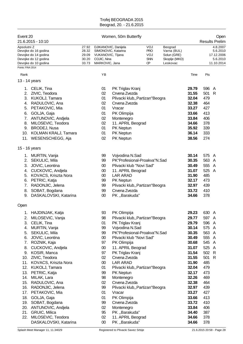| Event 20                                           | 21.6.2015 - 10:10                                                                                                                                                                                                                                                             |                                           |                                                                                    | Women, 50m Butterfly                                                                                                                                                                                                                               |                                             |                                                                    |                                                                                                                   |                                                                                         | Open<br><b>Results Prelim</b>                                |
|----------------------------------------------------|-------------------------------------------------------------------------------------------------------------------------------------------------------------------------------------------------------------------------------------------------------------------------------|-------------------------------------------|------------------------------------------------------------------------------------|----------------------------------------------------------------------------------------------------------------------------------------------------------------------------------------------------------------------------------------------------|---------------------------------------------|--------------------------------------------------------------------|-------------------------------------------------------------------------------------------------------------------|-----------------------------------------------------------------------------------------|--------------------------------------------------------------|
| Apsolutni Z<br>Points: FINA 2014                   | Devojke do 16 godina<br>Devojke do 14 godina<br>Devojke do 12 godina<br>Devojke do 10 godina                                                                                                                                                                                  | 27.92<br>28.32<br>29.09<br>30.20<br>33.73 | VUKANOVIC, Tijana<br>COJIC, Nina<br>MARKOVIC, Jana                                 | DJIKANOVIC, Danijela<br>SIMONOVIC, Katarina                                                                                                                                                                                                        | VOJ<br><b>PRO</b><br>VOJ<br><b>SNN</b><br>œ | Beograd<br>Varna (BUL)<br>Solun (GRE)<br>Skoplje (MKD)<br>Leskovac |                                                                                                                   |                                                                                         | 4.8.2007<br>5.6.2010<br>17.12.2006<br>5.6.2010<br>11.10.2014 |
|                                                    |                                                                                                                                                                                                                                                                               |                                           |                                                                                    |                                                                                                                                                                                                                                                    |                                             |                                                                    |                                                                                                                   |                                                                                         |                                                              |
| Rank                                               |                                                                                                                                                                                                                                                                               |                                           | YB                                                                                 |                                                                                                                                                                                                                                                    |                                             |                                                                    | Time                                                                                                              | Pts                                                                                     |                                                              |
| 13 - 14 years                                      |                                                                                                                                                                                                                                                                               |                                           |                                                                                    |                                                                                                                                                                                                                                                    |                                             |                                                                    |                                                                                                                   |                                                                                         |                                                              |
| 2.<br>3.<br>4.<br>5.<br>6.<br>7.<br>8.             | 1. CELIK, Tina<br>ZIVIC, Teodora<br><b>KUKOLJ, Tamara</b><br>RADULOVIC, Ana<br>PETAKOVIC, Mia<br>GOLJA, Gaja<br>ANTUNOVIC, Andjela<br>MILOSEVIC, Teodora<br>9. BRODEJ, Nusa<br>10. KOLMAN KRALJ, Tamara<br>11. WESENSCHEGG, Aja                                               |                                           | 01<br>02<br>01<br>02<br>01<br>01<br>02<br>02<br>01<br>01<br>02                     | PK Triglav Kranj<br>Crvena Zvezda<br>Plivacki klub,, Partizan"Beogra<br>Crvena Zvezda<br>Vracar<br>PK Olimpija<br>Montenegro<br>11. APRIL Beograd<br>PK Neptun<br>PK Neptun<br>PK Neptun                                                           |                                             |                                                                    | 29.79<br>31.55<br>32.04<br>32.38<br>33.27<br>33.66<br>33.84<br>34.66<br>35.92<br>36.14<br>38.56                   | 596 A<br>501<br>479<br>464<br>427<br>413<br>406<br>378<br>339<br>333<br>274             | R                                                            |
|                                                    |                                                                                                                                                                                                                                                                               |                                           |                                                                                    |                                                                                                                                                                                                                                                    |                                             |                                                                    |                                                                                                                   |                                                                                         |                                                              |
| 15 - 16 years<br>2.<br>3.<br>7.<br>8.<br>9.        | 1. MURTIN, Vanja<br>SEKULIC, Mila<br>JOVIC, Leontina<br>4. CUCKOVIC, Andjela<br>5. KOVACS, Kriszta Nora<br>6. PETRIC, Katja<br>RADONJIC, Jelena<br>SOBAT, Bogdana<br>DASKALOVSKI, Katarina                                                                                    |                                           | 99<br>99<br>$00\,$<br>$00\,$<br>$00\,$<br>99<br>99<br>99<br>00                     | Vojvodina N.Sad<br>PK"Profesional-Proakva"N.Sad<br>Plivacki klub "Novi Sad"<br>11. APRIL Beograd<br><b>LAR ARAD</b><br>PK Neptun<br>Plivacki klub,, Partizan"Beogra<br>Crvena Zvezda<br>PK,,Barakuda"                                              |                                             |                                                                    | 30.14<br>30.35<br>30.49<br>31.07<br>31.90<br>32.17<br>32.97<br>33.72<br>34.66                                     | 575 A<br>563 A<br>555<br>525<br>485<br>473<br>439<br>410<br>378                         | A<br>A                                                       |
| Open                                               |                                                                                                                                                                                                                                                                               |                                           |                                                                                    |                                                                                                                                                                                                                                                    |                                             |                                                                    |                                                                                                                   |                                                                                         |                                                              |
| 1.<br>2.<br>3.<br>4.<br>5.<br>6.<br>7.<br>8.<br>9. | <b>HAJDINJAK, Katja</b><br>MILOSEVIC, Vanja<br>CELIK, Tina<br>MURTIN, Vanja<br>SEKULIC, Mila<br>JOVIC, Leontina<br>ROZNIK, Kaja<br>CUCKOVIC, Andjela<br>KOSIR, Manca<br>10. ZIVIC, Teodora                                                                                    |                                           | 93<br>98<br>01<br>99<br>99<br>$00\,$<br>97<br>$00\,$<br>97<br>02                   | PK Olimpija<br>Plivacki klub,, Partizan "Beogra<br>PK Triglav Kranj<br>Vojvodina N.Sad<br>PK"Profesional-Proakva"N.Sad<br>Plivacki klub "Novi Sad"<br>PK Olimpija<br>11. APRIL Beograd<br>PK Triglav Kranj<br>Crvena Zvezda                        |                                             |                                                                    | 29.23<br>29.77<br>29.79<br>30.14<br>30.35<br>30.49<br>30.68<br>31.07<br>31.54<br>31.55                            | 630<br>597 A<br>596 A<br>575 A<br>563 A<br>555 A<br>545 A<br>525 A<br>502 R<br>501 R    | $\mathsf{A}$                                                 |
| 12.<br>13.<br>14.<br>15.<br>16.<br>17.             | 11. KOVACS, Kriszta Nora<br>KUKOLJ, Tamara<br>PETRIC, Katja<br>MILAK, Lara<br>RADULOVIC, Ana<br>RADONJIC, Jelena<br>PETAKOVIC, Mia<br>18. GOLJA, Gaja<br>19. SOBAT, Bogdana<br>20. ANTUNOVIC, Andjela<br>21. GRUIC, Milica<br>22. MILOSEVIC, Teodora<br>DASKALOVSKI, Katarina |                                           | $00\,$<br>01<br>99<br>98<br>02<br>99<br>01<br>01<br>99<br>02<br>95<br>02<br>$00\,$ | <b>LAR ARAD</b><br>Plivacki klub,, Partizan "Beogra<br>PK Neptun<br>Montenegro<br>Crvena Zvezda<br>Plivacki klub,, Partizan "Beogra<br>Vracar<br>PK Olimpija<br>Crvena Zvezda<br>Montenegro<br>PK,,Barakuda"<br>11. APRIL Beograd<br>PK,,Barakuda" |                                             |                                                                    | 31.90<br>32.04<br>32.17<br>32.26<br>32.38<br>32.97<br>33.27<br>33.66<br>33.72<br>33.84<br>34.40<br>34.66<br>34.66 | 485<br>479<br>473<br>469<br>464<br>439<br>427<br>413<br>410<br>406<br>387<br>378<br>378 |                                                              |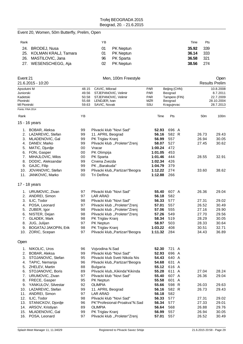# Event 20, Women, 50m Butterfly, Prelim, Open

| Rank |                          | ΥB |                  | Time  | Pts   |
|------|--------------------------|----|------------------|-------|-------|
|      | 24. BRODEJ, Nusa         | 01 | <b>PK Neptun</b> | 35.92 | - 339 |
|      | 25. KOLMAN KRALJ, Tamara | 01 | <b>PK Neptun</b> | 36.14 | - 333 |
|      | 26. MASTILOVIC, Jana     | 96 | <b>PK Sparta</b> | 36.58 | -321  |
|      | 27. WESENSCHEGG, Aja     | 02 | <b>PK Neptun</b> | 38.56 | -274  |

| Event 21          |                          |                               | Men, 100m Freestyle              |            |               |               |                 | Open                  |
|-------------------|--------------------------|-------------------------------|----------------------------------|------------|---------------|---------------|-----------------|-----------------------|
| 21.6.2015 - 10:20 |                          |                               |                                  |            |               |               |                 | <b>Results Prelim</b> |
| Apsolutni M       |                          | 48.15                         | CAVIC, Milorad                   | <b>PAR</b> | Beijing (CHN) |               |                 | 10.8.2008             |
| Juniorski         |                          | 49.56                         | STJEPANOVIC, Velimir             | PAR        | Beograd       |               |                 | 8.7.2011              |
| Kadetski          |                          | 50.58<br>STJEPANOVIC, Velimir |                                  | <b>PAR</b> |               | Tampere (FIN) |                 | 22.7.2009             |
| Pionirski         |                          | 55.68                         | LENDJER, Ivan                    | <b>MZR</b> | Beograd       |               |                 | 28.10.2004            |
| MI Pionirski      |                          | 59.63                         | SAVIC, Novak                     | SSU        | Kragujevac    |               |                 | 28.7.2013             |
| Points: FINA 2014 |                          |                               |                                  |            |               |               |                 |                       |
| Rank              |                          | YB                            |                                  | Time       | Pts           |               | 50 <sub>m</sub> | 100m                  |
|                   | 15 - 16 years            |                               |                                  |            |               |               |                 |                       |
|                   | 1. BOBAR, Aleksa         | 99                            | Plivacki klub "Novi Sad"         | 52.93      |               | 696 A         |                 |                       |
| 2.                | LAZAREVIC, Stefan        | 99                            | 11. APRIL Beograd                | 56.16      |               | 582 R         | 26.73           | 29.43                 |
| 3.                | MLADENOVIC, Gal          | 99                            | PK Triglav Kranj                 | 56.99      | 557           |               | 26.94           | 30.05                 |
| 4.                | DANEV, Marko             | 99                            | Plivacki klub "Proleter"Zrenj    | 58.07      | 527           |               | 27.45           | 30.62                 |
| 5.                | MATIC, Djurdje           | 00                            | Vracar                           | 1:00.24    | 472           |               |                 |                       |
|                   | 6. FON, Gasper           | 00                            | PK Olimpija                      | 1:01.05    | 453           |               |                 |                       |
| 7.                | MIHAJLOVIC, Milos        | 00                            | PK Sparta                        | 1:01.46    | 444           |               | 28.55           | 32.91                 |
| 8.                | DODIC, Aleksandar        | 99                            | Crvena Zvezda                    | 1:02.34    | 426           |               |                 |                       |
|                   | 9. GAJIC, Filip          | 99                            | PK, Barakuda"                    | 1:04.79    | 379           |               |                 |                       |
| 10.               | JOVANOVIC, Stefan        | 99                            | Plivacki klub,, Partizan" Beogra | 1:12.22    | 274           |               | 33.60           | 38.62                 |
| 11.               | JANKOVIC, Marko          | 00                            | Tri Delfina                      | 1:12.88    | 266           |               |                 |                       |
|                   | 17 - 18 years            |                               |                                  |            |               |               |                 |                       |
|                   | 1. URUMOVIC, Zivan       | 97                            | Plivacki klub "Novi Sad"         | 55.40      |               | 607 A         | 26.36           | 29.04                 |
|                   | 2. ANDREI, Simon         | 97                            | <b>LAR ARAD</b>                  | 56.18      | 582           |               |                 |                       |
|                   | 3. ILIC, Todor           | 98                            | Plivacki klub "Novi Sad"         | 56.33      | 577           |               | 27.31           | 29.02                 |
|                   | 4. POSA, Leonard         | 97                            | Plivacki klub "Proleter"Zrenj    | 57.01      | 557           |               | 26.52           | 30.49                 |
|                   | 5. ZUBER, Igor           | 98                            | Plivacki klub "Proleter"Zrenj    | 57.06      | 555           |               | 27.16           | 29.90                 |
| 6.                | NISTER, Dejan            | 98                            | Plivacki klub "Proleter"Zrenj    | 57.26      | 549           |               | 27.70           | 29.56                 |
|                   | 7. GLADEK, Mark          | 98                            | PK Triglav Kranj                 | 58.34      | 519           |               | 28.29           | 30.05                 |
| 8.                | JUG, Julijan             | 97                            | PK Neptun                        | 58.97      | 503           |               | 28.33           | 30.64                 |
|                   | 9. BOGATAJ JAKOPIN, Erik | 98                            | PK Triglav Kranj                 | 1:03.22    | 408           |               | 30.51           | 32.71                 |
|                   | 10. ZORIC, Scepan        | 97                            | Plivacki klub,, Partizan" Beogra | 1:11.32    | 284           |               | 34.43           | 36.89                 |
| Open              |                          |                               |                                  |            |               |               |                 |                       |
| 1.                | NIKOLIC, Uros            | 96                            | Vojvodina N.Sad                  | 52.30      |               | 721 A         |                 |                       |
| 2.                | BOBAR, Aleksa            | 99                            | Plivacki klub "Novi Sad"         | 52.93      |               | 696 A         |                 |                       |
|                   | 3. STOJANOVIC, Stefan    | 95                            | Plivacki klub Sveti Nikola Nis   | 54.43      |               | 640 A         |                 |                       |
| 4.                | TAPIC, Nemanja           | 96                            | Plivacki klub,, Partizan" Beogra | 54.68      |               | 631 A         |                 |                       |
| 5.                | ZHELEV, Martin           | 88                            | <b>Bulgaria</b>                  | 55.12      |               | 616 A         |                 |                       |
| 6.                | STOJANOVIC, Boris        | 89                            | Plivacki klub,, Kikinda "Kikinda | 55.28      |               | 611 A         | 27.04           | 28.24                 |
| 7.                | URUMOVIC, Zivan          | 97                            | Plivacki klub "Novi Sad"         | 55.40      |               | 607 A         | 26.36           | 29.04                 |
| 8.                | FRECE, Gasper            | 95                            | PK Neptun                        | 55.58      |               | 601 A         |                 |                       |
| 9.                | YANKULOV, Silvestar      | 92                            | <b>OLIMPIA</b>                   | 55.66      |               | 598 R         | 26.03           | 29.63                 |
| 10.               | LAZAREVIC, Stefan        | 99                            | 11. APRIL Beograd                | 56.16      |               | 582 R         | 26.73           | 29.43                 |
| 11.               | ANDREI, Simon            | 97                            | <b>LAR ARAD</b>                  | 56.18      | 582           |               |                 |                       |
| 12.               | ILIC, Todor              | 98                            | Plivacki klub "Novi Sad"         | 56.33      | 577           |               | 27.31           | 29.02                 |
| 13.               | STANICKOV, Djordje       | 96                            | PK"Profesional-Proakva"N.Sad     | 56.34      | 577           |               | 27.33           | 29.01                 |
| 14.               | ARSOV, Kristiyan         | 89                            | <b>OLIMPIA</b>                   | 56.64      | 568           |               | 26.88           | 29.76                 |
| 15.               | MLADENOVIC, Gal          | 99                            | PK Triglav Kranj                 | 56.99      | 557           |               | 26.94           | 30.05                 |
| 16.               | POSA, Leonard            | 97                            | Plivacki klub "Proleter"Zrenj    | 57.01      | 557           |               | 26.52           | 30.49                 |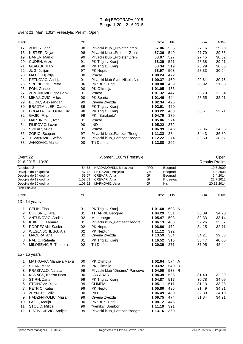# Event 21, Men, 100m Freestyle, Prelim, Open

|                              | ΥB |                                  | Time    | Pts | 50 <sub>m</sub> | 100m  |
|------------------------------|----|----------------------------------|---------|-----|-----------------|-------|
| ZUBER, Igor                  | 98 | Plivacki klub "Proleter"Zrenj    | 57.06   | 555 | 27.16           | 29.90 |
| NISTER, Dejan                | 98 | Plivacki klub "Proleter"Zrenj    | 57.26   | 549 | 27.70           | 29.56 |
| DANEV, Marko                 | 99 | Plivacki klub "Proleter"Zrenj    | 58.07   | 527 | 27.45           | 30.62 |
| CUDEN, Anze                  | 91 | PK Triglav Kranj                 | 58.29   | 521 | 28.38           | 29.91 |
| <b>GLADEK, Mark</b>          | 98 | PK Triglav Kranj                 | 58.34   | 519 | 28.29           | 30.05 |
| JUG, Julijan                 | 97 | PK Neptun                        | 58.97   | 503 | 28.33           | 30.64 |
| MATIC, Djurdje               | 00 | Vracar                           | 1:00.24 | 472 |                 |       |
| PETKOVIC, Andrija            | 01 | Plivacki klub Sveti Nikola Nis   | 1:00.37 | 469 | 29.61           | 30.76 |
| SRECKOVIC, Petar             | 96 | PK "BPK" Bgd                     | 1:00.80 | 459 | 28.92           | 31.88 |
| FON, Gasper                  | 00 | PK Olimpija                      | 1:01.05 | 453 |                 |       |
| ZEMUNOVIC, Igor Genki        | 01 | Vracar                           | 1:01.32 | 447 | 28.78           | 32.54 |
| MIHAJLOVIC, Milos            | 00 | PK Sparta                        | 1:01.46 | 444 | 28.55           | 32.91 |
| DODIC, Aleksandar            | 99 | Crvena Zvezda                    | 1:02.34 | 426 |                 |       |
| <b>BRADTMILLER, Carlton</b>  | 89 | PK Triglav Kranj                 | 1:02.61 | 420 |                 |       |
| <b>BOGATAJ JAKOPIN, Erik</b> | 98 | PK Triglav Kranj                 | 1:03.22 | 408 | 30.51           | 32.71 |
| GAJIC, Filip                 | 99 | PK Barakuda"                     | 1:04.79 | 379 |                 |       |
| MARTINOVIC, Ivan             | 01 | Vracar                           | 1:05.06 | 374 |                 |       |
| FILIPOVIC, Lazar             | 90 | <b>IND</b>                       | 1:05.22 | 372 |                 |       |
| SVILAR, Milos                | 01 | Vracar                           | 1:06.99 | 343 | 32.36           | 34.63 |
| ZORIC, Scepan                | 97 | Plivacki klub,, Partizan "Beogra | 1:11.32 | 284 | 34.43           | 36.89 |
| JOVANOVIC, Stefan            | 99 | Plivacki klub,, Partizan" Beogra | 1:12.22 | 274 | 33.60           | 38.62 |
| JANKOVIC, Marko              | 00 | Tri Delfina                      | 1:12.88 | 266 |                 |       |
| 21.<br>38.                   |    |                                  |         |     |                 |       |

| Event 22                                  |                         |         | Women, 100m Freestyle            |            |            |                 | Open                  |
|-------------------------------------------|-------------------------|---------|----------------------------------|------------|------------|-----------------|-----------------------|
|                                           | 21.6.2015 - 10:30       |         |                                  |            |            |                 | <b>Results Prelim</b> |
| Apsolutni Z                               |                         | 54.73   | NAJDANOVSKI, Miroslava           | <b>PRO</b> | Beograd    |                 | 10.7.2009             |
|                                           | Devojke do 16 godina    | 57.42   | PETROVIC, Andjelka               | VAL        | Beograd    |                 | 1.8.2008              |
|                                           | Devojke do 14 godina    | 59.07   | CREVAR, Anja                     | DP         | Beograd    |                 | 5.4.2014              |
|                                           | Devojke do 12 godina    | 1:03.09 | CREVAR, Anja                     | <b>DP</b>  | Krusevac   |                 | 22.7.2012             |
| Devojke do 10 godina<br>Points: FINA 2014 |                         | 1:08.62 | MARKOVIC, Jana                   | <b>CP</b>  | <b>Nis</b> |                 | 20.12.2014            |
|                                           |                         |         |                                  |            |            |                 |                       |
| Rank                                      |                         | ΥB      |                                  | Time       | Pts        | 50 <sub>m</sub> | 100m                  |
|                                           | 13 - 14 years           |         |                                  |            |            |                 |                       |
|                                           | 1. CELIK, Tina          | 01      | PK Triglav Kranj                 | 1:01.60    | 603 A      |                 |                       |
| 2.                                        | CULIBRK, Tara           | 01      | 11. APRIL Beograd                | 1:04.29    | 531        | 30.09           | 34.20                 |
| 3.                                        | ANTUNOVIC, Andjela      | 02      | Montenegro                       | 1:05.47    | 503        | 32.33           | 33.14                 |
| 4.                                        | KUKOLJ, Tamara          | 01      | Plivacki klub,, Partizan" Beogra | 1:06.13    | 488        | 32.26           | 33.87                 |
| 5.                                        | PODPECAN, Saska         | 02      | <b>PK Neptun</b>                 | 1:06.86    | 472        | 34.15           | 32.71                 |
| 6.                                        | WESENSCHEGG, Aja        | 02      | <b>PK Neptun</b>                 | 1:11.12    | 392        |                 |                       |
| 7.                                        | MACURA, Ana             | 02      | Crvena Zvezda                    | 1:13.59    | 354        | 34.21           | 39.38                 |
| 8.                                        | RABIC, Rafaela          | 01      | PK Triglav Kranj                 | 1:16.52    | 315        | 36.47           | 40.05                 |
| 9.                                        | MILOSEVIC R, Teodora    | 02      | Tri Delfina                      | 1:20.39    | 271        | 37.95           | 42.44                 |
|                                           | 15 - 16 years           |         |                                  |            |            |                 |                       |
| 1.                                        | MATKOVIC, Manuela Maksi | 00      | PK Olimpija                      | 1:02.64    | 574 A      |                 |                       |
| 2.                                        | SILAR, Masa             | 99      | PK Olimpija                      | 1:03.92    | 540 R      |                 |                       |
| 3.                                        | PRASKALO, Natasa        | 99      | Plivacki klub "Dinamo" Pancevo   | 1:04.00    | 538 R      |                 |                       |
| 4.                                        | KOVACS, Kriszta Nora    | 00      | <b>LAR ARAD</b>                  | 1:04.39    | 528        | 31.40           | 32.99                 |
| 5.                                        | STIRN, Zana             | 99      | PK Triglav Kranj                 | 1:04.87    | 517        | 30.78           | 34.09                 |
| 6.                                        | STOINOVA, Yana          | 99      | <b>OLIMPIA</b>                   | 1:05.11    | 511        | 31.13           | 33.98                 |
| 7.                                        | PETRIC, Katja           | 99      | <b>PK Neptun</b>                 | 1:05.80    | 495        | 31.49           | 34.31                 |
| 8.                                        | ZEYNEP, Calik           | 00      | <b>IND</b>                       | 1:06.49    | 480        | 32.39           | 34.10                 |
| 9.                                        | HADZI-NIKOLIC, Masa     | 99      | Crvena Zvezda                    | 1:06.75    | 474        | 31.84           | 34.91                 |
| 10.                                       | LAZIC, Marija           | 00      | PK "BPK" Bgd                     | 1:08.12    | 446        |                 |                       |
| 11.                                       | STOLIC, Milica          | 99      | "Feniks", Sombor                 | 1:11.19    | 391        |                 |                       |
| 12.                                       | RISTIVOJEVIC, Andjela   | 99      | Plivacki klub,, Partizan" Beogra | 1:13.16    | 360        |                 |                       |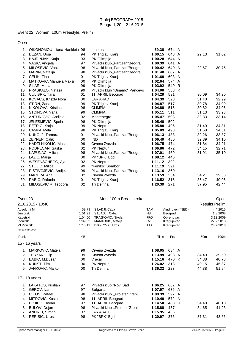# Event 22, Women, 100m Freestyle, Prelim

Open

|     | OIKONOMOU, Iliana-Harikleia 98 |    | <b>lonikos</b>                   | 59.38   | 674 A |       |       |
|-----|--------------------------------|----|----------------------------------|---------|-------|-------|-------|
| 2.  | BEZAN, Ursa                    | 94 | PK Triglav Kranj                 | 1:00.15 | 648 A | 29.13 | 31.02 |
| 3.  | HAJDINJAK, Katja               | 93 | <b>PK Olimpija</b>               | 1:00.28 | 644 A |       |       |
| 4.  | VASIC, Andiela                 | 97 | Plivacki klub,, Partizan "Beogra | 1:00.39 | 641 A |       |       |
| 5.  | MILOSEVIC, Vanja               | 98 | Plivacki klub,, Partizan" Beogra | 1:00.42 | 640 A | 29.67 | 30.75 |
| 6.  | MARIN, Natalija                | 98 | Plivacki klub,, Partizan "Beogra | 1:01.48 | 607 A |       |       |
|     | 7. CELIK, Tina                 | 01 | PK Triglav Kranj                 | 1:01.60 | 603 A |       |       |
| 8.  | MATKOVIC, Manuela Maksi        | 00 | PK Olimpija                      | 1:02.64 | 574 A |       |       |
| 9.  | SILAR, Masa                    | 99 | PK Olimpija                      | 1:03.92 | 540 R |       |       |
|     | 10. PRASKALO, Natasa           | 99 | Plivacki klub "Dinamo" Pancevo   | 1:04.00 | 538 R |       |       |
| 11. | <b>CULIBRK, Tara</b>           | 01 | 11. APRIL Beograd                | 1:04.29 | 531   | 30.09 | 34.20 |
| 12. | KOVACS, Kriszta Nora           | 00 | <b>LAR ARAD</b>                  | 1:04.39 | 528   | 31.40 | 32.99 |
| 13. | STIRN, Zana                    | 99 | PK Triglav Kranj                 | 1:04.87 | 517   | 30.78 | 34.09 |
| 14. | NIKOLOVA, Kristina             | 98 | <b>OLIMPIA</b>                   | 1:04.88 | 516   | 30.82 | 34.06 |
| 15. | STOINOVA, Yana                 | 99 | <b>OLIMPIA</b>                   | 1:05.11 | 511   | 31.13 | 33.98 |
| 16. | ANTUNOVIC, Andjela             | 02 | Montenegro                       | 1:05.47 | 503   | 32.33 | 33.14 |
| 17. | JELESIJEVIC, Spela             | 98 | PK Olimpija                      | 1:05.48 | 502   |       |       |
|     | 18. PETRIC, Katja              | 99 | PK Neptun                        | 1:05.80 | 495   | 31.49 | 34.31 |
| 19. | CAMPA, Meta                    | 98 | PK Triglav Kranj                 | 1:05.89 | 493   | 31.58 | 34.31 |
|     | 20. KUKOLJ, Tamara             | 01 | Plivacki klub,, Partizan" Beogra | 1:06.13 | 488   | 32.26 | 33.87 |
| 21. | ZEYNEP, Calik                  | 00 | <b>IND</b>                       | 1:06.49 | 480   | 32.39 | 34.10 |
| 22. | HADZI-NIKOLIC, Masa            | 99 | Crvena Zvezda                    | 1:06.75 | 474   | 31.84 | 34.91 |
| 23. | PODPECAN, Saska                | 02 | PK Neptun                        | 1:06.86 | 472   | 34.15 | 32.71 |
| 24. | KAPUNAC, Milica                | 98 | Plivacki klub,, Partizan" Beogra | 1:07.01 | 469   | 31.91 | 35.10 |
| 25. | LAZIC, Marija                  | 00 | PK "BPK" Bad                     | 1:08.12 | 446   |       |       |
| 26. | WESENSCHEGG, Aja               | 02 | PK Neptun                        | 1:11.12 | 392   |       |       |
| 27. | STOLIC, Milica                 | 99 | "Feniks", Sombor                 | 1:11.19 | 391   |       |       |
| 28. | RISTIVOJEVIC, Andiela          | 99 | Plivacki klub., Partizan "Beogra | 1:13.16 | 360   |       |       |
| 29. | MACURA, Ana                    | 02 | Crvena Zvezda                    | 1:13.59 | 354   | 34.21 | 39.38 |
|     | 30. RABIC, Rafaela             | 01 | PK Triglav Kranj                 | 1:16.52 | 315   | 36.47 | 40.05 |
|     | 31. MILOSEVIC R, Teodora       | 02 | <b>Tri Delfina</b>               | 1:20.39 | 271   | 37.95 | 42.44 |

| Event 23 |  |
|----------|--|
|----------|--|

| Men, 100m Breaststroke | Open |
|------------------------|------|

|              | 21.6.2015 - 10:40 |         |                               |            |            |                 |                 | <b>Results Prelim</b> |
|--------------|-------------------|---------|-------------------------------|------------|------------|-----------------|-----------------|-----------------------|
| Apsolutni M  |                   | 59.79   | SILADJI, Caba                 | <b>TAM</b> |            | Ajndhoven (NED) |                 | 4.4.2015              |
| Juniorski    |                   | 1:01.91 | SILJADJI, Caba                | <b>NS</b>  | Beograd    |                 |                 | 1.8.2008              |
| Kadetski     |                   | 1:04.50 | TRAJKOVIC, Nikola             | <b>PRO</b> | Obrenovac  |                 |                 | 3.12.2009             |
| Pionirski    |                   | 1:09.32 | MARKOVIC, Mateja              | CZ         | Kragujevac |                 | 27.7.2013       |                       |
| MI Pionirski |                   | 1:15.12 | DJOKOVIC, Uros                | 11A        | Kragujevac |                 | 28.7.2013       |                       |
|              | Points: FINA 2014 |         |                               |            |            |                 |                 |                       |
| Rank         |                   | ΥB      |                               | Time       | Pts        |                 | 50 <sub>m</sub> | 100m                  |
|              | 15 - 16 years     |         |                               |            |            |                 |                 |                       |
| 1.           | MARKOVIC, Mateja  | 99      | Crvena Zvezda                 | 1:08.05    | 634 A      |                 |                 |                       |
| 2.           | TERZAN, Filip     | 99      | Crvena Zvezda                 | 1:13.99    | 493 A      |                 | 34.49           | 39.50                 |
| 3.           | BABIC, M.Dusan    | 00      | Vracar                        | 1:15.16    | 470 R      |                 | 34.38           | 40.78                 |
| 4.           | KUNST, Tim        | 00      | PK Neptun                     | 1:26.02    | 313        |                 | 40.15           | 45.87                 |
| 5.           | JANKOVIC, Marko   | 00      | Tri Delfina                   | 1:36.32    | 223        |                 | 44.38           | 51.94                 |
|              | 17 - 18 years     |         |                               |            |            |                 |                 |                       |
| 1.           | LAKATOS, Kristian | 97      | Plivacki klub "Novi Sad"      | 1:06.25    | 687 A      |                 |                 |                       |
| 2.           | GEROV, Ivan       | 97      | <b>Bulgaria</b>               | 1:07.97    | 636 A      |                 |                 |                       |
| 3.           | CIKOS, Rafael     | 98      | Plivacki klub "Proleter"Zrenj | 1:09.39    | 597 A      |                 |                 |                       |
| 4.           | MITROVIC, Kosta   | 98      | 11. APRIL Beograd             | 1:10.40    | 572 A      |                 |                 |                       |
| 5.           | BOJICIC, Jovan    | 97      | 11. APRIL Beograd             | 1:14.50    | 483 R      |                 | 34.40           | 40.10                 |
| 6.           | BULOV, Dejan      | 98      | Plivacki klub "Proleter"Zrenj | 1:15.88    | 457        |                 | 34.65           | 41.23                 |
| 7.           | ANDREI, Simon     | 97      | <b>LAR ARAD</b>               | 1:15.95    | 456        |                 |                 |                       |
| 8.           | PERISIC, Uros     | 98      | PK "BPK" Bgd                  | 1:20.97    | 376        |                 | 37.31           | 43.66                 |
|              |                   |         |                               |            |            |                 |                 |                       |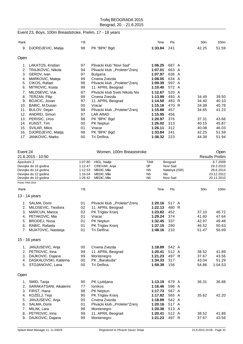# Event 23, Boys, 100m Breaststroke, Prelim, 17 - 18 years

| Rank                                                                                  |                                                                                                                                                                                                                                        | ΥB                                                                               |                                                                                                                                                                                                                                                                                                           | Time                                                                                                                                                   | Pts                                                                                                                   | 50 <sub>m</sub>                                    | 100m                                               |
|---------------------------------------------------------------------------------------|----------------------------------------------------------------------------------------------------------------------------------------------------------------------------------------------------------------------------------------|----------------------------------------------------------------------------------|-----------------------------------------------------------------------------------------------------------------------------------------------------------------------------------------------------------------------------------------------------------------------------------------------------------|--------------------------------------------------------------------------------------------------------------------------------------------------------|-----------------------------------------------------------------------------------------------------------------------|----------------------------------------------------|----------------------------------------------------|
| 9.                                                                                    | DJORDJEVIC, Matija                                                                                                                                                                                                                     | 98                                                                               | PK "BPK" Bgd                                                                                                                                                                                                                                                                                              | 1:33.84                                                                                                                                                | 241                                                                                                                   | 42.25                                              | 51.59                                              |
| Open                                                                                  |                                                                                                                                                                                                                                        |                                                                                  |                                                                                                                                                                                                                                                                                                           |                                                                                                                                                        |                                                                                                                       |                                                    |                                                    |
| 1.<br>2.<br>3.<br>4.<br>5.<br>6.<br>7.<br>8.<br>9.<br>10.<br>11.<br>12.<br>13.<br>14. | LAKATOS, Kristian<br>TRAJKOVIC, Nikola<br>GEROV, Ivan<br>MARKOVIC, Mateja<br>CIKOS, Rafael<br>MITROVIC, Kosta<br>MILOSEVIC, Vuk<br>TERZAN, Filip<br>BOJICIC, Jovan<br>BABIC, M.Dusan<br>BULOV, Dejan<br>ANDREI, Simon<br>PERISIC, Uros | 97<br>94<br>97<br>99<br>98<br>98<br>87<br>99<br>97<br>00<br>98<br>97<br>98<br>00 | Plivacki klub "Novi Sad"<br>Plivacki klub "Proleter"Zreni<br><b>Bulgaria</b><br>Crvena Zvezda<br>Plivacki klub "Proleter"Zrenj<br>11. APRIL Beograd<br>Plivacki klub Sveti Nikola Nis<br>Crvena Zvezda<br>11. APRIL Beograd<br>Vracar<br>Plivacki klub "Proleter"Zrenj<br><b>LAR ARAD</b><br>PK "BPK" Bgd | 1:06.25<br>1:07.01<br>1:07.97<br>1:08.05<br>1:09.39<br>1:10.40<br>1:12.67<br>1:13.99<br>1:14.50<br>1:15.16<br>1:15.88<br>1:15.95<br>1:20.97<br>1:26.02 | 687 A<br>663 A<br>636 A<br>634 A<br>597 A<br>572 A<br>520 A<br>493 A<br>483<br>R<br>470 R<br>457<br>456<br>376<br>313 | 34.49<br>34.40<br>34.38<br>34.65<br>37.31<br>40.15 | 39.50<br>40.10<br>40.78<br>41.23<br>43.66<br>45.87 |
| 15.<br>16.<br>17.                                                                     | KUNST, Tim<br>SVILAR, Milos<br>DJORDJEVIC, Matija<br>JANKOVIC, Marko                                                                                                                                                                   | 01<br>98<br>00                                                                   | <b>PK Neptun</b><br>Vracar<br>PK "BPK" Bgd<br>Tri Delfina                                                                                                                                                                                                                                                 | 1:26.11<br>1:33.84<br>1:36.32                                                                                                                          | 312<br>241<br>223                                                                                                     | 40.08<br>42.25<br>44.38                            | 46.03<br>51.59<br>51.94                            |

| 21.6.2015 - 10:50<br><b>Results Prelim</b><br>1:07.80<br>HIGL, Nadja<br><b>TAM</b><br>8.7.2009<br>Apsolutni Z<br>Beograd<br><b>DP</b><br>Devojke do 16 godina<br>1:12.47<br>CREVAR, Anja<br>Novi Sad<br>29.3.2015<br><b>NS</b><br>Devojke do 14 godina<br>1:12.53<br>MEDIC, Mila<br>Natanya (ISR)<br>28.6.2014<br>Devojke do 12 godina<br>MEDIC, Mila<br><b>NS</b><br><b>NIs</b><br>23.12.2012<br>1:16.04<br>1:26.42<br>MEDIC, Mila<br><b>NS</b><br>Novi Sad<br>Devojke do 10 godina<br>20.11.2010<br>Points: FINA 2014<br>YB<br>Pts<br>100m<br>Time<br>50 <sub>m</sub><br>Rank<br>13 - 14 years<br>1. SALMA, Doris<br>01<br>Plivacki klub "Proleter"Zrenj<br>1:20.16<br>517 A<br>MILOSEVIC, Teodora<br>02<br>1:22.13<br>480 R<br>2.<br>11. APRIL Beograd<br>3.<br>MARCUN, Manca<br>02<br>PK Triglav Kranj<br>1:23.82<br>452<br>37.10<br>46.72<br>47.64<br>PETAKOVIC, Mia<br>01<br>Vracar<br>1:29.24<br>374<br>41.60<br>4.<br><b>BRODEJ, Nusa</b><br>337<br>49.48<br>5.<br>01<br>PK Neptun<br>1:32.45<br>42.97<br>RABIC, Rafaela<br>50.63<br>01<br>PK Triglav Kranj<br>1:37.15<br>290<br>46.52<br>6.<br>MIJATOVIC, Nastasja<br>01<br>Tri Delfina<br>1:48.16<br>210<br>51.47<br>56.69<br>7.<br>15 - 16 years<br>542 A<br>00<br>Crvena Zvezda<br>1:18.89<br>JANJUSEVIC, Anja<br>1.<br>512 A<br>2.<br>PETROVIC, Irina<br>99<br>11. APRIL Beograd<br>1:20.41<br>38.52<br>41.89<br>497 R<br>3.<br>DAJKOVIC, Dajana<br>99<br>Montenegro<br>1:21.23<br>37.67<br>43.56<br>DASKALOVSKI, Katarina<br>00<br>PK "Barakuda"<br>1:34.33<br>317<br>43.04<br>51.29<br>4.<br>Tri Delfina<br>5. STOJANOVIC, Lana<br>00<br>1:59.39<br>156<br>1:04.53<br>54.86<br>90<br>PK Ljubljana<br>1:13.19<br>679 A<br>36.31<br>36.88<br>SMID, Tanja<br>1.<br>596 A<br>2.<br>SARAKATSANI, Aikaterini<br>77<br><b>lonikos</b><br>1:16.46<br>3.<br>FIRST, Hana<br>98<br>1:17.73<br>567 A<br>PK Neptun<br>KOZELJ, Teja<br>90<br>PK Triglav Kranj<br>1:17.82<br>565 A<br>35.62<br>42.20<br>4.<br>542 A<br>JANJUSEVIC, Anja<br>00<br>Crvena Zvezda<br>5.<br>1:18.89<br>01<br>Plivacki klub "Proleter"Zrenj<br>517 A<br>SALMA, Doris<br>1:20.16<br>6.<br>98<br>513 A<br>7.<br>MILAK, Lara<br>1:20.38<br>Montenegro<br>11. APRIL Beograd<br>512 A<br>PETROVIC, Irina<br>99<br>1:20.41<br>38.52<br>41.89<br>8.<br>497 R<br>DAJKOVIC, Dajana<br>99<br>1:21.23<br>37.67<br>43.56<br>9.<br>Montenegro | Event 24 |  | Women, 100m Breaststroke |  |  |  |  | Open |
|-------------------------------------------------------------------------------------------------------------------------------------------------------------------------------------------------------------------------------------------------------------------------------------------------------------------------------------------------------------------------------------------------------------------------------------------------------------------------------------------------------------------------------------------------------------------------------------------------------------------------------------------------------------------------------------------------------------------------------------------------------------------------------------------------------------------------------------------------------------------------------------------------------------------------------------------------------------------------------------------------------------------------------------------------------------------------------------------------------------------------------------------------------------------------------------------------------------------------------------------------------------------------------------------------------------------------------------------------------------------------------------------------------------------------------------------------------------------------------------------------------------------------------------------------------------------------------------------------------------------------------------------------------------------------------------------------------------------------------------------------------------------------------------------------------------------------------------------------------------------------------------------------------------------------------------------------------------------------------------------------------------------------------------------------------------------------------------------------------------------------------------------------------------------------------------------------------------------------------------------------------------------------------------------------------------------------------------------------------------|----------|--|--------------------------|--|--|--|--|------|
|                                                                                                                                                                                                                                                                                                                                                                                                                                                                                                                                                                                                                                                                                                                                                                                                                                                                                                                                                                                                                                                                                                                                                                                                                                                                                                                                                                                                                                                                                                                                                                                                                                                                                                                                                                                                                                                                                                                                                                                                                                                                                                                                                                                                                                                                                                                                                             |          |  |                          |  |  |  |  |      |
|                                                                                                                                                                                                                                                                                                                                                                                                                                                                                                                                                                                                                                                                                                                                                                                                                                                                                                                                                                                                                                                                                                                                                                                                                                                                                                                                                                                                                                                                                                                                                                                                                                                                                                                                                                                                                                                                                                                                                                                                                                                                                                                                                                                                                                                                                                                                                             |          |  |                          |  |  |  |  |      |
|                                                                                                                                                                                                                                                                                                                                                                                                                                                                                                                                                                                                                                                                                                                                                                                                                                                                                                                                                                                                                                                                                                                                                                                                                                                                                                                                                                                                                                                                                                                                                                                                                                                                                                                                                                                                                                                                                                                                                                                                                                                                                                                                                                                                                                                                                                                                                             |          |  |                          |  |  |  |  |      |
|                                                                                                                                                                                                                                                                                                                                                                                                                                                                                                                                                                                                                                                                                                                                                                                                                                                                                                                                                                                                                                                                                                                                                                                                                                                                                                                                                                                                                                                                                                                                                                                                                                                                                                                                                                                                                                                                                                                                                                                                                                                                                                                                                                                                                                                                                                                                                             |          |  |                          |  |  |  |  |      |
|                                                                                                                                                                                                                                                                                                                                                                                                                                                                                                                                                                                                                                                                                                                                                                                                                                                                                                                                                                                                                                                                                                                                                                                                                                                                                                                                                                                                                                                                                                                                                                                                                                                                                                                                                                                                                                                                                                                                                                                                                                                                                                                                                                                                                                                                                                                                                             |          |  |                          |  |  |  |  |      |
|                                                                                                                                                                                                                                                                                                                                                                                                                                                                                                                                                                                                                                                                                                                                                                                                                                                                                                                                                                                                                                                                                                                                                                                                                                                                                                                                                                                                                                                                                                                                                                                                                                                                                                                                                                                                                                                                                                                                                                                                                                                                                                                                                                                                                                                                                                                                                             |          |  |                          |  |  |  |  |      |
|                                                                                                                                                                                                                                                                                                                                                                                                                                                                                                                                                                                                                                                                                                                                                                                                                                                                                                                                                                                                                                                                                                                                                                                                                                                                                                                                                                                                                                                                                                                                                                                                                                                                                                                                                                                                                                                                                                                                                                                                                                                                                                                                                                                                                                                                                                                                                             |          |  |                          |  |  |  |  |      |
|                                                                                                                                                                                                                                                                                                                                                                                                                                                                                                                                                                                                                                                                                                                                                                                                                                                                                                                                                                                                                                                                                                                                                                                                                                                                                                                                                                                                                                                                                                                                                                                                                                                                                                                                                                                                                                                                                                                                                                                                                                                                                                                                                                                                                                                                                                                                                             |          |  |                          |  |  |  |  |      |
|                                                                                                                                                                                                                                                                                                                                                                                                                                                                                                                                                                                                                                                                                                                                                                                                                                                                                                                                                                                                                                                                                                                                                                                                                                                                                                                                                                                                                                                                                                                                                                                                                                                                                                                                                                                                                                                                                                                                                                                                                                                                                                                                                                                                                                                                                                                                                             |          |  |                          |  |  |  |  |      |
|                                                                                                                                                                                                                                                                                                                                                                                                                                                                                                                                                                                                                                                                                                                                                                                                                                                                                                                                                                                                                                                                                                                                                                                                                                                                                                                                                                                                                                                                                                                                                                                                                                                                                                                                                                                                                                                                                                                                                                                                                                                                                                                                                                                                                                                                                                                                                             |          |  |                          |  |  |  |  |      |
|                                                                                                                                                                                                                                                                                                                                                                                                                                                                                                                                                                                                                                                                                                                                                                                                                                                                                                                                                                                                                                                                                                                                                                                                                                                                                                                                                                                                                                                                                                                                                                                                                                                                                                                                                                                                                                                                                                                                                                                                                                                                                                                                                                                                                                                                                                                                                             |          |  |                          |  |  |  |  |      |
|                                                                                                                                                                                                                                                                                                                                                                                                                                                                                                                                                                                                                                                                                                                                                                                                                                                                                                                                                                                                                                                                                                                                                                                                                                                                                                                                                                                                                                                                                                                                                                                                                                                                                                                                                                                                                                                                                                                                                                                                                                                                                                                                                                                                                                                                                                                                                             |          |  |                          |  |  |  |  |      |
|                                                                                                                                                                                                                                                                                                                                                                                                                                                                                                                                                                                                                                                                                                                                                                                                                                                                                                                                                                                                                                                                                                                                                                                                                                                                                                                                                                                                                                                                                                                                                                                                                                                                                                                                                                                                                                                                                                                                                                                                                                                                                                                                                                                                                                                                                                                                                             |          |  |                          |  |  |  |  |      |
|                                                                                                                                                                                                                                                                                                                                                                                                                                                                                                                                                                                                                                                                                                                                                                                                                                                                                                                                                                                                                                                                                                                                                                                                                                                                                                                                                                                                                                                                                                                                                                                                                                                                                                                                                                                                                                                                                                                                                                                                                                                                                                                                                                                                                                                                                                                                                             |          |  |                          |  |  |  |  |      |
|                                                                                                                                                                                                                                                                                                                                                                                                                                                                                                                                                                                                                                                                                                                                                                                                                                                                                                                                                                                                                                                                                                                                                                                                                                                                                                                                                                                                                                                                                                                                                                                                                                                                                                                                                                                                                                                                                                                                                                                                                                                                                                                                                                                                                                                                                                                                                             |          |  |                          |  |  |  |  |      |
|                                                                                                                                                                                                                                                                                                                                                                                                                                                                                                                                                                                                                                                                                                                                                                                                                                                                                                                                                                                                                                                                                                                                                                                                                                                                                                                                                                                                                                                                                                                                                                                                                                                                                                                                                                                                                                                                                                                                                                                                                                                                                                                                                                                                                                                                                                                                                             |          |  |                          |  |  |  |  |      |
|                                                                                                                                                                                                                                                                                                                                                                                                                                                                                                                                                                                                                                                                                                                                                                                                                                                                                                                                                                                                                                                                                                                                                                                                                                                                                                                                                                                                                                                                                                                                                                                                                                                                                                                                                                                                                                                                                                                                                                                                                                                                                                                                                                                                                                                                                                                                                             |          |  |                          |  |  |  |  |      |
|                                                                                                                                                                                                                                                                                                                                                                                                                                                                                                                                                                                                                                                                                                                                                                                                                                                                                                                                                                                                                                                                                                                                                                                                                                                                                                                                                                                                                                                                                                                                                                                                                                                                                                                                                                                                                                                                                                                                                                                                                                                                                                                                                                                                                                                                                                                                                             |          |  |                          |  |  |  |  |      |
|                                                                                                                                                                                                                                                                                                                                                                                                                                                                                                                                                                                                                                                                                                                                                                                                                                                                                                                                                                                                                                                                                                                                                                                                                                                                                                                                                                                                                                                                                                                                                                                                                                                                                                                                                                                                                                                                                                                                                                                                                                                                                                                                                                                                                                                                                                                                                             |          |  |                          |  |  |  |  |      |
|                                                                                                                                                                                                                                                                                                                                                                                                                                                                                                                                                                                                                                                                                                                                                                                                                                                                                                                                                                                                                                                                                                                                                                                                                                                                                                                                                                                                                                                                                                                                                                                                                                                                                                                                                                                                                                                                                                                                                                                                                                                                                                                                                                                                                                                                                                                                                             |          |  |                          |  |  |  |  |      |
|                                                                                                                                                                                                                                                                                                                                                                                                                                                                                                                                                                                                                                                                                                                                                                                                                                                                                                                                                                                                                                                                                                                                                                                                                                                                                                                                                                                                                                                                                                                                                                                                                                                                                                                                                                                                                                                                                                                                                                                                                                                                                                                                                                                                                                                                                                                                                             |          |  |                          |  |  |  |  |      |
|                                                                                                                                                                                                                                                                                                                                                                                                                                                                                                                                                                                                                                                                                                                                                                                                                                                                                                                                                                                                                                                                                                                                                                                                                                                                                                                                                                                                                                                                                                                                                                                                                                                                                                                                                                                                                                                                                                                                                                                                                                                                                                                                                                                                                                                                                                                                                             |          |  |                          |  |  |  |  |      |
|                                                                                                                                                                                                                                                                                                                                                                                                                                                                                                                                                                                                                                                                                                                                                                                                                                                                                                                                                                                                                                                                                                                                                                                                                                                                                                                                                                                                                                                                                                                                                                                                                                                                                                                                                                                                                                                                                                                                                                                                                                                                                                                                                                                                                                                                                                                                                             | Open     |  |                          |  |  |  |  |      |
|                                                                                                                                                                                                                                                                                                                                                                                                                                                                                                                                                                                                                                                                                                                                                                                                                                                                                                                                                                                                                                                                                                                                                                                                                                                                                                                                                                                                                                                                                                                                                                                                                                                                                                                                                                                                                                                                                                                                                                                                                                                                                                                                                                                                                                                                                                                                                             |          |  |                          |  |  |  |  |      |
|                                                                                                                                                                                                                                                                                                                                                                                                                                                                                                                                                                                                                                                                                                                                                                                                                                                                                                                                                                                                                                                                                                                                                                                                                                                                                                                                                                                                                                                                                                                                                                                                                                                                                                                                                                                                                                                                                                                                                                                                                                                                                                                                                                                                                                                                                                                                                             |          |  |                          |  |  |  |  |      |
|                                                                                                                                                                                                                                                                                                                                                                                                                                                                                                                                                                                                                                                                                                                                                                                                                                                                                                                                                                                                                                                                                                                                                                                                                                                                                                                                                                                                                                                                                                                                                                                                                                                                                                                                                                                                                                                                                                                                                                                                                                                                                                                                                                                                                                                                                                                                                             |          |  |                          |  |  |  |  |      |
|                                                                                                                                                                                                                                                                                                                                                                                                                                                                                                                                                                                                                                                                                                                                                                                                                                                                                                                                                                                                                                                                                                                                                                                                                                                                                                                                                                                                                                                                                                                                                                                                                                                                                                                                                                                                                                                                                                                                                                                                                                                                                                                                                                                                                                                                                                                                                             |          |  |                          |  |  |  |  |      |
|                                                                                                                                                                                                                                                                                                                                                                                                                                                                                                                                                                                                                                                                                                                                                                                                                                                                                                                                                                                                                                                                                                                                                                                                                                                                                                                                                                                                                                                                                                                                                                                                                                                                                                                                                                                                                                                                                                                                                                                                                                                                                                                                                                                                                                                                                                                                                             |          |  |                          |  |  |  |  |      |
|                                                                                                                                                                                                                                                                                                                                                                                                                                                                                                                                                                                                                                                                                                                                                                                                                                                                                                                                                                                                                                                                                                                                                                                                                                                                                                                                                                                                                                                                                                                                                                                                                                                                                                                                                                                                                                                                                                                                                                                                                                                                                                                                                                                                                                                                                                                                                             |          |  |                          |  |  |  |  |      |
|                                                                                                                                                                                                                                                                                                                                                                                                                                                                                                                                                                                                                                                                                                                                                                                                                                                                                                                                                                                                                                                                                                                                                                                                                                                                                                                                                                                                                                                                                                                                                                                                                                                                                                                                                                                                                                                                                                                                                                                                                                                                                                                                                                                                                                                                                                                                                             |          |  |                          |  |  |  |  |      |
|                                                                                                                                                                                                                                                                                                                                                                                                                                                                                                                                                                                                                                                                                                                                                                                                                                                                                                                                                                                                                                                                                                                                                                                                                                                                                                                                                                                                                                                                                                                                                                                                                                                                                                                                                                                                                                                                                                                                                                                                                                                                                                                                                                                                                                                                                                                                                             |          |  |                          |  |  |  |  |      |
|                                                                                                                                                                                                                                                                                                                                                                                                                                                                                                                                                                                                                                                                                                                                                                                                                                                                                                                                                                                                                                                                                                                                                                                                                                                                                                                                                                                                                                                                                                                                                                                                                                                                                                                                                                                                                                                                                                                                                                                                                                                                                                                                                                                                                                                                                                                                                             |          |  |                          |  |  |  |  |      |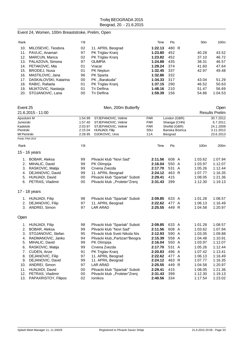# Event 24, Women, 100m Breaststroke, Prelim, Open

| Rank |                       | ΥB |                   | Time    | <b>Pts</b> | 50 <sub>m</sub> | 100m    |
|------|-----------------------|----|-------------------|---------|------------|-----------------|---------|
| 10.  | MILOSEVIC, Teodora    | 02 | 11. APRIL Beograd | 1:22.13 | 480 R      |                 |         |
| 11.  | PAVLIC, Anamari       | 97 | PK Triglav Kranj  | 1:23.80 | 452        | 40.28           | 43.52   |
| 12.  | MARCUN, Manca         | 02 | PK Triglav Kranj  | 1:23.82 | 452        | 37.10           | 46.72   |
|      | 13. PALAZOVA, Simona  | 97 | <b>OLIMPIA</b>    | 1:24.88 | 435        | 38.31           | 46.57   |
|      | 14. PETAKOVIC, Mia    | 01 | Vracar            | 1:29.24 | 374        | 41.60           | 47.64   |
| 15.  | BRODEJ, Nusa          | 01 | <b>PK Neptun</b>  | 1:32.45 | -337       | 42.97           | 49.48   |
| 16.  | MASTILOVIC, Jana      | 96 | <b>PK Sparta</b>  | 1:32.86 | 332        |                 |         |
| 17.  | DASKALOVSKI, Katarina | 00 | PK Barakuda"      | 1:34.33 | 317        | 43.04           | 51.29   |
| 18.  | RABIC, Rafaela        | 01 | PK Triglav Kranj  | 1:37.15 | 290        | 46.52           | 50.63   |
| 19.  | MIJATOVIC, Nastasia   | 01 | Tri Delfina       | 1:48.16 | 210        | 51.47           | 56.69   |
| 20.  | STOJANOVIC, Lana      | 00 | Tri Delfina       | 1:59.39 | 156        | 54.86           | 1:04.53 |

| Event 25            |                          |         | Men, 200m Butterfly              |            |                 |                       | Open      |  |
|---------------------|--------------------------|---------|----------------------------------|------------|-----------------|-----------------------|-----------|--|
|                     | 21.6.2015 - 11:00        |         |                                  |            |                 | <b>Results Prelim</b> |           |  |
| Apsolutni M         |                          | 1:54.99 | STJEPANOVIC, Velimir             | <b>PAR</b> | London (GBR)    |                       | 30.7.2012 |  |
| Juniorski           |                          | 1:57.40 | STJEPANOVIC, Velimir             | <b>PAR</b> | Shangai (CHN)   |                       | 6.7.2011  |  |
| Kadetski            |                          | 2:03.97 | STJEPANOVIC, Velimir             | <b>PAR</b> | Shefild (GBR)   |                       | 24.1.2009 |  |
| Pionirski           |                          | 2:15.04 | HUNJADI, Filip                   | SSU        | Banska Bistrica |                       | 3.11.2012 |  |
| <b>MI Pionirski</b> |                          | 2:28.95 | DJOKOVIC, Uros                   | 11A        | Beograd         |                       | 23.6.2013 |  |
|                     | Points: FINA 2014        |         |                                  |            |                 |                       |           |  |
| Rank                |                          | YB      |                                  | Time       | Pts             | 100m                  | 200m      |  |
|                     | 15 - 16 years            |         |                                  |            |                 |                       |           |  |
|                     | 1. BOBAR, Aleksa         | 99      | Plivacki klub "Novi Sad"         | 2:11.56    | 608 A           | 1:03.62               | 1:07.94   |  |
|                     | 2. MIHALIC, David        | 99      | PK Olimpija                      | 2:16.04    | 550 A           | 1:03.97               | 1:12.07   |  |
| 3.                  | RASKOVIC, Matija         | 99      | Crvena Zvezda                    | 2:17.70    | 531 A           | 1:05.26               | 1:12.44   |  |
| 4.                  | DEJANOVIC, David         | 99      | 11. APRIL Beograd                | 2:24.12    | 463 R           | 1:07.77               | 1:16.35   |  |
|                     | 5. HUNJADI, David        | 00      | Plivacki klub "Spartak" Suboti   | 2:29.41    | 415             | 1:08.05               | 1:21.36   |  |
|                     | 6. PETRAS, Vladimir      | 00      | Plivacki klub "Proleter"Zrenj    | 2:31.43    | 399             | 1:12.30               | 1:19.13   |  |
|                     | 17 - 18 years            |         |                                  |            |                 |                       |           |  |
|                     | 1. HUNJADI, Filip        | 98      | Plivacki klub "Spartak" Suboti   | 2:09.85    | 633 A           | 1:01.28               | 1:08.57   |  |
| 2.                  | DEJANOVIC, Filip         | 97      | 11. APRIL Beograd                | 2:22.62    | 477 A           | 1:06.13               | 1:16.49   |  |
|                     | 3. ANDREI, Simon         | 97      | <b>LAR ARAD</b>                  | 2:25.55    | 449 R           | 1:04.58               | 1:20.97   |  |
| Open                |                          |         |                                  |            |                 |                       |           |  |
|                     | 1. HUNJADI, Filip        | 98      | Plivacki klub "Spartak" Suboti   | 2:09.85    | 633 A           | 1:01.28               | 1:08.57   |  |
| 2.                  | BOBAR, Aleksa            | 99      | Plivacki klub "Novi Sad"         | 2:11.56    | 608 A           | 1:03.62               | 1:07.94   |  |
| 3.                  | STOJANOVIC, Stefan       | 95      | Plivacki klub Sveti Nikola Nis   | 2:12.93    | 590 A           | 1:03.05               | 1:09.88   |  |
| 4.                  | RADMANOVIC, Janko        | 94      | Plivacki klub,, Partizan" Beogra | 2:15.39    | 558 A           | 1:04.48               | 1:10.91   |  |
| 5.                  | MIHALIC, David           | 99      | PK Olimpija                      | 2:16.04    | 550 A           | 1:03.97               | 1:12.07   |  |
| 6.                  | RASKOVIC, Matija         | 99      | Crvena Zvezda                    | 2:17.70    | 531 A           | 1:05.26               | 1:12.44   |  |
| 7.                  | CUDEN, Anze              | 91      | PK Triglav Kranj                 | 2:20.83    | 496 A           | 1:07.42               | 1:13.41   |  |
| 8.                  | DEJANOVIC, Filip         | 97      | 11. APRIL Beograd                | 2:22.62    | 477 A           | 1:06.13               | 1:16.49   |  |
| 9.                  | DEJANOVIC, David         | 99      | 11. APRIL Beograd                | 2:24.12    | 463 R           | 1:07.77               | 1:16.35   |  |
|                     | 10. ANDREI, Simon        | 97      | <b>LAR ARAD</b>                  | 2:25.55    | 449 R           | 1:04.58               | 1:20.97   |  |
|                     | 11. HUNJADI, David       | 00      | Plivacki klub "Spartak" Suboti   | 2:29.41    | 415             | 1:08.05               | 1:21.36   |  |
|                     | 12. PETRAS, Vladimir     | 00      | Plivacki klub "Proleter"Zrenj    | 2:31.43    | 399             | 1:12.30               | 1:19.13   |  |
|                     | 13. PAPAXRISTOY, Filipos | 02      | <b>lonikos</b>                   | 2:40.56    | 334             | 1:17.54               | 1:23.02   |  |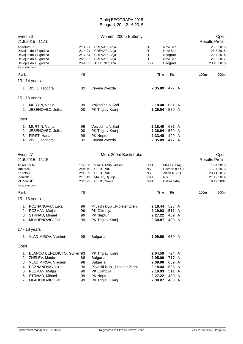| Event 26                                                                               | 21.6.2015 - 11:10                                                                            |                                                     | Women, 200m Butterfly                                                            |                                                            |                                                                |      | Open<br><b>Results Prelim</b>                                   |
|----------------------------------------------------------------------------------------|----------------------------------------------------------------------------------------------|-----------------------------------------------------|----------------------------------------------------------------------------------|------------------------------------------------------------|----------------------------------------------------------------|------|-----------------------------------------------------------------|
| Apsolutni Z                                                                            | Devojke do 16 godina<br>Devojke do 14 godina<br>Devojke do 12 godina<br>Devojke do 10 godina | 2:14.91<br>2:14.91<br>2:17.64<br>2:28.82<br>2:41.85 | CREVAR, Anja<br>CREVAR, Anja<br>CREVAR, Anja<br>CREVAR, Anja<br>JEFTENIC, Ana    | DP<br>DP<br>DP<br>DP<br><b>SSBE</b>                        | Novi Sad<br>Novi Sad<br>Beograd<br>Novi Sad<br>Beograd         |      | 28.3.2015<br>28.3.2015<br>20.7.2014<br>26.5.2012<br>23.10.2010  |
| Points: FINA 2014                                                                      |                                                                                              |                                                     |                                                                                  |                                                            |                                                                |      |                                                                 |
| Rank                                                                                   |                                                                                              | YB                                                  |                                                                                  | Time                                                       | Pts                                                            | 100m | 200m                                                            |
|                                                                                        | 13 - 14 years                                                                                |                                                     |                                                                                  |                                                            |                                                                |      |                                                                 |
|                                                                                        | 1. ZIVIC, Teodora                                                                            | 02                                                  | Crvena Zvezda                                                                    | 2:35.89                                                    | 477 A                                                          |      |                                                                 |
|                                                                                        | 15 - 16 years                                                                                |                                                     |                                                                                  |                                                            |                                                                |      |                                                                 |
|                                                                                        | 1. MURTIN, Vanja<br>2. JESENOVEC, Julija                                                     | 99<br>00                                            | Vojvodina N.Sad<br>PK Triglav Kranj                                              | 2:18.40<br>2:26.04                                         | 681 A<br>580 A                                                 |      |                                                                 |
| Open                                                                                   |                                                                                              |                                                     |                                                                                  |                                                            |                                                                |      |                                                                 |
| 1.<br>2.<br>3.                                                                         | MURTIN, Vanja<br>JESENOVEC, Julija<br>FIRST, Hana<br>4. ZIVIC, Teodora                       | 99<br>00<br>98<br>02                                | Vojvodina N.Sad<br>PK Triglav Kranj<br>PK Neptun<br>Crvena Zvezda                | 2:18.40<br>2:26.04<br>2:33.48<br>2:35.89                   | 681 A<br>580 A<br>499 A<br>477 A                               |      |                                                                 |
| Event 27                                                                               | 21.6.2015 - 11:15                                                                            |                                                     | Men, 200m Backstroke                                                             |                                                            |                                                                |      | Open<br><b>Results Prelim</b>                                   |
| Apsolutni M<br>Juniorski<br>Kadetski<br>Pionirski<br>MI Pionirski<br>Points: FINA 2014 |                                                                                              | 1:56.38<br>2:01.70<br>2:05.39<br>2:15.19<br>2:26.23 | VJATCANIN, Arkadi<br>CELIC, Vuk<br>CELIC, Vuk<br>MATIC, Djurdje<br>CELIC, Nikola | <b>PRO</b><br>NS.<br><b>NS</b><br><b>VRA</b><br><b>PRO</b> | Mesa (USA)<br>Poznan (POL)<br>Zilina (SVK)<br>Nis<br>Bekescaba |      | 16.4.2015<br>12.7.2013<br>23.11.2012<br>21.12.2014<br>9.12.2007 |
| Rank                                                                                   |                                                                                              | YB                                                  |                                                                                  | Time                                                       | Pts                                                            | 100m | 200m                                                            |
|                                                                                        | 15 - 16 years                                                                                |                                                     |                                                                                  |                                                            |                                                                |      |                                                                 |
| 2.<br>3.<br>4.                                                                         | 1. POZNANOVIC, Luka<br>ROZMAN, Matjaz<br>STRNAD, Mihael<br>MLADENOVIC, Gal                   | 99<br>99<br>99<br>99                                | Plivacki klub "Proleter"Zrenj<br>PK Olimpija<br>PK Neptun<br>PK Triglav Kranj    | 2:18.44<br>2:19.93<br>2:27.22<br>2:30.87                   | 528 A<br>511 A<br>439 A<br>408 A                               |      |                                                                 |

17 - 18 years

|      | VLADIMIROV, Vladimir         | 98 | <b>Bulgaria</b>               | 2:09.90 | 639 A |
|------|------------------------------|----|-------------------------------|---------|-------|
| Open |                              |    |                               |         |       |
| 1.   | BLANCO BENEDICTO, Guillerr93 |    | PK Triglav Kranj              | 2:04.59 | 724 A |
|      | 2. ZHELEV, Martin            | 88 | <b>Bulgaria</b>               | 2:05.00 | 717 A |
|      | 3. VLADIMIROV, Vladimir      | 98 | <b>Bulgaria</b>               | 2:09.90 | 639 A |
|      | 4. POZNANOVIC, Luka          | 99 | Plivacki klub "Proleter"Zrenj | 2:18.44 | 528 A |
| 5.   | ROZMAN, Matjaz               | 99 | PK Olimpija                   | 2:19.93 | 511 A |
| 6.   | STRNAD, Mihael               | 99 | PK Neptun                     | 2:27.22 | 439 A |
|      | 7. MLADENOVIC, Gal           | 99 | PK Triglav Kranj              | 2:30.87 | 408 A |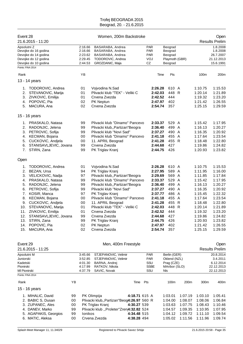| Event 28                          | 21.6.2015 - 11:20                               |          |                               | Women, 200m Backstroke                                          |               |                                        |                               |                    |                    | Open<br><b>Results Prelim</b>     |
|-----------------------------------|-------------------------------------------------|----------|-------------------------------|-----------------------------------------------------------------|---------------|----------------------------------------|-------------------------------|--------------------|--------------------|-----------------------------------|
| Apsolutni Z                       | Devojke do 16 godina<br>Devojke do 14 godina    |          | 2:16.66<br>2:16.66<br>2:23.62 | BASARABA, Andrea<br>BASARABA, Andrea<br>BASARABA, Andrea        |               | <b>PAR</b><br><b>PAR</b><br><b>PAR</b> | Beograd<br>Beograd<br>Beograd |                    |                    | 1.8.2008<br>1.8.2008<br>26.7.2007 |
|                                   | Devojke do 12 godina<br>Devojke do 10 godina    |          | 2:29.45<br>2:44.53            | TODOROVIC, Andrea<br>GROZDANIC, Maja                            |               | VOJ<br>CZ                              | Playmoth (GBR)<br>Beograd     |                    |                    | 21.12.2013<br>15.6.1991           |
| Points: FINA 2014                 |                                                 |          |                               |                                                                 |               |                                        |                               |                    |                    |                                   |
| Rank                              |                                                 |          | YB                            |                                                                 |               | Time                                   | Pts                           |                    | 100m               | 200m                              |
|                                   | 13 - 14 years                                   |          |                               |                                                                 |               |                                        |                               |                    |                    |                                   |
|                                   | 1. TODOROVIC, Andrea                            |          | 01                            | Vojvodina N.Sad                                                 |               | 2:26.28                                | 610 A                         |                    | 1:10.75            | 1:15.53                           |
| 2.                                | STEVANOVIC, Marija                              |          | 01                            | Plivacki klub "TEK" - Veliki C                                  |               | 2:42.03                                | 448 R                         |                    | 1:20.14            | 1:21.89                           |
| 3.                                | ZIVKOVIC, Emilija                               |          | 01                            | Crvena Zvezda                                                   |               | 2:42.52                                | 444                           |                    | 1:19.32            | 1:23.20                           |
| 4.                                | POPOVIC, Pia                                    |          | 02                            | PK Neptun                                                       |               | 2:47.97                                | 402                           |                    | 1:21.42            | 1:26.55                           |
| 5.                                | MACURA, Ana                                     |          | 02                            | Crvena Zvezda                                                   |               | 2:54.74                                | 357                           |                    | 1:25.15            | 1:29.59                           |
|                                   | 15 - 16 years                                   |          |                               |                                                                 |               |                                        |                               |                    |                    |                                   |
|                                   | 1. PRASKALO, Natasa                             |          | 99                            | Plivacki klub "Dinamo" Pancevo                                  |               | 2:33.37                                | 529 A                         |                    | 1:15.42            | 1:17.95                           |
| 2.                                | RADONJIC, Jelena                                |          | 99                            | Plivacki klub,, Partizan" Beogra                                |               | 2:36.40                                | 499 A                         |                    | 1:16.13            | 1:20.27                           |
| 3.                                | PETROVIC, Sofija                                |          | 99                            | Plivacki klub "Novi Sad"                                        |               | 2:37.27                                | 490 A                         |                    | 1:16.35            | 1:20.92                           |
| 4.                                | KECMAN, Bojana                                  |          | 00                            | Plivacki klub "Dinamo" Pancevo                                  |               | 2:41.18                                | 455 A                         |                    | 1:17.64            | 1:23.54                           |
| 5.                                | CUCKOVIC, Andjela                               |          | 00                            | 11. APRIL Beograd                                               |               | 2:41.28                                | 455 R                         |                    | 1:18.48            | 1:22.80                           |
| 6.                                | STANISAVLJEVIC, Jovana                          |          | 99                            | Crvena Zvezda                                                   |               | 2:44.68                                | 427                           |                    | 1:19.86            | 1:24.82                           |
| 7.                                | STIRN, Zana                                     |          | 99                            | PK Triglav Kranj                                                |               | 2:44.75                                | 426                           |                    | 1:20.93            | 1:23.82                           |
| Open                              |                                                 |          |                               |                                                                 |               |                                        |                               |                    |                    |                                   |
| 1.                                | TODOROVIC, Andrea                               |          | 01                            | Vojvodina N.Sad                                                 |               | 2:26.28                                | 610 A                         |                    | 1:10.75            | 1:15.53                           |
| 2.                                | BEZAN, Ursa                                     |          | 94                            | PK Triglav Kranj                                                |               | 2:27.95                                | 589 A                         |                    | 1:11.95            | 1:16.00                           |
| 3.                                | VELICKOVIC, Nadja                               |          | 97                            | Plivacki klub,, Partizan" Beogra                                |               | 2:29.69                                | 569 A                         |                    | 1:11.85            | 1:17.84                           |
| 4.                                | PRASKALO, Natasa                                |          | 99                            | Plivacki klub "Dinamo" Pancevo                                  |               | 2:33.37                                | 529 A                         |                    | 1:15.42            | 1:17.95                           |
| 5.                                | RADONJIC, Jelena                                |          | 99                            | Plivacki klub,, Partizan" Beogra                                |               | 2:36.40                                | 499 A                         |                    | 1:16.13            | 1:20.27                           |
| 6.                                | PETROVIC, Sofija                                |          | 99                            | Plivacki klub "Novi Sad"                                        |               | 2:37.27                                | 490 A                         |                    | 1:16.35            | 1:20.92                           |
| 7.                                | KOSIR, Manca                                    |          | 97                            | PK Triglav Kranj                                                |               | 2:37.77                                | 486 A                         |                    | 1:15.45            | 1:22.32                           |
| 8.                                | KECMAN, Bojana                                  |          | 00                            | Plivacki klub "Dinamo" Pancevo                                  |               | 2:41.18                                | 455 A                         |                    | 1:17.64            | 1:23.54                           |
| 9.                                | CUCKOVIC, Andjela                               |          | 00                            | 11. APRIL Beograd                                               |               | 2:41.28                                | 455 R                         |                    | 1:18.48            | 1:22.80                           |
| 10.                               | STEVANOVIC, Marija                              |          | 01<br>01                      | Plivacki klub "TEK" - Veliki C<br>Crvena Zvezda                 |               | 2:42.03<br>2:42.52                     | 448<br>444                    | R                  | 1:20.14            | 1:21.89<br>1:23.20                |
| 11.                               | ZIVKOVIC, Emilija<br>12. STANISAVLJEVIC, Jovana |          |                               |                                                                 |               |                                        |                               |                    | 1:19.32            | 1:24.82                           |
| 13.                               | STIRN, Zana                                     |          | 99<br>99                      | Crvena Zvezda<br>PK Triglav Kranj                               |               | 2:44.68<br>2:44.75                     | 427<br>426                    |                    | 1:19.86<br>1:20.93 | 1:23.82                           |
| 14.                               | POPOVIC, Pia                                    |          | 02                            | PK Neptun                                                       |               | 2:47.97                                | 402                           |                    | 1:21.42            | 1:26.55                           |
| 15.                               | MACURA, Ana                                     |          | 02                            | Crvena Zvezda                                                   |               | 2:54.74                                | 357                           |                    | 1:25.15            | 1:29.59                           |
|                                   |                                                 |          |                               |                                                                 |               |                                        |                               |                    |                    |                                   |
| Event 29                          |                                                 |          |                               | Men, 400m Freestyle                                             |               |                                        |                               |                    |                    | Open                              |
|                                   | 21.6.2015 - 11:25                               |          |                               |                                                                 |               |                                        |                               |                    |                    | <b>Results Prelim</b>             |
| Apsolutni M<br>Juniorski          |                                                 |          | 3:45.66<br>3:52.85            | STJEPANOVIC, Velimir<br>STJEPANOVIC, Velimir                    |               | PAR<br><b>PAR</b>                      | Berlin (GER)<br>Oklend (NZL)  |                    |                    | 20.8.2014<br>3.4.2011             |
| Kadetski                          |                                                 |          | 4:01.30                       | BARNA, Andrej                                                   |               | SSU                                    | Prag (CZE)                    |                    |                    | 6.12.2014                         |
| Pionirski                         |                                                 |          | 4:17.99                       | RATKOV, Nikola                                                  |               | <b>SSBE</b>                            | MAribor (SLO)                 |                    |                    | 22.12.2013                        |
| MI Pionirski<br>Points: FINA 2014 |                                                 |          | 4:37.79                       | SAVIC, Novak                                                    |               | SSU                                    | Nls                           |                    |                    | 22.12.2013                        |
|                                   |                                                 |          |                               |                                                                 |               |                                        |                               |                    |                    |                                   |
| Rank                              |                                                 | YB       |                               |                                                                 | Time Pts      |                                        | 100m                          | 200m               | 300m               | 400m                              |
|                                   | 15 - 16 years                                   |          |                               |                                                                 |               |                                        |                               |                    |                    |                                   |
|                                   | 1. MIHALIC, David                               | 99       |                               | PK Olimpija                                                     | 4:18.71 615 A |                                        | 1:03.01                       | 1:07.19            | 1:03.10            | 1:05.41                           |
|                                   | 2. BABIC S, Dusan<br>3. ZUPANEC, Ales           | 00<br>00 |                               | Plivacki klub,, Partizan "Beog4:26.97 560 R<br>PK Triglav Kranj | 4:30.27 539   |                                        | 1:04.00<br>1:03.63            | 1:08.07<br>1:07.75 | 1:08.06<br>1:08.43 | 1:06.84<br>1:10.46                |
|                                   | 4. DANEV, Marko                                 | 99       |                               | Plivacki klub "Proleter"Zren4:32.82 524                         |               |                                        | 1:04.57                       | 1:09.35            | 1:10.95            | 1:07.95                           |
|                                   | 5. AGAPAKIS, Georgios                           | 99       | lonikos                       |                                                                 | 4:34.48 515   |                                        | 1:04.12                       | 1:09.72            | 1:11.10            | 1:09.54                           |
|                                   | 6. MATIC, Aleksa                                | 00       |                               | Crvena Zvezda                                                   | 4:38.28 494   |                                        | 1:05.02                       | 1:11.56            | 1:11.96            | 1:09.74                           |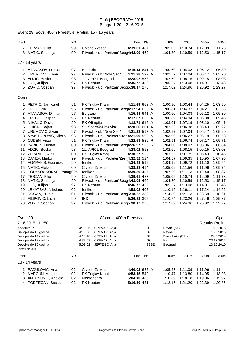# Event 29, Boys, 400m Freestyle, Prelim, 15 - 16 years

| Rank |                            | YB |                                             | Time          | Pts | 100m    | 200m    | 300m    | 400m    |
|------|----------------------------|----|---------------------------------------------|---------------|-----|---------|---------|---------|---------|
|      | 7. TERZAN, Filip           | 99 | Crvena Zvezda                               | 4:39.61 487   |     | 1:05.05 | 1:10.74 | 1:12.09 | 1:11.73 |
|      | 8. MATIC, Strahinja        | 99 | Plivacki klub,, Partizan "Beog4:43.09 469   |               |     | 1:04.80 | 1:10.59 | 1:12.53 | 1:15.17 |
|      |                            |    |                                             |               |     |         |         |         |         |
|      | 17 - 18 years              |    |                                             |               |     |         |         |         |         |
|      | 1. ATANASOV, Dimitar       | 97 | <b>Bulgaria</b>                             | 4:15.14 641 A |     | 1:00.60 | 1:04.03 | 1:05.12 | 1:05.39 |
|      | 2. URUMOVIC, Zivan         | 97 | Plivacki klub "Novi Sad"                    | 4:21.28 597 A |     | 1:02.57 | 1:07.04 | 1:06.47 | 1:05.20 |
|      | 3. ADZIC, Bosko            | 98 | 11. APRIL Beograd                           | 4:28.02 553   |     | 1:02.69 | 1:08.15 | 1:09.15 | 1:08.03 |
|      | 4. JUG, Julijan            | 97 | <b>PK Neptun</b>                            | 4:46.72 452   |     | 1:05.27 | 1:13.08 | 1:14.91 | 1:13.46 |
|      | 5. ZORIC, Scepan           | 97 | Plivacki klub,, Partizan "Beog5:38.17 275   |               |     | 1:17.02 | 1:24.96 | 1:26.92 | 1:29.27 |
|      |                            |    |                                             |               |     |         |         |         |         |
| Open |                            |    |                                             |               |     |         |         |         |         |
|      | 1. PETRIC, Jan Karel       | 91 | PK Triglav Kranj                            | 4:11.69 668 A |     | 1:00.50 | 1:03.44 | 1:04.25 | 1:03.50 |
|      | 2. CELIC, Vuk              | 96 | Plivacki klub,, Partizan"Beog4:12.94 658 A  |               |     | 1:00.81 | 1:04.33 | 1:04.27 | 1:03.53 |
|      | 3. ATANASOV, Dimitar       | 97 | Bulgaria                                    | 4:15.14 641 A |     | 1:00.60 | 1:04.03 | 1:05.12 | 1:05.39 |
|      | 4. FRECE, Gasper           | 95 | PK Neptun                                   | 4:17.67 623 A |     | 1:00.89 | 1:04.94 | 1:06.38 | 1:05.46 |
|      | 5. MIHALIC, David          | 99 | PK Olimpija                                 | 4:18.71 615 A |     | 1:03.01 | 1:07.19 | 1:03.10 | 1:05.41 |
|      | 6. UDICKI, Bojan           | 93 | SC Spartak-Prozivka                         | 4:20.66 601 A |     | 1:02.63 | 1:06.38 | 1:06.43 | 1:05.22 |
|      | 7. URUMOVIC, Zivan         | 97 | Plivacki klub "Novi Sad"                    | 4:21.28 597 A |     | 1:02.57 | 1:07.04 | 1:06.47 | 1:05.20 |
|      | 8. MAJSTOROVIC, Nikola     | 96 | Plivacki klub "Proleter"Zren4:21.99 592 A   |               |     | 1:03.90 | 1:06.27 | 1:06.19 | 1:05.63 |
|      | 9. CUDEN, Anze             | 91 | PK Triglav Kranj                            | 4:22.53 589 R |     | 1:02.91 | 1:06.74 | 1:07.17 | 1:05.71 |
|      | 10. BABIC S, Dusan         | 00 | Plivacki klub,, Partizan "Beog4:26.97 560 R |               |     | 1:04.00 | 1:08.07 | 1:08.06 | 1:06.84 |
|      | 11. ADZIC, Bosko           | 98 | 11. APRIL Beograd                           | 4:28.02 553   |     | 1:02.69 | 1:08.15 | 1:09.15 | 1:08.03 |
|      | 12. ZUPANEC, Ales          | 00 | PK Triglav Kranj                            | 4:30.27 539   |     | 1:03.63 | 1:07.75 | 1:08.43 | 1:10.46 |
|      | 13. DANEV, Marko           | 99 | Plivacki klub "Proleter"Zren4:32.82 524     |               |     | 1:04.57 | 1:09.35 | 1:10.95 | 1:07.95 |
|      | 14. AGAPAKIS, Georgios     | 99 | <b>lonikos</b>                              | 4:34.48 515   |     | 1:04.12 | 1:09.72 | 1:11.10 | 1:09.54 |
|      | 15. MATIC, Aleksa          | 00 | Crvena Zvezda                               | 4:38.28 494   |     | 1:05.02 | 1:11.56 | 1:11.96 | 1:09.74 |
|      | 16. POLYKOGKONAS, Panag02s |    | <b>lonikos</b>                              | 4:39.59 487   |     | 1:07.69 | 1:11.13 | 1:12.40 | 1:08.37 |
|      | 17. TERZAN, Filip          | 99 | Crvena Zvezda                               | 4:39.61 487   |     | 1:05.05 | 1:10.74 | 1:12.09 | 1:11.73 |
|      | 18. MATIC, Strahinja       | 99 | Plivacki klub,, Partizan "Beog4:43.09 469   |               |     | 1:04.80 | 1:10.59 | 1:12.53 | 1:15.17 |
|      | 19. JUG, Julijan           | 97 | PK Neptun                                   | 4:46.72 452   |     | 1:05.27 | 1:13.08 | 1:14.91 | 1:13.46 |
|      | 20. LEKATSAS, Nikolaos     | 02 | <b>lonikos</b>                              | 4:58.02 402   |     | 1:10.15 | 1:16.11 | 1:17.24 | 1:14.52 |
|      | 21. ROGAN, Nikola          | 01 | Plivacki klub,, Partizan "Beog5:18.22 330   |               |     | 1:14.89 | 1:21.13 | 1:23.59 | 1:18.61 |
|      | 22. FILIPOVIC, Lazar       | 90 | <b>IND</b>                                  | 5:26.83 305   |     | 1:10.74 | 1:23.26 | 1:27.46 | 1:25.37 |
|      | 23. ZORIC, Scepan          | 97 | Plivacki klub,, Partizan"Beog5:38.17 275    |               |     | 1:17.02 | 1:24.96 | 1:26.92 | 1:29.27 |

| Event 30              | Women, 400m Freestyle |                         |                  |               |             |                  |                  |                  | Open                  |
|-----------------------|-----------------------|-------------------------|------------------|---------------|-------------|------------------|------------------|------------------|-----------------------|
| 21.6.2015 - 11:50     |                       |                         |                  |               |             |                  |                  |                  | <b>Results Prelim</b> |
| Apsolutni Z           |                       | 4:18.06                 | CREVAR, Anja     |               | DP          | Ravne (SLO)      |                  |                  | 15.3.2015             |
| Devojke do 16 godina  |                       | 4:18.06<br>CREVAR, Anja |                  |               | DP          | Ravne            |                  | 15.3.2015        |                       |
| Devojke do 14 godina  |                       | 4:18.18                 | CREVAR, Anja     |               | DP          | Banja Luka (BIH) |                  | 24.5.2014        |                       |
| Devojke do 12 godina  |                       | 4:33.09                 | CREVAR, Anja     |               | DP          | <b>NIs</b>       |                  | 23.12.2012       |                       |
| Devojke do 10 godina  |                       | 5:09.62                 | JEFTENIC, Ana    |               | <b>SSBE</b> | Beograd          |                  |                  | 23.10.2010            |
| Points: FINA 2014     |                       |                         |                  |               |             |                  |                  |                  |                       |
| Rank                  | ΥB                    |                         |                  | Time          | Pts         | 100m             | 200 <sub>m</sub> | 300 <sub>m</sub> | 400m                  |
| 13 - 14 years         |                       |                         |                  |               |             |                  |                  |                  |                       |
| 1. RADULOVIC, Ana     | 02                    |                         | Crvena Zvezda    | 4:40.02 622 A |             | 1:05.53          | 1:11.09          | 1:11.96          | 1:11.44               |
| 2. MARCUN, Manca      | 02                    |                         | PK Triglav Kranj | 4:53.15 542   |             | 1:10.47          | 1:13.80          | 1:14.95          | 1:13.93               |
| 3. ANTUNOVIC, Andiela | 02                    | Montenegro              |                  | 5:04.10 486   |             | 1:10.89          | 1:18.18          | 1:19.06          | 1:15.97               |
| 4. PODPECAN, Saska    | 02                    | PK Neptun               |                  | 5:16.59 431   |             | 1:12.15          | 1:21.20          | 1:22.39          | 1:20.85               |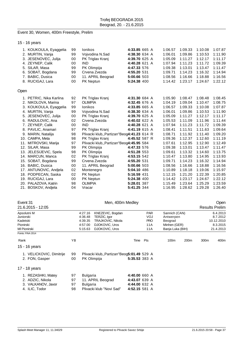# Event 30, Women, 400m Freestyle, Prelim

15 - 16 years

|      | 1. KOUKOULA, Eyaggelia  | 99 | <b>Ionikos</b>                              | 4:33.85 665 A |  | 1:06.57 | 1:09.33 | 1:10.08 | 1:07.87 |
|------|-------------------------|----|---------------------------------------------|---------------|--|---------|---------|---------|---------|
|      | 2. MURTIN, Vanja        | 99 | Vojvodina N.Sad                             | 4:38.30 634 A |  | 1:06.01 | 1:09.86 | 1:10.53 | 1:11.90 |
|      | 3. JESENOVEC, Julija    | 00 | PK Triglav Kranj                            | 4:39.70 625 A |  | 1:05.09 | 1:11.27 | 1:12.17 | 1:11.17 |
|      | 4. ZEYNEP, Calik        | 00 | IND                                         | 4:40.28 621 A |  | 1:07.94 | 1:11.23 | 1:11.72 | 1:09.39 |
|      | 5. SILAR, Masa          | 99 | PK Olimpija                                 | 4:47.33 576   |  | 1:09.38 | 1:13.01 | 1:13.47 | 1:11.47 |
|      | 6. SOBAT, Bogdana       | 99 | Crvena Zvezda                               | 4:55.20 531   |  | 1:09.71 | 1:14.23 | 1:16.32 | 1:14.94 |
|      | 7. BABIC, Dusica        | 00 | 11. APRIL Beograd                           | 5:00.66 503   |  | 1:08.56 | 1:16.66 | 1:18.88 | 1:16.56 |
|      | 8. RUCIGAJ, Lara        | 00 | PK Neptun                                   | 5:24.38 400   |  | 1:14.42 | 1:23.17 | 1:24.67 | 1:22.12 |
| Open |                         |    |                                             |               |  |         |         |         |         |
|      | 1. PETRIC, Nika Karlina | 92 | PK Triglav Kranj                            | 4:31.30 684 A |  | 1:05.90 | 1:08.47 | 1:08.48 | 1:08.45 |
|      | 2. NIKOLOVA, Marina     | 97 | <b>OLIMPIA</b>                              | 4:32.45 676 A |  | 1:04.19 | 1:09.04 | 1:10.47 | 1:08.75 |
|      | 3. KOUKOULA, Eyaggelia  | 99 | Ionikos                                     | 4:33.85 665 A |  | 1:06.57 | 1:09.33 | 1:10.08 | 1:07.87 |
|      | 4. MURTIN, Vanja        | 99 | Vojvodina N.Sad                             | 4:38.30 634 A |  | 1:06.01 | 1:09.86 | 1:10.53 | 1:11.90 |
|      | 5. JESENOVEC, Julija    | 00 | PK Triglav Kranj                            | 4:39.70 625 A |  | 1:05.09 | 1:11.27 | 1:12.17 | 1:11.17 |
|      | 6. RADULOVIC, Ana       | 02 | Crvena Zvezda                               | 4:40.02 622 A |  | 1:05.53 | 1:11.09 | 1:11.96 | 1:11.44 |
|      | 7. ZEYNEP, Calik        | 00 | <b>IND</b>                                  | 4:40.28 621 A |  | 1:07.94 | 1:11.23 | 1:11.72 | 1:09.39 |
|      | 8. PAVLIC, Anamari      | 97 | PK Triglav Kranj                            | 4:41.19 615 A |  | 1:08.41 | 1:11.51 | 1:11.63 | 1:09.64 |
|      | 9. MARIN, Natalija      | 98 | Plivacki klub,, Partizan "Beog4:41.23 614 R |               |  | 1:08.71 | 1:11.92 | 1:11.40 | 1:09.20 |
|      | 10. CAMPA, Meta         | 98 | PK Triglav Kranj                            | 4:45.52 587 R |  | 1:09.36 | 1:12.37 | 1:12.60 | 1:11.19 |
|      | 11. MITROVSKI, Marija   | 97 | Plivacki klub,, Partizan"Beog4:45.95 584    |               |  | 1:07.61 | 1:12.95 | 1:12.90 | 1:12.49 |
|      | 12. SILAR, Masa         | 99 | PK Olimpija                                 | 4:47.33 576   |  | 1:09.38 | 1:13.01 | 1:13.47 | 1:11.47 |
|      | 13. JELESIJEVIC, Spela  | 98 | PK Olimpija                                 | 4:51.28 553   |  | 1:09.61 | 1:13.32 | 1:14.60 | 1:13.75 |
|      | 14. MARCUN, Manca       | 02 | PK Triglav Kranj                            | 4:53.15 542   |  | 1:10.47 | 1:13.80 | 1:14.95 | 1:13.93 |
|      | 15. SOBAT, Bogdana      | 99 | Crvena Zvezda                               | 4:55.20 531   |  | 1:09.71 | 1:14.23 | 1:16.32 | 1:14.94 |
|      | 16. BABIC, Dusica       | 00 | 11. APRIL Beograd                           | 5:00.66 503   |  | 1:08.56 | 1:16.66 | 1:18.88 | 1:16.56 |
|      | 17. ANTUNOVIC, Andjela  | 02 | Montenegro                                  | 5:04.10 486   |  | 1:10.89 | 1:18.18 | 1:19.06 | 1:15.97 |
|      | 18. PODPECAN, Saska     | 02 | PK Neptun                                   | 5:16.59 431   |  | 1:12.15 | 1:21.20 | 1:22.39 | 1:20.85 |
|      | 19. RUCIGAJ, Lara       | 00 | PK Neptun                                   | 5:24.38 400   |  | 1:14.42 | 1:23.17 | 1:24.67 | 1:22.12 |
|      | 20. PALAZOVA, Katrin    | 98 | <b>OLIMPIA</b>                              | 5:28.01 387   |  | 1:15.49 | 1:23.64 | 1:25.29 | 1:23.59 |
|      | 21. BOSKOV, Andjela     | 04 | Vracar                                      | 5:41.25 344   |  | 1:16.95 | 1:28.62 | 1:29.28 | 1:26.40 |

| Men, 400m Medley<br>Event 31 |    |                         |                                            |               |            |                  |      | Open             |                       |
|------------------------------|----|-------------------------|--------------------------------------------|---------------|------------|------------------|------|------------------|-----------------------|
| 21.6.2015 - 12:05            |    |                         |                                            |               |            |                  |      |                  | <b>Results Prelim</b> |
| Apsolutni M                  |    | 4:27.16                 | KNEZEVIC, Bogdan                           |               | <b>PAR</b> | Sannich (CAN)    |      |                  | 6.4.2013              |
| Juniorski                    |    | 4:36.48<br>TERZIC, Igor |                                            |               | VOJ        | Antwerpen        |      | 8.7.2012         |                       |
| Kadetski                     |    | 4:39.35                 | TRAJKOVIC, Nikola                          |               | <b>PRO</b> | Beograd          |      |                  | 10.12.2010            |
| Pionirski                    |    | 4:57.00                 | DJOKOVIC, Uros                             |               | 11A        | Minhen (GER)     |      | 8.3.2015         |                       |
| MI Pionirski                 |    | 5:15.63                 | DJOKOVIC, Uros                             |               | 11A        | Banja Luka (BIH) |      |                  | 21.4.2013             |
| Points: FINA 2014            |    |                         |                                            |               |            |                  |      |                  |                       |
| Rank                         | ΥB |                         |                                            | Time          | Pts        | 100m             | 200m | 300 <sub>m</sub> | 400m                  |
| 15 - 16 years                |    |                         |                                            |               |            |                  |      |                  |                       |
| 1. VELICKOVIC, Dimitrije     | 99 |                         | Plivacki klub,, Partizan"Beog5:01.49 529 A |               |            |                  |      |                  |                       |
| 2. FON, Gasper               | 00 |                         | PK Olimpija                                | 5:35.53 383 A |            |                  |      |                  |                       |
| 17 - 18 years                |    |                         |                                            |               |            |                  |      |                  |                       |
| 1. REZASHKI, Matey           | 97 | <b>Bulgaria</b>         |                                            | 4:40.00 660 A |            |                  |      |                  |                       |
| 2. ADZIC, Nikola             | 97 |                         | 11. APRIL Beograd                          | 4:43.07 639 A |            |                  |      |                  |                       |
| 3. VALKANOV, Javor           | 97 | <b>Bulgaria</b>         |                                            | 4:44.00 632 A |            |                  |      |                  |                       |
| 4. ILIC, Todor               | 98 |                         | Plivacki klub "Novi Sad"                   | 4:52.15 581 A |            |                  |      |                  |                       |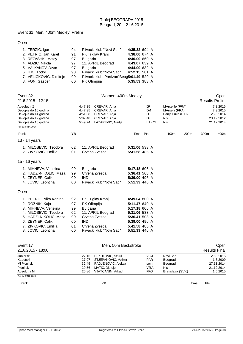# Event 31, Men, 400m Medley, Prelim

# Open

| 1. TERZIC, Igor          | 94 | Plivacki klub "Novi Sad"                   | 4:35.32 694 A |  |
|--------------------------|----|--------------------------------------------|---------------|--|
| 2. PETRIC, Jan Karel     | 91 | PK Triglav Kranj                           | 4:38.00 674 A |  |
| 3. REZASHKI, Matey       | 97 | <b>Bulgaria</b>                            | 4:40.00 660 A |  |
| 4. ADZIC, Nikola         | 97 | 11. APRIL Beograd                          | 4:43.07 639 A |  |
| 5. VALKANOV, Javor       | 97 | <b>Bulgaria</b>                            | 4:44.00 632 A |  |
| 6. ILIC, Todor           | 98 | Plivacki klub "Novi Sad"                   | 4:52.15 581 A |  |
| 7. VELICKOVIC, Dimitrije | 99 | Plivacki klub,, Partizan"Beog5:01.49 529 A |               |  |
| 8. FON, Gasper           | 00 | PK Olimpija                                | 5:35.53 383 A |  |

|                                                                                                                                  | Event 32<br>21.6.2015 - 12:15                                                                                                                                                        |                                                                                                                                         |                                              | Women, 400m Medley                                                                                  |                                                                                                                                      |                                                                                   |                  |                                                               |      | Open<br><b>Results Prelim</b> |
|----------------------------------------------------------------------------------------------------------------------------------|--------------------------------------------------------------------------------------------------------------------------------------------------------------------------------------|-----------------------------------------------------------------------------------------------------------------------------------------|----------------------------------------------|-----------------------------------------------------------------------------------------------------|--------------------------------------------------------------------------------------------------------------------------------------|-----------------------------------------------------------------------------------|------------------|---------------------------------------------------------------|------|-------------------------------|
| Apsolutni Z<br>Devojke do 16 godina<br>Devojke do 14 godina<br>Devojke do 12 godina<br>Devojke do 10 godina<br>Points: FINA 2014 |                                                                                                                                                                                      | CREVAR, Anja<br>4:47.35<br>4:47.35<br>CREVAR, Anja<br>4:51.38<br>CREVAR, Anja<br>5:07.48<br>CREVAR, Anja<br>LAZAREVIC, Nadja<br>5:49.74 |                                              | DP<br><b>DM</b><br>DP<br>DP<br>LAKOL                                                                |                                                                                                                                      | MArseille (FRA)<br>MArselli (FRA)<br>Banja Luka (BIH)<br><b>NIs</b><br><b>Nis</b> |                  | 7.3.2015<br>7.3.2015<br>25.5.2014<br>23.12.2012<br>21.12.2014 |      |                               |
| Rank                                                                                                                             |                                                                                                                                                                                      | YB                                                                                                                                      |                                              |                                                                                                     | Time                                                                                                                                 | Pts                                                                               | 100 <sub>m</sub> | 200 <sub>m</sub>                                              | 300m | 400m                          |
|                                                                                                                                  | 13 - 14 years                                                                                                                                                                        |                                                                                                                                         |                                              |                                                                                                     |                                                                                                                                      |                                                                                   |                  |                                                               |      |                               |
|                                                                                                                                  | 1. MILOSEVIC, Teodora<br>2. ZIVKOVIC, Emilija                                                                                                                                        | 02<br>01                                                                                                                                |                                              | 11. APRIL Beograd<br>Crvena Zvezda                                                                  | 5:31.06 533 A<br>5:41.58 485 A                                                                                                       |                                                                                   |                  |                                                               |      |                               |
|                                                                                                                                  | 15 - 16 years                                                                                                                                                                        |                                                                                                                                         |                                              |                                                                                                     |                                                                                                                                      |                                                                                   |                  |                                                               |      |                               |
|                                                                                                                                  | 1. MIHNEVA, Venelina<br>2. HADZI-NIKOLIC, Masa<br>3. ZEYNEP, Calik<br>4. JOVIC, Leontina                                                                                             | 99<br>99<br>00<br>00                                                                                                                    | <b>Bulgaria</b><br><b>IND</b>                | Crvena Zvezda<br>Plivacki klub "Novi Sad"                                                           | 5:17.18 606 A<br>5:36.41 508 A<br>5:39.00 496 A<br>5:51.33 446 A                                                                     |                                                                                   |                  |                                                               |      |                               |
| Open                                                                                                                             |                                                                                                                                                                                      |                                                                                                                                         |                                              |                                                                                                     |                                                                                                                                      |                                                                                   |                  |                                                               |      |                               |
| 5.                                                                                                                               | 1. PETRIC, Nika Karlina<br>2. ROZNIK, Kaja<br>3. MIHNEVA, Venelina<br>4. MILOSEVIC, Teodora<br>HADZI-NIKOLIC, Masa<br>6. ZEYNEP, Calik<br>7. ZIVKOVIC, Emilija<br>8. JOVIC, Leontina | 92<br>97<br>99<br>02<br>99<br>00<br>01<br>00                                                                                            | PK Olimpija<br><b>Bulgaria</b><br><b>IND</b> | PK Triglav Kranj<br>11. APRIL Beograd<br>Crvena Zvezda<br>Crvena Zvezda<br>Plivacki klub "Novi Sad" | 4:49.04 800 A<br>5:11.47 640 A<br>5:17.18 606 A<br>5:31.06 533 A<br>5:36.41 508 A<br>5:39.00 496 A<br>5:41.58 485 A<br>5:51.33 446 A |                                                                                   |                  |                                                               |      |                               |

| Event 17          |       | Open                 |            |                  |                      |
|-------------------|-------|----------------------|------------|------------------|----------------------|
| 21.6.2015 - 18:00 |       |                      |            |                  | <b>Results Final</b> |
| Juniorski         | 27.16 | SEKULOVIC, Sekul     | <b>VOJ</b> | Novi Sad         | 29.3.2015            |
| Kadetski          | 27.97 | STJEPANOVIC, Velimir | <b>PAR</b> | Beograd          | 1.8.2009             |
| MI Pionirski      | 32.45 | RADJENOVIC, Aleksa   | som        | Beograd          | 27.11.2014           |
| Pionirski         | 29.56 | MATIC, Djurdje       | <b>VRA</b> | Nis              | 21.12.2014           |
| Apsolutni M       | 25.86 | VJATCANIN, Arkadi    | <b>PRO</b> | Bratislava (SVK) | 1.5.2015             |
| Points: FINA 2014 |       |                      |            |                  |                      |

Rank **Rank Time Pts Proposed and Proposed Area** Time Pts and Proposed and Proposed and Proposed and Proposed and Proposed and Proposed and Proposed and Proposed and Proposed and Proposed and Proposed and Proposed and Pro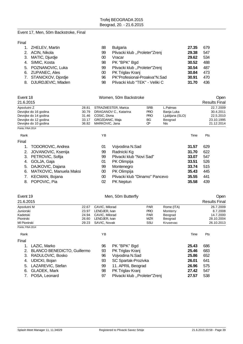#### Event 17, Men, 50m Backstroke, Final

Final

| 1. ZHELEV, Martin     | 88              | <b>Bulgaria</b>                | 27.35 | 679 |
|-----------------------|-----------------|--------------------------------|-------|-----|
| 2. ACIN, Nikola       | 99              | Plivacki klub "Proleter"Zrenj  | 29.38 | 547 |
| 3. MATIC, Djurdje     | 00              | Vracar                         | 29.62 | 534 |
| 4. SIMIC, Kosta       | 98              | PK "BPK" Bgd                   | 30.52 | 488 |
| 5. POZNANOVIC, Luka   | 99              | Plivacki klub "Proleter"Zrenj  | 30.54 | 487 |
| 6. ZUPANEC, Ales      | 00 <sup>°</sup> | PK Triglav Kranj               | 30.84 | 473 |
| 7. STANICKOV, Djordje | 96              | PK"Profesional-Proakva"N.Sad   | 30.91 | 470 |
| 8. DJURDJEVIC, Mladen | 98              | Plivacki klub "TEK" - Veliki C | 31.70 | 436 |

| Event 18             |                        |       | Women, 50m Backstroke | <b>Open</b>              |                      |                 |            |
|----------------------|------------------------|-------|-----------------------|--------------------------|----------------------|-----------------|------------|
| 21.6.2015            |                        |       |                       |                          | <b>Results Final</b> |                 |            |
| Apsolutni Z          |                        | 28.81 |                       | STRAZMESTER, Marica      | <b>SRB</b>           | L.Palmas        | 22.7.2009  |
| Devojke do 16 godina |                        | 30.79 |                       | DRAGANOV C., Katarina    | <b>PRO</b>           | Banja Luka      | 30.4.2011  |
| Devojke do 14 godina |                        | 31.46 | COSIC, Divna          |                          | <b>PRO</b>           | Ljubljana (SLO) | 22.5.2010  |
| Devojke do 12 godina |                        | 33.17 | GROZDANIC, Maja       |                          | BG                   | Beograd         | 23.10.1995 |
| Devojke do 10 godina |                        | 36.82 | MARKOVIC, Jana        |                          | Œ                    | Nis.            | 21.12.2014 |
| Points: FINA 2014    |                        |       |                       |                          |                      |                 |            |
| Rank                 |                        |       | YB                    |                          |                      | Time            | Pts        |
| Final                |                        |       |                       |                          |                      |                 |            |
| 1.                   | TODOROVIC, Andrea      |       | 01                    | Vojvodina N.Sad          |                      | 31.57           | 629        |
|                      | JOVANOVIC, Ksenija     |       | 99                    | Radnicki Kg              |                      | 31.70           | 622        |
| 3.                   | PETROVIC, Sofija       |       | 99                    | Plivacki klub "Novi Sad" |                      | 33.07           | 547        |
| 4.                   | GOLJA, Gaja            |       | 01                    | PK Olimpija              |                      | 33.51           | 526        |
| 5.                   | DAJKOVIC, Dajana       |       | 99                    | Montenegro               |                      | 33.74           | 515        |
| ົ                    | MATKOVIC Manuela Makei |       | ഹ                     | <b>DK</b> Olimpija       |                      | 25 12           | $\Lambda$  |

| 0. DAJNOVIO, Dajdija       | ສສ | <u>IVIUI IIEI IEUIU</u>        | <b>33.74</b> 313 |       |
|----------------------------|----|--------------------------------|------------------|-------|
| 6. MATKOVIC, Manuela Maksi |    | 00 PK Olimpija                 | 35.43 445        |       |
| 7. KECMAN, Bojana          |    | Plivacki klub "Dinamo" Pancevo | 35.55 441        |       |
| 8. POPOVIC, Pia            |    | 02 PK Neptun                   | 35.58            | - 439 |

| Event 19          |       | Men, 50m Butterfly |            |            | Open                 |
|-------------------|-------|--------------------|------------|------------|----------------------|
| 21.6.2015         |       |                    |            |            | <b>Results Final</b> |
| Apsolutni M       | 22.67 | CAVIC, Milorad     | <b>PAR</b> | Rome (ITA) | 26.7.2009            |
| Juniorski         | 23.97 | LENDJER, Ivan      | <b>PRO</b> | Monterry   | 8.7.2008             |
| Kadetski          | 24.94 | CAVIC, Milorad     | <b>PAR</b> | Beograd    | 14.7.2000            |
| Pionirski         | 26.60 | LENDJER, Ivan      | <b>MZR</b> | Beograd    | 28.10.2004           |
| MI Pionirski      | 29.23 | SAVIC, Novak       | SSU        | Krusevac   | 26.10.2013           |
| Points: FINA 2014 |       |                    |            |            |                      |
|                   |       |                    |            |            |                      |

| Rank  |                             | ΥB |                               | Time  | Pts |  |
|-------|-----------------------------|----|-------------------------------|-------|-----|--|
| Final |                             |    |                               |       |     |  |
|       | LAZIC, Marko                | 96 | PK "BPK" Bgd                  | 25.43 | 686 |  |
| 2.    | BLANCO BENEDICTO, Guillermo | 93 | PK Triglav Kranj              | 25.46 | 683 |  |
|       | 3. RADULOVIC, Bosko         | 96 | Vojvodina N.Sad               | 25.86 | 652 |  |
|       | 4. UDICKI, Bojan            | 93 | SC Spartak-Prozivka           | 26.01 | 641 |  |
|       | 5. LAZAREVIC, Stefan        | 99 | 11. APRIL Beograd             | 26.96 | 575 |  |
| 6.    | <b>GLADEK, Mark</b>         | 98 | PK Triglav Kranj              | 27.42 | 547 |  |
|       | POSA, Leonard               | 97 | Plivacki klub "Proleter"Zrenj | 27.57 | 538 |  |
|       |                             |    |                               |       |     |  |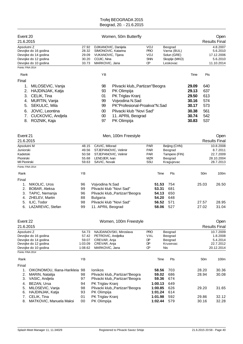| Event 20<br>21.6.2015                                             |                                                                                                                                               |                                               | Women, 50m Butterfly                                                                                                                                                                                                                       |                                                             |                                  |                                                                    |                                                                      |                                                      | Open<br><b>Results Final</b>                                  |
|-------------------------------------------------------------------|-----------------------------------------------------------------------------------------------------------------------------------------------|-----------------------------------------------|--------------------------------------------------------------------------------------------------------------------------------------------------------------------------------------------------------------------------------------------|-------------------------------------------------------------|----------------------------------|--------------------------------------------------------------------|----------------------------------------------------------------------|------------------------------------------------------|---------------------------------------------------------------|
| Apsolutni Z<br>Points: FINA 2014                                  | Devojke do 16 godina<br>Devojke do 14 godina<br>Devojke do 12 godina<br>Devojke do 10 godina                                                  | 27.92<br>28.32<br>29.09<br>30.20<br>33.73     | DJIKANOVIC, Danijela<br>SIMONOVIC, Katarina<br>VUKANOVIC, Tijana<br>COJIC, Nina<br>MARKOVIC, Jana                                                                                                                                          | VOJ<br><b>PRO</b><br>VOJ<br><b>SNN</b><br><b>CP</b>         |                                  | Beograd<br>Varna (BUL)<br>Solun (GRE)<br>Skoplje (MKD)<br>Leskovac |                                                                      |                                                      | 4.8.2007<br>5.6.2010<br>17.12.2006<br>5.6.2010<br>11.10.2014  |
| Rank                                                              |                                                                                                                                               |                                               | YB                                                                                                                                                                                                                                         |                                                             |                                  |                                                                    | Time                                                                 | Pts                                                  |                                                               |
| Final<br>1.<br>2.<br>3.<br>4.<br>5.<br>6.<br>7.<br>8.             | MILOSEVIC, Vanja<br>HAJDINJAK, Katja<br>CELIK, Tina<br>MURTIN, Vanja<br>SEKULIC, Mila<br>JOVIC, Leontina<br>CUCKOVIC, Andjela<br>ROZNIK, Kaja |                                               | 98<br>Plivacki klub,, Partizan "Beogra<br>PK Olimpija<br>93<br>PK Triglav Kranj<br>01<br>Vojvodina N.Sad<br>99<br>PK"Profesional-Proakva"N.Sad<br>99<br>Plivacki klub "Novi Sad"<br>00<br>11. APRIL Beograd<br>$00\,$<br>97<br>PK Olimpija |                                                             |                                  |                                                                    | 29.09<br>29.13<br>29.50<br>30.16<br>30.17<br>30.38<br>30.74<br>30.83 | 640<br>637<br>613<br>574<br>573<br>561<br>542<br>537 |                                                               |
| Event 21<br>21.6.2015                                             |                                                                                                                                               |                                               | Men, 100m Freestyle                                                                                                                                                                                                                        |                                                             |                                  |                                                                    |                                                                      |                                                      | Open<br><b>Results Final</b>                                  |
| Apsolutni M<br>Juniorski<br>Kadetski<br>Pionirski<br>MI Pionirski |                                                                                                                                               | 48.15<br>49.56<br>50.58<br>55.68<br>59.63     | CAVIC, Milorad<br>STJEPANOVIC, Velimir<br>STJEPANOVIC, Velimir<br>LENDJER, Ivan<br>SAVIC, Novak                                                                                                                                            | <b>PAR</b><br><b>PAR</b><br><b>PAR</b><br><b>MZR</b><br>SSU |                                  | Beijing (CHN)<br>Beograd<br>Tampere (FIN)<br>Beograd<br>Kragujevac |                                                                      |                                                      | 10.8.2008<br>8.7.2011<br>22.7.2009<br>28.10.2004<br>28.7.2013 |
| Points: FINA 2014                                                 |                                                                                                                                               |                                               |                                                                                                                                                                                                                                            |                                                             |                                  |                                                                    |                                                                      |                                                      |                                                               |
| Rank                                                              |                                                                                                                                               | YB                                            |                                                                                                                                                                                                                                            |                                                             | Time                             | Pts                                                                |                                                                      | 50 <sub>m</sub>                                      | 100m                                                          |
| Final<br>1.<br>2.<br>3.<br>4.                                     | NIKOLIC, Uros<br>BOBAR, Aleksa<br>TAPIC, Nemanja<br>ZHELEV, Martin                                                                            | 96<br>99<br>96<br>88                          | Vojvodina N.Sad<br>Plivacki klub "Novi Sad"<br>Plivacki klub,, Partizan" Beogra<br><b>Bulgaria</b>                                                                                                                                         |                                                             | 51.53<br>53.31<br>54.13<br>54.20 | 754<br>681<br>650<br>648                                           |                                                                      | 25.03                                                | 26.50                                                         |
| 5.<br>6.                                                          | ILIC, Todor<br>LAZAREVIC, Stefan                                                                                                              | 98<br>99                                      | Plivacki klub "Novi Sad"<br>11. APRIL Beograd                                                                                                                                                                                              |                                                             | 56.52<br>58.06                   | 571<br>527                                                         |                                                                      | 27.57<br>27.02                                       | 28.95<br>31.04                                                |
| Event 22<br>21.6.2015                                             |                                                                                                                                               |                                               | Women, 100m Freestyle                                                                                                                                                                                                                      |                                                             |                                  |                                                                    |                                                                      |                                                      | Open<br><b>Results Final</b>                                  |
| Apsolutni Z                                                       | Devojke do 16 godina<br>Devojke do 14 godina<br>Devojke do 12 godina<br>Devojke do 10 godina                                                  | 54.73<br>57.42<br>59.07<br>1:03.09<br>1:08.62 | NAJDANOVSKI, Miroslava<br>PETROVIC, Andjelka<br>CREVAR, Anja<br>CREVAR, Anja<br>MARKOVIC, Jana                                                                                                                                             | <b>PRO</b><br>VAL<br>DP<br>DP<br>Œ                          | Nis                              | Beograd<br>Beograd<br>Beograd<br>Krusevac                          |                                                                      |                                                      | 10.7.2009<br>1.8.2008<br>5.4.2014<br>22.7.2012<br>20.12.2014  |
| Points: FINA 2014                                                 |                                                                                                                                               |                                               |                                                                                                                                                                                                                                            |                                                             |                                  |                                                                    |                                                                      |                                                      |                                                               |
| Rank                                                              |                                                                                                                                               | ΥB                                            |                                                                                                                                                                                                                                            |                                                             | Time                             | Pts                                                                |                                                                      | 50 <sub>m</sub>                                      | 100m                                                          |
| Final<br>1.<br>2.<br>3.<br>4.                                     | OIKONOMOU, Iliana-Harikleia 98<br>MARIN, Natalija<br>VASIC, Andjela<br>BEZAN, Ursa                                                            | 98<br>97<br>94                                | Ionikos<br>Plivacki klub,, Partizan" Beogra<br>Plivacki klub,, Partizan" Beogra<br>PK Triglav Kranj                                                                                                                                        | 1:00.13                                                     | 58.56<br>59.02<br>59.36          | 703<br>686<br>674<br>649                                           |                                                                      | 28.20<br>28.94                                       | 30.36<br>30.08                                                |
| 5.<br>6.                                                          | MILOSEVIC, Vanja<br>HAJDINJAK, Katja                                                                                                          | 98<br>93                                      | Plivacki klub,, Partizan" Beogra<br>PK Olimpija                                                                                                                                                                                            | 1:00.85<br>1:01.24                                          |                                  | 626<br>614                                                         |                                                                      | 29.20                                                | 31.65                                                         |
| 7.<br>8.                                                          | CELIK, Tina<br>MATKOVIC, Manuela Maksi                                                                                                        | 01<br>00                                      | PK Triglav Kranj<br>PK Olimpija                                                                                                                                                                                                            | 1:01.98<br>1:02.44                                          |                                  | 592<br>579                                                         |                                                                      | 29.86<br>30.16                                       | 32.12<br>32.28                                                |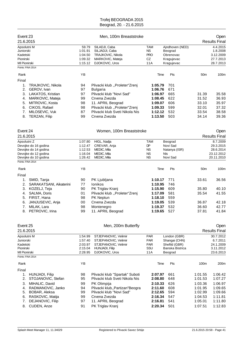| Event 23<br>21.6.2015                                             |                                              |                                                   | Men, 100m Breaststroke                                                                     |                                       |                                                                     |                    | Open<br><b>Results Final</b>                                |
|-------------------------------------------------------------------|----------------------------------------------|---------------------------------------------------|--------------------------------------------------------------------------------------------|---------------------------------------|---------------------------------------------------------------------|--------------------|-------------------------------------------------------------|
| Apsolutni M<br>Juniorski<br>Kadetski<br>Pionirski<br>MI Pionirski |                                              | 59.79<br>1:01.91<br>1:04.50<br>1:09.32<br>1:15.12 | SILADJI, Caba<br>SILJADJI, Caba<br>TRAJKOVIC, Nikola<br>MARKOVIC, Mateja<br>DJOKOVIC, Uros | TAM<br>NS.<br><b>PRO</b><br>CZ<br>11A | Ajndhoven (NED)<br>Beograd<br>Obrenovac<br>Kragujevac<br>Kragujevac |                    | 4.4.2015<br>1.8.2008<br>3.12.2009<br>27.7.2013<br>28.7.2013 |
| Points: FINA 2014                                                 |                                              |                                                   |                                                                                            |                                       |                                                                     |                    |                                                             |
| Rank                                                              |                                              | YB                                                |                                                                                            | Time                                  | Pts                                                                 | 50 <sub>m</sub>    | 100m                                                        |
| Final                                                             |                                              |                                                   |                                                                                            |                                       |                                                                     |                    |                                                             |
| 1.                                                                | TRAJKOVIC, Nikola                            | 94                                                | Plivacki klub "Proleter"Zrenj                                                              | 1:05.79                               | 701                                                                 |                    |                                                             |
| 2.                                                                | GEROV, Ivan                                  | 97                                                | <b>Bulgaria</b>                                                                            | 1:06.76                               | 671                                                                 |                    |                                                             |
| 3.<br>4.                                                          | LAKATOS, Kristian<br>MARKOVIC, Mateja        | 97<br>99                                          | Plivacki klub "Novi Sad"<br>Crvena Zvezda                                                  | 1:06.97<br>1:08.45                    | 665<br>622                                                          | 31.39<br>31.52     | 35.58<br>36.93                                              |
| 5.                                                                | MITROVIC, Kosta                              | 98                                                | 11. APRIL Beograd                                                                          | 1:09.07                               | 606                                                                 | 33.10              | 35.97                                                       |
| 6.                                                                | CIKOS, Rafael                                | 98                                                | Plivacki klub "Proleter"Zrenj                                                              | 1:09.33                               | 599                                                                 | 32.01              | 37.32                                                       |
| 7.                                                                | MILOSEVIC, Vuk                               | 87                                                | Plivacki klub Sveti Nikola Nis                                                             | 1:12.12                               | 532                                                                 | 33.54              | 38.58                                                       |
| 8.                                                                | TERZAN, Filip                                | 99                                                | Crvena Zvezda                                                                              | 1:13.50                               | 503                                                                 | 34.14              | 39.36                                                       |
| Event 24                                                          |                                              |                                                   | Women, 100m Breaststroke                                                                   |                                       |                                                                     |                    | Open                                                        |
| 21.6.2015                                                         |                                              |                                                   |                                                                                            |                                       |                                                                     |                    | <b>Results Final</b>                                        |
| Apsolutni Z                                                       |                                              | 1:07.80                                           | HIGL, Nadja                                                                                | <b>TAM</b>                            | Beograd                                                             |                    | 8.7.2009                                                    |
|                                                                   | Devojke do 16 godina<br>Devojke do 14 godina | 1:12.47                                           | CREVAR, Anja<br>MEDIC, Mila                                                                | <b>DP</b>                             | Novi Sad                                                            |                    | 29.3.2015                                                   |
|                                                                   | Devojke do 12 godina                         | 1:12.53<br>1:16.04                                | MEDIC, Mila                                                                                | <b>NS</b><br>ΝS                       | Natanya (ISR)<br><b>NIs</b>                                         |                    | 28.6.2014<br>23.12.2012                                     |
|                                                                   | Devojke do 10 godina                         | 1:26.42                                           | MEDIC, Mila                                                                                | <b>NS</b>                             | Novi Sad                                                            |                    | 20.11.2010                                                  |
| Points: FINA 2014                                                 |                                              |                                                   |                                                                                            |                                       |                                                                     |                    |                                                             |
| Rank                                                              |                                              | YB                                                |                                                                                            | Time                                  | Pts                                                                 | 50 <sub>m</sub>    | 100m                                                        |
| Final                                                             |                                              |                                                   |                                                                                            |                                       |                                                                     |                    |                                                             |
| 1.                                                                | SMID, Tanja                                  | 90                                                | PK Ljubljana                                                                               | 1:10.17                               | 771                                                                 | 33.61              | 36.56                                                       |
| 2.                                                                | SARAKATSANI, Aikaterini                      | 77                                                | <b>lonikos</b>                                                                             | 1:10.95                               | 746                                                                 |                    |                                                             |
| 3.                                                                | KOZELJ, Teja                                 | 90                                                | PK Triglav Kranj                                                                           | 1:15.90                               | 609                                                                 | 35.80              | 40.10                                                       |
| 4.                                                                | SALMA, Doris                                 | 01                                                | Plivacki klub "Proleter"Zrenj                                                              | 1:17.09                               | 581                                                                 | 35.54              | 41.55                                                       |
| 5.                                                                | FIRST, Hana                                  | 98                                                | <b>PK Neptun</b>                                                                           | 1:18.10                               | 559                                                                 |                    |                                                             |
| 6.                                                                | JANJUSEVIC, Anja                             | 00                                                | Crvena Zvezda                                                                              | 1:19.05                               | 539                                                                 | 36.87              | 42.18                                                       |
| 7.                                                                | MILAK, Lara<br>8. PETROVIC, Irina            | 98<br>99                                          | Montenegro<br>11. APRIL Beograd                                                            | 1:19.37<br>1:19.65                    | 532<br>527                                                          | 36.60<br>37.81     | 42.77<br>41.84                                              |
|                                                                   |                                              |                                                   |                                                                                            |                                       |                                                                     |                    |                                                             |
| Event 25                                                          |                                              |                                                   | Men, 200m Butterfly                                                                        |                                       |                                                                     |                    | Open                                                        |
| 21.6.2015                                                         |                                              |                                                   |                                                                                            |                                       |                                                                     |                    | <b>Results Final</b>                                        |
| Apsolutni M                                                       |                                              | 1:54.99                                           | STJEPANOVIC, Velimir                                                                       | <b>PAR</b>                            | London (GBR)                                                        |                    | 30.7.2012                                                   |
| Juniorski                                                         |                                              | 1:57.40                                           | STJEPANOVIC, Velimir                                                                       | PAR                                   | Shangai (CHN)                                                       |                    | 6.7.2011                                                    |
| Kadetski<br>Pionirski                                             |                                              | 2:03.97<br>2:15.04                                | STJEPANOVIC, Velimir<br>HUNJADI, Filip                                                     | <b>PAR</b><br>SSU                     | Shefild (GBR)<br>Banska Bistrica                                    |                    | 24.1.2009<br>3.11.2012                                      |
| MI Pionirski                                                      |                                              | 2:28.95                                           | DJOKOVIC, Uros                                                                             | 11A                                   | Beograd                                                             |                    | 23.6.2013                                                   |
| Points: FINA 2014                                                 |                                              |                                                   |                                                                                            |                                       |                                                                     |                    |                                                             |
| Rank                                                              |                                              | YB                                                |                                                                                            | Time                                  | Pts                                                                 | 100m               | 200m                                                        |
| Final                                                             |                                              |                                                   |                                                                                            |                                       |                                                                     |                    |                                                             |
| 1.                                                                | HUNJADI, Filip                               | 98                                                | Plivacki klub "Spartak" Suboti                                                             | 2:07.97                               | 661                                                                 | 1:01.55            | 1:06.42                                                     |
| 2.                                                                | STOJANOVIC, Stefan                           | 95                                                | Plivacki klub Sveti Nikola Nis                                                             | 2:08.80                               | 648                                                                 | 1:01.53            | 1:07.27                                                     |
| 3.                                                                | MIHALIC, David                               | 99                                                | PK Olimpija                                                                                | 2:10.33                               | 626                                                                 | 1:03.36            | 1:06.97                                                     |
| 4.                                                                | RADMANOVIC, Janko                            | 94                                                | Plivacki klub,, Partizan" Beogra                                                           | 2:11.60                               | 608                                                                 | 1:01.95            | 1:09.65                                                     |
| 5.<br>6.                                                          | BOBAR, Aleksa<br>RASKOVIC, Matija            | 99<br>99                                          | Plivacki klub "Novi Sad"<br>Crvena Zvezda                                                  | 2:12.65<br>2:16.34                    | 594<br>547                                                          | 1:02.99<br>1:04.53 | 1:09.66<br>1:11.81                                          |
| 7.                                                                | DEJANOVIC, Filip                             | 97                                                | 11. APRIL Beograd                                                                          | 2:16.81                               | 541                                                                 | 1:05.01            | 1:11.80                                                     |
| 8.                                                                | CUDEN, Anze                                  | 91                                                | PK Triglav Kranj                                                                           | 2:20.34                               | 501                                                                 | 1:07.51            | 1:12.83                                                     |
|                                                                   |                                              |                                                   |                                                                                            |                                       |                                                                     |                    |                                                             |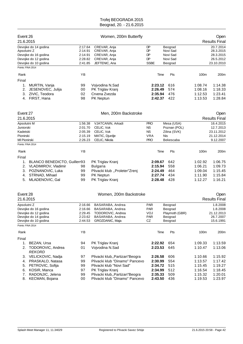| Event 26          |                                              |                    | Women, 200m Butterfly               |                    |                     |         | Open                    |
|-------------------|----------------------------------------------|--------------------|-------------------------------------|--------------------|---------------------|---------|-------------------------|
| 21.6.2015         |                                              |                    |                                     |                    |                     |         | <b>Results Final</b>    |
|                   | Devojke do 14 godina                         | 2:17.64            | CREVAR, Anja                        | DP                 | Beograd             |         | 20.7.2014               |
| Apsolutni Z       |                                              | 2:14.91            | CREVAR, Anja                        | DP                 | Novi Sad            |         | 28.3.2015               |
|                   | Devojke do 16 godina                         | 2:14.91            | CREVAR, Anja                        | DP                 | Novi Sad            |         | 28.3.2015               |
|                   | Devojke do 12 godina<br>Devojke do 10 godina | 2:28.82<br>2:41.85 | CREVAR, Anja<br>JEFTENIC, Ana       | DP<br><b>SSBE</b>  | Novi Sad<br>Beograd |         | 26.5.2012<br>23.10.2010 |
| Points: FINA 2014 |                                              |                    |                                     |                    |                     |         |                         |
|                   |                                              |                    |                                     |                    |                     |         |                         |
| Rank              |                                              | ΥB                 |                                     | Time               | Pts                 | 100m    | 200m                    |
| Final             |                                              |                    |                                     |                    |                     |         |                         |
| 1.                | MURTIN, Vanja                                | 99                 | Vojvodina N.Sad                     | 2:23.12            | 616                 | 1:08.74 | 1:14.38                 |
| 2.                | JESENOVEC, Julija                            | 00                 | PK Triglav Kranj                    | 2:26.49            | 574                 | 1:08.16 | 1:18.33                 |
| 3.                | ZIVIC, Teodora                               | 02                 | Crvena Zvezda                       | 2:35.94            | 476                 | 1:12.53 | 1:23.41                 |
|                   | 4. FIRST, Hana                               | 98                 | PK Neptun                           | 2:42.37            | 422                 | 1:13.53 | 1:28.84                 |
| Event 27          |                                              |                    | Men, 200m Backstroke                |                    |                     |         | Open                    |
| 21.6.2015         |                                              |                    |                                     |                    |                     |         | <b>Results Final</b>    |
| Apsolutni M       |                                              | 1:56.38            | VJATCANIN, Arkadi                   | <b>PRO</b>         | Mesa (USA)          |         | 16.4.2015               |
| Juniorski         |                                              | 2:01.70            | CELIC, Vuk                          | <b>NS</b>          | Poznan (POL)        |         | 12.7.2013               |
| Kadetski          |                                              | 2:05.39            | CELIC, Vuk                          | <b>NS</b>          | Zilina (SVK)        |         | 23.11.2012              |
| Pionirski         |                                              | 2:15.19            | MATIC, Djurdje                      | <b>VRA</b>         | Nis                 |         | 21.12.2014              |
| MI Pionirski      |                                              | 2:26.23            | CELIC, Nikola                       | <b>PRO</b>         | Bekescaba           |         | 9.12.2007               |
| Points: FINA 2014 |                                              |                    |                                     |                    |                     |         |                         |
| Rank              |                                              | YB                 |                                     | Time               | Pts                 | 100m    | 200m                    |
|                   |                                              |                    |                                     |                    |                     |         |                         |
| Final             |                                              |                    |                                     |                    |                     |         |                         |
| 1.                | BLANCO BENEDICTO, Guillerr93                 |                    | PK Triglav Kranj                    | 2:09.67<br>2:15.94 | 642                 | 1:02.92 | 1:06.75                 |
| 2.                | VLADIMIROV, Vladimir                         | 98                 | <b>Bulgaria</b>                     |                    | 558                 | 1:06.21 | 1:09.73                 |
| 3.                | POZNANOVIC, Luka                             | 99                 | Plivacki klub "Proleter"Zrenj       | 2:24.49            | 464                 | 1:09.04 | 1:15.45                 |
| 4.                | STRNAD, Mihael                               | 99                 | PK Neptun                           | 2:27.74            | 434<br>428          | 1:11.90 | 1:15.84<br>1:16.21      |
| 5.                | MLADENOVIC, Gal                              | 99                 | PK Triglav Kranj                    | 2:28.48            |                     | 1:12.27 |                         |
| Event 28          |                                              |                    | Women, 200m Backstroke              |                    |                     |         | Open                    |
| 21.6.2015         |                                              |                    |                                     |                    |                     |         | <b>Results Final</b>    |
| Apsolutni Z       |                                              | 2:16.66            | BASARABA, Andrea                    | <b>PAR</b>         | Beograd             |         | 1.8.2008                |
|                   | Devojke do 16 godina                         | 2:16.66            | BASARABA, Andrea                    | <b>PAR</b>         | Beograd             |         | 1.8.2008                |
|                   | Devojke do 12 godina                         | 2:29.45            | TODOROVIC, Andrea                   | VOJ                | Playmoth (GBR)      |         | 21.12.2013              |
|                   | Devojke do 14 godina                         | 2:23.62            | BASARABA, Andrea<br>GROZDANIC, Maja | <b>PAR</b><br>CZ   | Beograd             |         | 26.7.2007<br>15.6.1991  |
| Points: FINA 2014 | Devojke do 10 godina                         | 2:44.53            |                                     |                    | Beograd             |         |                         |
| Rank              |                                              | YB                 |                                     | Time               | Pts                 | 100m    | 200m                    |
| Final             |                                              |                    |                                     |                    |                     |         |                         |
|                   | 1. BEZAN, Ursa                               | 94                 | PK Triglav Kranj                    | 2:22.92            | 654                 | 1:09.33 | 1:13.59                 |
|                   | 2. TODOROVIC, Andrea                         | 01                 | Vojvodina N.Sad                     | 2:23.53            | 645                 | 1:10.47 | 1:13.06                 |
|                   | <b>REKORD</b>                                |                    |                                     |                    |                     |         |                         |
|                   | 3. VELICKOVIC, Nadja                         | 97                 | Plivacki klub,, Partizan" Beogra    | 2:26.58            | 606                 | 1:10.66 | 1:15.92                 |
| 4.                | PRASKALO, Natasa                             | 99                 | Plivacki klub "Dinamo" Pancevo      | 2:30.99            | 554                 | 1:13.57 | 1:17.42                 |
| 5.                | PETROVIC, Sofija                             | 99                 | Plivacki klub "Novi Sad"            | 2:34.72            | 515                 | 1:15.45 | 1:19.27                 |
| 6.                | KOSIR, Manca                                 | 97                 | PK Triglav Kranj                    | 2:34.99            | 512                 | 1:16.54 | 1:18.45                 |
|                   | 7. RADONJIC, Jelena                          | 99                 | Plivacki klub,, Partizan"Beogra     | 2:35.33            | 509                 | 1:15.32 | 1:20.01                 |
| 8.                | KECMAN, Bojana                               | 00                 | Plivacki klub "Dinamo" Pancevo      | 2:43.50            | 436                 | 1:19.53 | 1:23.97                 |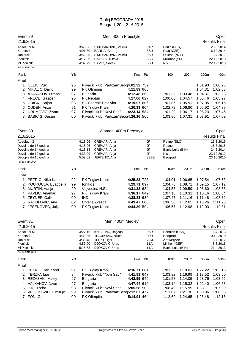| Event 29                                                                                                                                                              |                                              |                                                     | Men, 400m Freestyle                                                                                                                                          |                                                                                                       |                                                       |                                                                           |                                                                           |                                                                                      | Open                                                                                 |
|-----------------------------------------------------------------------------------------------------------------------------------------------------------------------|----------------------------------------------|-----------------------------------------------------|--------------------------------------------------------------------------------------------------------------------------------------------------------------|-------------------------------------------------------------------------------------------------------|-------------------------------------------------------|---------------------------------------------------------------------------|---------------------------------------------------------------------------|--------------------------------------------------------------------------------------|--------------------------------------------------------------------------------------|
| 21.6.2015                                                                                                                                                             |                                              |                                                     |                                                                                                                                                              |                                                                                                       |                                                       |                                                                           |                                                                           |                                                                                      | <b>Results Final</b>                                                                 |
| Apsolutni M<br>Kadetski<br>Juniorski<br>Pionirski<br>MI Pionirski<br>Points: FINA 2014                                                                                |                                              | 3:45.66<br>4:01.30<br>3:52.85<br>4:17.99<br>4:37.79 | STJEPANOVIC, Velimir<br>BARNA, Andrej<br>STJEPANOVIC, Velimir<br>RATKOV, Nikola<br>SAVIC, Novak                                                              |                                                                                                       | <b>PAR</b><br>SSU<br><b>PAR</b><br><b>SSBE</b><br>SSU | Berlin (GER)<br>Prag (CZE)<br>Oklend (NZL)<br>MAribor (SLO)<br>Nls        |                                                                           |                                                                                      | 20.8.2014<br>6.12.2014<br>3.4.2011<br>22.12.2013<br>22.12.2013                       |
| Rank                                                                                                                                                                  | YB                                           |                                                     |                                                                                                                                                              | Time                                                                                                  | Pts                                                   | 100m                                                                      | 200m                                                                      | 300m                                                                                 | 400m                                                                                 |
| Final                                                                                                                                                                 |                                              |                                                     |                                                                                                                                                              |                                                                                                       |                                                       |                                                                           |                                                                           |                                                                                      |                                                                                      |
| 1. CELIC, Vuk<br>2. MIHALIC, David<br>3. ATANASOV, Dimitar<br>4. FRECE, Gasper<br>5. UDICKI, Bojan<br>6. CUDEN, Anze<br>7. URUMOVIC, Zivan<br>8. BABIC S, Dusan       | 96<br>99<br>97<br>95<br>93<br>91<br>97<br>00 | PK Olimpija<br><b>Bulgaria</b><br>PK Neptun         | Plivacki klub,, Partizan"Beog4:01.92 752<br>SC Spartak-Prozivka<br>PK Triglav Kranj<br>Plivacki klub "Novi Sad"<br>Plivacki klub,, Partizan "Beog4:26.16 565 | 4:11.89 666<br>4:12.48 662<br>4:17.06 627<br>4:19.97 606<br>4:20.33 604<br>4:23.14 584                |                                                       | 1:01.35<br>1:00.06<br>1:01.86<br>1:02.72<br>1:01.29<br>1:03.85            | 1:03.48<br>1:04.57<br>1:05.91<br>1:06.80<br>1:06.17<br>1:07.31            | 1:01.93<br>1:04.31<br>1:04.37<br>1:06.46<br>1:07.05<br>1:05.92<br>1:08.23<br>1:07.91 | 1:00.28<br>1:02.68<br>1:03.28<br>1:05.97<br>1:05.15<br>1:04.89<br>1:07.45<br>1:07.09 |
| Event 30                                                                                                                                                              |                                              |                                                     | Women, 400m Freestyle                                                                                                                                        |                                                                                                       |                                                       |                                                                           |                                                                           |                                                                                      | Open                                                                                 |
| 21.6.2015                                                                                                                                                             |                                              |                                                     |                                                                                                                                                              |                                                                                                       |                                                       |                                                                           |                                                                           |                                                                                      | <b>Results Final</b>                                                                 |
| Apsolutni Z<br>Devojke do 16 godina<br>Devojke do 14 godina<br>Devojke do 12 godina<br>Devojke do 10 godina<br>Points: FINA 2014                                      |                                              | 4:18.06<br>4:18.06<br>4:18.18<br>4:33.09<br>5:09.62 | CREVAR, Anja<br>CREVAR, Anja<br>CREVAR, Anja<br>CREVAR, Anja<br>JEFTENIC, Ana                                                                                |                                                                                                       | DP<br>DP<br>DP<br>DP<br><b>SSBE</b>                   | Ravne (SLO)<br>Ravne<br>Banja Luka (BIH)<br><b>NIs</b><br>Beograd         |                                                                           |                                                                                      | 15.3.2015<br>15.3.2015<br>24.5.2014<br>23.12.2012<br>23.10.2010                      |
| Rank                                                                                                                                                                  | YB                                           |                                                     |                                                                                                                                                              | Time                                                                                                  | Pts                                                   | 100m                                                                      | 200m                                                                      | 300m                                                                                 | 400m                                                                                 |
| Final<br>1. PETRIC, Nika Karlina<br>2. KOUKOULA, Eyaggelia<br>3. MURTIN, Vanja<br>4. PAVLIC, Anamari<br>5. ZEYNEP, Calik<br>6. RADULOVIC, Ana<br>7. JESENOVEC, Julija | 92<br>99<br>99<br>97<br>00<br>02<br>00       | Ionikos<br><b>IND</b>                               | PK Triglav Kranj<br>Vojvodina N.Sad<br>PK Triglav Kranj<br>Crvena Zvezda<br>PK Triglav Kranj                                                                 | 4:25.83 728<br>4:29.71 697<br>4:31.32 684<br>4:36.17 649<br>4:38.83 630<br>4:43.47 600<br>4:44.39 594 |                                                       | 1:04.01<br>1:04.73<br>1:04.55<br>1:07.16<br>1:07.47<br>1:06.30<br>1:06.57 | 1:06.65<br>1:08.71<br>1:09.59<br>1:10.31<br>1:11.16<br>1:12.65<br>1:12.98 | 1:07.54<br>1:09.15<br>1:08.60<br>1:10.16<br>1:11.48<br>1:13.26<br>1:12.03            | 1:07.63<br>1:07.12<br>1:08.58<br>1:08.54<br>1:08.72<br>1:11.26<br>1:12.81            |
| Event 31                                                                                                                                                              |                                              |                                                     | Men, 400m Medley                                                                                                                                             |                                                                                                       |                                                       |                                                                           |                                                                           |                                                                                      | Open                                                                                 |
| 21.6.2015<br>Apsolutni M<br>Kadetski<br>Juniorski<br>Pionirski<br>MI Pionirski                                                                                        |                                              | 4:27.16<br>4:39.35<br>4:36.48<br>4:57.00<br>5:15.63 | KNEZEVIC, Bogdan<br>TRAJKOVIC, Nikola<br>TERZIC, Igor<br>DJOKOVIC, Uros<br>DJOKOVIC, Uros                                                                    |                                                                                                       | <b>PAR</b><br><b>PRO</b><br>VOJ<br>11A<br>11A         | Sannich (CAN)<br>Beograd<br>Antwerpen<br>Minhen (GER)<br>Banja Luka (BIH) |                                                                           |                                                                                      | <b>Results Final</b><br>6.4.2013<br>10.12.2010<br>8.7.2012<br>8.3.2015<br>21.4.2013  |
| Points: FINA 2014                                                                                                                                                     |                                              |                                                     |                                                                                                                                                              |                                                                                                       |                                                       |                                                                           |                                                                           |                                                                                      |                                                                                      |
| Rank<br>Final                                                                                                                                                         | ΥB                                           |                                                     |                                                                                                                                                              | Time                                                                                                  | Pts                                                   | 100m                                                                      | 200m                                                                      | 300m                                                                                 | 400m                                                                                 |
| 1. PETRIC, Jan Karel<br>2. TERZIC, Igor<br>3. REZASHKI, Matey<br>4. VALKANOV, Javor<br>5. ILIC, Todor<br>6. VELICKOVIC, Dimitrije                                     | 91<br>94<br>97<br>97<br>98<br>99             | <b>Bulgaria</b><br><b>Bulgaria</b>                  | PK Triglav Kranj<br>Plivacki klub "Novi Sad"<br>Plivacki klub "Novi Sad"<br>Plivacki klub,, Partizan"Beog5:12.07 477                                         | 4:36.71 684<br>4:41.83 647<br>4:42.95 640<br>4:47.44 610<br>5:05.58 508                               |                                                       | 1:01.35<br>1:03.82<br>1:01.58<br>1:03.14<br>1:08.49<br>1:11.07            | 1:10.01<br>1:16.99<br>1:14.05<br>1:15.32<br>1:15.99<br>1:21.36            | 1:22.22<br>1:17.52<br>1:23.76<br>1:22.40<br>1:33.11<br>1:30.96                       | 1:03.13<br>1:03.50<br>1:03.56<br>1:06.58<br>1:07.99<br>1:08.68<br>1:12.16            |
| 7. FON, Gasper                                                                                                                                                        | 00                                           | PK Olimpija                                         |                                                                                                                                                              | 5:14.91 464                                                                                           |                                                       | 1:12.62                                                                   | 1:24.65                                                                   | 1:25.48                                                                              |                                                                                      |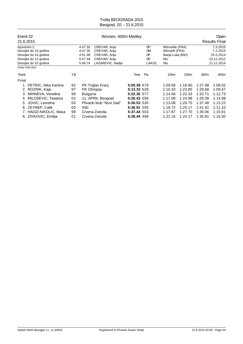| Event 32             |                        |                                             |                 | Women, 400m Medley       |             |           |                  |                      |         | Open       |
|----------------------|------------------------|---------------------------------------------|-----------------|--------------------------|-------------|-----------|------------------|----------------------|---------|------------|
|                      | 21.6.2015              |                                             |                 |                          |             |           |                  | <b>Results Final</b> |         |            |
|                      | Apsolutni Z            |                                             | 4:47.35         | CREVAR, Anja             |             | DP        | MArseille (FRA)  |                      |         | 7.3.2015   |
| Devojke do 16 godina |                        |                                             | 4:47.35         | CREVAR, Anja             |             | <b>DM</b> | MArselli (FRA)   |                      |         | 7.3.2015   |
| Devojke do 14 godina |                        |                                             | 4:51.38         | CREVAR, Anja             |             | DP        | Banja Luka (BIH) |                      |         | 25.5.2014  |
|                      | Devojke do 12 godina   | CREVAR, Anja<br>DP<br>5:07.48<br><b>NIs</b> |                 |                          | 23.12.2012  |           |                  |                      |         |            |
|                      | Devojke do 10 godina   |                                             | 5:49.74         | LAZAREVIC, Nadja         |             | LAKOL     | Nis              |                      |         | 21.12.2014 |
|                      | Points: FINA 2014      |                                             |                 |                          |             |           |                  |                      |         |            |
| Rank                 |                        | ΥB                                          |                 |                          | Time        | Pts       | 100m             | 200m                 | 300m    | 400m       |
| Final                |                        |                                             |                 |                          |             |           |                  |                      |         |            |
|                      | PETRIC, Nika Karlina   | 92                                          |                 | PK Triglav Kranj         | 5:05.38 679 |           | 1:09.58          | 1:18.80              | 1:27.98 | 1:09.02    |
|                      | 2. ROZNIK, Kaja        | 97                                          | PK Olimpija     |                          | 5:13.33 628 |           | 1:10.33          | 1:23.85              | 1:29.68 | 1:09.47    |
| 3.                   | MIHNEVA, Venelina      | 99                                          | <b>Bulgaria</b> |                          | 5:22.35 577 |           | 1:14.58          | 1:22.33              | 1:32.71 | 1:12.73    |
| 4.                   | MILOSEVIC, Teodora     | 02                                          |                 | 11. APRIL Beograd        | 5:26.43 556 |           | 1:17.09          | 1:24.98              | 1:29.38 | 1:14.98    |
|                      | 5. JOVIC, Leontina     | 00                                          |                 | Plivacki klub "Novi Sad" | 5:30.53 535 |           | 1:13.08          | 1:26.75              | 1:37.48 | 1:13.22    |
|                      | 6. ZEYNEP, Calik       | 00                                          | <b>IND</b>      |                          | 5:36.91 505 |           | 1:18.72          | 1:25.17              | 1:41.92 | 1:11.10    |
|                      | 7. HADZI-NIKOLIC, Masa | 99                                          |                 | Crvena Zvezda            | 5:37.44 503 |           | 1:17.87          | 1:27.70              | 1:36.06 | 1:15.81    |
|                      | 8. ZIVKOVIC, Emilija   | 01                                          |                 | Crvena Zvezda            | 5:38.44 498 |           | 1:22.16          | 1:24.17              | 1:35.81 | 1:16.30    |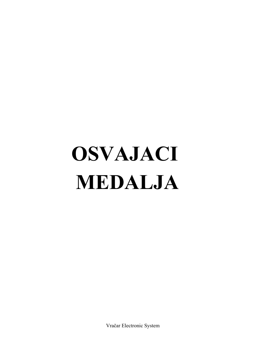# **OSVAJACI MEDALJA**

Vračar Electronic System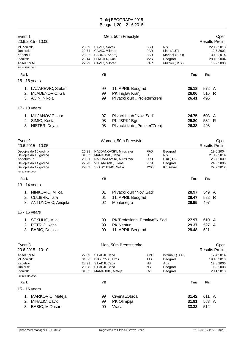| Event 1<br>20.6.2015 - 10:00                                                                                                     |                                         |                                           |                                                                                       | Men, 50m Freestyle                                                        |                                                       |                                                               |                         |                       | Open<br><b>Results Prelim</b>                                    |
|----------------------------------------------------------------------------------------------------------------------------------|-----------------------------------------|-------------------------------------------|---------------------------------------------------------------------------------------|---------------------------------------------------------------------------|-------------------------------------------------------|---------------------------------------------------------------|-------------------------|-----------------------|------------------------------------------------------------------|
| MI Pionirski<br>Juniorski<br>Kadetski<br>Pionirski<br>Apsolutni M<br>Points: FINA 2014                                           |                                         | 26.69<br>22.74<br>23.32<br>25.14<br>22.29 | SAVIC, Novak<br>CAVIC, Milorad<br>BARNA, Andrej<br>LENDJER, Ivan<br>CAVIC, Milorad    |                                                                           | SSU<br><b>PAR</b><br>SSU<br><b>MZR</b><br><b>PAR</b>  | Nls<br>Linc (AUT)<br>Maribor (SLO)<br>Beograd<br>Mizzou (USA) |                         |                       | 22.12.2013<br>12.7.2002<br>13.12.2014<br>28.10.2004<br>16.2.2008 |
| Rank                                                                                                                             |                                         |                                           | YB                                                                                    |                                                                           |                                                       |                                                               | Time                    | Pts                   |                                                                  |
| 15 - 16 years                                                                                                                    |                                         |                                           |                                                                                       |                                                                           |                                                       |                                                               |                         |                       |                                                                  |
| 2.<br>3. ACIN, Nikola                                                                                                            | 1. LAZAREVIC, Stefan<br>MLADENOVIC, Gal |                                           | 99<br>99<br>99                                                                        | 11. APRIL Beograd<br>PK Triglav Kranj<br>Plivacki klub "Proleter"Zrenj    |                                                       |                                                               | 25.18<br>26.06<br>26.41 | 572 A<br>516 R<br>496 |                                                                  |
| 17 - 18 years                                                                                                                    |                                         |                                           |                                                                                       |                                                                           |                                                       |                                                               |                         |                       |                                                                  |
| 1. MILJANOVIC, Igor<br>SIMIC, Kosta<br>2.<br>3. NISTER, Dejan                                                                    |                                         |                                           | 97<br>98<br>98                                                                        | Plivacki klub "Novi Sad"<br>PK "BPK" Bgd<br>Plivacki klub "Proleter"Zrenj |                                                       |                                                               | 24.75<br>25.80<br>26.38 | 603 A<br>532 R<br>498 |                                                                  |
| Event 2<br>20.6.2015 - 10:05                                                                                                     |                                         |                                           |                                                                                       | Women, 50m Freestyle                                                      |                                                       |                                                               |                         |                       | Open<br><b>Results Prelim</b>                                    |
| Devojke do 16 godina<br>Devojke do 10 godina<br>Apsolutni Z<br>Devojke do 14 godina<br>Devojke do 12 godina<br>Points: FINA 2014 |                                         | 26.38<br>31.37<br>25.21<br>27.73<br>29.03 | MARKOVIC, Jana<br>VUKANOVIC, Tijana<br>SPASOJEVIC, Sofija                             | NAJDANOVSKI, Miroslava<br>NAJDANOVSKI, Miroslava                          | <b>PRO</b><br>ŒР<br><b>PRO</b><br><b>VOJ</b><br>J2000 | Beograd<br>Nis<br>Rim (ITA)<br>Beograd<br>Krusevac            |                         |                       | 19.6.2004<br>21.12.2014<br>28.7.2009<br>24.6.2006<br>22.7.2012   |
|                                                                                                                                  |                                         |                                           | YB                                                                                    |                                                                           |                                                       |                                                               |                         |                       |                                                                  |
| Rank<br>13 - 14 years                                                                                                            |                                         |                                           |                                                                                       |                                                                           |                                                       |                                                               | Time                    | Pts                   |                                                                  |
| 1. NINKOVIC, Milica<br>2. CULIBRK, Tara                                                                                          | 3. ANTUNOVIC, Andjela                   |                                           | 01<br>01<br>02                                                                        | Plivacki klub "Novi Sad"<br>11. APRIL Beograd<br>Montenegro               |                                                       |                                                               | 28.97<br>29.47<br>29.95 | 549 A<br>522<br>497   | $\mathsf{R}$                                                     |
| 15 - 16 years                                                                                                                    |                                         |                                           |                                                                                       |                                                                           |                                                       |                                                               |                         |                       |                                                                  |
| 1. SEKULIC, Mila<br>2. PETRIC, Katja<br><b>BABIC, Dusica</b><br>3.                                                               |                                         |                                           | 99<br>99<br>00                                                                        | PK"Profesional-Proakva"N.Sad<br>PK Neptun<br>11. APRIL Beograd            |                                                       |                                                               | 27.97<br>29.37<br>29.48 | 610 A<br>527 A<br>521 |                                                                  |
| Event 3<br>20.6.2015 - 10:10                                                                                                     |                                         |                                           |                                                                                       | Men, 50m Breaststroke                                                     |                                                       |                                                               |                         |                       | Open<br><b>Results Prelim</b>                                    |
| Apsolutni M<br>MI Pionirski<br>Kadetski<br>Juniorski<br>Pionirski                                                                |                                         | 27.09<br>34.56<br>28.91<br>28.28<br>31.52 | SILADJI, Caba<br>DJOKOVIC, Uros<br>SILADJI, Caba<br>SILADJI, Caba<br>MARKOVIC, Mateja |                                                                           | <b>AMC</b><br>11A<br>ΝS<br>ΝS<br>CZ                   | Istambul (TUR)<br>Beograd<br>Ada<br>Beograd<br>Beograd        |                         |                       | 17.4.2014<br>19.10.2013<br>12.8.2006<br>1.8.2008<br>2.11.2013    |
| Points: FINA 2014                                                                                                                |                                         |                                           |                                                                                       |                                                                           |                                                       |                                                               |                         |                       |                                                                  |
| Rank                                                                                                                             |                                         |                                           | YB                                                                                    |                                                                           |                                                       |                                                               | Time                    | Pts                   |                                                                  |
| 15 - 16 years<br>1.<br>MIHALIC, David<br>2.<br>3.                                                                                | MARKOVIC, Mateja<br>BABIC, M.Dusan      |                                           | 99<br>99<br>$00\,$                                                                    | Crvena Zvezda<br>PK Olimpija<br>Vracar                                    |                                                       |                                                               | 31.42<br>31.91<br>33.33 | 611 A<br>583 A<br>512 |                                                                  |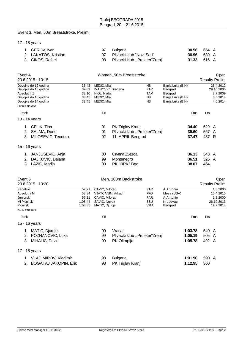# Event 3, Men, 50m Breaststroke, Prelim

|  |  |  | 17 - 18 years |
|--|--|--|---------------|
|--|--|--|---------------|

| 1. GEROV. Ivan       | 97 | <b>Bulgaria</b>                  |                    | <b>30.56</b> 664 A |
|----------------------|----|----------------------------------|--------------------|--------------------|
| 2. LAKATOS, Kristian |    | 97 Plivacki klub "Novi Sad"      |                    | <b>30.96</b> 639 A |
| 3. CIKOS, Rafael     |    | 98 Plivacki klub "Proleter"Zrenj | <b>31.33</b> 616 A |                    |

| Event 4                                                                                                                          |                                               | Women, 50m Breaststroke                                                                 |                                                                        |                                                             |                                                                                |                         |                         | Open                                                         |
|----------------------------------------------------------------------------------------------------------------------------------|-----------------------------------------------|-----------------------------------------------------------------------------------------|------------------------------------------------------------------------|-------------------------------------------------------------|--------------------------------------------------------------------------------|-------------------------|-------------------------|--------------------------------------------------------------|
| 20.6.2015 - 10:15                                                                                                                |                                               |                                                                                         |                                                                        |                                                             |                                                                                |                         |                         | <b>Results Prelim</b>                                        |
| Devojke do 12 godina<br>Devojke do 10 godina<br>Apsolutni Z<br>Devojke do 16 godina<br>Devojke do 14 godina<br>Points: FINA 2014 | 35.42<br>39.89<br>32.10<br>33.45<br>33.45     | MEDIC, Mila<br>IVANOVIC, Dragana<br>HIGL, Nadja<br>MEDIC, Mila<br>MEDIC, Mila           |                                                                        | <b>NS</b><br><b>PAR</b><br>TAM<br>ΝS<br><b>NS</b>           | Banja Luka (BIH)<br>Beograd<br>Beograd<br>Banja Luka (BIH)<br>Banja Luka (BIH) |                         |                         | 25.4.2012<br>29.10.2005<br>8.7.2009<br>4.5.2014<br>4.5.2014  |
| Rank                                                                                                                             |                                               | ΥB                                                                                      |                                                                        |                                                             |                                                                                | Time                    | Pts                     |                                                              |
| 13 - 14 years                                                                                                                    |                                               |                                                                                         |                                                                        |                                                             |                                                                                |                         |                         |                                                              |
| 1. CELIK, Tina<br>2. SALMA, Doris<br>3. MILOSEVIC, Teodora                                                                       |                                               | 01<br>01<br>02                                                                          | PK Triglav Kranj<br>Plivacki klub "Proleter"Zrenj<br>11. APRIL Beograd |                                                             |                                                                                | 34.40<br>35.60<br>37.47 | 629 A<br>567 A<br>487 R |                                                              |
| 15 - 16 years                                                                                                                    |                                               |                                                                                         |                                                                        |                                                             |                                                                                |                         |                         |                                                              |
| 1. JANJUSEVIC, Anja<br>2. DAJKOVIC, Dajana<br>3. LAZIC, Marija                                                                   |                                               | $00\,$<br>99<br>$00\,$                                                                  | Crvena Zvezda<br>Montenegro<br>PK "BPK" Bgd                            |                                                             |                                                                                | 36.13<br>36.51<br>38.07 | 543 A<br>526 A<br>464   |                                                              |
| Event 5<br>20.6.2015 - 10:20                                                                                                     |                                               |                                                                                         | Men, 100m Backstroke                                                   |                                                             |                                                                                |                         |                         | Open<br><b>Results Prelim</b>                                |
| Kadetski<br>Apsolutni M<br>Juniorski<br>MI Pionirski<br>Pionirski                                                                | 57.21<br>53.84<br>57.21<br>1:08.44<br>1:03.85 | CAVIC, Milorad<br>VJATCANIN, Arkadi<br>CAVIC, Milorad<br>SAVIC, Novak<br>MATIC, Djurdje |                                                                        | <b>PAR</b><br><b>PRO</b><br><b>PAR</b><br>SSU<br><b>VRA</b> | A.Antonio<br>Mesa (USA)<br>A.Antonio<br>Krusevac<br>Beograd                    |                         |                         | 1.8.2000<br>15.4.2015<br>1.8.2000<br>26.10.2013<br>19.7.2014 |
| Points: FINA 2014                                                                                                                |                                               |                                                                                         |                                                                        |                                                             |                                                                                |                         |                         |                                                              |
| Rank                                                                                                                             |                                               | YB                                                                                      |                                                                        |                                                             |                                                                                | Time                    | Pts                     |                                                              |
| 15 - 16 years                                                                                                                    |                                               |                                                                                         |                                                                        |                                                             |                                                                                |                         |                         |                                                              |
| 1. MATIC, Djurdje<br>2. POZNANOVIC, Luka                                                                                         |                                               | 00<br>99                                                                                | Vracar<br>Plivacki klub "Proleter"Zrenj                                |                                                             |                                                                                | 1:03.78<br>1:05.19      | 540 A<br>505 A          |                                                              |
| 3. MIHALIC, David                                                                                                                |                                               | 99                                                                                      | PK Olimpija                                                            |                                                             |                                                                                | 1:05.78                 | 492 A                   |                                                              |
| 17 - 18 years                                                                                                                    |                                               |                                                                                         |                                                                        |                                                             |                                                                                |                         |                         |                                                              |
| 1. VLADIMIROV, Vladimir                                                                                                          |                                               | 98                                                                                      | <b>Bulgaria</b>                                                        |                                                             |                                                                                | 1:01.90                 | 590 A                   |                                                              |
| 2. BOGATAJ JAKOPIN, Erik                                                                                                         |                                               | 98                                                                                      | PK Triglav Kranj                                                       |                                                             |                                                                                | 1:12.95                 | 360                     |                                                              |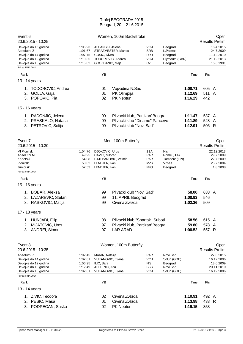| Event 6<br>20.6.2015 - 10:25                                                                                                     |                                                     |                                                                                          | Women, 100m Backstroke                                                                         |                                                             |                                                               |                               |                       | Open<br><b>Results Prelim</b>                                    |
|----------------------------------------------------------------------------------------------------------------------------------|-----------------------------------------------------|------------------------------------------------------------------------------------------|------------------------------------------------------------------------------------------------|-------------------------------------------------------------|---------------------------------------------------------------|-------------------------------|-----------------------|------------------------------------------------------------------|
| Devojke do 16 godina<br>Apsolutni Z<br>Devojke do 14 godina<br>Devojke do 12 godina<br>Devojke do 10 godina<br>Points: FINA 2014 | 1:05.93<br>1:01.67<br>1:07.75<br>1:10.35<br>1:15.82 | JECANSKI, Jelena<br>COSIC, Divna<br>TODOROVIC, Andrea<br>GROZDANIC, Maja                 | STRAZMESTER, Marica                                                                            | VOJ<br><b>SRB</b><br><b>PRO</b><br>VOJ<br>CZ                | Beograd<br>L.Palmas<br>Beograd<br>Plymouth (GBR)<br>Beograd   |                               |                       | 18.4.2015<br>24.7.2009<br>11.12.2010<br>21.12.2013<br>15.6.1991  |
|                                                                                                                                  |                                                     |                                                                                          |                                                                                                |                                                             |                                                               |                               |                       |                                                                  |
| Rank                                                                                                                             |                                                     | YB                                                                                       |                                                                                                |                                                             |                                                               | Time                          | Pts                   |                                                                  |
| 13 - 14 years                                                                                                                    |                                                     |                                                                                          |                                                                                                |                                                             |                                                               |                               |                       |                                                                  |
| TODOROVIC, Andrea<br>1.<br>GOLJA, Gaja<br>2.<br>POPOVIC, Pia<br>3.                                                               |                                                     | 01<br>01<br>02                                                                           | Vojvodina N.Sad<br>PK Olimpija<br>PK Neptun                                                    |                                                             |                                                               | 1:08.71<br>1:12.69<br>1:16.29 | 605 A<br>511<br>442   | A                                                                |
| 15 - 16 years                                                                                                                    |                                                     |                                                                                          |                                                                                                |                                                             |                                                               |                               |                       |                                                                  |
| 1. RADONJIC, Jelena<br>PRASKALO, Natasa<br>2.<br>3. PETROVIC, Sofija                                                             |                                                     | 99<br>99<br>99                                                                           | Plivacki klub,, Partizan "Beogra<br>Plivacki klub "Dinamo" Pancevo<br>Plivacki klub "Novi Sad" |                                                             |                                                               | 1:11.47<br>1:11.89<br>1:12.91 | 537 A<br>528<br>506 R | A                                                                |
| Event 7<br>20.6.2015 - 10:30                                                                                                     |                                                     |                                                                                          | Men, 100m Butterfly                                                                            |                                                             |                                                               |                               |                       | Open<br><b>Results Prelim</b>                                    |
| MI Pionirski<br>Apsolutni M<br>Kadetski<br>Pionirski<br>Juniorski<br>Points: FINA 2014                                           | 1:04.76<br>49.95<br>54.08<br>58.82<br>52.53         | DJOKOVIC, Uros<br>CAVIC, Milorad<br>LENDJER, Ivan<br>LENDJER, Ivan                       | STJEPANOVIC, Veimir                                                                            | 11A<br><b>PAR</b><br><b>PAR</b><br><b>MZR</b><br><b>PRO</b> | <b>NIs</b><br>Rome (ITA)<br>Tampere (FIN)<br>Vrbas<br>Beograd |                               |                       | 22.12.2013<br>29.7.2009<br>22.7.2009<br>23.7.2004<br>1.8.2008    |
|                                                                                                                                  |                                                     |                                                                                          |                                                                                                |                                                             |                                                               |                               |                       |                                                                  |
| Rank                                                                                                                             |                                                     | YB                                                                                       |                                                                                                |                                                             |                                                               | Time                          | Pts                   |                                                                  |
| 15 - 16 years<br>1. BOBAR, Aleksa<br>LAZAREVIC, Stefan<br>2.<br>3.<br>RASKOVIC, Matija                                           |                                                     | 99<br>99<br>99                                                                           | Plivacki klub "Novi Sad"<br>11. APRIL Beograd<br>Crvena Zvezda                                 |                                                             |                                                               | 58.00<br>1:00.93<br>1:02.36   | 633 A<br>546<br>509   |                                                                  |
| 17 - 18 years                                                                                                                    |                                                     |                                                                                          |                                                                                                |                                                             |                                                               |                               |                       |                                                                  |
| 1. HUNJADI, Filip<br>MIJATOVIC, Uros<br>2.<br>ANDREI, Simon<br>3.                                                                |                                                     | 98<br>97<br>97                                                                           | Plivacki klub "Spartak" Suboti<br>Plivacki klub,, Partizan"Beogra<br><b>LAR ARAD</b>           |                                                             |                                                               | 58.56<br>59.80<br>1:00.52     | 615 A<br>578<br>557 R | A                                                                |
| Event 8<br>20.6.2015 - 10:35                                                                                                     |                                                     |                                                                                          | Women, 100m Butterfly                                                                          |                                                             |                                                               |                               |                       | Open<br><b>Results Prelim</b>                                    |
| Apsolutni Z<br>Devojke do 14 godina<br>Devojke do 12 godina<br>Devojke do 10 godina<br>Devojke do 16 godina                      | 1:02.45<br>1:02.61<br>1:06.95<br>1:12.49<br>1:02.61 | MARIN, Natalija<br>VUKANOVIC, Tijana<br>ILIC, Sara<br>JEFTENIC, Ana<br>VUKANOVIC, Tijana |                                                                                                | <b>PAR</b><br>VOJ<br><b>NIS</b><br>SSBE<br>VOJ              | Novi Sad<br>Solun (GRE)<br>Beograd<br>Novi Sad<br>Solun (GRE) |                               |                       | 27.3.2015<br>16.12.2006<br>13.6.2009<br>20.11.2010<br>16.12.2006 |
| Points: FINA 2014                                                                                                                |                                                     |                                                                                          |                                                                                                |                                                             |                                                               |                               |                       |                                                                  |
| Rank                                                                                                                             |                                                     | YB                                                                                       |                                                                                                |                                                             |                                                               | Time                          | Pts                   |                                                                  |
| 13 - 14 years<br>1. ZIVIC, Teodora<br>PESIC, Masa<br>2.<br>PODPECAN, Saska<br>3.                                                 |                                                     | 02<br>01<br>02                                                                           | Crvena Zvezda<br>Crvena Zvezda<br>PK Neptun                                                    |                                                             |                                                               | 1:10.91<br>1:13.98<br>1:19.15 | 492 A<br>433 R<br>353 |                                                                  |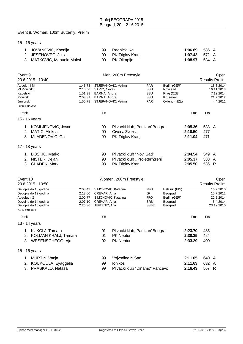# Event 8, Women, 100m Butterfly, Prelim

# 15 - 16 years

| 1. JOVANOVIC, Ksenija      | 99 Radnicki Kg      | <b>1:06.89</b> 586 A |  |
|----------------------------|---------------------|----------------------|--|
| 2. JESENOVEC, Julija       | 00 PK Triglav Kranj | 1:07.43 $572 \, A$   |  |
| 3. MATKOVIC, Manuela Maksi | 00 PK Olimpija      | 1:08.97 $534$ A      |  |

| Event 9                                   |                    |                     | Men, 200m Freestyle              |                   |                          |         |       | Open                    |
|-------------------------------------------|--------------------|---------------------|----------------------------------|-------------------|--------------------------|---------|-------|-------------------------|
| 20.6.2015 - 10:40                         |                    |                     |                                  |                   |                          |         |       | <b>Results Prelim</b>   |
| Apsolutni M<br>MI Pionirski               | 1:45.78<br>2:10.56 | SAVIC, Novak        | STJEPANOVIC, Velimir             | <b>PAR</b><br>SSU | Berlin (GER)<br>Novi sad |         |       | 18.8.2014<br>16.11.2013 |
| Kadetski                                  | 1:51.98            | BARNA, Andrej       |                                  | SSU               | Prag (CZE)               |         |       | 7.12.2014               |
| Pionirski                                 | 2:03.31            | BARNA, Andrej       |                                  | SSU               | Krusevac                 |         |       | 21.7.2012               |
| Juniorski                                 | 1:50.78            |                     | STJEPANOVIC, Velimir             | <b>PAR</b>        | Oklend (NZL)             |         |       | 4.4.2011                |
| Points: FINA 2014                         |                    |                     |                                  |                   |                          |         |       |                         |
| Rank                                      |                    | YB                  |                                  |                   |                          | Time    | Pts   |                         |
| 15 - 16 years                             |                    |                     |                                  |                   |                          |         |       |                         |
| 1. KOMLJENOVIC, Jovan                     |                    | 99                  | Plivacki klub,, Partizan "Beogra |                   |                          | 2:05.36 | 538 A |                         |
| MATIC, Aleksa<br>2.                       |                    | $00\,$              | Crvena Zvezda                    |                   |                          | 2:10.50 | 477   |                         |
| 3. MLADENOVIC, Gal                        |                    | 99                  | PK Triglav Kranj                 |                   |                          | 2:11.04 | 471   |                         |
| 17 - 18 years                             |                    |                     |                                  |                   |                          |         |       |                         |
| 1. BOSKIC, Marko                          |                    | 98                  | Plivacki klub "Novi Sad"         |                   |                          | 2:04.54 | 549 A |                         |
| 2. NISTER, Dejan                          |                    | 98                  | Plivacki klub "Proleter"Zrenj    |                   |                          | 2:05.37 | 538 A |                         |
| 3. GLADEK, Mark                           |                    | 98                  | PK Triglav Kranj                 |                   |                          | 2:05.50 | 536 R |                         |
| Event 10                                  |                    |                     | Women, 200m Freestyle            |                   |                          |         |       | Open                    |
| 20.6.2015 - 10:50                         |                    |                     |                                  |                   |                          |         |       | <b>Results Prelim</b>   |
| Devojke do 16 godina                      | 2:03.43            | SIMONOVIC, Katarina |                                  | <b>PRO</b>        | Helsinki (FIN)           |         |       | 16.7.2010               |
| Devojke do 12 godina                      | 2:13.00            | CREVAR, Anja        |                                  | DP                | Beograd                  |         |       | 15.7.2012               |
| Apsolutni Z                               | 2:00.77            | SIMONOVIC, Katarina |                                  | <b>PRO</b>        | Berlin (GER)             |         |       | 22.8.2014               |
| Devojke do 14 godina                      | 2:07.10            | CREVAR, Anja        |                                  | <b>SRB</b>        | Beograd                  |         |       | 5.4.2014                |
| Devojke do 10 godina<br>Points: FINA 2014 | 2:26.36            | JEFTENIC, Ana       |                                  | <b>SSBE</b>       | Beograd                  |         |       | 23.12.2010              |
| Rank                                      |                    | YB                  |                                  |                   |                          | Time    | Pts   |                         |
| 13 - 14 years                             |                    |                     |                                  |                   |                          |         |       |                         |
| 1. KUKOLJ, Tamara                         |                    | 01                  | Plivacki klub,, Partizan"Beogra  |                   |                          | 2:23.70 | 485   |                         |
| 2. KOLMAN KRALJ, Tamara                   |                    | 01                  | PK Neptun                        |                   |                          | 2:30.35 | 424   |                         |
| 3. WESENSCHEGG, Aja                       |                    | 02                  | PK Neptun                        |                   |                          | 2:33.29 | 400   |                         |
| 15 - 16 years                             |                    |                     |                                  |                   |                          |         |       |                         |
| 1. MURTIN, Vanja                          |                    | 99                  | Vojvodina N.Sad                  |                   |                          | 2:11.05 | 640 A |                         |
| 2. KOUKOULA, Eyaggelia                    |                    | 99                  | Ionikos                          |                   |                          | 2:11.63 | 632 A |                         |
| 3.<br>PRASKALO, Natasa                    |                    | 99                  | Plivacki klub "Dinamo" Pancevo   |                   |                          | 2:16.43 | 567   | R                       |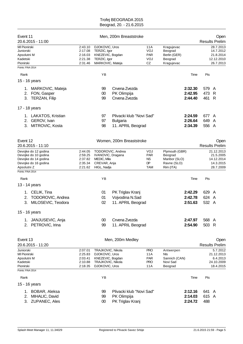| Event 11<br>20.6.2015 - 11:00                                                                                                    |                                                     |                                                                                                | Men, 200m Breaststroke                                           |                                                           |                                                                        |                               |                         | Open<br><b>Results Prelim</b>                                   |
|----------------------------------------------------------------------------------------------------------------------------------|-----------------------------------------------------|------------------------------------------------------------------------------------------------|------------------------------------------------------------------|-----------------------------------------------------------|------------------------------------------------------------------------|-------------------------------|-------------------------|-----------------------------------------------------------------|
| MI Pionirski<br>Juniorski<br>Apsolutni M<br>Kadetski<br>Pionirski                                                                | 2:43.10<br>2:17.08<br>2:16.03<br>2:21.38<br>2:31.46 | DJOKOVIC, Uros<br>TERZIC, Igor<br>KNEZEVIC, Bogdan<br>TERZIC, Igor<br>MARKOVIC, Mateja         |                                                                  | 11A<br>VOJ<br><b>PAR</b><br>VOJ<br>CZ                     | Kragujevac<br>Beograd<br>Berlin (GER)<br>Beograd<br>Kragujevac         |                               |                         | 28.7.2013<br>14.7.2012<br>21.8.2014<br>12.12.2010<br>26.7.2013  |
| Points: FINA 2014                                                                                                                |                                                     |                                                                                                |                                                                  |                                                           |                                                                        |                               |                         |                                                                 |
| Rank                                                                                                                             |                                                     | YB                                                                                             |                                                                  |                                                           |                                                                        | Time                          | Pts                     |                                                                 |
| 15 - 16 years                                                                                                                    |                                                     |                                                                                                |                                                                  |                                                           |                                                                        |                               |                         |                                                                 |
| 1. MARKOVIC, Mateja<br>2. FON, Gasper<br>3. TERZAN, Filip                                                                        |                                                     | 99<br>00<br>99                                                                                 | Crvena Zvezda<br>PK Olimpija<br>Crvena Zvezda                    |                                                           |                                                                        | 2:32.30<br>2:42.95<br>2:44.40 | 579 A<br>473 R<br>461 R |                                                                 |
| 17 - 18 years                                                                                                                    |                                                     |                                                                                                |                                                                  |                                                           |                                                                        |                               |                         |                                                                 |
| 1. LAKATOS, Kristian<br>2. GEROV, Ivan<br>3. MITROVIC, Kosta                                                                     |                                                     | 97<br>97<br>98                                                                                 | Plivacki klub "Novi Sad"<br><b>Bulgaria</b><br>11. APRIL Beograd |                                                           |                                                                        | 2:24.59<br>2:26.64<br>2:34.39 | 677 A<br>649 A<br>556 A |                                                                 |
| Event 12<br>20.6.2015 - 11:10                                                                                                    |                                                     |                                                                                                | Women, 200m Breaststroke                                         |                                                           |                                                                        |                               |                         | Open<br><b>Results Prelim</b>                                   |
| Devojke do 12 godina<br>Devojke do 10 godina<br>Devojke do 14 godina<br>Devojke do 16 godina<br>Apsolutni Z<br>Points: FINA 2014 | 2:44.05<br>2:59.25<br>2:37.82<br>2:35.34<br>2:21.62 | TODOROVIC, Andrea<br>IVANOVIC, Dragana<br>MEDIC, Mila<br>CREVAR, Anja<br>HIGL, Nadja           |                                                                  | VOJ<br><b>PAR</b><br><b>NS</b><br><b>DP</b><br><b>TAM</b> | Plymouth (GBR)<br>Beograd<br>Maribor (SLO)<br>Ravne (SLO)<br>Rim (ITA) |                               |                         | 21.12.2013<br>21.5.2005<br>14.12.2014<br>14.3.2015<br>28.7.2009 |
| Rank                                                                                                                             |                                                     | ΥB                                                                                             |                                                                  |                                                           |                                                                        | Time                          | Pts                     |                                                                 |
| 13 - 14 years                                                                                                                    |                                                     |                                                                                                |                                                                  |                                                           |                                                                        |                               |                         |                                                                 |
| 1. CELIK, Tina<br>TODOROVIC, Andrea<br>2.<br>3.<br>MILOSEVIC, Teodora                                                            |                                                     | 01<br>01<br>02                                                                                 | PK Triglav Kranj<br>Vojvodina N.Sad<br>11. APRIL Beograd         |                                                           |                                                                        | 2:42.29<br>2:42.78<br>2:51.63 | 629 A<br>624<br>532 A   | A                                                               |
| 15 - 16 years                                                                                                                    |                                                     |                                                                                                |                                                                  |                                                           |                                                                        |                               |                         |                                                                 |
| 1. JANJUSEVIC, Anja<br>PETROVIC, Irina<br>2.                                                                                     |                                                     | 00<br>99                                                                                       | Crvena Zvezda<br>11. APRIL Beograd                               |                                                           |                                                                        | 2:47.97<br>2:54.90            | 568 A<br>503 R          |                                                                 |
| Event 13<br>20.6.2015 - 11:20                                                                                                    |                                                     |                                                                                                | Men, 200m Medley                                                 |                                                           |                                                                        |                               |                         | Open<br><b>Results Prelim</b>                                   |
| Juniorski<br>MI Pionirski<br>Apsolutni M<br>Kadetski<br>Pionirski<br>Points: FINA 2014                                           | 2:07.01<br>2:25.83<br>2:03.41<br>2:10.88<br>2:18.35 | TRAJKOVIC, Nikola<br>DJOKOVIC, Uros<br>KNEZEVIC, Bogdan<br>TRAJKOVIC, Nikola<br>DJOKOVIC, Uros |                                                                  | <b>PRO</b><br>11 A<br><b>PAR</b><br><b>PRO</b><br>11A     | Antwerpen<br>Nls<br>Sannich (CAN)<br>Novi Sad<br>Beograd               |                               |                         | 5.7.2012<br>21.12.2013<br>6.4.2013<br>24.10.2009<br>18.4.2015   |
| Rank                                                                                                                             |                                                     | YB                                                                                             |                                                                  |                                                           |                                                                        | Time                          | Pts                     |                                                                 |
| 15 - 16 years                                                                                                                    |                                                     |                                                                                                |                                                                  |                                                           |                                                                        |                               |                         |                                                                 |
| 1. BOBAR, Aleksa<br>MIHALIC, David<br>2.<br>3. ZUPANEC, Ales                                                                     |                                                     | 99<br>99<br>00                                                                                 | Plivacki klub "Novi Sad"<br>PK Olimpija<br>PK Triglav Kranj      |                                                           |                                                                        | 2:12.16<br>2:14.03<br>2:24.72 | 641 A<br>615 A<br>488   |                                                                 |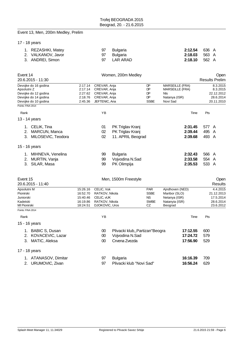# Event 13, Men, 200m Medley, Prelim

17 - 18 years

| 1. REZASHKI, Matey | 97 Bulgaria | <b>2:12.54</b> 636 A |  |
|--------------------|-------------|----------------------|--|
| 2. VALKANOV, Javor | 97 Bulgaria | <b>2:18.03</b> 563 A |  |
| 3. ANDREI, Simon   | 97 LAR ARAD | <b>2:18.10</b> 562 A |  |

| Event 14<br>20.6.2015 - 11:30                                                                               |                                                          |                                                                                | Women, 200m Medley                                                  |                                                              | Open<br><b>Results Prelim</b>                                                               |                                                               |  |  |
|-------------------------------------------------------------------------------------------------------------|----------------------------------------------------------|--------------------------------------------------------------------------------|---------------------------------------------------------------------|--------------------------------------------------------------|---------------------------------------------------------------------------------------------|---------------------------------------------------------------|--|--|
| Devojke do 16 godina<br>Apsolutni Z<br>Devojke do 12 godina<br>Devojke do 14 godina<br>Devojke do 10 godina | 2:17.14<br>2:17.14<br>2:27.62<br>2:18.76<br>2:45.36      | CREVAR, Anja<br>CREVAR, Anja<br>CREVAR, Anja<br>CREVAR, Anja<br>JEFTENIC, Ana  |                                                                     | DP<br>DP<br>DP<br><b>DP</b><br><b>SSBE</b>                   | <b>MARSEILLE (FRA)</b><br><b>MARSEILLE (FRA)</b><br><b>NIs</b><br>Natanya (ISR)<br>Novi Sad | 8.3.2015<br>8.3.2015<br>22.12.2012<br>28.6.2014<br>20.11.2010 |  |  |
| Points: FINA 2014                                                                                           |                                                          |                                                                                |                                                                     |                                                              |                                                                                             |                                                               |  |  |
| Rank                                                                                                        |                                                          | YB                                                                             |                                                                     |                                                              | Time                                                                                        | Pts                                                           |  |  |
| 13 - 14 years                                                                                               |                                                          |                                                                                |                                                                     |                                                              |                                                                                             |                                                               |  |  |
| 1. CELIK, Tina<br>MARCUN, Manca<br>2.<br>3.<br>MILOSEVIC, Teodora                                           |                                                          | 01<br>02<br>02                                                                 | PK Triglav Kranj<br>PK Triglav Kranj<br>11. APRIL Beograd           |                                                              | 2:31.45<br>2:39.44<br>2:39.68                                                               | 577 A<br>495<br>A<br>493 A                                    |  |  |
| 15 - 16 years                                                                                               |                                                          |                                                                                |                                                                     |                                                              |                                                                                             |                                                               |  |  |
| 1. MIHNEVA, Venelina<br>2. MURTIN, Vanja<br>3. SILAR, Masa                                                  |                                                          | 99<br>99<br>99                                                                 | <b>Bulgaria</b><br>Vojvodina N.Sad<br>PK Olimpija                   |                                                              | 2:32.43<br>2:33.58<br>2:35.53                                                               | 566 A<br>554 A<br>533 A                                       |  |  |
| Event 15<br>20.6.2015 - 11:40                                                                               |                                                          |                                                                                | Men, 1500m Freestyle                                                |                                                              |                                                                                             | Open<br><b>Results</b>                                        |  |  |
| Apsolutni M<br>Pionirski<br>Juniorski<br>Kadetski<br>MI Pionirski                                           | 15:26.16<br>16:52.70<br>15:40.46<br>16:19.86<br>18:24.51 | CELIC, Vuk<br>RATKOV, Nikola<br>CELIC, VUK<br>RATKOV, Nikola<br>DJOKOVIC, Uros |                                                                     | <b>PAR</b><br><b>SSBE</b><br><b>NS</b><br><b>SWBE</b><br>CZ. | Ajndhoven (NED)<br>Maribor (SLO)<br>Netanya (ISR)<br>Natanyia (ISR)<br>Beograd              | 4.4.2015<br>21.12.2013<br>17.5.2014<br>28.6.2014<br>23.6.2012 |  |  |
| Points: FINA 2014                                                                                           |                                                          |                                                                                |                                                                     |                                                              |                                                                                             |                                                               |  |  |
| Rank                                                                                                        |                                                          | YB                                                                             |                                                                     |                                                              | Time                                                                                        | Pts                                                           |  |  |
| 15 - 16 years                                                                                               |                                                          |                                                                                |                                                                     |                                                              |                                                                                             |                                                               |  |  |
| 1. BABIC S, Dusan<br>2. KOVACEVIC, Lazar<br>3. MATIC, Aleksa                                                |                                                          | $00\,$<br>00<br>00                                                             | Plivacki klub,, Partizan"Beogra<br>Vojvodina N.Sad<br>Crvena Zvezda |                                                              | 17:12.55<br>17:24.72<br>17:56.90                                                            | 600<br>579<br>529                                             |  |  |
| 17 - 18 years                                                                                               |                                                          |                                                                                |                                                                     |                                                              |                                                                                             |                                                               |  |  |
| 1. ATANASOV, Dimitar<br>2. URUMOVIC, Zivan                                                                  |                                                          | 97<br>97                                                                       | <b>Bulgaria</b><br>Plivacki klub "Novi Sad"                         |                                                              | 16:16.39<br>16:56.24                                                                        | 709<br>629                                                    |  |  |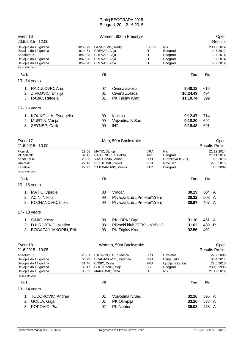| Event 16<br>20.6.2015 - 12:00                                                                               |                                                      |                                                                                  | Women, 800m Freestyle                                              |                                                      |                                                                  |                                 |                         | Open<br><b>Results</b>                                          |
|-------------------------------------------------------------------------------------------------------------|------------------------------------------------------|----------------------------------------------------------------------------------|--------------------------------------------------------------------|------------------------------------------------------|------------------------------------------------------------------|---------------------------------|-------------------------|-----------------------------------------------------------------|
| Devojke do 10 godina<br>Devojke do 12 godina<br>Apsolutni Z<br>Devojke do 16 godina<br>Devojke do 14 godina | 10:50.79<br>9:14.61<br>8:49.28<br>8:49.28<br>8:49.28 | LAZAREVIC, Nadja<br>CREVAR, Anja<br>CREVAR, Anja<br>CREVAR, Anja<br>CREVAR, Anja |                                                                    | LAKOL<br>DP<br>DP<br>DP<br>DP                        | Nis<br>Beograd<br>Beograd<br>Beograd<br>Beograd                  |                                 |                         | 20.12.2014<br>14.7.2012<br>19.7.2014<br>19.7.2014<br>19.7.2014  |
| Points: FINA 2014                                                                                           |                                                      |                                                                                  |                                                                    |                                                      |                                                                  |                                 |                         |                                                                 |
| Rank                                                                                                        |                                                      | ΥB                                                                               |                                                                    |                                                      |                                                                  | Time                            | Pts                     |                                                                 |
| 13 - 14 years                                                                                               |                                                      |                                                                                  |                                                                    |                                                      |                                                                  |                                 |                         |                                                                 |
| 1. RADULOVIC, Ana<br>ZIVKOVIC, Emilija<br>2.<br>3. RABIC, Rafaela                                           |                                                      | 02<br>01<br>01                                                                   | Crvena Zvezda<br>Crvena Zvezda<br>PK Triglav Kranj                 |                                                      |                                                                  | 9:40.18<br>10:24.49<br>11:10.74 | 616<br>494<br>399       |                                                                 |
| 15 - 16 years                                                                                               |                                                      |                                                                                  |                                                                    |                                                      |                                                                  |                                 |                         |                                                                 |
| 1. KOUKOULA, Eyaggelia<br>MURTIN, Vanja<br>2.<br>3. ZEYNEP, Calik                                           |                                                      | 99<br>99<br>00                                                                   | Ionikos<br>Vojvodina N.Sad<br><b>IND</b>                           |                                                      |                                                                  | 9:12.47<br>9:18.20<br>9:18.48   | 714<br>692<br>691       |                                                                 |
| Event 17<br>21.6.2015 - 10:00                                                                               |                                                      |                                                                                  | Men, 50m Backstroke                                                |                                                      |                                                                  |                                 |                         | Open<br><b>Results Prelim</b>                                   |
| Pionirski<br>MI Pionirski<br>Apsolutni M<br>Juniorski<br>Kadetski<br>Points: FINA 2014                      | 29.56<br>32.45<br>25.86<br>27.16<br>27.97            | MATIC, Djurdje<br>RADJENOVIC, Aleksa<br>VJATCANIN, Arkadi<br>SEKULOVIC, Sekul    | STJEPANOVIC, Velimir                                               | <b>VRA</b><br>som<br><b>PRO</b><br>VOJ<br><b>PAR</b> | <b>Nis</b><br>Beograd<br>Bratislava (SVK)<br>Novi Sad<br>Beograd |                                 |                         | 21.12.2014<br>27.11.2014<br>1.5.2015<br>29.3.2015<br>1.8.2009   |
|                                                                                                             |                                                      |                                                                                  |                                                                    |                                                      |                                                                  |                                 |                         |                                                                 |
| Rank                                                                                                        |                                                      | ΥB                                                                               |                                                                    |                                                      |                                                                  | Time                            | Pts                     |                                                                 |
| 15 - 16 years                                                                                               |                                                      |                                                                                  |                                                                    |                                                      |                                                                  |                                 |                         |                                                                 |
| 1. MATIC, Djurdje                                                                                           |                                                      | 00                                                                               | Vracar                                                             |                                                      |                                                                  | 30.19                           | 504 A                   |                                                                 |
| 2. ACIN, Nikola                                                                                             |                                                      | 99                                                                               | Plivacki klub "Proleter"Zrenj                                      |                                                      |                                                                  | 30.22                           | 503                     | A                                                               |
| 3. POZNANOVIC, Luka                                                                                         |                                                      | 99                                                                               | Plivacki klub "Proleter"Zrenj                                      |                                                      |                                                                  | 30.97                           | 467                     | A                                                               |
| 17 - 18 years                                                                                               |                                                      |                                                                                  |                                                                    |                                                      |                                                                  |                                 |                         |                                                                 |
| 1. SIMIC, Kosta<br>DJURDJEVIC, Mladen<br>2.<br><b>BOGATAJ JAKOPIN, Erik</b><br>3.                           |                                                      | 98<br>98<br>98                                                                   | PK "BPK" Bgd<br>Plivacki klub "TEK" - Veliki C<br>PK Triglav Kranj |                                                      |                                                                  | 31.10<br>31.62<br>32.56         | 461<br>439<br>402       | A<br>R                                                          |
| Event 18<br>21.6.2015 - 10:05                                                                               |                                                      |                                                                                  | Women, 50m Backstroke                                              |                                                      |                                                                  |                                 |                         | Open<br><b>Results Prelim</b>                                   |
| Apsolutni Z<br>Devojke do 16 godina<br>Devojke do 14 godina<br>Devojke do 12 godina<br>Devojke do 10 godina | 28.81<br>30.79<br>31.46<br>33.17<br>36.82            | COSIC, Divna<br>GROZDANIC, Maja<br>MARKOVIC, Jana                                | STRAZMESTER, Marica<br>DRAGANOV C., Katarina                       | <b>SRB</b><br><b>PRO</b><br><b>PRO</b><br>BG<br>œ    | L.Palmas<br>Banja Luka<br>Ljubljana (SLO)<br>Beograd<br>Nis      |                                 |                         | 22.7.2009<br>30.4.2011<br>22.5.2010<br>23.10.1995<br>21.12.2014 |
| Points: FINA 2014                                                                                           |                                                      |                                                                                  |                                                                    |                                                      |                                                                  |                                 |                         |                                                                 |
| Rank                                                                                                        |                                                      | YB                                                                               |                                                                    |                                                      |                                                                  | Time                            | Pts                     |                                                                 |
| 13 - 14 years                                                                                               |                                                      |                                                                                  |                                                                    |                                                      |                                                                  |                                 |                         |                                                                 |
| <b>TODOROVIC, Andrea</b><br>1.<br>GOLJA, Gaja<br>2.<br>POPOVIC, Pia<br>3.                                   |                                                      | 01<br>01<br>02                                                                   | Vojvodina N.Sad<br>PK Olimpija<br>PK Neptun                        |                                                      |                                                                  | 32.16<br>33.26<br>35.08         | 595 A<br>538 A<br>458 A |                                                                 |
|                                                                                                             |                                                      |                                                                                  |                                                                    |                                                      |                                                                  |                                 |                         |                                                                 |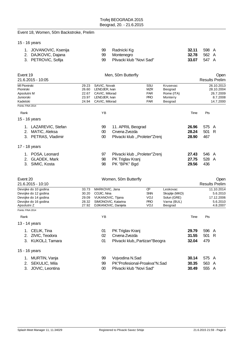# Event 18, Women, 50m Backstroke, Prelim

# 15 - 16 years

| 1. JOVANOVIC, Ksenija | 99 Radnicki Kg              | 32.11              | 598 A |  |
|-----------------------|-----------------------------|--------------------|-------|--|
| 2. DAJKOVIC, Dajana   | 99 Montenegro               | <b>32.78</b> 562 A |       |  |
| 3. PETROVIC, Sofija   | 99 Plivacki klub "Novi Sad" | 33.07              | 547 A |  |

| Event 19<br>21.6.2015 - 10:05                                                                               | Men, 50m Butterfly                        |                                                                                                   |                                                                       |                                                      |                                                                    |                         | Open<br><b>Results Prelim</b> |                                                                |  |  |
|-------------------------------------------------------------------------------------------------------------|-------------------------------------------|---------------------------------------------------------------------------------------------------|-----------------------------------------------------------------------|------------------------------------------------------|--------------------------------------------------------------------|-------------------------|-------------------------------|----------------------------------------------------------------|--|--|
| MI Pionirski<br>Pionirski<br>Apsolutni M<br>Juniorski<br>Kadetski<br>Points: FINA 2014                      | 29.23<br>26.60<br>22.67<br>23.97<br>24.94 | SAVIC, Novak<br>LENDJER, Ivan<br>CAVIC, Milorad<br>LENDJER, Ivan<br>CAVIC, Milorad                |                                                                       | SSU<br>MZR<br><b>PAR</b><br><b>PRO</b><br><b>PAR</b> | Krusevac<br>Beograd<br>Rome (ITA)<br>Monterry<br>Beograd           |                         |                               | 26.10.2013<br>28.10.2004<br>26.7.2009<br>8.7.2008<br>14.7.2000 |  |  |
| Rank                                                                                                        |                                           | ΥB                                                                                                |                                                                       |                                                      |                                                                    | Time                    | Pts                           |                                                                |  |  |
| 15 - 16 years                                                                                               |                                           |                                                                                                   |                                                                       |                                                      |                                                                    |                         |                               |                                                                |  |  |
| 1. LAZAREVIC, Stefan<br>2. MATIC, Aleksa<br>3. PETRAS, Vladimir                                             |                                           | 99<br>$00\,$<br>$00\,$                                                                            | 11. APRIL Beograd<br>Crvena Zvezda<br>Plivacki klub "Proleter"Zrenj   |                                                      |                                                                    | 26.96<br>28.24<br>28.90 | 575 A<br>501 R<br>467         |                                                                |  |  |
| 17 - 18 years                                                                                               |                                           |                                                                                                   |                                                                       |                                                      |                                                                    |                         |                               |                                                                |  |  |
| 1. POSA, Leonard<br>2. GLADEK, Mark<br>3. SIMIC, Kosta                                                      |                                           | 97<br>98<br>98                                                                                    | Plivacki klub "Proleter"Zrenj<br>PK Triglav Kranj<br>PK "BPK" Bgd     |                                                      |                                                                    | 27.43<br>27.75<br>29.56 | 546 A<br>528 A<br>436         |                                                                |  |  |
| Event 20<br>21.6.2015 - 10:10                                                                               |                                           |                                                                                                   | Women, 50m Butterfly                                                  |                                                      |                                                                    |                         |                               | Open<br><b>Results Prelim</b>                                  |  |  |
| Devojke do 10 godina<br>Devojke do 12 godina<br>Devojke do 14 godina<br>Devojke do 16 godina<br>Apsolutni Z | 33.73<br>30.20<br>29.09<br>28.32<br>27.92 | MARKOVIC, Jana<br>COJIC, Nina<br>VUKANOVIC, Tijana                                                | SIMONOVIC, Katarina<br>DJIKANOVIC, Danijela                           | œ<br><b>SNN</b><br>VOJ<br><b>PRO</b><br>VOJ          | Leskovac<br>Skoplje (MKD)<br>Solun (GRE)<br>Varna (BUL)<br>Beograd |                         |                               | 11.10.2014<br>5.6.2010<br>17.12.2006<br>5.6.2010<br>4.8.2007   |  |  |
| Points: FINA 2014                                                                                           |                                           |                                                                                                   |                                                                       |                                                      |                                                                    |                         |                               |                                                                |  |  |
| Rank                                                                                                        |                                           | ΥB                                                                                                |                                                                       |                                                      |                                                                    | Time                    | Pts                           |                                                                |  |  |
| 13 - 14 years<br>1. CELIK, Tina<br>2. ZIVIC, Teodora<br>3. KUKOLJ, Tamara                                   |                                           | 01<br>02<br>01                                                                                    | PK Triglav Kranj<br>Crvena Zvezda<br>Plivacki klub,, Partizan" Beogra |                                                      |                                                                    | 29.79<br>31.55<br>32.04 | 596 A<br>501<br>479           | $\mathsf{R}$                                                   |  |  |
| 15 - 16 years                                                                                               |                                           |                                                                                                   |                                                                       |                                                      |                                                                    |                         |                               |                                                                |  |  |
| 1. MURTIN, Vanja<br>SEKULIC, Mila<br>2.<br>3.<br>JOVIC, Leontina                                            |                                           | 99<br>Vojvodina N.Sad<br>PK"Profesional-Proakva"N.Sad<br>99<br>$00\,$<br>Plivacki klub "Novi Sad" |                                                                       |                                                      | 30.14<br>30.35<br>30.49                                            | 575 A<br>563<br>555     | $\mathsf{A}$<br>A             |                                                                |  |  |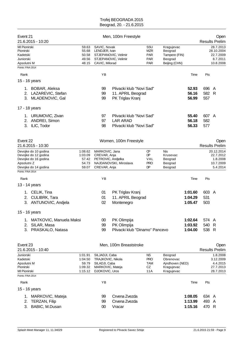| Event 21                                     |                            |                    |                                    | Men, 100m Freestyle            |                   |                              |         |       | Open                    |
|----------------------------------------------|----------------------------|--------------------|------------------------------------|--------------------------------|-------------------|------------------------------|---------|-------|-------------------------|
| 21.6.2015 - 10:20                            |                            |                    |                                    |                                |                   |                              |         |       | <b>Results Prelim</b>   |
| MI Pionirski<br>Pionirski                    |                            | 59.63<br>55.68     | SAVIC, Novak<br>LENDJER, Ivan      |                                | SSU<br><b>MZR</b> | Kragujevac<br>Beograd        |         |       | 28.7.2013<br>28.10.2004 |
| Kadetski                                     |                            | 50.58              |                                    | STJEPANOVIC, Velimir           | <b>PAR</b>        | Tampere (FIN)                |         |       | 22.7.2009               |
| Juniorski                                    |                            | 49.56              |                                    | STJEPANOVIC, Velimir           | <b>PAR</b>        | Beograd                      |         |       | 8.7.2011                |
| Apsolutni M<br>Points: FINA 2014             |                            | 48.15              | CAVIC, Milorad                     |                                | <b>PAR</b>        | Beijing (CHN)                |         |       | 10.8.2008               |
|                                              |                            |                    |                                    |                                |                   |                              |         |       |                         |
| Rank                                         |                            |                    | YB                                 |                                |                   |                              | Time    | Pts   |                         |
| 15 - 16 years                                |                            |                    |                                    |                                |                   |                              |         |       |                         |
|                                              | 1. BOBAR, Aleksa           |                    | 99                                 | Plivacki klub "Novi Sad"       |                   |                              | 52.93   | 696 A |                         |
|                                              | 2. LAZAREVIC, Stefan       |                    | 99                                 | 11. APRIL Beograd              |                   |                              | 56.16   | 582 R |                         |
|                                              | 3. MLADENOVIC, Gal         |                    | 99                                 | PK Triglav Kranj               |                   |                              | 56.99   | 557   |                         |
| 17 - 18 years                                |                            |                    |                                    |                                |                   |                              |         |       |                         |
|                                              | 1. URUMOVIC, Zivan         |                    | 97                                 | Plivacki klub "Novi Sad"       |                   |                              | 55.40   | 607 A |                         |
|                                              | 2. ANDREI, Simon           |                    | 97                                 | <b>LAR ARAD</b>                |                   |                              | 56.18   | 582   |                         |
|                                              | 3. ILIC, Todor             |                    | 98                                 | Plivacki klub "Novi Sad"       |                   |                              | 56.33   | 577   |                         |
|                                              |                            |                    |                                    |                                |                   |                              |         |       |                         |
| Event 22                                     |                            |                    |                                    | Women, 100m Freestyle          |                   |                              |         |       | Open                    |
| 21.6.2015 - 10:30                            |                            |                    |                                    |                                |                   |                              |         |       | <b>Results Prelim</b>   |
| Devojke do 10 godina<br>Devojke do 12 godina |                            | 1:08.62<br>1:03.09 | MARKOVIC, Jana<br>CREVAR, Anja     |                                | œ<br>DP.          | Nis<br>Krusevac              |         |       | 20.12.2014<br>22.7.2012 |
| Devojke do 16 godina                         |                            | 57.42              | PETROVIC, Andjelka                 |                                | VAL               | Beograd                      |         |       | 1.8.2008                |
| Apsolutni Z                                  |                            | 54.73              |                                    | NAJDANOVSKI, Miroslava         | <b>PRO</b>        | Beograd                      |         |       | 10.7.2009               |
| Devojke do 14 godina<br>Points: FINA 2014    |                            | 59.07              | CREVAR, Anja                       |                                | DP.               | Beograd                      |         |       | 5.4.2014                |
|                                              |                            |                    |                                    |                                |                   |                              |         |       |                         |
| Rank                                         |                            |                    | ΥB                                 |                                |                   |                              | Time    | Pts   |                         |
| 13 - 14 years                                |                            |                    |                                    |                                |                   |                              |         |       |                         |
|                                              | 1. CELIK, Tina             |                    | 01                                 | PK Triglav Kranj               |                   |                              | 1:01.60 | 603 A |                         |
|                                              | 2. CULIBRK, Tara           |                    | 01                                 | 11. APRIL Beograd              |                   |                              | 1:04.29 | 531   |                         |
|                                              | 3. ANTUNOVIC, Andjela      |                    | 02                                 | Montenegro                     |                   |                              | 1:05.47 | 503   |                         |
| 15 - 16 years                                |                            |                    |                                    |                                |                   |                              |         |       |                         |
|                                              | 1. MATKOVIC, Manuela Maksi |                    | $00\,$                             | PK Olimpija                    |                   |                              | 1:02.64 | 574 A |                         |
| 2.                                           | SILAR, Masa                |                    | 99                                 | PK Olimpija                    |                   |                              | 1:03.92 | 540 R |                         |
| 3.                                           | PRASKALO, Natasa           |                    | 99                                 | Plivacki klub "Dinamo" Pancevo |                   |                              | 1:04.00 | 538 R |                         |
|                                              |                            |                    |                                    |                                |                   |                              |         |       |                         |
| Event 23                                     |                            |                    |                                    | Men, 100m Breaststroke         |                   |                              |         |       | Open                    |
| 21.6.2015 - 10:40                            |                            |                    |                                    |                                |                   |                              |         |       | <b>Results Prelim</b>   |
| Juniorski                                    |                            | 1:01.91            | SILJADJI, Caba                     |                                | <b>NS</b>         | Beograd                      |         |       | 1.8.2008                |
| Kadetski<br>Apsolutni M                      |                            | 1:04.50<br>59.79   | TRAJKOVIC, Nikola<br>SILADJI, Caba |                                | <b>PRO</b><br>TAM | Obrenovac<br>Ajndhoven (NED) |         |       | 3.12.2009<br>4.4.2015   |
| Pionirski                                    |                            | 1:09.32            | MARKOVIC, Mateja                   |                                | CZ                | Kragujevac                   |         |       | 27.7.2013               |
| MI Pionirski                                 |                            | 1:15.12            | DJOKOVIC, Uros                     |                                | 11A               | Kragujevac                   |         |       | 28.7.2013               |
| Points: FINA 2014                            |                            |                    |                                    |                                |                   |                              |         |       |                         |
| Rank                                         |                            |                    | ΥB                                 |                                |                   |                              | Time    | Pts   |                         |
| 15 - 16 years                                |                            |                    |                                    |                                |                   |                              |         |       |                         |
|                                              | 1. MARKOVIC, Mateja        |                    | 99                                 | Crvena Zvezda                  |                   |                              | 1:08.05 | 634 A |                         |
| 2.                                           | TERZAN, Filip              |                    | 99                                 | Crvena Zvezda                  |                   |                              | 1:13.99 | 493 A |                         |
| 3.                                           | BABIC, M.Dusan             |                    | 00                                 | Vracar                         |                   |                              | 1:15.16 | 470 R |                         |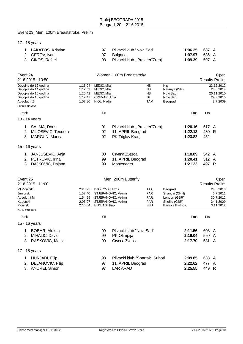#### Event 23, Men, 100m Breaststroke, Prelim

|  |  | 17 - 18 years |
|--|--|---------------|
|--|--|---------------|

| 1. LAKATOS, Kristian | 97 | Plivacki klub "Novi Sad"         | 1:06.25 687 A        |  |
|----------------------|----|----------------------------------|----------------------|--|
| 2. GEROV. Ivan       |    | 97 Bulgaria                      | <b>1:07.97</b> 636 A |  |
| 3. CIKOS. Rafael     |    | 98 Plivacki klub "Proleter"Zrenj | <b>1:09.39</b> 597 A |  |

| Event 24<br>21.6.2015 - 10:50                                                                                                    | Women, 100m Breaststroke                            |                                                                                                                 |                                                                        |                                                         |                                                                              |      |                         | Open<br><b>Results Prelim</b>                                  |
|----------------------------------------------------------------------------------------------------------------------------------|-----------------------------------------------------|-----------------------------------------------------------------------------------------------------------------|------------------------------------------------------------------------|---------------------------------------------------------|------------------------------------------------------------------------------|------|-------------------------|----------------------------------------------------------------|
| Devojke do 12 godina<br>Devojke do 14 godina<br>Devojke do 10 godina<br>Devojke do 16 godina<br>Apsolutni Z<br>Points: FINA 2014 | 1:16.04<br>1:12.53<br>1:26.42<br>1:12.47<br>1:07.80 | MEDIC, Mila<br>MEDIC, Mila<br>MEDIC, Mila<br>CREVAR, Anja<br>HIGL, Nadja                                        |                                                                        | <b>NS</b><br><b>NS</b><br><b>NS</b><br>DP<br><b>TAM</b> | <b>NIs</b><br>Natanya (ISR)<br>Novi Sad<br>Novi Sad<br>Beograd               |      |                         | 23.12.2012<br>28.6.2014<br>20.11.2010<br>29.3.2015<br>8.7.2009 |
| Rank                                                                                                                             |                                                     | ΥB                                                                                                              |                                                                        |                                                         |                                                                              | Time | Pts                     |                                                                |
| 13 - 14 years                                                                                                                    |                                                     |                                                                                                                 |                                                                        |                                                         |                                                                              |      |                         |                                                                |
| 1. SALMA, Doris<br>MILOSEVIC, Teodora<br>2.<br>3. MARCUN, Manca                                                                  |                                                     | 01<br>02<br>02                                                                                                  | Plivacki klub "Proleter"Zrenj<br>11. APRIL Beograd<br>PK Triglav Kranj |                                                         | 1:20.16<br>1:22.13<br>1:23.82                                                |      | 517 A<br>480 R<br>452   |                                                                |
| 15 - 16 years                                                                                                                    |                                                     |                                                                                                                 |                                                                        |                                                         |                                                                              |      |                         |                                                                |
| 1. JANJUSEVIC, Anja<br>2. PETROVIC, Irina<br>3. DAJKOVIC, Dajana                                                                 |                                                     | $00\,$<br>99<br>99                                                                                              | Crvena Zvezda<br>11. APRIL Beograd<br>Montenegro                       |                                                         | 1:18.89<br>1:20.41<br>1:21.23                                                |      | 542 A<br>512 A<br>497 R |                                                                |
| Event 25                                                                                                                         |                                                     |                                                                                                                 | Men, 200m Butterfly                                                    |                                                         |                                                                              |      |                         | Open                                                           |
| 21.6.2015 - 11:00                                                                                                                |                                                     |                                                                                                                 |                                                                        |                                                         |                                                                              |      |                         | <b>Results Prelim</b>                                          |
| MI Pionirski<br>Juniorski<br>Apsolutni M<br>Kadetski<br>Pionirski                                                                | 2:28.95<br>1:57.40<br>1:54.99<br>2:03.97<br>2:15.04 | DJOKOVIC, Uros<br>STJEPANOVIC, Velimir<br>STJEPANOVIC, Velimir<br>STJEPANOVIC, Velimir<br><b>HUNJADI, Filip</b> |                                                                        | 11A<br><b>PAR</b><br><b>PAR</b><br><b>PAR</b><br>SSU    | Beograd<br>Shangai (CHN)<br>London (GBR)<br>Shefild (GBR)<br>Banska Bistrica |      |                         | 23.6.2013<br>6.7.2011<br>30.7.2012<br>24.1.2009<br>3.11.2012   |
| Points: FINA 2014                                                                                                                |                                                     |                                                                                                                 |                                                                        |                                                         |                                                                              |      |                         |                                                                |
| Rank                                                                                                                             |                                                     | YB                                                                                                              |                                                                        |                                                         |                                                                              | Time | Pts                     |                                                                |
| 15 - 16 years                                                                                                                    |                                                     |                                                                                                                 |                                                                        |                                                         |                                                                              |      |                         |                                                                |
| 1. BOBAR, Aleksa<br>2. MIHALIC, David<br>3. RASKOVIC, Matija                                                                     |                                                     | 99<br>99<br>99                                                                                                  | Plivacki klub "Novi Sad"<br>PK Olimpija<br>Crvena Zvezda               |                                                         | 2:11.56<br>2:16.04<br>2:17.70                                                |      | 608 A<br>550 A<br>531 A |                                                                |
| 17 - 18 years                                                                                                                    |                                                     |                                                                                                                 |                                                                        |                                                         |                                                                              |      |                         |                                                                |
| 1. HUNJADI, Filip                                                                                                                |                                                     | 98                                                                                                              | Plivacki klub "Spartak" Suboti                                         |                                                         | 2:09.85                                                                      |      | 633 A                   |                                                                |
| DEJANOVIC, Filip<br>2.<br>3.<br>ANDREI, Simon                                                                                    |                                                     | 97<br>97                                                                                                        | 11. APRIL Beograd<br><b>LAR ARAD</b>                                   |                                                         | 2:22.62<br>2:25.55                                                           |      | 477<br>449              | $\overline{A}$<br>R                                            |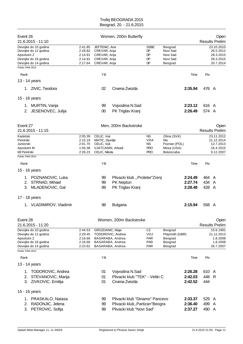| Event 26<br>21.6.2015 - 11:10                |                    |                                      | Women, 200m Butterfly           |                          |                     |         |       | Open<br><b>Results Prelim</b> |
|----------------------------------------------|--------------------|--------------------------------------|---------------------------------|--------------------------|---------------------|---------|-------|-------------------------------|
|                                              |                    |                                      |                                 |                          |                     |         |       |                               |
| Devojke do 10 godina<br>Devojke do 12 godina | 2:41.85<br>2:28.82 | JEFTENIC, Ana<br>CREVAR, Anja        |                                 | <b>SSBE</b><br>DP        | Beograd<br>Novi Sad |         |       | 23.10.2010<br>26.5.2012       |
| Apsolutni Z                                  | 2:14.91            | CREVAR, Anja                         |                                 | DP                       | Novi Sad            |         |       | 28.3.2015                     |
| Devojke do 16 godina                         | 2:14.91            | CREVAR, Anja                         |                                 | DP                       | Novi Sad            |         |       | 28.3.2015                     |
| Devojke do 14 godina                         | 2:17.64            | CREVAR, Anja                         |                                 | DP                       | Beograd             |         |       | 20.7.2014                     |
| Points: FINA 2014                            |                    |                                      |                                 |                          |                     |         |       |                               |
| Rank                                         |                    | YB                                   |                                 |                          |                     | Time    | Pts   |                               |
| 13 - 14 years                                |                    |                                      |                                 |                          |                     |         |       |                               |
|                                              |                    |                                      |                                 |                          |                     |         |       |                               |
| 1. ZIVIC, Teodora                            |                    | 02                                   | Crvena Zvezda                   |                          |                     | 2:35.94 | 476 A |                               |
| 15 - 16 years                                |                    |                                      |                                 |                          |                     |         |       |                               |
| 1. MURTIN, Vanja                             |                    | 99                                   | Vojvodina N.Sad                 |                          |                     | 2:23.12 | 616 A |                               |
| 2. JESENOVEC, Julija                         |                    | 00                                   | PK Triglav Kranj                |                          |                     | 2:26.49 | 574 A |                               |
| Event 27                                     |                    |                                      | Men, 200m Backstroke            |                          |                     |         |       | Open                          |
| 21.6.2015 - 11:15                            |                    |                                      |                                 |                          |                     |         |       | <b>Results Prelim</b>         |
| Kadetski                                     | 2:05.39            | CELIC, Vuk                           |                                 | <b>NS</b>                | Zilina (SVK)        |         |       | 23.11.2012                    |
| Pionirski                                    | 2:15.19            | MATIC, Djurdje                       |                                 | <b>VRA</b>               | Nis                 |         |       | 21.12.2014                    |
| Juniorski                                    | 2:01.70            | CELIC, Vuk                           |                                 | NS.                      | Poznan (POL)        |         |       | 12.7.2013                     |
| Apsolutni M                                  | 1:56.38            | VJATCANIN, Arkadi                    |                                 | <b>PRO</b>               | Mesa (USA)          |         |       | 16.4.2015                     |
| MI Pionirski<br>Points: FINA 2014            | 2:26.23            | CELIC, Nikola                        |                                 | <b>PRO</b>               | Bekescaba           |         |       | 9.12.2007                     |
|                                              |                    |                                      |                                 |                          |                     |         |       |                               |
| Rank                                         |                    | YB                                   |                                 |                          |                     | Time    | Pts   |                               |
| 15 - 16 years                                |                    |                                      |                                 |                          |                     |         |       |                               |
| 1. POZNANOVIC, Luka                          |                    | 99                                   | Plivacki klub "Proleter"Zrenj   |                          |                     | 2:24.49 | 464 A |                               |
| 2. STRNAD, Mihael                            |                    | 99                                   | PK Neptun                       |                          |                     | 2:27.74 | 434   | A                             |
| 3. MLADENOVIC, Gal                           |                    | 99                                   | PK Triglav Kranj                |                          |                     | 2:28.48 | 428 A |                               |
|                                              |                    |                                      |                                 |                          |                     |         |       |                               |
| 17 - 18 years                                |                    |                                      |                                 |                          |                     |         |       |                               |
| 1. VLADIMIROV, Vladimir                      |                    | 98                                   | <b>Bulgaria</b>                 |                          |                     | 2:15.94 | 558 A |                               |
| Event 28                                     |                    |                                      | Women, 200m Backstroke          |                          |                     |         |       | Open                          |
| 21.6.2015 - 11:20                            |                    |                                      |                                 |                          |                     |         |       | <b>Results Prelim</b>         |
| Devojke do 10 godina                         | 2:44.53            | GROZDANIC, Maja                      |                                 | CZ                       | Beograd             |         |       | 15.6.1991                     |
| Devojke do 12 godina                         | 2:29.45            | TODOROVIC, Andrea                    |                                 | VOJ                      | Playmoth (GBR)      |         |       | 21.12.2013                    |
| Apsolutni Z                                  | 2:16.66            | BASARABA, Andrea                     |                                 | <b>PAR</b>               | Beograd             |         |       | 1.8.2008                      |
| Devojke do 16 godina<br>Devojke do 14 godina | 2:16.66<br>2:23.62 | BASARABA, Andrea<br>BASARABA, Andrea |                                 | <b>PAR</b><br><b>PAR</b> | Beograd<br>Beograd  |         |       | 1.8.2008<br>26.7.2007         |
| Points: FINA 2014                            |                    |                                      |                                 |                          |                     |         |       |                               |
| Rank                                         |                    | YB                                   |                                 |                          |                     | Time    | Pts   |                               |
|                                              |                    |                                      |                                 |                          |                     |         |       |                               |
| 13 - 14 years                                |                    |                                      |                                 |                          |                     |         |       |                               |
| 1. TODOROVIC, Andrea                         |                    | 01                                   | Vojvodina N.Sad                 |                          |                     | 2:26.28 | 610 A |                               |
| STEVANOVIC, Marija<br>2.                     |                    | 01                                   | Plivacki klub "TEK" - Veliki C  |                          |                     | 2:42.03 | 448 R |                               |
| 3. ZIVKOVIC, Emilija                         |                    | 01                                   | Crvena Zvezda                   |                          |                     | 2:42.52 | 444   |                               |
| 15 - 16 years                                |                    |                                      |                                 |                          |                     |         |       |                               |
| 1. PRASKALO, Natasa                          |                    | 99                                   | Plivacki klub "Dinamo" Pancevo  |                          |                     | 2:33.37 | 529 A |                               |
| RADONJIC, Jelena<br>2.                       |                    | 99                                   | Plivacki klub,, Partizan"Beogra |                          |                     | 2:36.40 | 499 A |                               |
| 3.                                           |                    |                                      | Plivacki klub "Novi Sad"        |                          |                     | 2:37.27 | 490 A |                               |
| PETROVIC, Sofija                             |                    | 99                                   |                                 |                          |                     |         |       |                               |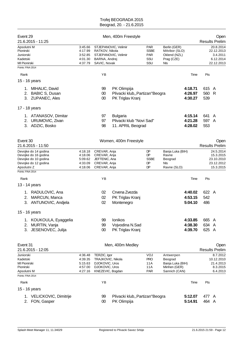| Event 29                                                                                                                         |                                                     |                                                                                                 |                                                                     |                                                       |                                                                           |                               |                       |                                                                 |
|----------------------------------------------------------------------------------------------------------------------------------|-----------------------------------------------------|-------------------------------------------------------------------------------------------------|---------------------------------------------------------------------|-------------------------------------------------------|---------------------------------------------------------------------------|-------------------------------|-----------------------|-----------------------------------------------------------------|
| 21.6.2015 - 11:25                                                                                                                |                                                     |                                                                                                 | Men, 400m Freestyle                                                 |                                                       |                                                                           |                               |                       | Open<br><b>Results Prelim</b>                                   |
| Apsolutni M<br>Pionirski<br>Juniorski<br>Kadetski<br>MI Pionirski                                                                | 3:45.66<br>4:17.99<br>3:52.85<br>4:01.30<br>4:37.79 | STJEPANOVIC, Velimir<br>RATKOV, Nikola<br>STJEPANOVIC, Velimir<br>BARNA, Andrei<br>SAVIC, Novak |                                                                     | <b>PAR</b><br><b>SSBE</b><br><b>PAR</b><br>SSU<br>SSU | Berlin (GER)<br>MAribor (SLO)<br>Oklend (NZL)<br>Prag (CZE)<br>Nls        |                               |                       | 20.8.2014<br>22.12.2013<br>3.4.2011<br>6.12.2014<br>22.12.2013  |
| Points: FINA 2014                                                                                                                |                                                     |                                                                                                 |                                                                     |                                                       |                                                                           |                               |                       |                                                                 |
| Rank                                                                                                                             |                                                     | YB                                                                                              |                                                                     |                                                       |                                                                           | Time                          | Pts                   |                                                                 |
| 15 - 16 years                                                                                                                    |                                                     |                                                                                                 |                                                                     |                                                       |                                                                           |                               |                       |                                                                 |
| 1. MIHALIC, David<br>2. BABIC S, Dusan<br>3. ZUPANEC, Ales                                                                       |                                                     | 99<br>$00\,$<br>00                                                                              | PK Olimpija<br>Plivacki klub,, Partizan" Beogra<br>PK Triglav Kranj |                                                       |                                                                           | 4:18.71<br>4:26.97<br>4:30.27 | 615 A<br>560 R<br>539 |                                                                 |
| 17 - 18 years                                                                                                                    |                                                     |                                                                                                 |                                                                     |                                                       |                                                                           |                               |                       |                                                                 |
| 1. ATANASOV, Dimitar<br>2. URUMOVIC, Zivan<br>3. ADZIC, Bosko                                                                    |                                                     | 97<br>97<br>98                                                                                  | <b>Bulgaria</b><br>Plivacki klub "Novi Sad"<br>11. APRIL Beograd    |                                                       |                                                                           | 4:15.14<br>4:21.28<br>4:28.02 | 641<br>597 A<br>553   | A                                                               |
| Event 30<br>21.6.2015 - 11:50                                                                                                    |                                                     |                                                                                                 | Women, 400m Freestyle                                               |                                                       |                                                                           |                               |                       | Open<br><b>Results Prelim</b>                                   |
| Devojke do 14 godina<br>Devojke do 16 godina<br>Devojke do 10 godina<br>Devojke do 12 godina<br>Apsolutni Z<br>Points: FINA 2014 | 4:18.18<br>4:18.06<br>5:09.62<br>4:33.09<br>4:18.06 | CREVAR, Anja<br>CREVAR, Anja<br>JEFTENIC, Ana<br>CREVAR, Anja<br>CREVAR, Anja                   |                                                                     | DP<br>DP.<br><b>SSBE</b><br>DP<br>DP                  | Banja Luka (BIH)<br>Ravne<br>Beograd<br>NIs<br>Ravne (SLO)                |                               |                       | 24.5.2014<br>15.3.2015<br>23.10.2010<br>23.12.2012<br>15.3.2015 |
|                                                                                                                                  |                                                     |                                                                                                 |                                                                     |                                                       |                                                                           |                               |                       |                                                                 |
| Rank                                                                                                                             |                                                     | YB                                                                                              |                                                                     |                                                       |                                                                           | Time                          | Pts                   |                                                                 |
| 13 - 14 years<br>1. RADULOVIC, Ana<br>MARCUN, Manca<br>2.<br>3. ANTUNOVIC, Andjela                                               |                                                     | 02<br>02<br>02                                                                                  | Crvena Zvezda<br>PK Triglav Kranj<br>Montenegro                     |                                                       |                                                                           | 4:40.02<br>4:53.15<br>5:04.10 | 622 A<br>542<br>486   |                                                                 |
| 15 - 16 years                                                                                                                    |                                                     |                                                                                                 |                                                                     |                                                       |                                                                           |                               |                       |                                                                 |
| KOUKOULA, Eyaggelia<br>1.<br>MURTIN, Vanja<br>2.<br>JESENOVEC, Julija<br>3.                                                      |                                                     | 99<br>99<br>00                                                                                  | Ionikos<br>Vojvodina N.Sad<br>PK Triglav Kranj                      |                                                       |                                                                           | 4:33.85<br>4:38.30<br>4:39.70 | 665 A<br>634<br>625 A | - A                                                             |
| Event 31<br>21.6.2015 - 12:05                                                                                                    |                                                     |                                                                                                 | Men, 400m Medley                                                    |                                                       |                                                                           |                               |                       | Open<br><b>Results Prelim</b>                                   |
| Juniorski<br>Kadetski<br>MI Pionirski<br>Pionirski<br>Apsolutni M                                                                | 4:36.48<br>4:39.35<br>5:15.63<br>4:57.00<br>4:27.16 | TERZIC, Igor<br>TRAJKOVIC, Nikola<br>DJOKOVIC, Uros<br>DJOKOVIC, Uros<br>KNEZEVIC, Bogdan       |                                                                     | VOJ<br><b>PRO</b><br>11A<br>11A<br><b>PAR</b>         | Antwerpen<br>Beograd<br>Banja Luka (BIH)<br>Minhen (GER)<br>Sannich (CAN) |                               |                       | 8.7.2012<br>10.12.2010<br>21.4.2013<br>8.3.2015<br>6.4.2013     |
| Points: FINA 2014<br>Rank                                                                                                        |                                                     | ΥB                                                                                              |                                                                     |                                                       |                                                                           | Time                          | Pts                   |                                                                 |
| 15 - 16 years                                                                                                                    |                                                     |                                                                                                 |                                                                     |                                                       |                                                                           |                               |                       |                                                                 |
| 1. VELICKOVIC, Dimitrije<br>FON, Gasper<br>2.                                                                                    |                                                     | 99<br>$00\,$                                                                                    | Plivacki klub,, Partizan "Beogra<br>PK Olimpija                     |                                                       |                                                                           | 5:12.07<br>5:14.91            | 477 A<br>464 A        |                                                                 |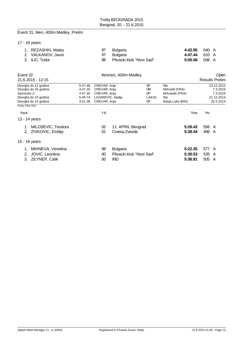# Event 31, Men, 400m Medley, Prelim

|  |  |  |  |  |  | 17 - 18 years |
|--|--|--|--|--|--|---------------|
|--|--|--|--|--|--|---------------|

| 1. REZASHKI, Matey | 97 Bulgaria                 | 4:42.95 640 A        |  |
|--------------------|-----------------------------|----------------------|--|
| 2. VALKANOV, Javor | 97 Bulgaria                 | 4:47.44 610 A        |  |
| 3. ILIC, Todor     | 98 Plivacki klub "Novi Sad" | <b>5:05.58</b> 508 A |  |

| Event 32<br>21.6.2015 - 12:15 | Women, 400m Medley |                  |                          |           |                  |       | <b>Open</b><br><b>Results Prelim</b> |
|-------------------------------|--------------------|------------------|--------------------------|-----------|------------------|-------|--------------------------------------|
| Devojke do 12 godina          | 5:07.48            | CREVAR, Anja     |                          | DP        | <b>NIs</b>       |       | 23.12.2012                           |
| Devojke do 16 godina          | 4:47.35            | CREVAR, Anja     |                          | <b>DM</b> | MArselli (FRA)   |       | 7.3.2015                             |
| Apsolutni Z                   | 4:47.35            | CREVAR, Anja     |                          | DP        | MArseille (FRA)  |       | 7.3.2015                             |
| Devojke do 10 godina          | 5:49.74            | LAZAREVIC, Nadja |                          | LAKOL     | <b>Nis</b>       |       | 21.12.2014                           |
| Devojke do 14 godina          | 4:51.38            | CREVAR, Anja     |                          | DP        | Banja Luka (BIH) |       | 25.5.2014                            |
| Points: FINA 2014             |                    |                  |                          |           |                  |       |                                      |
| Rank                          |                    | ΥB               |                          |           | Time             | Pts   |                                      |
| 13 - 14 years                 |                    |                  |                          |           |                  |       |                                      |
| MILOSEVIC, Teodora            |                    | 02               | 11. APRIL Beograd        |           | 5:26.43          | 556 A |                                      |
| ZIVKOVIC, Emilija<br>2.       |                    | 01               | Crvena Zvezda            |           | 5:38.44          | 498   | A                                    |
| 15 - 16 years                 |                    |                  |                          |           |                  |       |                                      |
| MIHNEVA, Venelina             |                    | 99               | <b>Bulgaria</b>          |           | 5:22.35          | 577 A |                                      |
| JOVIC, Leontina<br>2.         |                    | 00               | Plivacki klub "Novi Sad" |           | 5:30.53          | 535 A |                                      |
| ZEYNEP, Calik<br>3.           |                    | 00               | <b>IND</b>               |           | 5:36.91          | 505   | A                                    |
|                               |                    |                  |                          |           |                  |       |                                      |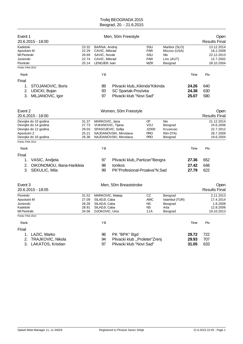| Event 1<br>20.6.2015 - 18:00                                                                                |                                           |                                                                                       | Men, 50m Freestyle                                                                  |                                                       |                                                               |                         | Open<br><b>Results Final</b>                                     |
|-------------------------------------------------------------------------------------------------------------|-------------------------------------------|---------------------------------------------------------------------------------------|-------------------------------------------------------------------------------------|-------------------------------------------------------|---------------------------------------------------------------|-------------------------|------------------------------------------------------------------|
| Kadetski<br>Apsolutni M<br>MI Pionirski<br>Juniorski<br>Pionirski<br>Points: FINA 2014                      | 23.32<br>22.29<br>26.69<br>22.74<br>25.14 | BARNA, Andrej<br>CAVIC, Milorad<br>SAVIC, Novak<br>CAVIC, Milorad<br>LENDJER, Ivan    |                                                                                     | SSU<br><b>PAR</b><br>SSU<br>PAR<br><b>MZR</b>         | Maribor (SLO)<br>Mizzou (USA)<br>Nls<br>Linc (AUT)<br>Beograd |                         | 13.12.2014<br>16.2.2008<br>22.12.2013<br>12.7.2002<br>28.10.2004 |
| Rank                                                                                                        |                                           | YB                                                                                    |                                                                                     |                                                       |                                                               | Time                    | Pts                                                              |
| Final                                                                                                       |                                           |                                                                                       |                                                                                     |                                                       |                                                               |                         |                                                                  |
| STOJANOVIC, Boris<br>1.<br><b>UDICKI, Bojan</b><br>2.<br>MILJANOVIC, Igor<br>3.                             |                                           | 89<br>93<br>97                                                                        | Plivacki klub,, Kikinda "Kikinda<br>SC Spartak-Prozivka<br>Plivacki klub "Novi Sad" |                                                       |                                                               | 24.26<br>24.38<br>25.07 | 640<br>630<br>580                                                |
| Event 2<br>20.6.2015 - 18:00                                                                                |                                           |                                                                                       | Women, 50m Freestyle                                                                |                                                       |                                                               |                         | Open<br><b>Results Final</b>                                     |
| Devojke do 10 godina<br>Devojke do 14 godina<br>Devojke do 12 godina<br>Apsolutni Z<br>Devojke do 16 godina | 31.37<br>27.73<br>29.03<br>25.21<br>26.38 | MARKOVIC, Jana<br>VUKANOVIC, Tijana<br>SPASOJEVIC, Sofija                             | NAJDANOVSKI, Miroslava<br>NAJDANOVSKI, Miroslava                                    | <b>CP</b><br>VOJ<br>J2000<br><b>PRO</b><br><b>PRO</b> | <b>Nis</b><br>Beograd<br>Krusevac<br>Rim (ITA)<br>Beograd     |                         | 21.12.2014<br>24.6.2006<br>22.7.2012<br>28.7.2009<br>19.6.2004   |
| Points: FINA 2014                                                                                           |                                           |                                                                                       |                                                                                     |                                                       |                                                               |                         |                                                                  |
| Rank                                                                                                        |                                           | YB                                                                                    |                                                                                     |                                                       |                                                               | Time                    | Pts                                                              |
| Final<br>VASIC, Andjela<br>1.<br>OIKONOMOU, Iliana-Harikleia<br>2.<br>SEKULIC, Mila<br>3.                   |                                           | 97<br>98<br>99                                                                        | Plivacki klub,, Partizan "Beogra<br>Ionikos<br>PK"Profesional-Proakva"N.Sad         |                                                       |                                                               | 27.36<br>27.42<br>27.79 | 652<br>648<br>622                                                |
| Event 3<br>20.6.2015 - 18:05                                                                                |                                           |                                                                                       | Men, 50m Breaststroke                                                               |                                                       |                                                               |                         | Open<br><b>Results Final</b>                                     |
| Pionirski<br>Apsolutni M<br>Juniorski<br>Kadetski<br>MI Pionirski                                           | 31.52<br>27.09<br>28.28<br>28.91<br>34.56 | MARKOVIC, Mateja<br>SILADJI, Caba<br>SILADJI, Caba<br>SILADJI, Caba<br>DJOKOVIC, Uros |                                                                                     | CZ<br><b>AMC</b><br><b>NS</b><br><b>NS</b><br>11A     | Beograd<br>Istambul (TUR)<br>Beograd<br>Ada<br>Beograd        |                         | 2.11.2013<br>17.4.2014<br>1.8.2008<br>12.8.2006<br>19.10.2013    |
| Points: FINA 2014                                                                                           |                                           |                                                                                       |                                                                                     |                                                       |                                                               |                         |                                                                  |
| Rank                                                                                                        |                                           | YB                                                                                    |                                                                                     |                                                       |                                                               | Time                    | Pts                                                              |
| Final<br>LAZIC, Marko<br>1.<br><b>TRAJKOVIC, Nikola</b><br>2.<br>3. LAKATOS, Kristian                       |                                           | 96<br>94<br>97                                                                        | PK "BPK" Bgd<br>Plivacki klub "Proleter"Zrenj<br>Plivacki klub "Novi Sad"           |                                                       |                                                               | 29.72<br>29.93<br>31.05 | 722<br>707<br>633                                                |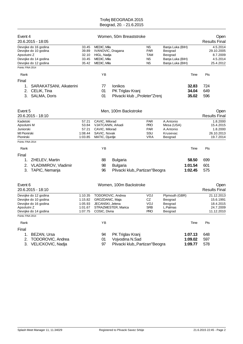| Event 4<br>20.6.2015 - 18:05                                                                                |                                                     |                                                                                         | Women, 50m Breaststroke                                                |                                                   |                                                                                |                               | Open<br><b>Results Final</b>                                    |
|-------------------------------------------------------------------------------------------------------------|-----------------------------------------------------|-----------------------------------------------------------------------------------------|------------------------------------------------------------------------|---------------------------------------------------|--------------------------------------------------------------------------------|-------------------------------|-----------------------------------------------------------------|
| Devojke do 16 godina<br>Devojke do 10 godina<br>Apsolutni Z<br>Devojke do 14 godina<br>Devojke do 12 godina | 33.45<br>39.89<br>32.10<br>33.45<br>35.42           | MEDIC, Mila<br>IVANOVIC, Dragana<br>HIGL, Nadja<br>MEDIC, Mila<br>MEDIC, Mila           |                                                                        | <b>NS</b><br>PAR<br><b>TAM</b><br>ΝS<br><b>NS</b> | Banja Luka (BIH)<br>Beograd<br>Beograd<br>Banja Luka (BIH)<br>Banja Luka (BIH) |                               | 4.5.2014<br>29.10.2005<br>8.7.2009<br>4.5.2014<br>25.4.2012     |
| Points: FINA 2014                                                                                           |                                                     |                                                                                         |                                                                        |                                                   |                                                                                |                               |                                                                 |
| Rank                                                                                                        |                                                     | YB                                                                                      |                                                                        |                                                   |                                                                                | Time                          | Pts                                                             |
| Final<br>1.<br>SARAKATSANI, Aikaterini<br>2.<br>CELIK, Tina<br>3.<br>SALMA, Doris                           |                                                     | 77<br>01<br>01                                                                          | Ionikos<br>PK Triglav Kranj<br>Plivacki klub "Proleter"Zrenj           |                                                   |                                                                                | 32.83<br>34.04<br>35.02       | 724<br>649<br>596                                               |
| Event 5<br>20.6.2015 - 18:10                                                                                |                                                     |                                                                                         | Men, 100m Backstroke                                                   |                                                   |                                                                                |                               | Open<br><b>Results Final</b>                                    |
| Kadetski<br>Apsolutni M<br>Juniorski<br>MI Pionirski<br>Pionirski                                           | 57.21<br>53.84<br>57.21<br>1:08.44<br>1:03.85       | CAVIC, Milorad<br>VJATCANIN, Arkadi<br>CAVIC, Milorad<br>SAVIC, Novak<br>MATIC, Djurdje |                                                                        | PAR<br><b>PRO</b><br>PAR<br>SSU<br><b>VRA</b>     | A.Antonio<br>Mesa (USA)<br>A.Antonio<br>Krusevac<br>Beograd                    |                               | 1.8.2000<br>15.4.2015<br>1.8.2000<br>26.10.2013<br>19.7.2014    |
| Points: FINA 2014                                                                                           |                                                     |                                                                                         |                                                                        |                                                   |                                                                                |                               |                                                                 |
| Rank                                                                                                        |                                                     | ΥB                                                                                      |                                                                        |                                                   |                                                                                | Time                          | Pts                                                             |
| Final<br>ZHELEV, Martin<br>1.<br>VLADIMIROV, Vladimir<br>2.<br>TAPIC, Nemanja<br>3.                         |                                                     | 88<br>98<br>96                                                                          | <b>Bulgaria</b><br><b>Bulgaria</b><br>Plivacki klub,, Partizan" Beogra |                                                   |                                                                                | 58.50<br>1:01.54<br>1:02.45   | 699<br>601<br>575                                               |
| Event 6<br>20.6.2015 - 18:10                                                                                |                                                     |                                                                                         | Women, 100m Backstroke                                                 |                                                   |                                                                                |                               | Open<br><b>Results Final</b>                                    |
| Devojke do 12 godina<br>Devojke do 10 godina<br>Devojke do 16 godina<br>Apsolutni Z<br>Devojke do 14 godina | 1:10.35<br>1:15.82<br>1:05.93<br>1:01.67<br>1:07.75 | TODOROVIC, Andrea<br>GROZDANIC, Maja<br>JECANSKI, Jelena<br>COSIC, Divna                | STRAZMESTER, Marica                                                    | VOJ<br>CZ<br><b>VOJ</b><br>SRB<br><b>PRO</b>      | Plymouth (GBR)<br>Beograd<br>Beograd<br>L.Palmas<br>Beograd                    |                               | 21.12.2013<br>15.6.1991<br>18.4.2015<br>24.7.2009<br>11.12.2010 |
| Points: FINA 2014                                                                                           |                                                     |                                                                                         |                                                                        |                                                   |                                                                                |                               |                                                                 |
| Rank                                                                                                        |                                                     | YB                                                                                      |                                                                        |                                                   |                                                                                | Time                          | Pts                                                             |
| Final<br>BEZAN, Ursa<br>1.<br>2.<br>TODOROVIC, Andrea<br>3.<br>VELICKOVIC, Nadja                            |                                                     | 94<br>01<br>97                                                                          | PK Triglav Kranj<br>Vojvodina N.Sad<br>Plivacki klub,, Partizan"Beogra |                                                   |                                                                                | 1:07.13<br>1:09.02<br>1:09.77 | 648<br>597<br>578                                               |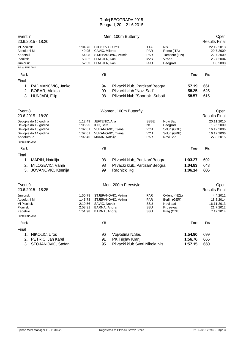| Event 7<br>20.6.2015 - 18:20                                                                                |                                                     |                                                                                          | Men, 100m Butterfly                                                                            |                                                             |                                                                    |                         | Open<br><b>Results Final</b>                                     |
|-------------------------------------------------------------------------------------------------------------|-----------------------------------------------------|------------------------------------------------------------------------------------------|------------------------------------------------------------------------------------------------|-------------------------------------------------------------|--------------------------------------------------------------------|-------------------------|------------------------------------------------------------------|
| MI Pionirski<br>Apsolutni M<br>Kadetski<br>Pionirski<br>Juniorski                                           | 1:04.76<br>49.95<br>54.08<br>58.82<br>52.53         | DJOKOVIC, Uros<br>CAVIC, Milorad<br>LENDJER, Ivan<br>LENDJER, Ivan                       | STJEPANOVIC, Veimir                                                                            | 11A<br><b>PAR</b><br><b>PAR</b><br><b>MZR</b><br><b>PRO</b> | NIs<br>Rome (ITA)<br>Tampere (FIN)<br>Vrbas<br>Beograd             |                         | 22.12.2013<br>29.7.2009<br>22.7.2009<br>23.7.2004<br>1.8.2008    |
| Points: FINA 2014<br>Rank                                                                                   |                                                     | ΥB                                                                                       |                                                                                                |                                                             |                                                                    | Time                    | Pts                                                              |
| Final                                                                                                       |                                                     |                                                                                          |                                                                                                |                                                             |                                                                    |                         |                                                                  |
| RADMANOVIC, Janko<br>1.<br>2.<br>BOBAR, Aleksa<br>3.<br>HUNJADI, Filip                                      |                                                     | 94<br>99<br>98                                                                           | Plivacki klub,, Partizan "Beogra<br>Plivacki klub "Novi Sad"<br>Plivacki klub "Spartak" Suboti |                                                             |                                                                    | 57.19<br>58.25<br>58.57 | 661<br>625<br>615                                                |
| Event 8<br>20.6.2015 - 18:20                                                                                |                                                     |                                                                                          | Women, 100m Butterfly                                                                          |                                                             |                                                                    |                         | Open<br><b>Results Final</b>                                     |
| Devojke do 10 godina<br>Devojke do 12 godina<br>Devojke do 16 godina<br>Devojke do 14 godina<br>Apsolutni Z | 1:12.49<br>1:06.95<br>1:02.61<br>1:02.61<br>1:02.45 | JEFTENIC, Ana<br>ILIC, Sara<br>VUKANOVIC, Tijana<br>VUKANOVIC, Tijana<br>MARIN, Natalija |                                                                                                | <b>SSBE</b><br><b>NIS</b><br>VOJ<br>VOJ<br><b>PAR</b>       | Novi Sad<br>Beograd<br>Solun (GRE)<br>Solun (GRE)<br>Novi Sad      |                         | 20.11.2010<br>13.6.2009<br>16.12.2006<br>16.12.2006<br>27.3.2015 |
| Points: FINA 2014                                                                                           |                                                     |                                                                                          |                                                                                                |                                                             |                                                                    |                         |                                                                  |
| Rank                                                                                                        |                                                     | YB                                                                                       |                                                                                                |                                                             |                                                                    | Time                    | Pts                                                              |
| Final                                                                                                       |                                                     |                                                                                          |                                                                                                |                                                             |                                                                    |                         |                                                                  |
| MARIN, Natalija<br>1.                                                                                       |                                                     | 98                                                                                       | Plivacki klub,, Partizan" Beogra                                                               |                                                             |                                                                    | 1:03.27                 | 692                                                              |
| MILOSEVIC, Vanja<br>2.<br>3.<br>JOVANOVIC, Ksenija                                                          |                                                     | 98<br>99                                                                                 | Plivacki klub,, Partizan"Beogra<br>Radnicki Kg                                                 |                                                             |                                                                    | 1:04.83<br>1:06.14      | 643<br>606                                                       |
| Event 9<br>20.6.2015 - 18:25                                                                                |                                                     |                                                                                          | Men, 200m Freestyle                                                                            |                                                             |                                                                    |                         | Open<br><b>Results Final</b>                                     |
| Juniorski<br>Apsolutni M<br>MI Pionirski<br>Pionirski<br>Kadetski                                           | 1:50.78<br>1:45.78<br>2:10.56<br>2:03.31<br>1:51.98 | SAVIC, Novak<br>BARNA, Andrej<br>BARNA, Andrej                                           | STJEPANOVIC, Velimir<br>STJEPANOVIC, Velimir                                                   | PAR<br><b>PAR</b><br>SSU<br>SSU<br>SSU                      | Oklend (NZL)<br>Berlin (GER)<br>Novi sad<br>Krusevac<br>Prag (CZE) |                         | 4.4.2011<br>18.8.2014<br>16.11.2013<br>21.7.2012<br>7.12.2014    |
| Points: FINA 2014                                                                                           |                                                     |                                                                                          |                                                                                                |                                                             |                                                                    |                         |                                                                  |
| Rank                                                                                                        |                                                     | YB                                                                                       |                                                                                                |                                                             |                                                                    | Time                    | Pts                                                              |
| Final<br>NIKOLIC, Uros<br>1.                                                                                |                                                     | 96                                                                                       | Vojvodina N.Sad                                                                                |                                                             |                                                                    | 1:54.90                 | 699                                                              |
| 2.<br>PETRIC, Jan Karel                                                                                     |                                                     | 91                                                                                       | PK Triglav Kranj                                                                               |                                                             |                                                                    | 1:56.76                 | 666                                                              |
| 3. STOJANOVIC, Stefan                                                                                       |                                                     | 95                                                                                       | Plivacki klub Sveti Nikola Nis                                                                 |                                                             |                                                                    | 1:57.15                 | 660                                                              |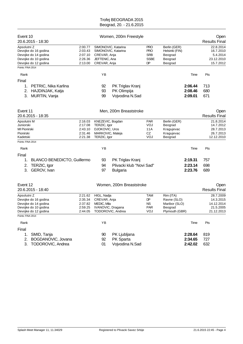| Event 10<br>20.6.2015 - 18:30                                                                               |                                                     |                                                                                        | Women, 200m Freestyle                              |                                                             |                                                                        |                               | Open<br><b>Results Final</b>                                    |
|-------------------------------------------------------------------------------------------------------------|-----------------------------------------------------|----------------------------------------------------------------------------------------|----------------------------------------------------|-------------------------------------------------------------|------------------------------------------------------------------------|-------------------------------|-----------------------------------------------------------------|
| Apsolutni Z<br>Devojke do 16 godina<br>Devojke do 14 godina<br>Devojke do 10 godina<br>Devojke do 12 godina | 2:00.77<br>2:03.43<br>2:07.10<br>2:26.36<br>2:13.00 | CREVAR, Anja<br>JEFTENIC, Ana<br>CREVAR, Anja                                          | SIMONOVIC, Katarina<br>SIMONOVIC, Katarina         | <b>PRO</b><br><b>PRO</b><br><b>SRB</b><br><b>SSBE</b><br>DP | Berlin (GER)<br>Helsinki (FIN)<br>Beograd<br>Beograd<br>Beograd        |                               | 22.8.2014<br>16.7.2010<br>5.4.2014<br>23.12.2010<br>15.7.2012   |
| Points: FINA 2014                                                                                           |                                                     |                                                                                        |                                                    |                                                             |                                                                        |                               |                                                                 |
| Rank                                                                                                        |                                                     | YB                                                                                     |                                                    |                                                             |                                                                        | Time                          | Pts                                                             |
| Final<br>1.<br>PETRIC, Nika Karlina<br>HAJDINJAK, Katja<br>2.<br>MURTIN, Vanja<br>3.                        |                                                     | 92<br>93<br>99                                                                         | PK Triglav Kranj<br>PK Olimpija<br>Vojvodina N.Sad |                                                             |                                                                        | 2:06.44<br>2:08.46<br>2:09.01 | 713<br>680<br>671                                               |
| Event 11<br>20.6.2015 - 18:35                                                                               |                                                     |                                                                                        | Men, 200m Breaststroke                             |                                                             |                                                                        |                               | Open<br><b>Results Final</b>                                    |
| Apsolutni M<br>Juniorski<br>MI Pionirski<br>Pionirski<br>Kadetski                                           | 2:16.03<br>2:17.08<br>2:43.10<br>2:31.46<br>2:21.38 | KNEZEVIC, Bogdan<br>TERZIC, Igor<br>DJOKOVIC, Uros<br>MARKOVIC, Mateja<br>TERZIC, Igor |                                                    | <b>PAR</b><br>VOJ<br>11A<br>CZ<br>VOJ                       | Berlin (GER)<br>Beograd<br>Kragujevac<br>Kragujevac<br>Beograd         |                               | 21.8.2014<br>14.7.2012<br>28.7.2013<br>26.7.2013<br>12.12.2010  |
| Points: FINA 2014                                                                                           |                                                     |                                                                                        |                                                    |                                                             |                                                                        |                               |                                                                 |
| Rank                                                                                                        |                                                     | YB                                                                                     |                                                    |                                                             |                                                                        | Time                          | Pts                                                             |
| Final                                                                                                       |                                                     |                                                                                        |                                                    |                                                             |                                                                        |                               |                                                                 |
| BLANCO BENEDICTO, Guillermo<br>1.                                                                           |                                                     | 93                                                                                     | PK Triglav Kranj                                   |                                                             |                                                                        | 2:19.31                       | 757                                                             |
| TERZIC, Igor<br>2.<br>3.<br>GEROV, Ivan                                                                     |                                                     | 94<br>97                                                                               | Plivacki klub "Novi Sad"<br><b>Bulgaria</b>        |                                                             |                                                                        | 2:23.14<br>2:23.76            | 698<br>689                                                      |
| Event 12<br>20.6.2015 - 18:40                                                                               |                                                     |                                                                                        | Women, 200m Breaststroke                           |                                                             |                                                                        |                               | Open<br><b>Results Final</b>                                    |
| Apsolutni Z<br>Devojke do 16 godina<br>Devojke do 14 godina<br>Devojke do 10 godina<br>Devojke do 12 godina | 2:21.62<br>2:35.34<br>2:37.82<br>2:59.25<br>2:44.05 | HIGL, Nadja<br>CREVAR, Anja<br>MEDIC, Mila<br>IVANOVIC, Dragana                        | TODOROVIC, Andrea                                  | <b>TAM</b><br><b>DP</b><br><b>NS</b><br><b>PAR</b><br>VOJ   | Rim (ITA)<br>Ravne (SLO)<br>Maribor (SLO)<br>Beograd<br>Plymouth (GBR) |                               | 28.7.2009<br>14.3.2015<br>14.12.2014<br>21.5.2005<br>21.12.2013 |
| Points: FINA 2014                                                                                           |                                                     |                                                                                        |                                                    |                                                             |                                                                        |                               |                                                                 |
| Rank                                                                                                        |                                                     | ΥB                                                                                     |                                                    |                                                             |                                                                        | Time                          | Pts                                                             |
| Final<br>1.<br>SMID, Tanja<br>BOGDANOVIC, Jovana<br>2.<br>TODOROVIC, Andrea<br>3.                           |                                                     | 90<br>92<br>01                                                                         | PK Ljubljana<br>PK Sparta<br>Vojvodina N.Sad       |                                                             |                                                                        | 2:28.64<br>2:34.65<br>2:42.02 | 819<br>727<br>632                                               |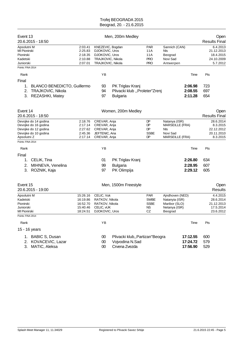| Event 13                                                                               | 20.6.2015 - 18:50                                                                            |                                                          |                                                                                                | Men, 200m Medley                                                     |                                                             |                                                                                      |                                  | Open<br><b>Results Final</b>                                  |
|----------------------------------------------------------------------------------------|----------------------------------------------------------------------------------------------|----------------------------------------------------------|------------------------------------------------------------------------------------------------|----------------------------------------------------------------------|-------------------------------------------------------------|--------------------------------------------------------------------------------------|----------------------------------|---------------------------------------------------------------|
| Apsolutni M<br>MI Pionirski<br>Pionirski<br>Kadetski<br>Juniorski<br>Points: FINA 2014 |                                                                                              | 2:03.41<br>2:25.83<br>2:18.35<br>2:10.88<br>2:07.01      | KNEZEVIC, Bogdan<br>DJOKOVIC, Uros<br>DJOKOVIC, Uros<br>TRAJKOVIC, Nikola<br>TRAJKOVIC, Nikola |                                                                      | <b>PAR</b><br>11 A<br>11A<br><b>PRO</b><br><b>PRO</b>       | Sannich (CAN)<br>Nls<br>Beograd<br>Novi Sad<br>Antwerpen                             |                                  | 6.4.2013<br>21.12.2013<br>18.4.2015<br>24.10.2009<br>5.7.2012 |
| Rank                                                                                   |                                                                                              |                                                          | YB                                                                                             |                                                                      |                                                             |                                                                                      | Time                             | Pts                                                           |
| Final                                                                                  |                                                                                              |                                                          |                                                                                                |                                                                      |                                                             |                                                                                      |                                  |                                                               |
| 1.<br>2.<br>3.                                                                         | <b>BLANCO BENEDICTO, Guillermo</b><br>TRAJKOVIC, Nikola<br><b>REZASHKI, Matey</b>            |                                                          | 93<br>94<br>97                                                                                 | PK Triglav Kranj<br>Plivacki klub "Proleter"Zrenj<br><b>Bulgaria</b> |                                                             |                                                                                      | 2:06.98<br>2:08.55<br>2:11.28    | 723<br>697<br>654                                             |
| Event 14                                                                               | 20.6.2015 - 18:50                                                                            |                                                          |                                                                                                | Women, 200m Medley                                                   |                                                             |                                                                                      |                                  | Open<br><b>Results Final</b>                                  |
| Apsolutni Z                                                                            | Devojke do 14 godina<br>Devojke do 16 godina<br>Devojke do 12 godina<br>Devojke do 10 godina | 2:18.76<br>2:17.14<br>2:27.62<br>2:45.36<br>2:17.14      | CREVAR, Anja<br>CREVAR, Anja<br>CREVAR, Anja<br>JEFTENIC, Ana<br>CREVAR, Anja                  |                                                                      | DP<br>DP<br>DP<br><b>SSBE</b><br>DP                         | Natanya (ISR)<br><b>MARSEILLE (FRA)</b><br>Nls<br>Novi Sad<br><b>MARSEILLE (FRA)</b> |                                  | 28.6.2014<br>8.3.2015<br>22.12.2012<br>20.11.2010<br>8.3.2015 |
| Points: FINA 2014                                                                      |                                                                                              |                                                          |                                                                                                |                                                                      |                                                             |                                                                                      |                                  |                                                               |
| Rank                                                                                   |                                                                                              |                                                          | YB                                                                                             |                                                                      |                                                             |                                                                                      | Time                             | Pts                                                           |
| Final<br>1.<br>2.<br>3.                                                                | CELIK, Tina<br>MIHNEVA, Venelina<br>ROZNIK, Kaja                                             |                                                          | 01<br>99<br>97                                                                                 | PK Triglav Kranj<br><b>Bulgaria</b><br>PK Olimpija                   |                                                             |                                                                                      | 2:26.80<br>2:28.95<br>2:29.12    | 634<br>607<br>605                                             |
| Event 15                                                                               | 20.6.2015 - 19:00                                                                            |                                                          |                                                                                                | Men, 1500m Freestyle                                                 |                                                             |                                                                                      |                                  | Open<br>Results                                               |
| Apsolutni M<br>Kadetski<br>Pionirski<br>Juniorski<br>MI Pionirski                      |                                                                                              | 15:26.16<br>16:19.86<br>16:52.70<br>15:40.46<br>18:24.51 | CELIC, Vuk<br>RATKOV, Nikola<br>RATKOV, Nikola<br>CELIC, VUK<br>DJOKOVIC, Uros                 |                                                                      | <b>PAR</b><br><b>SWBE</b><br><b>SSBE</b><br><b>NS</b><br>CZ | Ajndhoven (NED)<br>Natanyia (ISR)<br>Maribor (SLO)<br>Netanya (ISR)<br>Beograd       |                                  | 4.4.2015<br>28.6.2014<br>21.12.2013<br>17.5.2014<br>23.6.2012 |
| Points: FINA 2014                                                                      |                                                                                              |                                                          | YB                                                                                             |                                                                      |                                                             |                                                                                      |                                  |                                                               |
| Rank                                                                                   |                                                                                              |                                                          |                                                                                                |                                                                      |                                                             |                                                                                      | Time                             | Pts                                                           |
|                                                                                        | 15 - 16 years                                                                                |                                                          |                                                                                                |                                                                      |                                                             |                                                                                      |                                  |                                                               |
|                                                                                        | 1. BABIC S, Dusan<br>2. KOVACEVIC, Lazar<br>3. MATIC, Aleksa                                 |                                                          | 00<br>$00\,$<br>$00\,$                                                                         | Plivacki klub,, Partizan"Beogra<br>Vojvodina N.Sad<br>Crvena Zvezda  |                                                             |                                                                                      | 17:12.55<br>17:24.72<br>17:56.90 | 600<br>579<br>529                                             |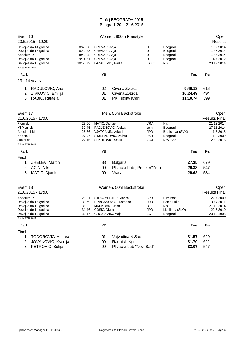| Event 16<br>20.6.2015 - 19:20                                                                                                    |                                                      |                                                                                  | Women, 800m Freestyle                                      |                                                      |                                                             |                                 | Open<br><b>Results</b>                                          |
|----------------------------------------------------------------------------------------------------------------------------------|------------------------------------------------------|----------------------------------------------------------------------------------|------------------------------------------------------------|------------------------------------------------------|-------------------------------------------------------------|---------------------------------|-----------------------------------------------------------------|
| Devojke do 14 godina<br>Devojke do 16 godina<br>Apsolutni Z<br>Devojke do 12 godina<br>Devojke do 10 godina<br>Points: FINA 2014 | 8:49.28<br>8:49.28<br>8:49.28<br>9:14.61<br>10:50.79 | CREVAR, Anja<br>CREVAR, Anja<br>CREVAR, Anja<br>CREVAR, Anja<br>LAZAREVIC, Nadja |                                                            | DP<br>DP<br>DP<br>DP<br>LAKOL                        | Beograd<br>Beograd<br>Beograd<br>Beograd<br>Nis             |                                 | 19.7.2014<br>19.7.2014<br>19.7.2014<br>14.7.2012<br>20.12.2014  |
| Rank                                                                                                                             |                                                      | YB                                                                               |                                                            |                                                      |                                                             | Time                            | Pts                                                             |
| 13 - 14 years                                                                                                                    |                                                      |                                                                                  |                                                            |                                                      |                                                             |                                 |                                                                 |
| RADULOVIC, Ana<br>1.<br>ZIVKOVIC, Emilija<br>2.<br>RABIC, Rafaela<br>3.                                                          |                                                      | 02<br>01<br>01                                                                   | Crvena Zvezda<br>Crvena Zvezda<br>PK Triglav Kranj         |                                                      |                                                             | 9:40.18<br>10:24.49<br>11:10.74 | 616<br>494<br>399                                               |
| Event 17<br>21.6.2015 - 17:00                                                                                                    |                                                      |                                                                                  | Men, 50m Backstroke                                        |                                                      |                                                             |                                 | Open<br><b>Results Final</b>                                    |
| Pionirski<br>MI Pionirski<br>Apsolutni M<br>Kadetski<br>Juniorski                                                                | 29.56<br>32.45<br>25.86<br>27.97<br>27.16            | MATIC, Djurdje<br>VJATCANIN, Arkadi<br>SEKULOVIC, Sekul                          | RADJENOVIC, Aleksa<br>STJEPANOVIC, Velimir                 | <b>VRA</b><br>som<br><b>PRO</b><br><b>PAR</b><br>VOJ | Nis<br>Beograd<br>Bratislava (SVK)<br>Beograd<br>Novi Sad   |                                 | 21.12.2014<br>27.11.2014<br>1.5.2015<br>1.8.2009<br>29.3.2015   |
| Points: FINA 2014                                                                                                                |                                                      |                                                                                  |                                                            |                                                      |                                                             |                                 |                                                                 |
| Rank                                                                                                                             |                                                      | YB                                                                               |                                                            |                                                      |                                                             | Time                            | Pts                                                             |
| Final<br>ZHELEV, Martin<br>1.<br>ACIN, Nikola<br>2.<br>MATIC, Djurdje<br>З.                                                      |                                                      | 88<br>99<br>00                                                                   | <b>Bulgaria</b><br>Plivacki klub "Proleter"Zrenj<br>Vracar |                                                      |                                                             | 27.35<br>29.38<br>29.62         | 679<br>547<br>534                                               |
| Event 18<br>21.6.2015 - 17:00                                                                                                    |                                                      |                                                                                  | Women, 50m Backstroke                                      |                                                      |                                                             |                                 | Open<br><b>Results Final</b>                                    |
| Apsolutni Z<br>Devojke do 16 godina<br>Devojke do 10 godina<br>Devojke do 14 godina<br>Devojke do 12 godina<br>Points: FINA 2014 | 28.81<br>30.79<br>36.82<br>31.46<br>33.17            | MARKOVIC, Jana<br>COSIC, Divna<br>GROZDANIC, Maja                                | STRAZMESTER, Marica<br>DRAGANOV C., Katarina               | <b>SRB</b><br><b>PRO</b><br>œ<br><b>PRO</b><br>BG    | L.Palmas<br>Banja Luka<br>Nis<br>Ljubljana (SLO)<br>Beograd |                                 | 22.7.2009<br>30.4.2011<br>21.12.2014<br>22.5.2010<br>23.10.1995 |
| Rank                                                                                                                             |                                                      | YB                                                                               |                                                            |                                                      |                                                             | Time                            | Pts                                                             |
| Final                                                                                                                            |                                                      |                                                                                  |                                                            |                                                      |                                                             |                                 |                                                                 |
| TODOROVIC, Andrea<br>1.<br>2.<br>JOVANOVIC, Ksenija<br>3. PETROVIC, Sofija                                                       |                                                      | 01<br>99<br>99                                                                   | Vojvodina N.Sad<br>Radnicki Kg<br>Plivacki klub "Novi Sad" |                                                      |                                                             | 31.57<br>31.70<br>33.07         | 629<br>622<br>547                                               |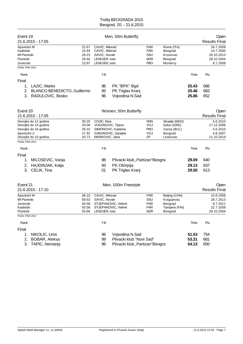| Event 19<br>21.6.2015 - 17:05                                                                               |                                           |                                                                                    | Men, 50m Butterfly                                  |                                                             |                                                                    |                         | Open<br><b>Results Final</b>                                   |
|-------------------------------------------------------------------------------------------------------------|-------------------------------------------|------------------------------------------------------------------------------------|-----------------------------------------------------|-------------------------------------------------------------|--------------------------------------------------------------------|-------------------------|----------------------------------------------------------------|
| Apsolutni M<br>Kadetski<br><b>MI Pionirski</b><br>Pionirski<br>Juniorski<br>Points: FINA 2014               | 22.67<br>24.94<br>29.23<br>26.60<br>23.97 | CAVIC, Milorad<br>CAVIC, Milorad<br>SAVIC, Novak<br>LENDJER, Ivan<br>LENDJER, Ivan |                                                     | <b>PAR</b><br><b>PAR</b><br>SSU<br><b>MZR</b><br><b>PRO</b> | Rome (ITA)<br>Beograd<br>Krusevac<br>Beograd<br>Monterry           |                         | 26.7.2009<br>14.7.2000<br>26.10.2013<br>28.10.2004<br>8.7.2008 |
|                                                                                                             |                                           |                                                                                    |                                                     |                                                             |                                                                    |                         |                                                                |
| Rank                                                                                                        |                                           | ΥB                                                                                 |                                                     |                                                             |                                                                    | Time                    | Pts                                                            |
| Final<br>LAZIC, Marko<br>1.<br><b>BLANCO BENEDICTO, Guillermo</b><br>2.<br>RADULOVIC, Bosko<br>3.           |                                           | 96<br>93<br>96                                                                     | PK "BPK" Bgd<br>PK Triglav Kranj<br>Vojvodina N.Sad |                                                             |                                                                    | 25.43<br>25.46<br>25.86 | 686<br>683<br>652                                              |
| Event 20<br>21.6.2015 - 17:05                                                                               |                                           |                                                                                    | Women, 50m Butterfly                                |                                                             |                                                                    |                         | Open<br><b>Results Final</b>                                   |
| Devojke do 12 godina<br>Devojke do 14 godina<br>Devojke do 16 godina<br>Apsolutni Z<br>Devojke do 10 godina | 30.20<br>29.09<br>28.32<br>27.92<br>33.73 | COJIC, Nina<br>VUKANOVIC, Tijana<br>MARKOVIC, Jana                                 | SIMONOVIC, Katarina<br>DJIKANOVIC, Danijela         | <b>SNN</b><br>VOJ<br><b>PRO</b><br>VOJ<br>Œ                 | Skoplje (MKD)<br>Solun (GRE)<br>Varna (BUL)<br>Beograd<br>Leskovac |                         | 5.6.2010<br>17.12.2006<br>5.6.2010<br>4.8.2007<br>11.10.2014   |
| Points: FINA 2014                                                                                           |                                           |                                                                                    |                                                     |                                                             |                                                                    |                         |                                                                |
| Rank                                                                                                        |                                           | YB                                                                                 |                                                     |                                                             |                                                                    | Time                    | Pts                                                            |
| Final                                                                                                       |                                           |                                                                                    |                                                     |                                                             |                                                                    |                         |                                                                |
| MILOSEVIC, Vanja<br>1.                                                                                      |                                           | 98                                                                                 | Plivacki klub,, Partizan "Beogra                    |                                                             |                                                                    | 29.09                   | 640                                                            |
| HAJDINJAK, Katja<br>2.<br>CELIK, Tina<br>3.                                                                 |                                           | 93<br>01                                                                           | PK Olimpija<br>PK Triglav Kranj                     |                                                             |                                                                    | 29.13<br>29.50          | 637<br>613                                                     |
| Event 21<br>21.6.2015 - 17:10                                                                               |                                           |                                                                                    | Men, 100m Freestyle                                 |                                                             |                                                                    |                         | Open<br><b>Results Final</b>                                   |
| Apsolutni M<br><b>MI Pionirski</b><br>Juniorski<br>Kadetski<br>Pionirski                                    | 48.15<br>59.63<br>49.56<br>50.58<br>55.68 | CAVIC, Milorad<br>SAVIC, Novak<br>LENDJER, Ivan                                    | STJEPANOVIC, Velimir<br>STJEPANOVIC, Velimir        | <b>PAR</b><br>SSU<br><b>PAR</b><br><b>PAR</b><br><b>MZR</b> | Beijing (CHN)<br>Kragujevac<br>Beograd<br>Tampere (FIN)<br>Beograd |                         | 10.8.2008<br>28.7.2013<br>8.7.2011<br>22.7.2009<br>28.10.2004  |
| Points: FINA 2014                                                                                           |                                           |                                                                                    |                                                     |                                                             |                                                                    |                         |                                                                |
| Rank                                                                                                        |                                           | YB                                                                                 |                                                     |                                                             |                                                                    | Time                    | Pts                                                            |
| Final                                                                                                       |                                           |                                                                                    |                                                     |                                                             |                                                                    |                         |                                                                |
| NIKOLIC, Uros<br>1.                                                                                         |                                           | 96                                                                                 | Vojvodina N.Sad                                     |                                                             |                                                                    | 51.53                   | 754                                                            |
| BOBAR, Aleksa<br>2.                                                                                         |                                           | 99                                                                                 | Plivacki klub "Novi Sad"                            |                                                             |                                                                    | 53.31                   | 681                                                            |
| 3. TAPIC, Nemanja                                                                                           |                                           | 96                                                                                 | Plivacki klub,, Partizan"Beogra                     |                                                             |                                                                    | 54.13                   | 650                                                            |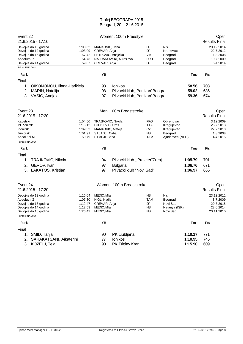| Event 22<br>21.6.2015 - 17:10                                                                                                    |                                                     |                                                                                            | Women, 100m Freestyle                                                          |                                                  |                                                                     |                               | Open<br><b>Results Final</b>                                   |
|----------------------------------------------------------------------------------------------------------------------------------|-----------------------------------------------------|--------------------------------------------------------------------------------------------|--------------------------------------------------------------------------------|--------------------------------------------------|---------------------------------------------------------------------|-------------------------------|----------------------------------------------------------------|
| Devojke do 10 godina<br>Devojke do 12 godina<br>Devojke do 16 godina<br>Apsolutni Z<br>Devojke do 14 godina<br>Points: FINA 2014 | 1:08.62<br>1:03.09<br>57.42<br>54.73<br>59.07       | MARKOVIC, Jana<br>CREVAR, Anja<br>PETROVIC, Andjelka<br>CREVAR, Anja                       | NAJDANOVSKI, Miroslava                                                         | ŒР<br><b>DP</b><br>VAL<br><b>PRO</b><br>DP       | Nis<br>Krusevac<br>Beograd<br>Beograd<br>Beograd                    |                               | 20.12.2014<br>22.7.2012<br>1.8.2008<br>10.7.2009<br>5.4.2014   |
|                                                                                                                                  |                                                     |                                                                                            |                                                                                |                                                  |                                                                     |                               |                                                                |
| Rank                                                                                                                             |                                                     | ΥB                                                                                         |                                                                                |                                                  |                                                                     | Time                          | Pts                                                            |
| Final<br>OIKONOMOU, Iliana-Harikleia<br>1.<br>2.<br>MARIN, Natalija<br>3. VASIC, Andjela                                         |                                                     | 98<br>98<br>97                                                                             | Ionikos<br>Plivacki klub,, Partizan "Beogra<br>Plivacki klub,, Partizan"Beogra |                                                  |                                                                     | 58.56<br>59.02<br>59.36       | 703<br>686<br>674                                              |
| Event 23<br>21.6.2015 - 17:20                                                                                                    |                                                     |                                                                                            | Men, 100m Breaststroke                                                         |                                                  |                                                                     |                               | Open<br><b>Results Final</b>                                   |
| Kadetski<br>MI Pionirski<br>Pionirski<br>Juniorski<br>Apsolutni M                                                                | 1:04.50<br>1:15.12<br>1:09.32<br>1:01.91<br>59.79   | TRAJKOVIC, Nikola<br>DJOKOVIC, Uros<br>MARKOVIC, Mateja<br>SILJADJI, Caba<br>SILADJI, Caba |                                                                                | <b>PRO</b><br>11 A<br>CZ<br><b>NS</b><br>TAM     | Obrenovac<br>Kragujevac<br>Kragujevac<br>Beograd<br>Ajndhoven (NED) |                               | 3.12.2009<br>28.7.2013<br>27.7.2013<br>1.8.2008<br>4.4.2015    |
| Points: FINA 2014                                                                                                                |                                                     |                                                                                            |                                                                                |                                                  |                                                                     |                               |                                                                |
| Rank                                                                                                                             |                                                     | YB                                                                                         |                                                                                |                                                  |                                                                     | Time                          | Pts                                                            |
| Final<br>TRAJKOVIC, Nikola<br>1.<br>GEROV, Ivan<br>2.<br>3.<br>LAKATOS, Kristian                                                 |                                                     | 94<br>97<br>97                                                                             | Plivacki klub "Proleter"Zrenj<br><b>Bulgaria</b><br>Plivacki klub "Novi Sad"   |                                                  |                                                                     | 1:05.79<br>1:06.76<br>1:06.97 | 701<br>671<br>665                                              |
| Event 24<br>21.6.2015 - 17:20                                                                                                    |                                                     |                                                                                            | Women, 100m Breaststroke                                                       |                                                  |                                                                     |                               | Open<br><b>Results Final</b>                                   |
| Devojke do 12 godina<br>Apsolutni Z<br>Devojke do 16 godina<br>Devojke do 14 godina<br>Devojke do 10 godina<br>Points: FINA 2014 | 1:16.04<br>1:07.80<br>1:12.47<br>1:12.53<br>1:26.42 | MEDIC, Mila<br>HIGL, Nadja<br>CREVAR, Anja<br>MEDIC, Mila<br>MEDIC, Mila                   |                                                                                | <b>NS</b><br><b>TAM</b><br>DP<br>ΝS<br><b>NS</b> | <b>NIs</b><br>Beograd<br>Novi Sad<br>Natanya (ISR)<br>Novi Sad      |                               | 23.12.2012<br>8.7.2009<br>29.3.2015<br>28.6.2014<br>20.11.2010 |
| Rank                                                                                                                             |                                                     | YB                                                                                         |                                                                                |                                                  |                                                                     | Time                          | Pts                                                            |
| Final                                                                                                                            |                                                     |                                                                                            |                                                                                |                                                  |                                                                     |                               |                                                                |
| SMID, Tanja<br>1.<br>SARAKATSANI, Aikaterini<br>2.<br>3. KOZELJ, Teja                                                            |                                                     | 90<br>77<br>90                                                                             | PK Ljubljana<br>Ionikos<br>PK Triglav Kranj                                    |                                                  |                                                                     | 1:10.17<br>1:10.95<br>1:15.90 | 771<br>746<br>609                                              |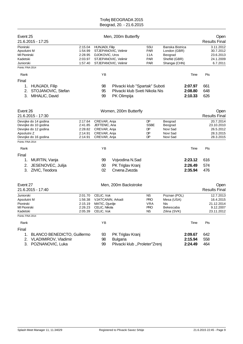| Event 25<br>21.6.2015 - 17:25                                                                               |                                                     |                                                                                  | Men, 200m Butterfly                                                             |                                                                  |                                                                              |                               | Open<br><b>Results Final</b>                                    |
|-------------------------------------------------------------------------------------------------------------|-----------------------------------------------------|----------------------------------------------------------------------------------|---------------------------------------------------------------------------------|------------------------------------------------------------------|------------------------------------------------------------------------------|-------------------------------|-----------------------------------------------------------------|
| Pionirski<br>Apsolutni M<br>MI Pionirski<br>Kadetski<br>Juniorski<br>Points: FINA 2014                      | 2:15.04<br>1:54.99<br>2:28.95<br>2:03.97<br>1:57.40 | HUNJADI, Filip<br>DJOKOVIC, Uros                                                 | STJEPANOVIC, Velimir<br>STJEPANOVIC, Velimir<br>STJEPANOVIC, Velimir            | SSU<br><b>PAR</b><br>11A<br><b>PAR</b><br><b>PAR</b>             | Banska Bistrica<br>London (GBR)<br>Beograd<br>Shefild (GBR)<br>Shangai (CHN) |                               | 3.11.2012<br>30.7.2012<br>23.6.2013<br>24.1.2009<br>6.7.2011    |
| Rank                                                                                                        |                                                     | YB                                                                               |                                                                                 |                                                                  |                                                                              | Time                          | Pts                                                             |
| Final                                                                                                       |                                                     |                                                                                  |                                                                                 |                                                                  |                                                                              |                               |                                                                 |
| <b>HUNJADI, Filip</b><br>1.<br>STOJANOVIC, Stefan<br>2.<br>MIHALIC, David<br>3.                             |                                                     | 98<br>95<br>99                                                                   | Plivacki klub "Spartak" Suboti<br>Plivacki klub Sveti Nikola Nis<br>PK Olimpija |                                                                  |                                                                              | 2:07.97<br>2:08.80<br>2:10.33 | 661<br>648<br>626                                               |
| Event 26<br>21.6.2015 - 17:30                                                                               |                                                     |                                                                                  | Women, 200m Butterfly                                                           |                                                                  |                                                                              |                               | Open<br><b>Results Final</b>                                    |
| Devojke do 14 godina<br>Devojke do 10 godina<br>Devojke do 12 godina<br>Apsolutni Z<br>Devojke do 16 godina | 2:17.64<br>2:41.85<br>2:28.82<br>2:14.91<br>2:14.91 | CREVAR, Anja<br>JEFTENIC, Ana<br>CREVAR, Anja<br>CREVAR, Anja<br>CREVAR, Anja    |                                                                                 | DP<br><b>SSBE</b><br>DP<br>DP<br>DP                              | Beograd<br>Beograd<br>Novi Sad<br>Novi Sad<br>Novi Sad                       |                               | 20.7.2014<br>23.10.2010<br>26.5.2012<br>28.3.2015<br>28.3.2015  |
| Points: FINA 2014                                                                                           |                                                     |                                                                                  |                                                                                 |                                                                  |                                                                              |                               |                                                                 |
| Rank                                                                                                        |                                                     | YB                                                                               |                                                                                 |                                                                  |                                                                              | Time                          | Pts                                                             |
| Final                                                                                                       |                                                     |                                                                                  |                                                                                 |                                                                  |                                                                              |                               |                                                                 |
| MURTIN, Vanja<br>1.                                                                                         |                                                     | 99                                                                               | Vojvodina N.Sad                                                                 |                                                                  |                                                                              | 2:23.12                       | 616                                                             |
| JESENOVEC, Julija<br>2.<br>3. ZIVIC, Teodora                                                                |                                                     | $00\,$<br>02                                                                     | PK Triglav Kranj<br>Crvena Zvezda                                               |                                                                  |                                                                              | 2:26.49<br>2:35.94            | 574<br>476                                                      |
| Event 27<br>21.6.2015 - 17:40                                                                               |                                                     |                                                                                  | Men, 200m Backstroke                                                            |                                                                  |                                                                              |                               | Open<br><b>Results Final</b>                                    |
| Juniorski<br>Apsolutni M<br>Pionirski<br><b>MI Pionirski</b><br>Kadetski                                    | 2:01.70<br>1:56.38<br>2:15.19<br>2:26.23<br>2:05.39 | CELIC, Vuk<br>VJATCANIN, Arkadi<br>MATIC, Djurdje<br>CELIC, Nikola<br>CELIC, Vuk |                                                                                 | <b>NS</b><br><b>PRO</b><br><b>VRA</b><br><b>PRO</b><br><b>NS</b> | Poznan (POL)<br>Mesa (USA)<br>Nis<br>Bekescaba<br>Zilina (SVK)               |                               | 12.7.2013<br>16.4.2015<br>21.12.2014<br>9.12.2007<br>23.11.2012 |
| Points: FINA 2014                                                                                           |                                                     |                                                                                  |                                                                                 |                                                                  |                                                                              |                               |                                                                 |
| Rank                                                                                                        |                                                     | YB                                                                               |                                                                                 |                                                                  |                                                                              | Time                          | Pts                                                             |
| Final<br>BLANCO BENEDICTO, Guillermo<br>1.<br>2. VLADIMIROV, Vladimir<br>3. POZNANOVIC, Luka                |                                                     | 93<br>98<br>99                                                                   | PK Triglav Kranj<br><b>Bulgaria</b><br>Plivacki klub "Proleter"Zrenj            |                                                                  |                                                                              | 2:09.67<br>2:15.94<br>2:24.49 | 642<br>558<br>464                                               |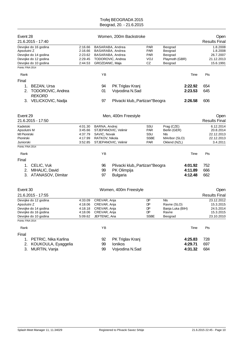| Event 28<br>21.6.2015 - 17:40                                                                                                    |                                                     |                                                                               | Women, 200m Backstroke                                                        |                                                       |                                                                    |                               | Open<br><b>Results Final</b>                                    |
|----------------------------------------------------------------------------------------------------------------------------------|-----------------------------------------------------|-------------------------------------------------------------------------------|-------------------------------------------------------------------------------|-------------------------------------------------------|--------------------------------------------------------------------|-------------------------------|-----------------------------------------------------------------|
| Devojke do 16 godina<br>Apsolutni Z<br>Devojke do 14 godina<br>Devojke do 12 godina<br>Devojke do 10 godina<br>Points: FINA 2014 | 2:16.66<br>2:16.66<br>2:23.62<br>2:29.45<br>2:44.53 | GROZDANIC, Maja                                                               | BASARABA, Andrea<br>BASARABA, Andrea<br>BASARABA, Andrea<br>TODOROVIC, Andrea | <b>PAR</b><br><b>PAR</b><br><b>PAR</b><br>VOJ<br>CZ   | Beograd<br>Beograd<br>Beograd<br>Playmoth (GBR)<br>Beograd         |                               | 1.8.2008<br>1.8.2008<br>26.7.2007<br>21.12.2013<br>15.6.1991    |
| Rank                                                                                                                             |                                                     | YB                                                                            |                                                                               |                                                       |                                                                    | Time                          | Pts                                                             |
| Final                                                                                                                            |                                                     |                                                                               |                                                                               |                                                       |                                                                    |                               |                                                                 |
| BEZAN, Ursa<br>1.<br>TODOROVIC, Andrea<br>2.<br><b>REKORD</b>                                                                    |                                                     | 94<br>01                                                                      | PK Triglav Kranj<br>Vojvodina N.Sad                                           |                                                       |                                                                    | 2:22.92<br>2:23.53            | 654<br>645                                                      |
| 3. VELICKOVIC, Nadja                                                                                                             |                                                     | 97                                                                            | Plivacki klub,, Partizan "Beogra                                              |                                                       |                                                                    | 2:26.58                       | 606                                                             |
| Event 29                                                                                                                         |                                                     |                                                                               | Men, 400m Freestyle                                                           |                                                       |                                                                    |                               | Open                                                            |
| 21.6.2015 - 17:50                                                                                                                |                                                     |                                                                               |                                                                               |                                                       |                                                                    |                               | <b>Results Final</b>                                            |
| Kadetski<br>Apsolutni M<br>MI Pionirski<br>Pionirski<br>Juniorski                                                                | 4:01.30<br>3:45.66<br>4:37.79<br>4:17.99<br>3:52.85 | BARNA, Andrej<br>SAVIC, Novak<br>RATKOV, Nikola                               | STJEPANOVIC, Velimir<br>STJEPANOVIC, Velimir                                  | SSU<br><b>PAR</b><br>SSU<br><b>SSBE</b><br><b>PAR</b> | Prag (CZE)<br>Berlin (GER)<br>Nls<br>MAribor (SLO)<br>Oklend (NZL) |                               | 6.12.2014<br>20.8.2014<br>22.12.2013<br>22.12.2013<br>3.4.2011  |
| Points: FINA 2014                                                                                                                |                                                     |                                                                               |                                                                               |                                                       |                                                                    |                               |                                                                 |
| Rank                                                                                                                             |                                                     | YB                                                                            |                                                                               |                                                       |                                                                    | Time                          | Pts                                                             |
| Final                                                                                                                            |                                                     |                                                                               |                                                                               |                                                       |                                                                    |                               |                                                                 |
| CELIC, Vuk<br>1.<br>MIHALIC, David<br>2.<br>3. ATANASOV, Dimitar                                                                 |                                                     | 96<br>99<br>97                                                                | Plivacki klub,, Partizan "Beogra<br>PK Olimpija<br><b>Bulgaria</b>            |                                                       |                                                                    | 4:01.92<br>4:11.89<br>4:12.48 | 752<br>666<br>662                                               |
| Event 30                                                                                                                         |                                                     |                                                                               | Women, 400m Freestyle                                                         |                                                       |                                                                    |                               | Open                                                            |
| 21.6.2015 - 17:55                                                                                                                |                                                     |                                                                               |                                                                               |                                                       |                                                                    |                               | <b>Results Final</b>                                            |
| Devojke do 12 godina<br>Apsolutni Z<br>Devojke do 14 godina<br>Devojke do 16 godina<br>Devojke do 10 godina                      | 4:33.09<br>4:18.06<br>4:18.18<br>4:18.06<br>5:09.62 | CREVAR, Anja<br>CREVAR, Anja<br>CREVAR, Anja<br>CREVAR, Anja<br>JEFTENIC, Ana |                                                                               | DP.<br>DP<br>DP<br>DP<br><b>SSBE</b>                  | NIs<br>Ravne (SLO)<br>Banja Luka (BIH)<br>Ravne<br>Beograd         |                               | 23.12.2012<br>15.3.2015<br>24.5.2014<br>15.3.2015<br>23.10.2010 |
| Points: FINA 2014                                                                                                                |                                                     |                                                                               |                                                                               |                                                       |                                                                    |                               |                                                                 |
| Rank                                                                                                                             |                                                     | YB                                                                            |                                                                               |                                                       |                                                                    | Time                          | Pts                                                             |
| Final<br>PETRIC, Nika Karlina<br>1.<br>KOUKOULA, Eyaggelia<br>2.<br>MURTIN, Vanja<br>3.                                          |                                                     | 92<br>99<br>99                                                                | PK Triglav Kranj<br>Ionikos<br>Vojvodina N.Sad                                |                                                       |                                                                    | 4:25.83<br>4:29.71<br>4:31.32 | 728<br>697<br>684                                               |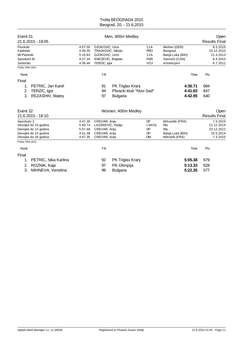| Event 31<br>21.6.2015 - 18:05       |                    |                                            | Men, 400m Medley         |                    |                         | Open<br><b>Results Final</b>        |
|-------------------------------------|--------------------|--------------------------------------------|--------------------------|--------------------|-------------------------|-------------------------------------|
| Pionirski<br>Kadetski               | 4:57.00<br>4:39.35 | <b>DJOKOVIC, Uros</b><br>TRAJKOVIC, Nikola |                          | 11A<br><b>PRO</b>  | Minhen (GER)<br>Beograd | 8.3.2015<br>10.12.2010              |
| <b>MI Pionirski</b>                 | 5:15.63            | DJOKOVIC, Uros                             |                          | 11A                | Banja Luka (BIH)        | 21.4.2013                           |
| Apsolutni M                         | 4:27.16            | KNEZEVIC, Bogdan                           |                          | <b>PAR</b>         | Sannich (CAN)           | 6.4.2013                            |
| Juniorski                           | 4:36.48            | TERZIC, Igor                               |                          | VOJ                | Antwerpen               | 8.7.2012                            |
| Points: FINA 2014                   |                    |                                            |                          |                    |                         |                                     |
| Rank                                |                    | YB                                         |                          |                    | Time                    | Pts                                 |
| Final                               |                    |                                            |                          |                    |                         |                                     |
| PETRIC, Jan Karel<br>1.             |                    | 91                                         | PK Triglav Kranj         |                    | 4:36.71                 | 684                                 |
| 2.<br>TERZIC, Igor                  |                    | 94                                         | Plivacki klub "Novi Sad" |                    | 4:41.83                 | 647                                 |
| REZASHKI, Matey<br>3.               |                    | 97                                         | <b>Bulgaria</b>          |                    | 4:42.95                 | 640                                 |
|                                     |                    |                                            |                          |                    |                         |                                     |
| Event 32<br>21.6.2015 - 18:10       |                    |                                            | Women, 400m Medley       |                    |                         | <b>Open</b><br><b>Results Final</b> |
| Apsolutni Z<br>Devojke do 10 godina | 4:47.35<br>5:49.74 | CREVAR, Anja<br>LAZAREVIC, Nadja           |                          | <b>DP</b><br>LAKOL | MArseille (FRA)<br>Nis  | 7.3.2015<br>21.12.2014              |
| Devojke do 12 godina                | 5:07.48            | CREVAR, Anja                               |                          | DP                 | <b>NIs</b>              | 23.12.2012                          |
| Devojke do 14 godina                | 4:51.38            | CREVAR, Anja                               |                          | DP                 | Banja Luka (BIH)        | 25.5.2014                           |
| Devojke do 16 godina                | 4:47.35            | CREVAR, Anja                               |                          | <b>DM</b>          | MArselli (FRA)          | 7.3.2015                            |
| Points: FINA 2014                   |                    |                                            |                          |                    |                         |                                     |
| Rank                                |                    | YB                                         |                          |                    | Time                    | Pts                                 |
| Final                               |                    |                                            |                          |                    |                         |                                     |
| PETRIC, Nika Karlina<br>1.          |                    | 92                                         | PK Triglav Kranj         |                    | 5:05.38                 | 679                                 |
| ROZNIK, Kaja<br>2.                  |                    | 97                                         | PK Olimpija              |                    | 5:13.33                 | 628                                 |
| 3.<br>MIHNEVA, Venelina             |                    | 99                                         | <b>Bulgaria</b>          |                    | 5:22.35                 | 577                                 |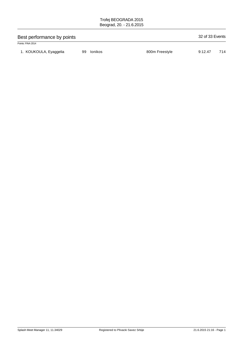| Best performance by points |    |         |                |         |     |  |
|----------------------------|----|---------|----------------|---------|-----|--|
| Points: FINA 2014          |    |         |                |         |     |  |
| 1. KOUKOULA, Eyaggelia     | 99 | lonikos | 800m Freestyle | 9:12.47 | 714 |  |